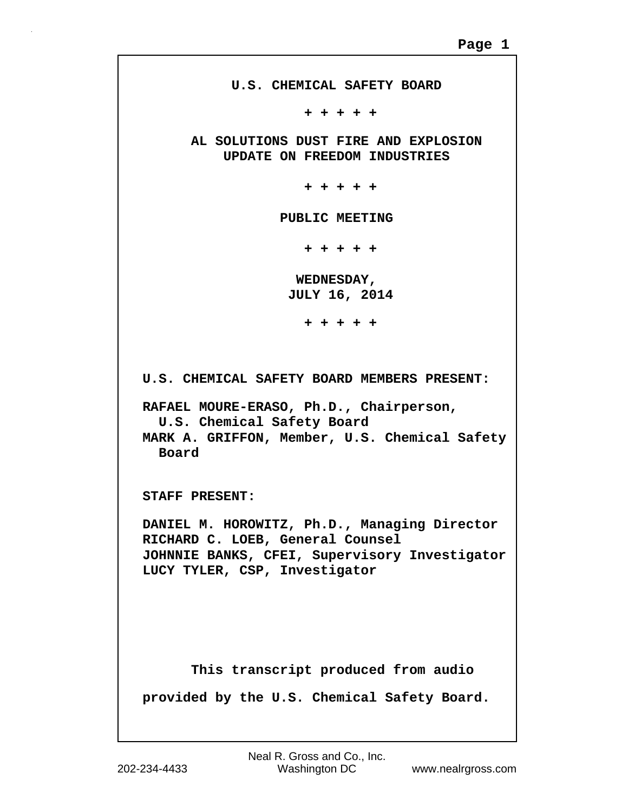**U.S. CHEMICAL SAFETY BOARD + + + + + AL SOLUTIONS DUST FIRE AND EXPLOSION UPDATE ON FREEDOM INDUSTRIES + + + + + PUBLIC MEETING + + + + + WEDNESDAY, JULY 16, 2014 + + + + + U.S. CHEMICAL SAFETY BOARD MEMBERS PRESENT: RAFAEL MOURE-ERASO, Ph.D., Chairperson, U.S. Chemical Safety Board MARK A. GRIFFON, Member, U.S. Chemical Safety Board STAFF PRESENT: DANIEL M. HOROWITZ, Ph.D., Managing Director RICHARD C. LOEB, General Counsel JOHNNIE BANKS, CFEI, Supervisory Investigator LUCY TYLER, CSP, Investigator This transcript produced from audio provided by the U.S. Chemical Safety Board.**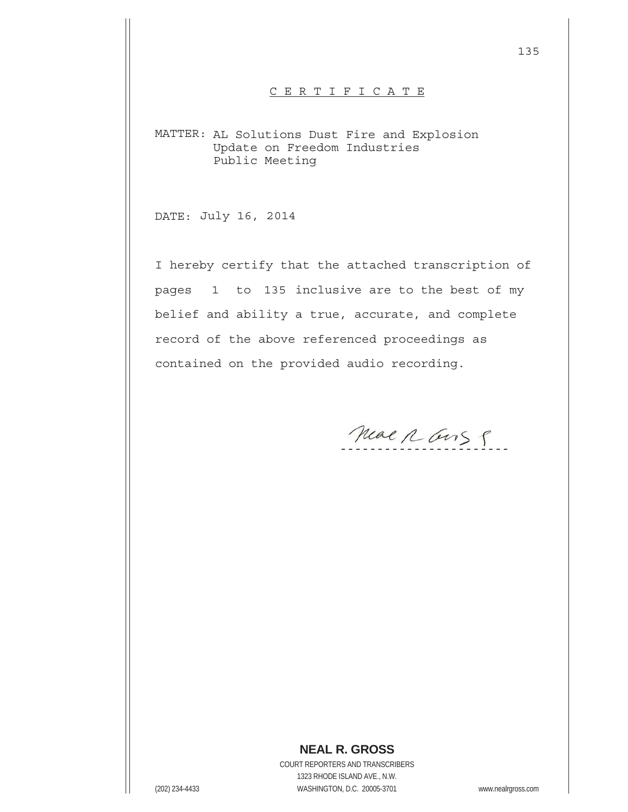## C E R T I F I C A T E

MATTER: AL Solutions Dust Fire and Explosion Update on Freedom Industries Public Meeting

DATE: July 16, 2014

I hereby certify that the attached transcription of pages 1 to 135 inclusive are to the best of my belief and ability a true, accurate, and complete record of the above referenced proceedings as contained on the provided audio recording.

Mear R Gus P

## **NEAL R. GROSS**

COURT REPORTERS AND TRANSCRIBERS 1323 RHODE ISLAND AVE., N.W. (202) 234-4433 WASHINGTON, D.C. 20005-3701 www.nealrgross.com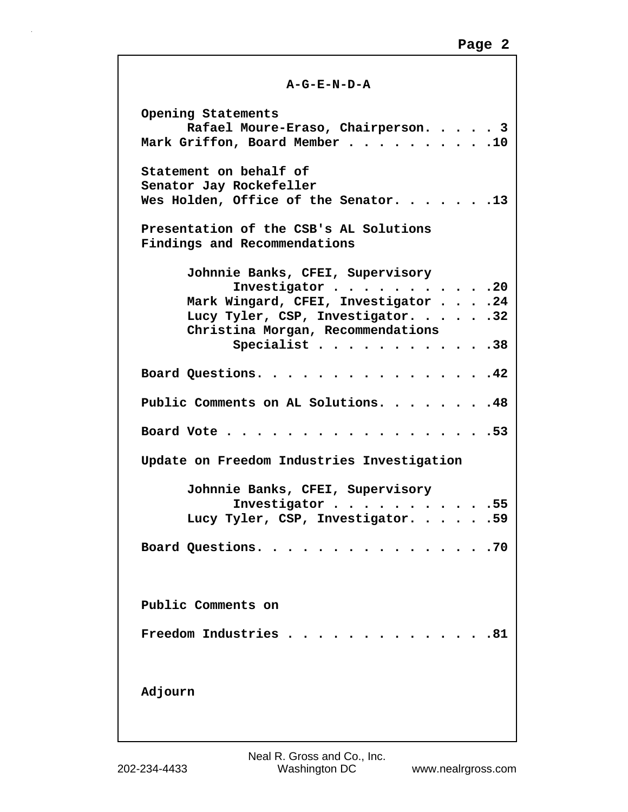## **A-G-E-N-D-A**

**Opening Statements Rafael Moure-Eraso, Chairperson. . . . . 3 Mark Griffon, Board Member . . . . . . . . . .10 Statement on behalf of Senator Jay Rockefeller Wes Holden, Office of the Senator. . . . . . .13 Presentation of the CSB's AL Solutions Findings and Recommendations Johnnie Banks, CFEI, Supervisory Investigator . . . . . . . . . . .20 Mark Wingard, CFEI, Investigator . . . .24 Lucy Tyler, CSP, Investigator. . . . . .32 Christina Morgan, Recommendations Specialist . . . . . . . . . . . .38 Board Questions. . . . . . . . . . . . . . . .42 Public Comments on AL Solutions. . . . . . . .48 Board Vote . . . . . . . . . . . . . . . . . .53 Update on Freedom Industries Investigation Johnnie Banks, CFEI, Supervisory Investigator . . . . . . . . . . .55 Lucy Tyler, CSP, Investigator. . . . . .59 Board Questions. . . . . . . . . . . . . . . .70 Public Comments on Freedom Industries . . . . . . . . . . . . . .81 Adjourn**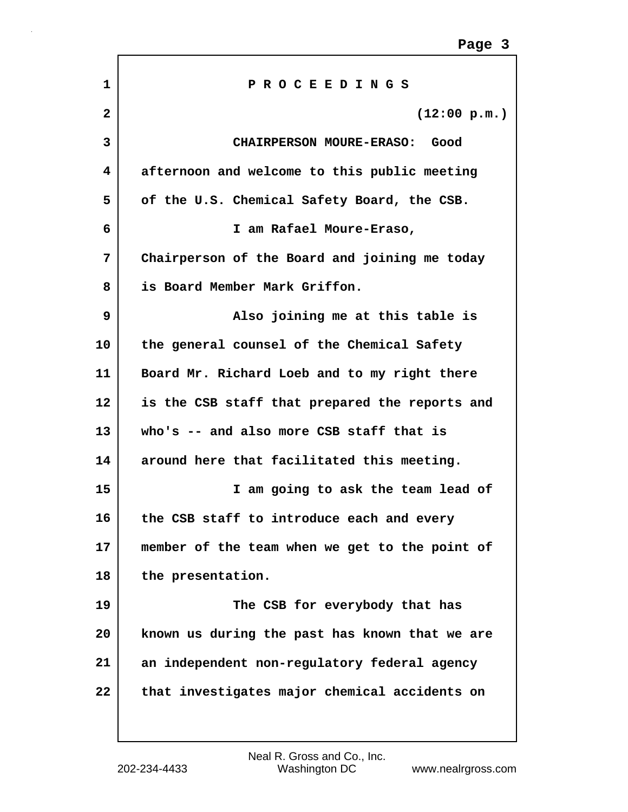| 1            | PROCEEDINGS                                    |
|--------------|------------------------------------------------|
| $\mathbf{2}$ | (12:00 p.m.)                                   |
| 3            | <b>CHAIRPERSON MOURE-ERASO:</b><br>Good        |
| 4            | afternoon and welcome to this public meeting   |
| 5            | of the U.S. Chemical Safety Board, the CSB.    |
| 6            | I am Rafael Moure-Eraso,                       |
| 7            | Chairperson of the Board and joining me today  |
| 8            | is Board Member Mark Griffon.                  |
| 9            | Also joining me at this table is               |
| 10           | the general counsel of the Chemical Safety     |
| 11           | Board Mr. Richard Loeb and to my right there   |
| 12           | is the CSB staff that prepared the reports and |
| 13           | who's -- and also more CSB staff that is       |
| 14           | around here that facilitated this meeting.     |
| 15           | I am going to ask the team lead of             |
| 16           | the CSB staff to introduce each and every      |
| 17           | member of the team when we get to the point of |
| 18           | the presentation.                              |
| 19           | The CSB for everybody that has                 |
| 20           | known us during the past has known that we are |
| 21           | an independent non-regulatory federal agency   |
| 22           | that investigates major chemical accidents on  |
|              |                                                |

ľ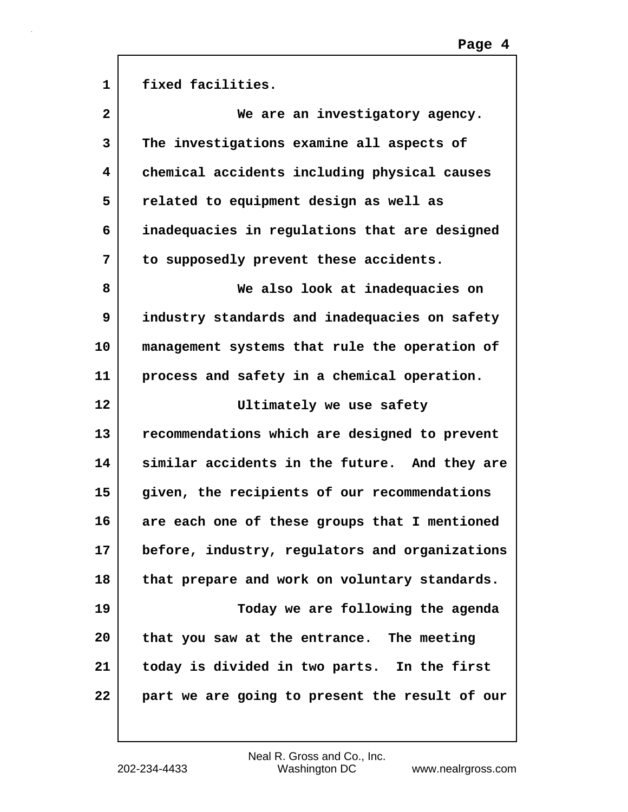| $\mathbf{1}$      | fixed facilities.                              |
|-------------------|------------------------------------------------|
| $\mathbf{2}$      | We are an investigatory agency.                |
| 3                 | The investigations examine all aspects of      |
| 4                 | chemical accidents including physical causes   |
| 5                 | related to equipment design as well as         |
| 6                 | inadequacies in regulations that are designed  |
| 7                 | to supposedly prevent these accidents.         |
| 8                 | We also look at inadequacies on                |
| 9                 | industry standards and inadequacies on safety  |
| 10                | management systems that rule the operation of  |
| 11                | process and safety in a chemical operation.    |
| $12 \overline{ }$ | Ultimately we use safety                       |
| 13                | recommendations which are designed to prevent  |
| 14                | similar accidents in the future. And they are  |
| 15                | given, the recipients of our recommendations   |
| 16                | are each one of these groups that I mentioned  |
| 17                | before, industry, regulators and organizations |
| 18                | that prepare and work on voluntary standards.  |
| 19                | Today we are following the agenda              |
| 20                | that you saw at the entrance. The meeting      |
| 21                | today is divided in two parts. In the first    |
| 22                | part we are going to present the result of our |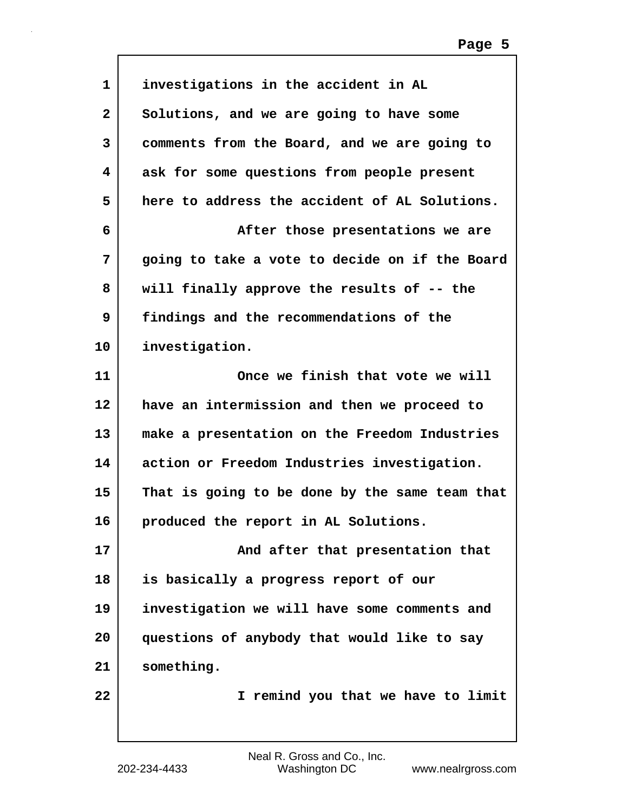| 1            | investigations in the accident in AL           |
|--------------|------------------------------------------------|
| $\mathbf{2}$ | Solutions, and we are going to have some       |
| 3            | comments from the Board, and we are going to   |
| 4            | ask for some questions from people present     |
| 5            | here to address the accident of AL Solutions.  |
| 6            | After those presentations we are               |
| 7            | going to take a vote to decide on if the Board |
| 8            | will finally approve the results of -- the     |
| 9            | findings and the recommendations of the        |
| 10           | investigation.                                 |
| 11           | Once we finish that vote we will               |
| 12           | have an intermission and then we proceed to    |
| 13           | make a presentation on the Freedom Industries  |
| 14           | action or Freedom Industries investigation.    |
| 15           | That is going to be done by the same team that |
| 16           | produced the report in AL Solutions.           |
| 17           | And after that presentation that               |
| 18           | is basically a progress report of our          |
| 19           | investigation we will have some comments and   |
| 20           | questions of anybody that would like to say    |
| 21           | something.                                     |
| 22           | I remind you that we have to limit             |
|              |                                                |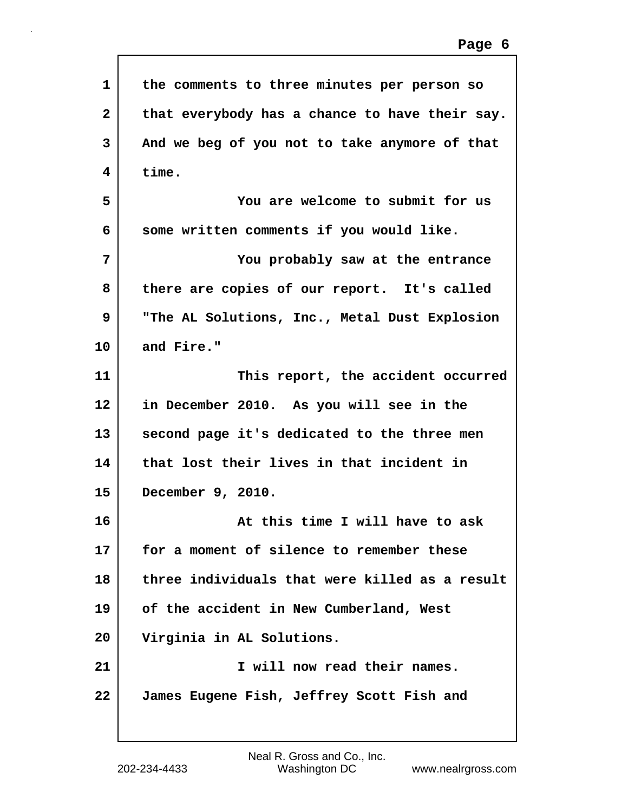| 1            | the comments to three minutes per person so    |
|--------------|------------------------------------------------|
| $\mathbf{2}$ | that everybody has a chance to have their say. |
| 3            | And we beg of you not to take anymore of that  |
| 4            | time.                                          |
| 5            | You are welcome to submit for us               |
| 6            | some written comments if you would like.       |
| 7            | You probably saw at the entrance               |
| 8            | there are copies of our report. It's called    |
| 9            | "The AL Solutions, Inc., Metal Dust Explosion  |
| 10           | and Fire."                                     |
| 11           | This report, the accident occurred             |
| 12           | in December 2010. As you will see in the       |
| 13           | second page it's dedicated to the three men    |
| 14           | that lost their lives in that incident in      |
| 15           | December 9, 2010.                              |
| 16           | At this time I will have to ask                |
| 17           | for a moment of silence to remember these      |
| 18           | three individuals that were killed as a result |
| 19           | of the accident in New Cumberland, West        |
| 20           | Virginia in AL Solutions.                      |
| 21           | I will now read their names.                   |
| 22           | James Eugene Fish, Jeffrey Scott Fish and      |

Г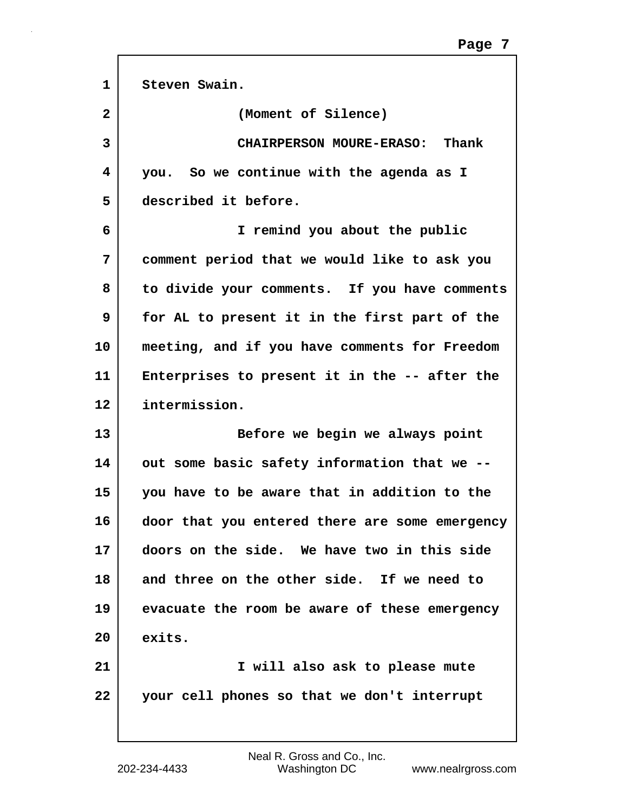| $\mathbf{1}$ | Steven Swain.                                  |
|--------------|------------------------------------------------|
| $\mathbf{2}$ | (Moment of Silence)                            |
| 3            | CHAIRPERSON MOURE-ERASO: Thank                 |
| 4            | you. So we continue with the agenda as I       |
| 5            | described it before.                           |
| 6            | I remind you about the public                  |
| 7            | comment period that we would like to ask you   |
| 8            | to divide your comments. If you have comments  |
| 9            | for AL to present it in the first part of the  |
| 10           | meeting, and if you have comments for Freedom  |
| 11           | Enterprises to present it in the -- after the  |
| 12           | intermission.                                  |
| 13           | Before we begin we always point                |
| 14           | out some basic safety information that we --   |
| 15           | you have to be aware that in addition to the   |
| 16           | door that you entered there are some emergency |
| 17           | doors on the side. We have two in this side    |
| 18           | and three on the other side. If we need to     |
| 19           | evacuate the room be aware of these emergency  |
| 20           | exits.                                         |
| 21           | I will also ask to please mute                 |
| 22           | your cell phones so that we don't interrupt    |
|              |                                                |

ľ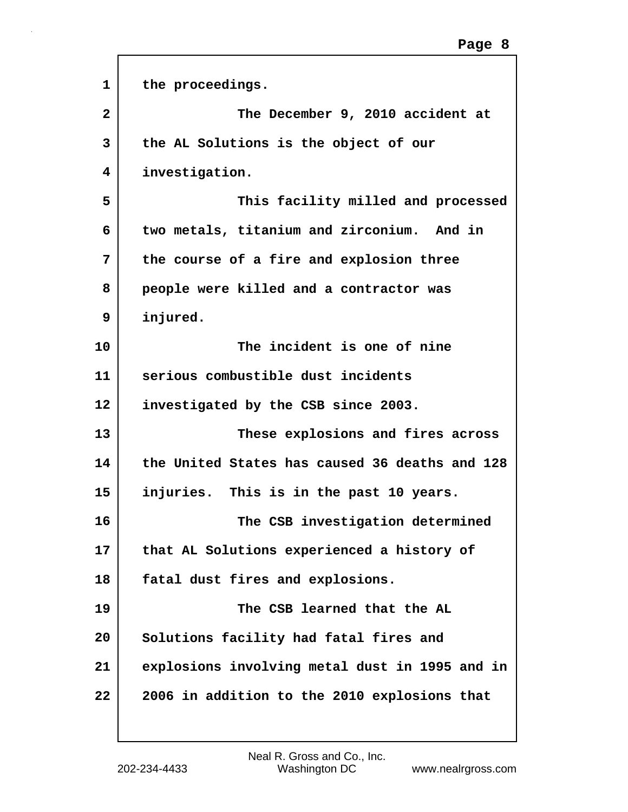| $\mathbf{1}$ | the proceedings.                               |
|--------------|------------------------------------------------|
| $\mathbf{2}$ | The December 9, 2010 accident at               |
| 3            | the AL Solutions is the object of our          |
| 4            | investigation.                                 |
| 5            | This facility milled and processed             |
| 6            | two metals, titanium and zirconium. And in     |
| 7            | the course of a fire and explosion three       |
| 8            | people were killed and a contractor was        |
| 9            | injured.                                       |
| 10           | The incident is one of nine                    |
| 11           | serious combustible dust incidents             |
| 12           | investigated by the CSB since 2003.            |
| 13           | These explosions and fires across              |
| 14           | the United States has caused 36 deaths and 128 |
| 15           | injuries. This is in the past 10 years.        |
| 16           | The CSB investigation determined               |
| 17           | that AL Solutions experienced a history of     |
| 18           | fatal dust fires and explosions.               |
| 19           | The CSB learned that the AL                    |
| 20           | Solutions facility had fatal fires and         |
| 21           | explosions involving metal dust in 1995 and in |
| 22           | 2006 in addition to the 2010 explosions that   |

 $\mathsf{r}$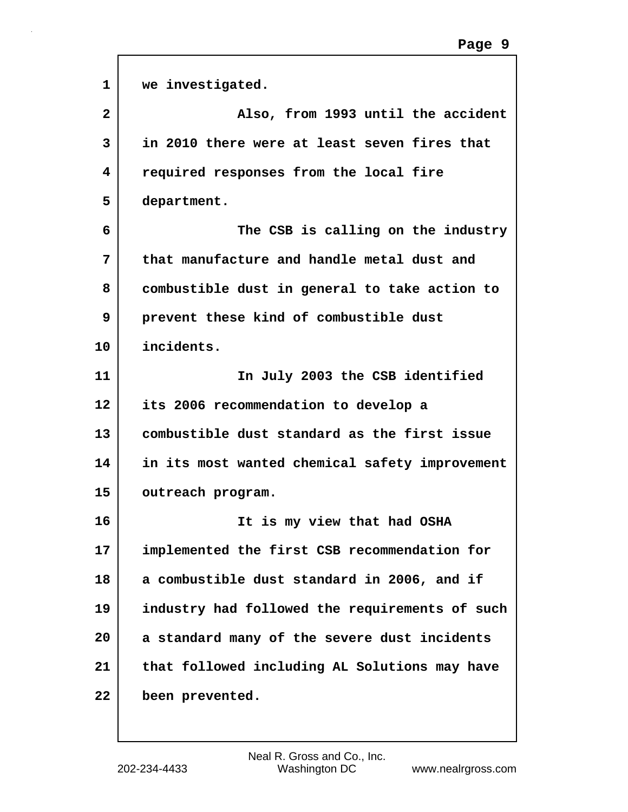| $\mathbf{1}$   | we investigated.                               |
|----------------|------------------------------------------------|
| $\overline{a}$ | Also, from 1993 until the accident             |
| 3              | in 2010 there were at least seven fires that   |
| 4              | required responses from the local fire         |
| 5              | department.                                    |
| 6              | The CSB is calling on the industry             |
| 7              | that manufacture and handle metal dust and     |
| 8              | combustible dust in general to take action to  |
| 9              | prevent these kind of combustible dust         |
| 10             | incidents.                                     |
| 11             | In July 2003 the CSB identified                |
| $12 \,$        | its 2006 recommendation to develop a           |
| 13             | combustible dust standard as the first issue   |
| 14             | in its most wanted chemical safety improvement |
| 15             | outreach program.                              |
| 16             | It is my view that had OSHA                    |
| 17             | implemented the first CSB recommendation for   |
| 18             | a combustible dust standard in 2006, and if    |
| 19             | industry had followed the requirements of such |
| 20             | a standard many of the severe dust incidents   |
| 21             | that followed including AL Solutions may have  |
| 22             | been prevented.                                |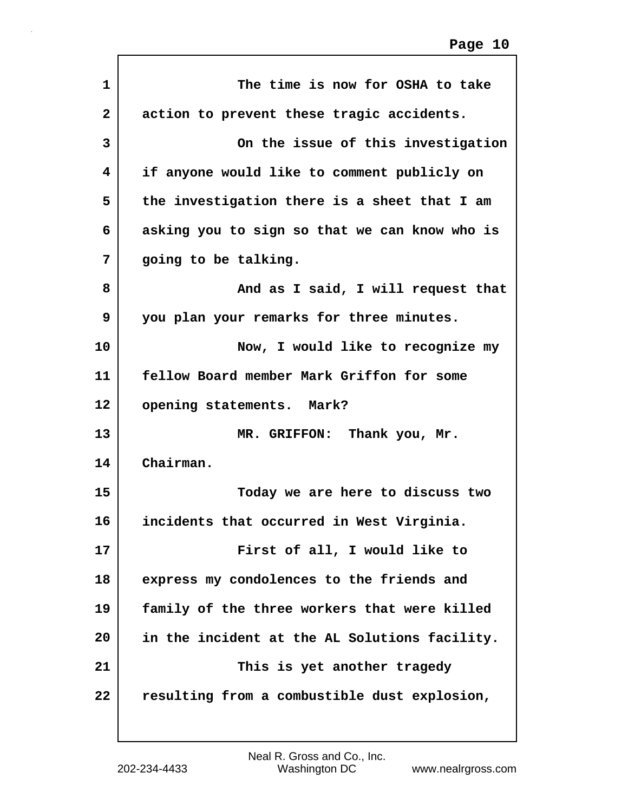| $\mathbf{1}$ | The time is now for OSHA to take              |
|--------------|-----------------------------------------------|
| $\mathbf{2}$ | action to prevent these tragic accidents.     |
| 3            | On the issue of this investigation            |
| 4            | if anyone would like to comment publicly on   |
| 5            | the investigation there is a sheet that I am  |
| 6            | asking you to sign so that we can know who is |
| 7            | going to be talking.                          |
| 8            | And as I said, I will request that            |
| 9            | you plan your remarks for three minutes.      |
| 10           | Now, I would like to recognize my             |
| 11           | fellow Board member Mark Griffon for some     |
| 12           | opening statements. Mark?                     |
| 13           | MR. GRIFFON: Thank you, Mr.                   |
| 14           | Chairman.                                     |
| 15           | Today we are here to discuss two              |
| 16           | incidents that occurred in West Virginia.     |
| 17           | First of all, I would like to                 |
| 18           | express my condolences to the friends and     |
| 19           | family of the three workers that were killed  |
| 20           | in the incident at the AL Solutions facility. |
| 21           | This is yet another tragedy                   |
| 22           | resulting from a combustible dust explosion,  |
|              |                                               |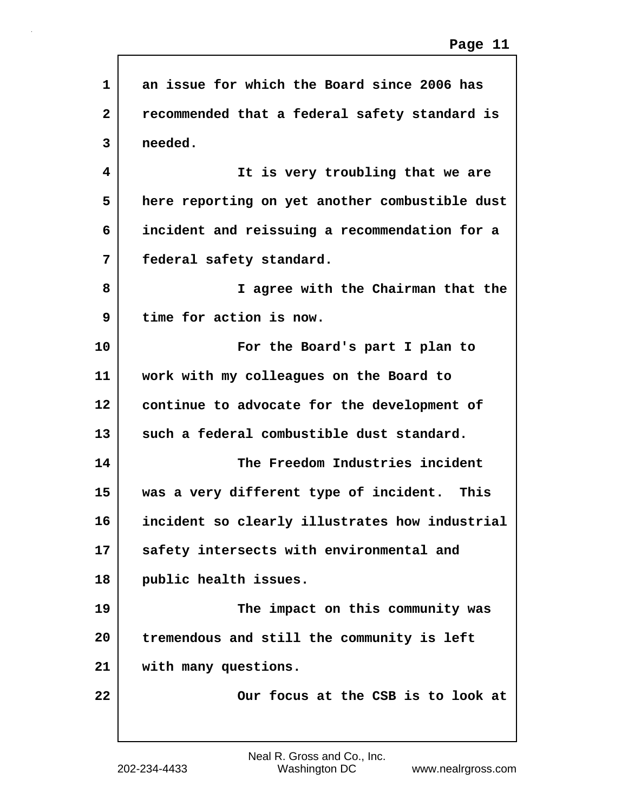| 1              | an issue for which the Board since 2006 has    |
|----------------|------------------------------------------------|
| $\overline{2}$ | recommended that a federal safety standard is  |
| 3              | needed.                                        |
| 4              | It is very troubling that we are               |
| 5              | here reporting on yet another combustible dust |
| 6              | incident and reissuing a recommendation for a  |
| 7              | federal safety standard.                       |
| 8              | I agree with the Chairman that the             |
| 9              | time for action is now.                        |
| 10             | For the Board's part I plan to                 |
| 11             | work with my colleagues on the Board to        |
| 12             | continue to advocate for the development of    |
| 13             | such a federal combustible dust standard.      |
| 14             | The Freedom Industries incident                |
| 15             | was a very different type of incident. This    |
| 16             | incident so clearly illustrates how industrial |
| 17             | safety intersects with environmental and       |
| 18             | public health issues.                          |
| 19             | The impact on this community was               |
| 20             | tremendous and still the community is left     |
| 21             | with many questions.                           |
| 22             | Our focus at the CSB is to look at             |
|                |                                                |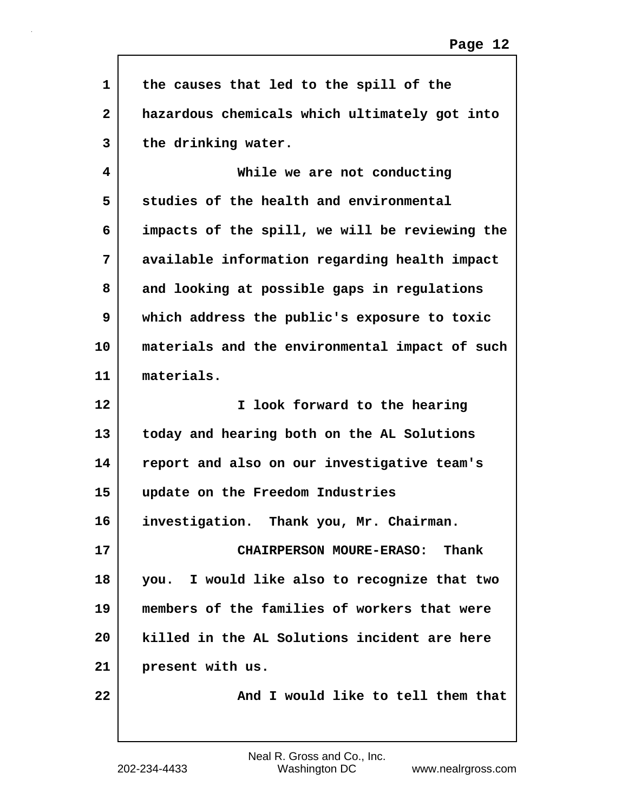| $\mathbf{1}$ | the causes that led to the spill of the        |
|--------------|------------------------------------------------|
| $\mathbf{2}$ | hazardous chemicals which ultimately got into  |
| 3            | the drinking water.                            |
| 4            | While we are not conducting                    |
| 5            | studies of the health and environmental        |
| 6            | impacts of the spill, we will be reviewing the |
| 7            | available information regarding health impact  |
| 8            | and looking at possible gaps in regulations    |
| 9            | which address the public's exposure to toxic   |
| 10           | materials and the environmental impact of such |
| 11           | materials.                                     |
| 12           | I look forward to the hearing                  |
| 13           | today and hearing both on the AL Solutions     |
| 14           | report and also on our investigative team's    |
| 15           | update on the Freedom Industries               |
| 16           | investigation.<br>Thank you, Mr. Chairman.     |
| 17           | CHAIRPERSON MOURE-ERASO: Thank                 |
| 18           | you. I would like also to recognize that two   |
| 19           | members of the families of workers that were   |
| 20           | killed in the AL Solutions incident are here   |
| 21           | present with us.                               |
| 22           | And I would like to tell them that             |
|              |                                                |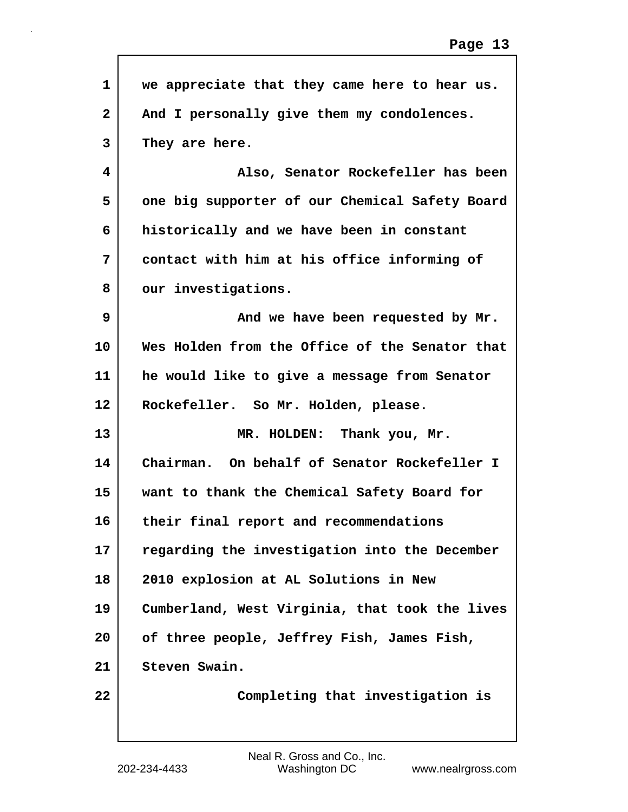| we appreciate that they came here to hear us.  |
|------------------------------------------------|
| And I personally give them my condolences.     |
| They are here.                                 |
| Also, Senator Rockefeller has been             |
| one big supporter of our Chemical Safety Board |
| historically and we have been in constant      |
| contact with him at his office informing of    |
| our investigations.                            |
| And we have been requested by Mr.              |
| Wes Holden from the Office of the Senator that |
| he would like to give a message from Senator   |
| Rockefeller. So Mr. Holden, please.            |
| MR. HOLDEN: Thank you, Mr.                     |
| Chairman. On behalf of Senator Rockefeller I   |
| want to thank the Chemical Safety Board for    |
| their final report and recommendations         |
| regarding the investigation into the December  |
| 2010 explosion at AL Solutions in New          |
| Cumberland, West Virginia, that took the lives |
| of three people, Jeffrey Fish, James Fish,     |
| Steven Swain.                                  |
| Completing that investigation is               |
|                                                |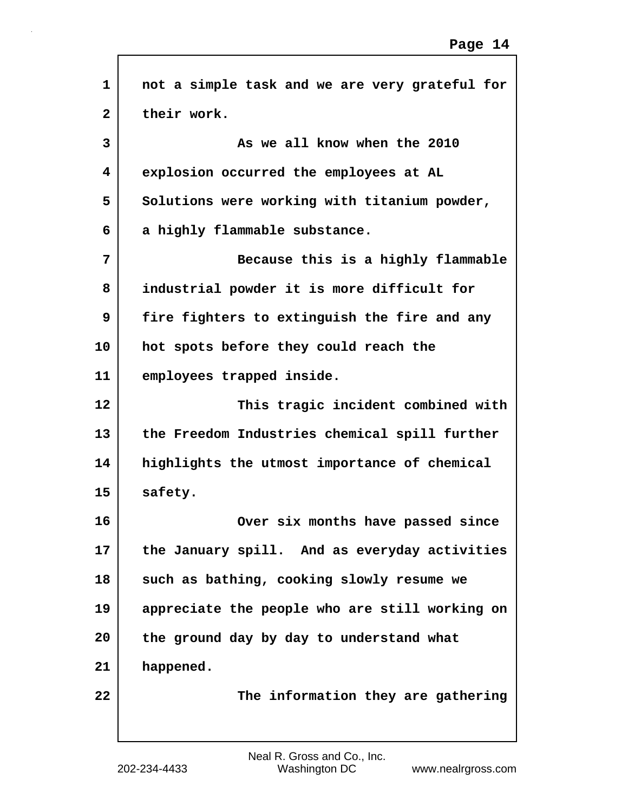| 1               | not a simple task and we are very grateful for |
|-----------------|------------------------------------------------|
| 2               | their work.                                    |
| 3               | As we all know when the 2010                   |
| 4               | explosion occurred the employees at AL         |
| 5               | Solutions were working with titanium powder,   |
| 6               | a highly flammable substance.                  |
| 7               | Because this is a highly flammable             |
| 8               | industrial powder it is more difficult for     |
| 9               | fire fighters to extinguish the fire and any   |
| 10              | hot spots before they could reach the          |
| 11              | employees trapped inside.                      |
| 12 <sup>2</sup> | This tragic incident combined with             |
| 13              | the Freedom Industries chemical spill further  |
| 14              | highlights the utmost importance of chemical   |
| 15              | safety.                                        |
| 16              | Over six months have passed since              |
| 17              | the January spill. And as everyday activities  |
| 18              | such as bathing, cooking slowly resume we      |
| 19              | appreciate the people who are still working on |
| 20              | the ground day by day to understand what       |
| 21              | happened.                                      |
| 22              | The information they are gathering             |
|                 |                                                |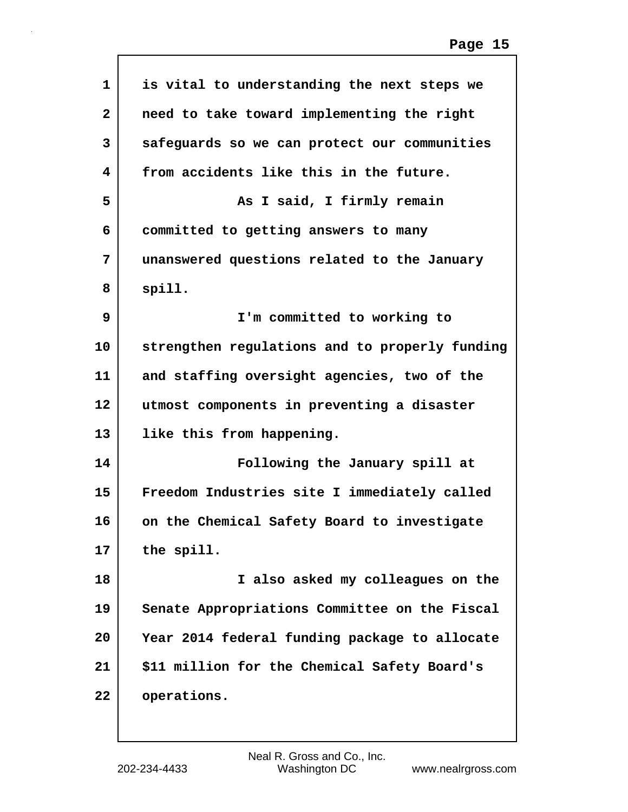| 1            | is vital to understanding the next steps we    |
|--------------|------------------------------------------------|
| $\mathbf{2}$ | need to take toward implementing the right     |
| 3            | safeguards so we can protect our communities   |
| 4            | from accidents like this in the future.        |
| 5            | As I said, I firmly remain                     |
| 6            | committed to getting answers to many           |
| 7            | unanswered questions related to the January    |
| 8            | spill.                                         |
| 9            | I'm committed to working to                    |
| 10           | strengthen regulations and to properly funding |
| 11           | and staffing oversight agencies, two of the    |
| 12           | utmost components in preventing a disaster     |
| 13           | like this from happening.                      |
| 14           | Following the January spill at                 |
| 15           | Freedom Industries site I immediately called   |
| 16           | on the Chemical Safety Board to investigate    |
| 17           | the spill.                                     |
| 18           | I also asked my colleagues on the              |
| 19           | Senate Appropriations Committee on the Fiscal  |
| 20           | Year 2014 federal funding package to allocate  |
| 21           | \$11 million for the Chemical Safety Board's   |
| 22           | operations.                                    |
|              |                                                |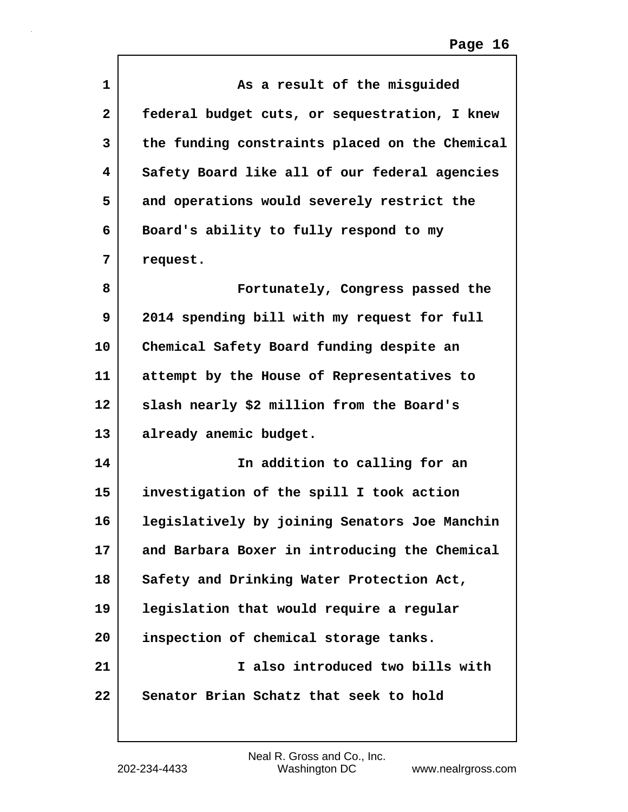| 1                       | As a result of the misguided                   |
|-------------------------|------------------------------------------------|
| $\overline{\mathbf{2}}$ | federal budget cuts, or sequestration, I knew  |
| 3                       | the funding constraints placed on the Chemical |
| 4                       | Safety Board like all of our federal agencies  |
| 5                       | and operations would severely restrict the     |
| 6                       | Board's ability to fully respond to my         |
| 7                       | request.                                       |
| 8                       | Fortunately, Congress passed the               |
| 9                       | 2014 spending bill with my request for full    |
| 10                      | Chemical Safety Board funding despite an       |
| 11                      | attempt by the House of Representatives to     |
| 12                      | slash nearly \$2 million from the Board's      |
| 13                      | already anemic budget.                         |
| 14                      | In addition to calling for an                  |
| 15                      | investigation of the spill I took action       |
| 16                      | legislatively by joining Senators Joe Manchin  |
| 17                      | and Barbara Boxer in introducing the Chemical  |
| 18                      | Safety and Drinking Water Protection Act,      |
| 19                      | legislation that would require a regular       |
| 20                      | inspection of chemical storage tanks.          |
| 21                      | I also introduced two bills with               |
| 22                      | Senator Brian Schatz that seek to hold         |
|                         |                                                |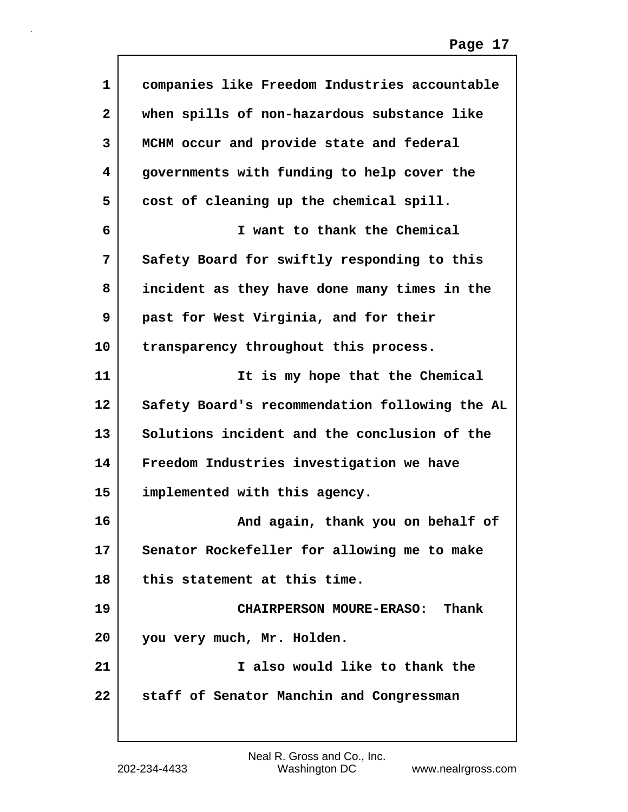| $\mathbf{1}$ | companies like Freedom Industries accountable  |
|--------------|------------------------------------------------|
| 2            | when spills of non-hazardous substance like    |
| 3            | MCHM occur and provide state and federal       |
| 4            | governments with funding to help cover the     |
| 5            | cost of cleaning up the chemical spill.        |
| 6            | I want to thank the Chemical                   |
| 7            | Safety Board for swiftly responding to this    |
| 8            | incident as they have done many times in the   |
| 9            | past for West Virginia, and for their          |
| 10           | transparency throughout this process.          |
| 11           | It is my hope that the Chemical                |
| 12           | Safety Board's recommendation following the AL |
| 13           | Solutions incident and the conclusion of the   |
| 14           | Freedom Industries investigation we have       |
| 15           | implemented with this agency.                  |
| 16           | And again, thank you on behalf of              |
| 17           | Senator Rockefeller for allowing me to make    |
| 18           | this statement at this time.                   |
| 19           | CHAIRPERSON MOURE-ERASO: Thank                 |
| 20           | you very much, Mr. Holden.                     |
| 21           | I also would like to thank the                 |
| 22           | staff of Senator Manchin and Congressman       |
|              |                                                |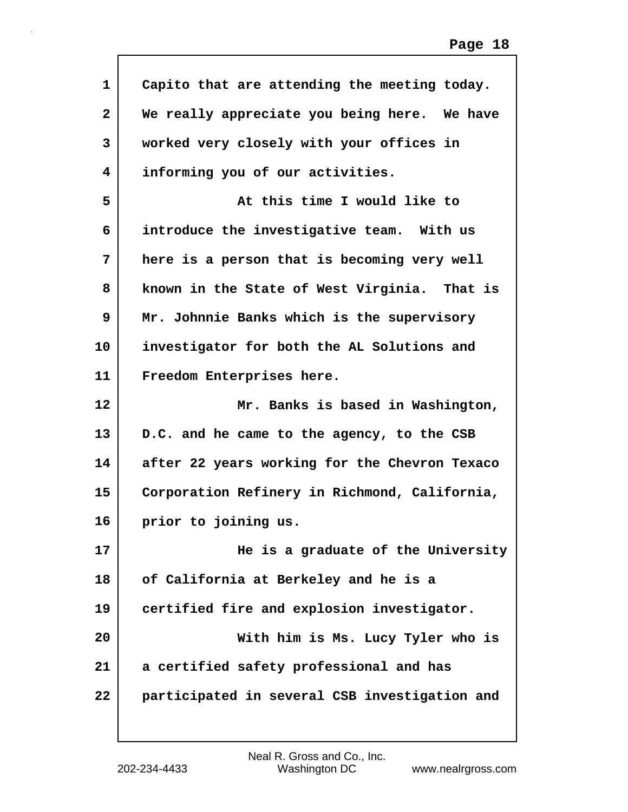| 1                       | Capito that are attending the meeting today.  |
|-------------------------|-----------------------------------------------|
| $\overline{\mathbf{2}}$ | We really appreciate you being here. We have  |
| 3                       | worked very closely with your offices in      |
| 4                       | informing you of our activities.              |
| 5                       | At this time I would like to                  |
| 6                       | introduce the investigative team. With us     |
| 7                       | here is a person that is becoming very well   |
| 8                       | known in the State of West Virginia. That is  |
| 9                       | Mr. Johnnie Banks which is the supervisory    |
| 10                      | investigator for both the AL Solutions and    |
| 11                      | Freedom Enterprises here.                     |
|                         |                                               |
| 12                      | Mr. Banks is based in Washington,             |
| 13                      | D.C. and he came to the agency, to the CSB    |
| 14                      | after 22 years working for the Chevron Texaco |
| 15                      | Corporation Refinery in Richmond, California, |
| 16                      | prior to joining us.                          |
| 17                      | He is a graduate of the University            |
| 18                      | of California at Berkeley and he is a         |
| 19                      | certified fire and explosion investigator.    |
| 20                      | With him is Ms. Lucy Tyler who is             |
| 21                      | a certified safety professional and has       |

 $\mathsf{l}$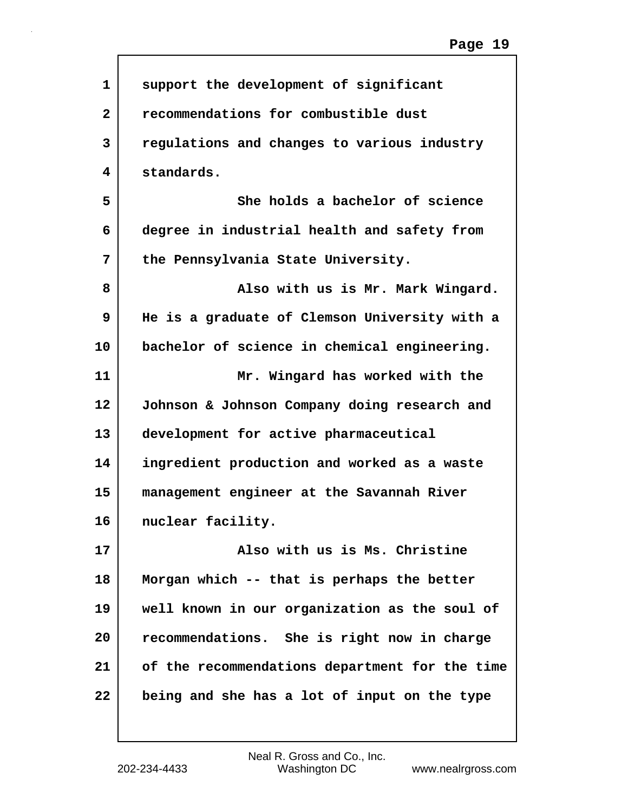| 1              | support the development of significant         |
|----------------|------------------------------------------------|
| $\overline{2}$ | recommendations for combustible dust           |
| 3              | regulations and changes to various industry    |
| 4              | standards.                                     |
| 5              | She holds a bachelor of science                |
| 6              | degree in industrial health and safety from    |
| 7              | the Pennsylvania State University.             |
| 8              | Also with us is Mr. Mark Wingard.              |
| 9              | He is a graduate of Clemson University with a  |
| 10             | bachelor of science in chemical engineering.   |
| 11             | Mr. Wingard has worked with the                |
| 12             | Johnson & Johnson Company doing research and   |
| 13             | development for active pharmaceutical          |
| 14             | ingredient production and worked as a waste    |
| 15             | management engineer at the Savannah River      |
| 16             | nuclear facility.                              |
| 17             | Also with us is Ms. Christine                  |
| 18             | Morgan which -- that is perhaps the better     |
| 19             | well known in our organization as the soul of  |
| 20             | recommendations. She is right now in charge    |
| 21             | of the recommendations department for the time |
| 22             | being and she has a lot of input on the type   |
|                |                                                |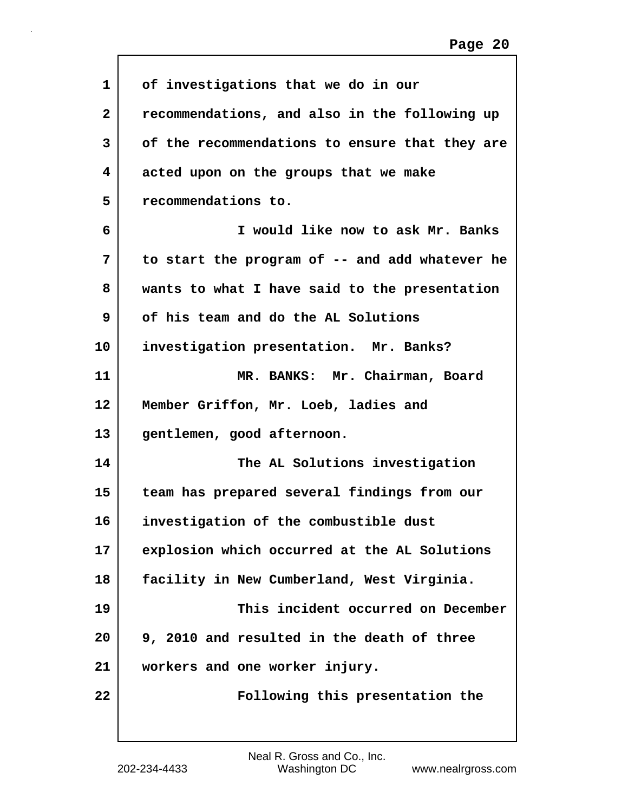| 1                 | of investigations that we do in our            |
|-------------------|------------------------------------------------|
| $\mathbf{2}$      | recommendations, and also in the following up  |
| 3                 | of the recommendations to ensure that they are |
| 4                 | acted upon on the groups that we make          |
| 5                 | recommendations to.                            |
| 6                 | I would like now to ask Mr. Banks              |
| 7                 | to start the program of -- and add whatever he |
| 8                 | wants to what I have said to the presentation  |
| 9                 | of his team and do the AL Solutions            |
| 10                | investigation presentation. Mr. Banks?         |
| 11                | MR. BANKS: Mr. Chairman, Board                 |
| $12 \overline{ }$ | Member Griffon, Mr. Loeb, ladies and           |
| 13                | gentlemen, good afternoon.                     |
| 14                | The AL Solutions investigation                 |
| 15                | team has prepared several findings from our    |
| 16                | investigation of the combustible dust          |
| 17                | explosion which occurred at the AL Solutions   |
| 18                | facility in New Cumberland, West Virginia.     |
| 19                | This incident occurred on December             |
| 20                | 9, 2010 and resulted in the death of three     |
| 21                | workers and one worker injury.                 |
| 22                | Following this presentation the                |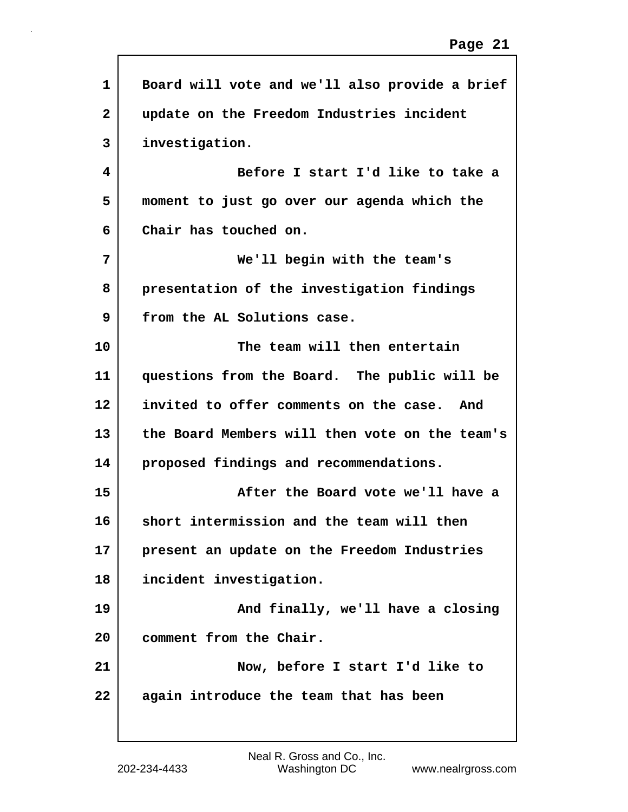```
1 Board will vote and we'll also provide a brief
2 update on the Freedom Industries incident
3 investigation.
4 Before I start I'd like to take a
5 moment to just go over our agenda which the
6 Chair has touched on.
7 We'll begin with the team's
8 presentation of the investigation findings
9 from the AL Solutions case.
10 The team will then entertain
11 questions from the Board. The public will be
12 invited to offer comments on the case. And
13 the Board Members will then vote on the team's
14 proposed findings and recommendations.
15 After the Board vote we'll have a
16 short intermission and the team will then
17 present an update on the Freedom Industries
18 incident investigation.
19 | And finally, we'll have a closing
20 comment from the Chair.
21 Now, before I start I'd like to
22 again introduce the team that has been
```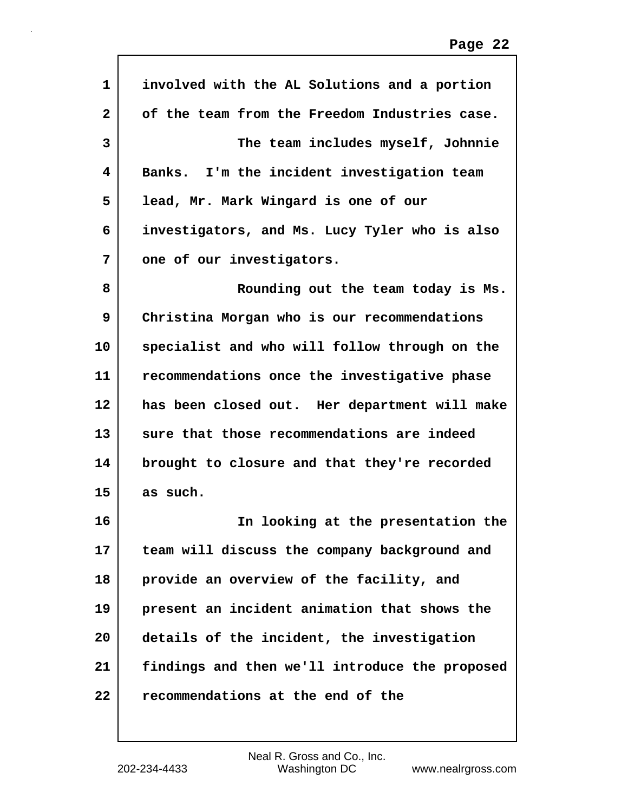| 1            | involved with the AL Solutions and a portion   |
|--------------|------------------------------------------------|
| $\mathbf{2}$ | of the team from the Freedom Industries case.  |
| 3            | The team includes myself, Johnnie              |
| 4            | Banks. I'm the incident investigation team     |
| 5            | lead, Mr. Mark Wingard is one of our           |
| 6            | investigators, and Ms. Lucy Tyler who is also  |
| 7            | one of our investigators.                      |
| 8            | Rounding out the team today is Ms.             |
| 9            | Christina Morgan who is our recommendations    |
| 10           | specialist and who will follow through on the  |
| 11           | recommendations once the investigative phase   |
| 12           | has been closed out. Her department will make  |
| 13           | sure that those recommendations are indeed     |
| 14           | brought to closure and that they're recorded   |
| 15           | as such.                                       |
| 16           | In looking at the presentation the             |
| 17           | team will discuss the company background and   |
| 18           | provide an overview of the facility, and       |
| 19           | present an incident animation that shows the   |
| 20           | details of the incident, the investigation     |
| 21           | findings and then we'll introduce the proposed |
| 22           | recommendations at the end of the              |
|              |                                                |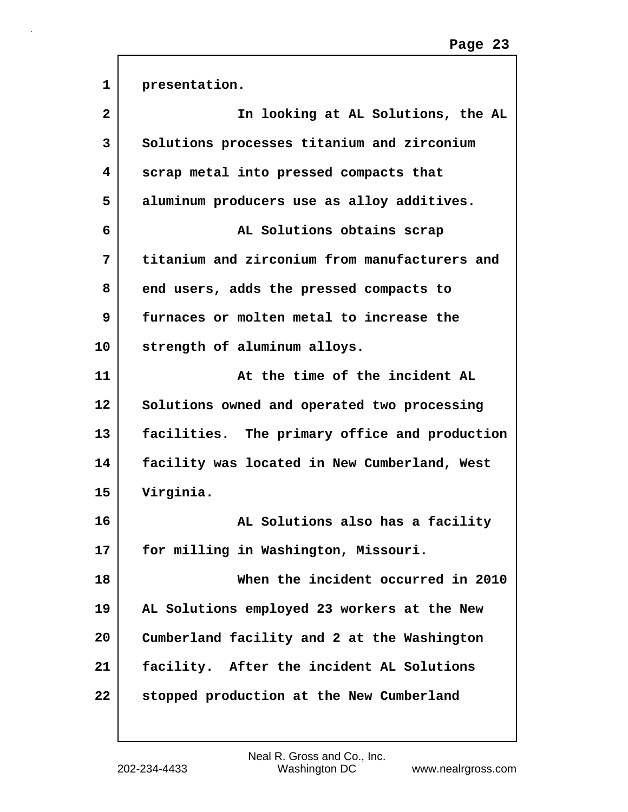| $\mathbf{1}$            | presentation.                                 |
|-------------------------|-----------------------------------------------|
| $\overline{\mathbf{2}}$ | In looking at AL Solutions, the AL            |
| 3                       | Solutions processes titanium and zirconium    |
| 4                       | scrap metal into pressed compacts that        |
| 5                       | aluminum producers use as alloy additives.    |
| 6                       | AL Solutions obtains scrap                    |
| 7                       | titanium and zirconium from manufacturers and |
| 8                       | end users, adds the pressed compacts to       |
| 9                       | furnaces or molten metal to increase the      |
| 10                      | strength of aluminum alloys.                  |
| 11                      | At the time of the incident AL                |
| 12                      | Solutions owned and operated two processing   |
| 13                      | facilities. The primary office and production |
| 14                      | facility was located in New Cumberland, West  |
| 15                      | Virginia.                                     |
| 16                      | AL Solutions also has a facility              |
| 17                      | for milling in Washington, Missouri.          |
| 18                      | When the incident occurred in 2010            |
| 19                      | AL Solutions employed 23 workers at the New   |
| 20                      | Cumberland facility and 2 at the Washington   |
| 21                      | facility. After the incident AL Solutions     |
| 22                      | stopped production at the New Cumberland      |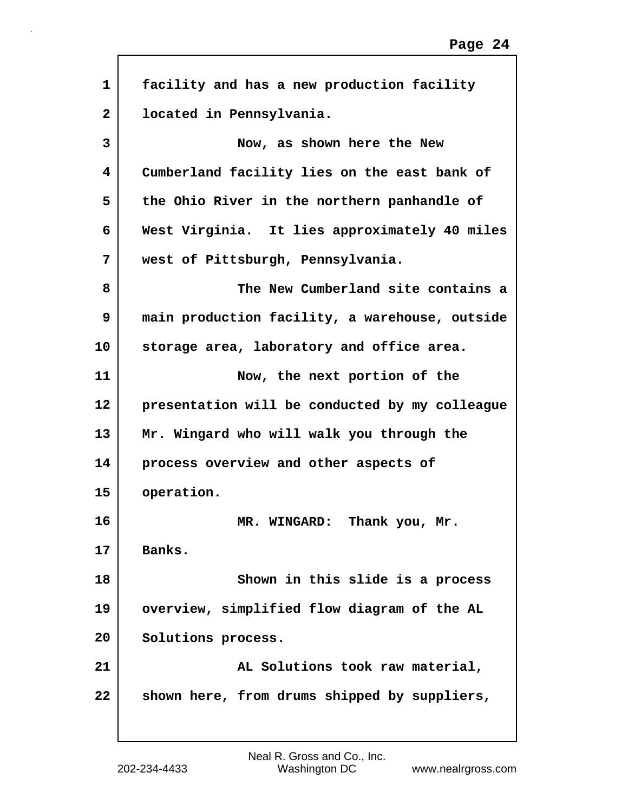| $\mathbf{1}$ | facility and has a new production facility     |
|--------------|------------------------------------------------|
| $\mathbf{2}$ | located in Pennsylvania.                       |
| 3            | Now, as shown here the New                     |
| 4            | Cumberland facility lies on the east bank of   |
| 5            | the Ohio River in the northern panhandle of    |
| 6            | West Virginia. It lies approximately 40 miles  |
| 7            | west of Pittsburgh, Pennsylvania.              |
| 8            | The New Cumberland site contains a             |
| 9            | main production facility, a warehouse, outside |
| 10           | storage area, laboratory and office area.      |
| 11           | Now, the next portion of the                   |
| 12           | presentation will be conducted by my colleague |
| 13           | Mr. Wingard who will walk you through the      |
| 14           | process overview and other aspects of          |
| 15           | operation.                                     |
| 16           | Thank you, Mr.<br>MR. WINGARD:                 |
| 17           | Banks.                                         |
| 18           | Shown in this slide is a process               |
| 19           | overview, simplified flow diagram of the AL    |
| 20           | Solutions process.                             |
| 21           | AL Solutions took raw material,                |
| 22           | shown here, from drums shipped by suppliers,   |
|              |                                                |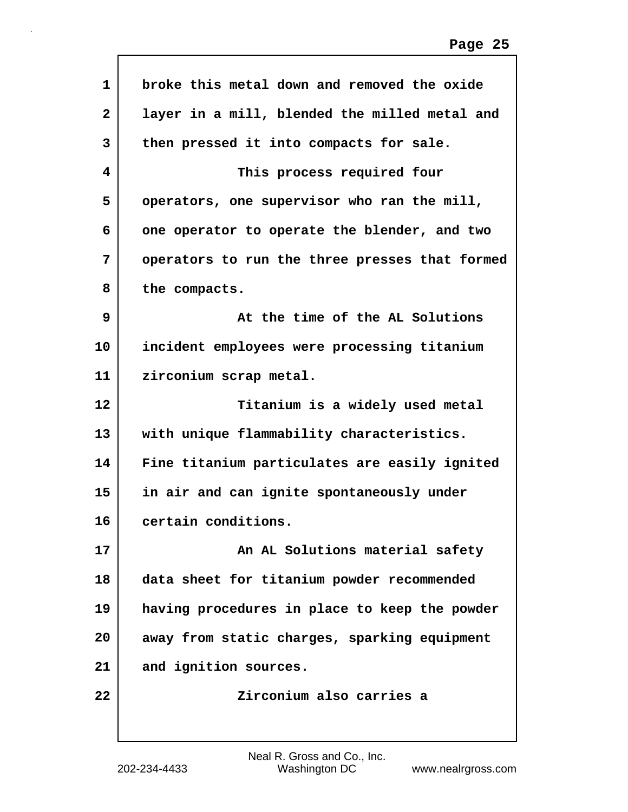| $\mathbf{1}$   | broke this metal down and removed the oxide    |
|----------------|------------------------------------------------|
| $\overline{2}$ | layer in a mill, blended the milled metal and  |
| 3              | then pressed it into compacts for sale.        |
| 4              | This process required four                     |
| 5              | operators, one supervisor who ran the mill,    |
| 6              | one operator to operate the blender, and two   |
| 7              | operators to run the three presses that formed |
| 8              | the compacts.                                  |
| 9              | At the time of the AL Solutions                |
| 10             | incident employees were processing titanium    |
| 11             | zirconium scrap metal.                         |
| 12             | Titanium is a widely used metal                |
| 13             | with unique flammability characteristics.      |
| 14             | Fine titanium particulates are easily ignited  |
| 15             | in air and can ignite spontaneously under      |
| 16             | certain conditions.                            |
| 17             | An AL Solutions material safety                |
| 18             | data sheet for titanium powder recommended     |
| 19             | having procedures in place to keep the powder  |
| 20             | away from static charges, sparking equipment   |
| 21             | and ignition sources.                          |
| 22             | Zirconium also carries a                       |
|                |                                                |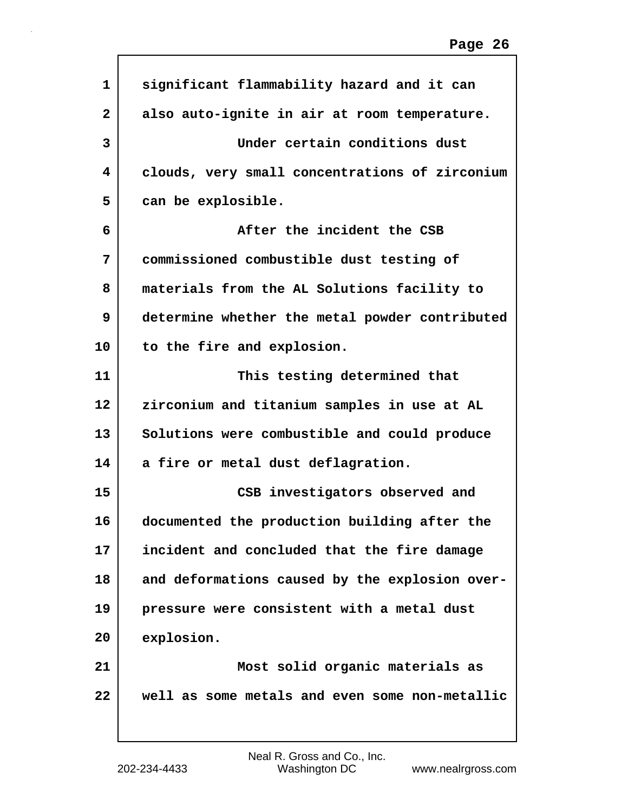| 1              | significant flammability hazard and it can     |
|----------------|------------------------------------------------|
| $\overline{2}$ | also auto-ignite in air at room temperature.   |
| 3              | Under certain conditions dust                  |
| 4              | clouds, very small concentrations of zirconium |
| 5              | can be explosible.                             |
| 6              | After the incident the CSB                     |
| 7              | commissioned combustible dust testing of       |
| 8              | materials from the AL Solutions facility to    |
| 9              | determine whether the metal powder contributed |
| 10             | to the fire and explosion.                     |
| 11             | This testing determined that                   |
| 12             | zirconium and titanium samples in use at AL    |
| 13             | Solutions were combustible and could produce   |
| 14             | a fire or metal dust deflagration.             |
| 15             | CSB investigators observed and                 |
| 16             | documented the production building after the   |
| 17             | incident and concluded that the fire damage    |
| 18             | and deformations caused by the explosion over- |
| 19             | pressure were consistent with a metal dust     |
| 20             | explosion.                                     |
| 21             | Most solid organic materials as                |
| 22             | well as some metals and even some non-metallic |
|                |                                                |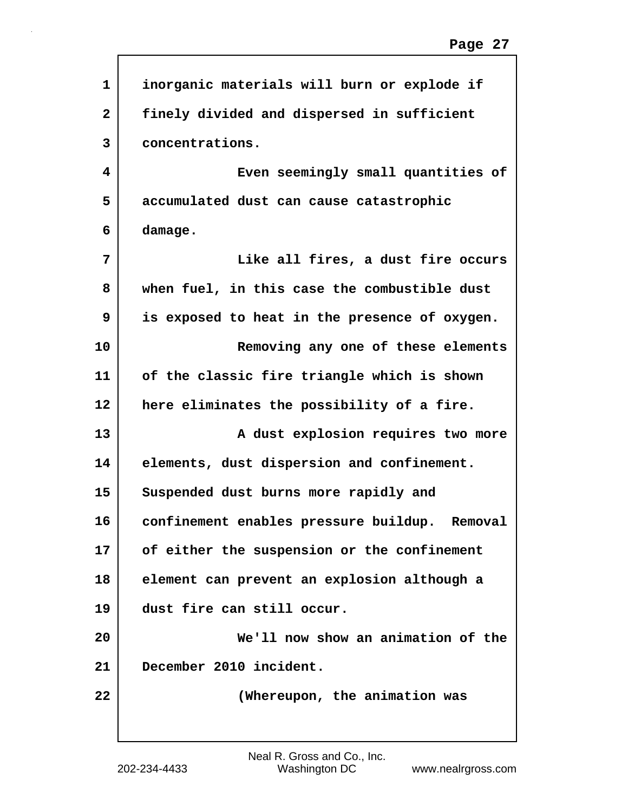| 1              | inorganic materials will burn or explode if   |
|----------------|-----------------------------------------------|
| $\overline{2}$ | finely divided and dispersed in sufficient    |
| 3              | concentrations.                               |
| 4              | Even seemingly small quantities of            |
| 5              | accumulated dust can cause catastrophic       |
| 6              | damage.                                       |
| 7              | Like all fires, a dust fire occurs            |
| 8              | when fuel, in this case the combustible dust  |
| 9              | is exposed to heat in the presence of oxygen. |
| 10             | Removing any one of these elements            |
| 11             | of the classic fire triangle which is shown   |
| 12             | here eliminates the possibility of a fire.    |
| 13             | A dust explosion requires two more            |
| 14             | elements, dust dispersion and confinement.    |
| 15             | Suspended dust burns more rapidly and         |
| 16             | confinement enables pressure buildup. Removal |
| 17             | of either the suspension or the confinement   |
| 18             | element can prevent an explosion although a   |
| 19             | dust fire can still occur.                    |
| 20             | We'll now show an animation of the            |
| 21             | December 2010 incident.                       |
| 22             | (Whereupon, the animation was                 |
|                |                                               |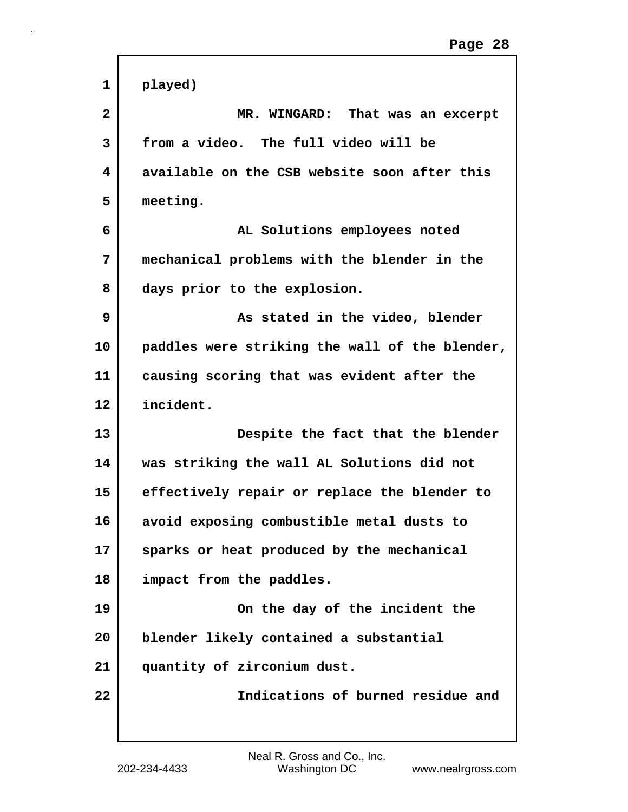| $\mathbf{1}$ | played)                                        |
|--------------|------------------------------------------------|
| $\mathbf{2}$ | MR. WINGARD: That was an excerpt               |
| 3            | from a video. The full video will be           |
| 4            | available on the CSB website soon after this   |
| 5            | meeting.                                       |
| 6            | AL Solutions employees noted                   |
| 7            | mechanical problems with the blender in the    |
| 8            | days prior to the explosion.                   |
| 9            | As stated in the video, blender                |
| 10           | paddles were striking the wall of the blender, |
| 11           | causing scoring that was evident after the     |
| 12           | incident.                                      |
| 13           | Despite the fact that the blender              |
| 14           | was striking the wall AL Solutions did not     |
| 15           | effectively repair or replace the blender to   |
| 16           | avoid exposing combustible metal dusts to      |
| 17           | sparks or heat produced by the mechanical      |
| 18           | impact from the paddles.                       |
| 19           | On the day of the incident the                 |
| 20           | blender likely contained a substantial         |
| 21           | quantity of zirconium dust.                    |
| 22           | Indications of burned residue and              |
|              |                                                |

 $\mathsf{r}$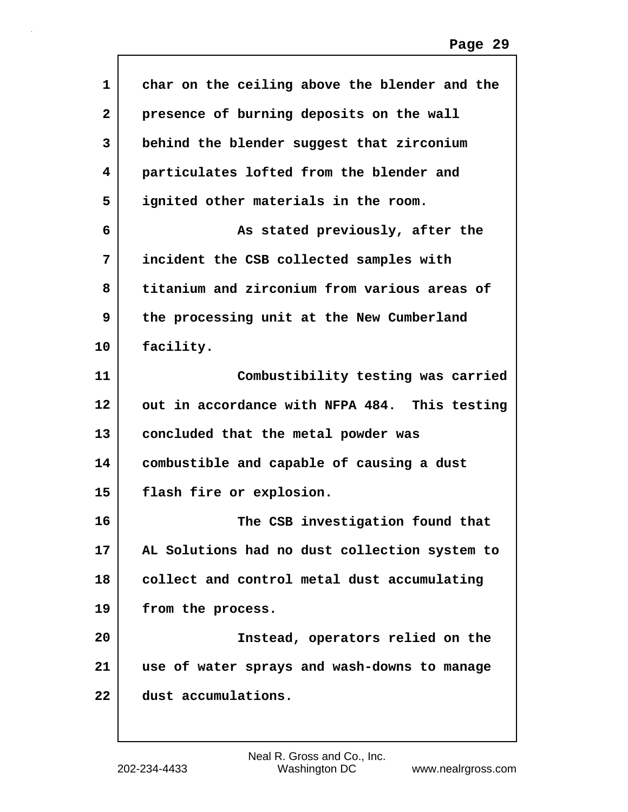| 1              | char on the ceiling above the blender and the |
|----------------|-----------------------------------------------|
| $\overline{2}$ | presence of burning deposits on the wall      |
| 3              | behind the blender suggest that zirconium     |
| 4              | particulates lofted from the blender and      |
| 5              | ignited other materials in the room.          |
| 6              | As stated previously, after the               |
| 7              | incident the CSB collected samples with       |
| 8              | titanium and zirconium from various areas of  |
| 9              | the processing unit at the New Cumberland     |
| 10             | facility.                                     |
| 11             | Combustibility testing was carried            |
| 12             | out in accordance with NFPA 484. This testing |
| 13             | concluded that the metal powder was           |
| 14             | combustible and capable of causing a dust     |
| 15             | flash fire or explosion.                      |
| 16             | The CSB investigation found that              |
| 17             | AL Solutions had no dust collection system to |
| 18             | collect and control metal dust accumulating   |
| 19             | from the process.                             |
| 20             | Instead, operators relied on the              |
| 21             | use of water sprays and wash-downs to manage  |
| 22             | dust accumulations.                           |
|                |                                               |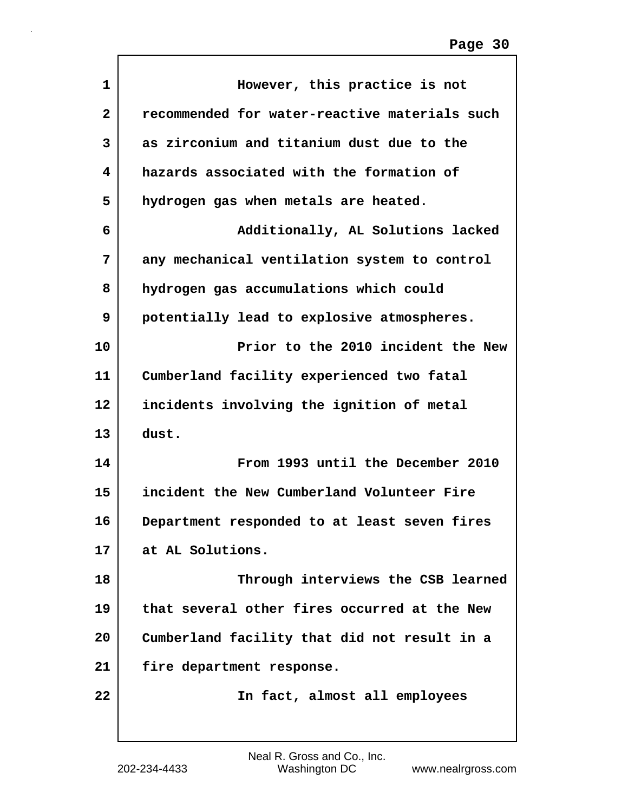| $\mathbf{1}$ | However, this practice is not                 |
|--------------|-----------------------------------------------|
| 2            | recommended for water-reactive materials such |
| 3            | as zirconium and titanium dust due to the     |
| 4            | hazards associated with the formation of      |
| 5            | hydrogen gas when metals are heated.          |
| 6            | Additionally, AL Solutions lacked             |
| 7            | any mechanical ventilation system to control  |
| 8            | hydrogen gas accumulations which could        |
| 9            | potentially lead to explosive atmospheres.    |
| 10           | Prior to the 2010 incident the New            |
| 11           | Cumberland facility experienced two fatal     |
| 12           | incidents involving the ignition of metal     |
| 13           | dust.                                         |
| 14           | From 1993 until the December 2010             |
| 15           | incident the New Cumberland Volunteer Fire    |
| 16           | Department responded to at least seven fires  |
| 17           | at AL Solutions.                              |
| 18           | Through interviews the CSB learned            |
| 19           | that several other fires occurred at the New  |
| 20           | Cumberland facility that did not result in a  |
| 21           | fire department response.                     |
| 22           | In fact, almost all employees                 |
|              |                                               |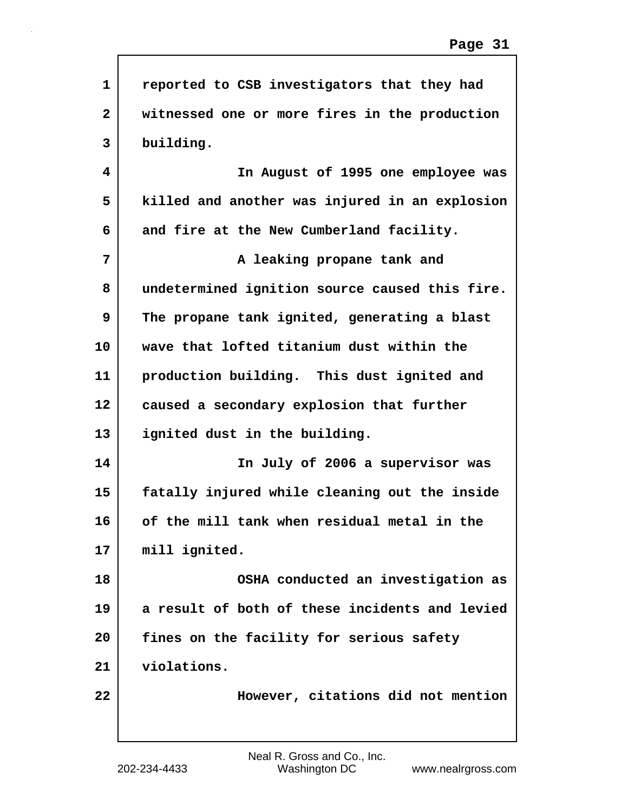| $\mathbf{1}$ | reported to CSB investigators that they had    |
|--------------|------------------------------------------------|
| $\mathbf{2}$ | witnessed one or more fires in the production  |
| 3            | building.                                      |
| 4            | In August of 1995 one employee was             |
| 5            | killed and another was injured in an explosion |
| 6            | and fire at the New Cumberland facility.       |
| 7            | A leaking propane tank and                     |
| 8            | undetermined ignition source caused this fire. |
| 9            | The propane tank ignited, generating a blast   |
| 10           | wave that lofted titanium dust within the      |
| 11           | production building. This dust ignited and     |
| 12           | caused a secondary explosion that further      |
| 13           | ignited dust in the building.                  |
| 14           | In July of 2006 a supervisor was               |
| 15           | fatally injured while cleaning out the inside  |
| 16           | of the mill tank when residual metal in the    |
| 17           | mill ignited.                                  |
| 18           | OSHA conducted an investigation as             |
| 19           | a result of both of these incidents and levied |
| 20           | fines on the facility for serious safety       |
| 21           | violations.                                    |
| 22           | However, citations did not mention             |
|              |                                                |

Г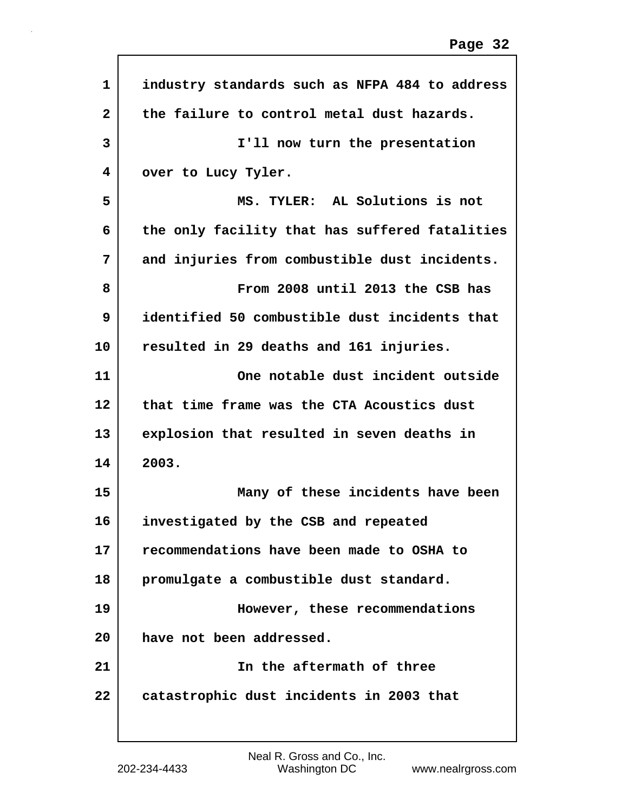| $\mathbf{1}$ | industry standards such as NFPA 484 to address |
|--------------|------------------------------------------------|
| $\mathbf{2}$ | the failure to control metal dust hazards.     |
| 3            | I'll now turn the presentation                 |
| 4            | over to Lucy Tyler.                            |
| 5            | MS. TYLER: AL Solutions is not                 |
| 6            | the only facility that has suffered fatalities |
| 7            | and injuries from combustible dust incidents.  |
| 8            | From 2008 until 2013 the CSB has               |
| 9            | identified 50 combustible dust incidents that  |
| 10           | resulted in 29 deaths and 161 injuries.        |
| 11           | One notable dust incident outside              |
| 12           | that time frame was the CTA Acoustics dust     |
| 13           | explosion that resulted in seven deaths in     |
| 14           | 2003.                                          |
| 15           | Many of these incidents have been              |
| 16           | investigated by the CSB and repeated           |
| 17           | recommendations have been made to OSHA to      |
| 18           | promulgate a combustible dust standard.        |
| 19           | However, these recommendations                 |
| 20           | have not been addressed.                       |
| 21           | In the aftermath of three                      |
| 22           | catastrophic dust incidents in 2003 that       |
|              |                                                |

Г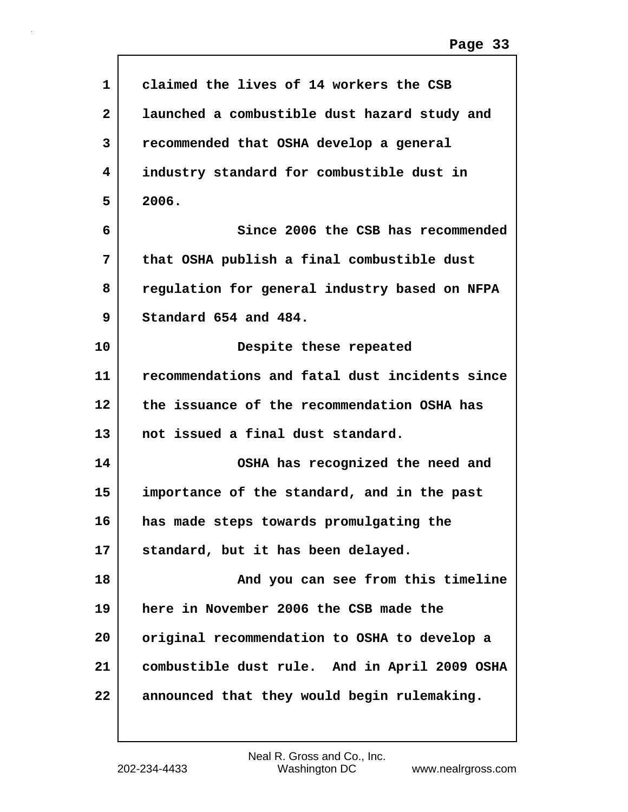| 1            | claimed the lives of 14 workers the CSB        |
|--------------|------------------------------------------------|
| $\mathbf{2}$ | launched a combustible dust hazard study and   |
| 3            | recommended that OSHA develop a general        |
| 4            | industry standard for combustible dust in      |
| 5            | 2006.                                          |
| 6            | Since 2006 the CSB has recommended             |
| 7            | that OSHA publish a final combustible dust     |
| 8            | regulation for general industry based on NFPA  |
| 9            | Standard 654 and 484.                          |
| 10           | Despite these repeated                         |
| 11           | recommendations and fatal dust incidents since |
| 12           | the issuance of the recommendation OSHA has    |
| 13           | not issued a final dust standard.              |
| 14           | OSHA has recognized the need and               |
| 15           | importance of the standard, and in the past    |
| 16           | has made steps towards promulgating the        |
| 17           | standard, but it has been delayed.             |
| 18           | And you can see from this timeline             |
| 19           | here in November 2006 the CSB made the         |
| 20           | original recommendation to OSHA to develop a   |
| 21           | combustible dust rule. And in April 2009 OSHA  |
| 22           | announced that they would begin rulemaking.    |
|              |                                                |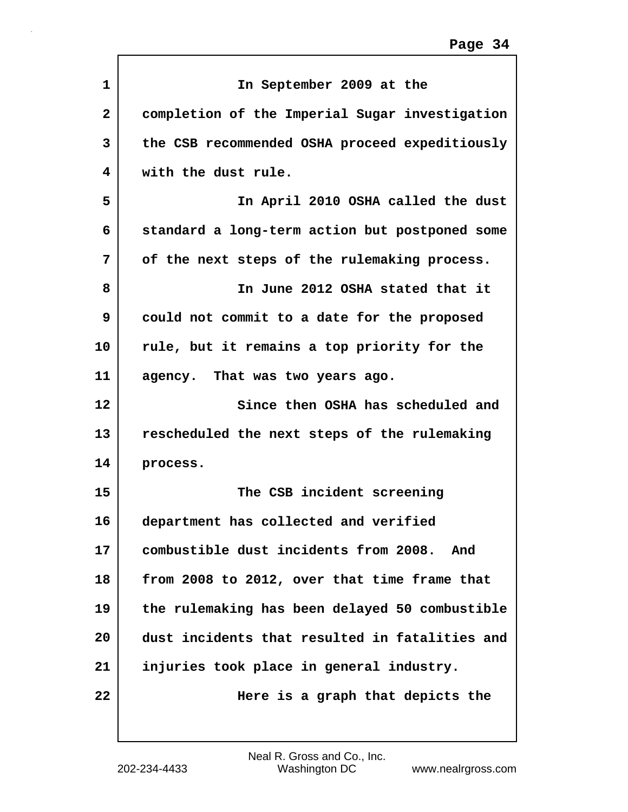| $\mathbf{1}$   | In September 2009 at the                       |
|----------------|------------------------------------------------|
| $\overline{2}$ | completion of the Imperial Sugar investigation |
| 3              | the CSB recommended OSHA proceed expeditiously |
| 4              | with the dust rule.                            |
| 5              | In April 2010 OSHA called the dust             |
| 6              | standard a long-term action but postponed some |
| 7              | of the next steps of the rulemaking process.   |
| 8              | In June 2012 OSHA stated that it               |
| 9              | could not commit to a date for the proposed    |
| 10             | rule, but it remains a top priority for the    |
| 11             | agency. That was two years ago.                |
| 12             | Since then OSHA has scheduled and              |
| 13             | rescheduled the next steps of the rulemaking   |
| 14             | process.                                       |
| 15             | The CSB incident screening                     |
| 16             | department has collected and verified          |
| 17             | combustible dust incidents from 2008. And      |
| 18             | from 2008 to 2012, over that time frame that   |
| 19             | the rulemaking has been delayed 50 combustible |
| 20             | dust incidents that resulted in fatalities and |
| 21             | injuries took place in general industry.       |
| 22             | Here is a graph that depicts the               |
|                |                                                |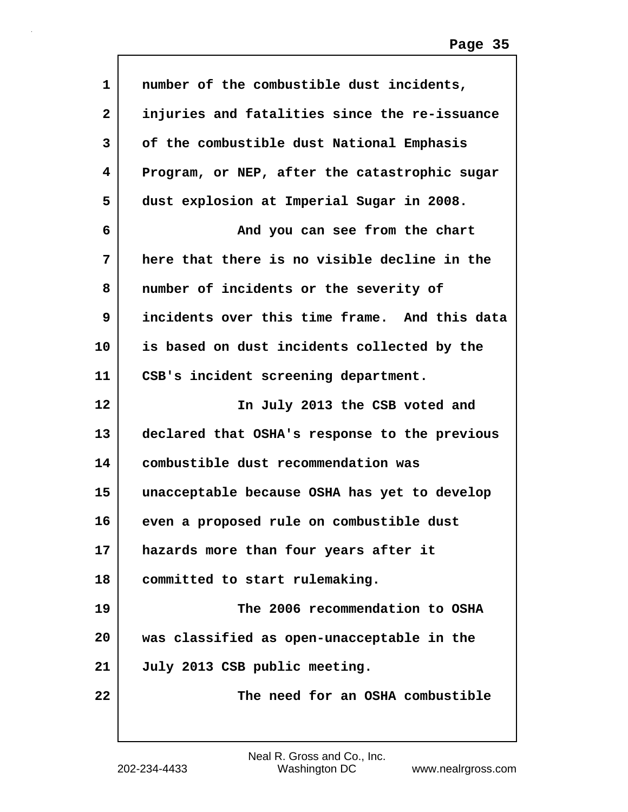| number of the combustible dust incidents,     |
|-----------------------------------------------|
| injuries and fatalities since the re-issuance |
| of the combustible dust National Emphasis     |
| Program, or NEP, after the catastrophic sugar |
| dust explosion at Imperial Sugar in 2008.     |
| And you can see from the chart                |
| here that there is no visible decline in the  |
| number of incidents or the severity of        |
| incidents over this time frame. And this data |
| is based on dust incidents collected by the   |
| CSB's incident screening department.          |
| In July 2013 the CSB voted and                |
| declared that OSHA's response to the previous |
| combustible dust recommendation was           |
| unacceptable because OSHA has yet to develop  |
| even a proposed rule on combustible dust      |
| hazards more than four years after it         |
| committed to start rulemaking.                |
| The 2006 recommendation to OSHA               |
| was classified as open-unacceptable in the    |
| July 2013 CSB public meeting.                 |
| The need for an OSHA combustible              |
|                                               |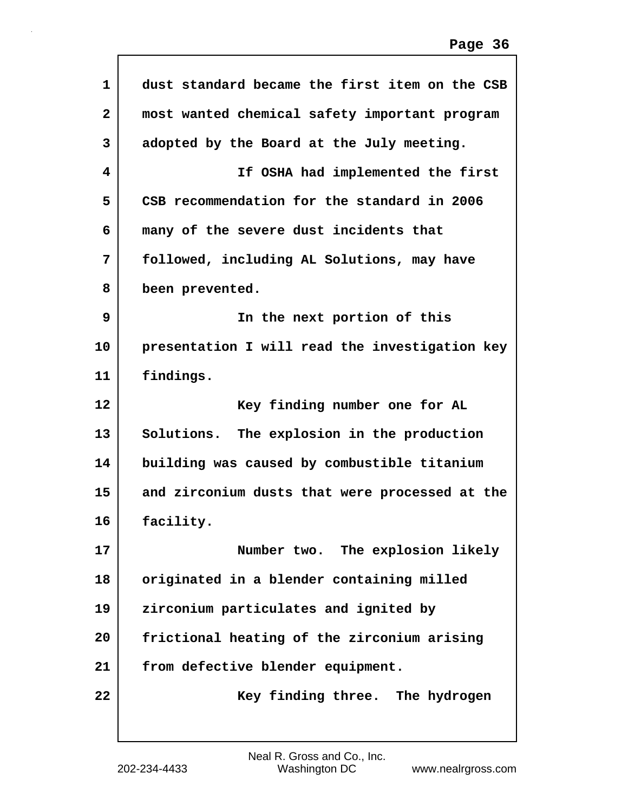| 1            | dust standard became the first item on the CSB |
|--------------|------------------------------------------------|
| $\mathbf{2}$ | most wanted chemical safety important program  |
| 3            | adopted by the Board at the July meeting.      |
| 4            | If OSHA had implemented the first              |
| 5            | CSB recommendation for the standard in 2006    |
| 6            | many of the severe dust incidents that         |
| 7            | followed, including AL Solutions, may have     |
| 8            | been prevented.                                |
| 9            | In the next portion of this                    |
| 10           | presentation I will read the investigation key |
| 11           | findings.                                      |
|              |                                                |
|              | Key finding number one for AL                  |
| 12<br>13     | Solutions. The explosion in the production     |
| 14           | building was caused by combustible titanium    |
| 15           | and zirconium dusts that were processed at the |
| 16           | facility.                                      |
| 17           | Number two. The explosion likely               |
| 18           | originated in a blender containing milled      |
| 19           | zirconium particulates and ignited by          |
| 20           | frictional heating of the zirconium arising    |
| 21           | from defective blender equipment.              |

 $\sqrt{ }$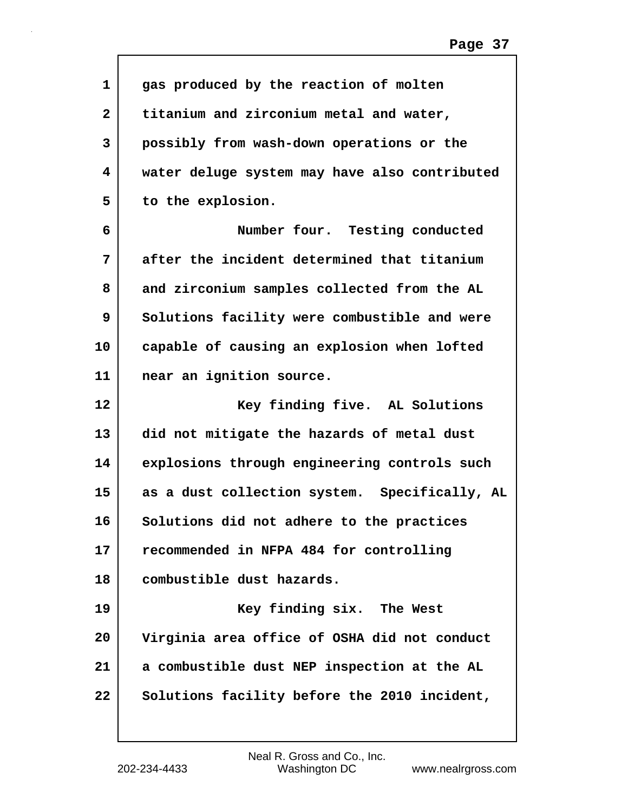| 1  | gas produced by the reaction of molten        |
|----|-----------------------------------------------|
| 2  | titanium and zirconium metal and water,       |
| 3  | possibly from wash-down operations or the     |
| 4  | water deluge system may have also contributed |
| 5  | to the explosion.                             |
| 6  | Number four. Testing conducted                |
| 7  | after the incident determined that titanium   |
| 8  | and zirconium samples collected from the AL   |
| 9  | Solutions facility were combustible and were  |
| 10 | capable of causing an explosion when lofted   |
| 11 | near an ignition source.                      |
| 12 | Key finding five. AL Solutions                |
| 13 | did not mitigate the hazards of metal dust    |
| 14 | explosions through engineering controls such  |
| 15 | as a dust collection system. Specifically, AL |
| 16 | Solutions did not adhere to the practices     |
| 17 | recommended in NFPA 484 for controlling       |
| 18 | combustible dust hazards.                     |
| 19 | Key finding six. The West                     |
| 20 | Virginia area office of OSHA did not conduct  |
| 21 | a combustible dust NEP inspection at the AL   |
| 22 | Solutions facility before the 2010 incident,  |

 $\mathsf{l}$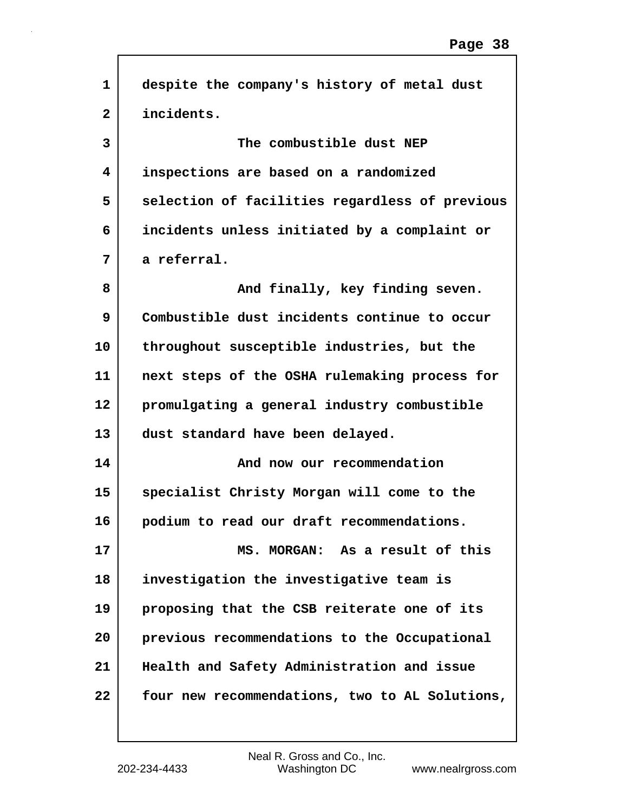| $\mathbf 1$  | despite the company's history of metal dust    |
|--------------|------------------------------------------------|
| $\mathbf{2}$ | incidents.                                     |
| 3            | The combustible dust NEP                       |
| 4            | inspections are based on a randomized          |
| 5            | selection of facilities regardless of previous |
| 6            | incidents unless initiated by a complaint or   |
| 7            | a referral.                                    |
| 8            | And finally, key finding seven.                |
| 9            | Combustible dust incidents continue to occur   |
| 10           | throughout susceptible industries, but the     |
| 11           | next steps of the OSHA rulemaking process for  |
| 12           | promulgating a general industry combustible    |
| 13           | dust standard have been delayed.               |
| 14           | And now our recommendation                     |
| 15           | specialist Christy Morgan will come to the     |
| 16           | podium to read our draft recommendations.      |
| 17           | MS. MORGAN: As a result of this                |
| 18           | investigation the investigative team is        |
| 19           | proposing that the CSB reiterate one of its    |
| 20           | previous recommendations to the Occupational   |
| 21           | Health and Safety Administration and issue     |
| 22           | four new recommendations, two to AL Solutions, |
|              |                                                |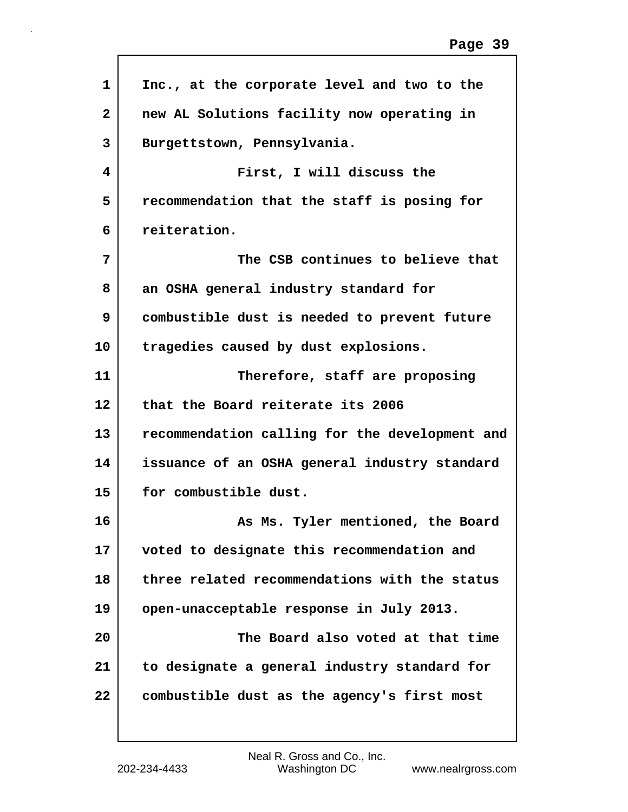| 1            | Inc., at the corporate level and two to the    |
|--------------|------------------------------------------------|
| $\mathbf{2}$ | new AL Solutions facility now operating in     |
| 3            | Burgettstown, Pennsylvania.                    |
| 4            | First, I will discuss the                      |
| 5            | recommendation that the staff is posing for    |
| 6            | reiteration.                                   |
| 7            | The CSB continues to believe that              |
| 8            | an OSHA general industry standard for          |
| 9            | combustible dust is needed to prevent future   |
| 10           | tragedies caused by dust explosions.           |
| 11           | Therefore, staff are proposing                 |
| 12           | that the Board reiterate its 2006              |
| 13           | recommendation calling for the development and |
| 14           | issuance of an OSHA general industry standard  |
| 15           | for combustible dust.                          |
| 16           | As Ms. Tyler mentioned, the Board              |
| 17           | voted to designate this recommendation and     |
| 18           | three related recommendations with the status  |
| 19           | open-unacceptable response in July 2013.       |
| 20           | The Board also voted at that time              |
| 21           | to designate a general industry standard for   |
| 22           | combustible dust as the agency's first most    |
|              |                                                |

 $\sqrt{ }$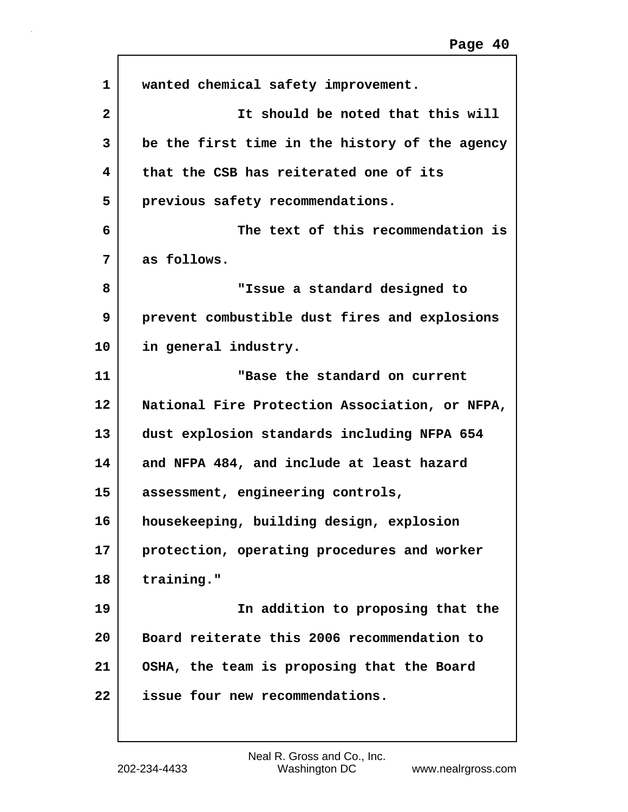| 1              | wanted chemical safety improvement.            |
|----------------|------------------------------------------------|
| $\overline{2}$ | It should be noted that this will              |
| 3              | be the first time in the history of the agency |
| 4              | that the CSB has reiterated one of its         |
| 5              | previous safety recommendations.               |
| 6              | The text of this recommendation is             |
| 7              | as follows.                                    |
| 8              | "Issue a standard designed to                  |
| 9              | prevent combustible dust fires and explosions  |
| 10             | in general industry.                           |
| 11             | "Base the standard on current                  |
| 12             | National Fire Protection Association, or NFPA, |
| 13             | dust explosion standards including NFPA 654    |
| 14             | and NFPA 484, and include at least hazard      |
| 15             | assessment, engineering controls,              |
| 16             | housekeeping, building design, explosion       |
| 17             | protection, operating procedures and worker    |
| 18             | training."                                     |
| 19             | In addition to proposing that the              |
| 20             | Board reiterate this 2006 recommendation to    |
| 21             | OSHA, the team is proposing that the Board     |
| 22             | issue four new recommendations.                |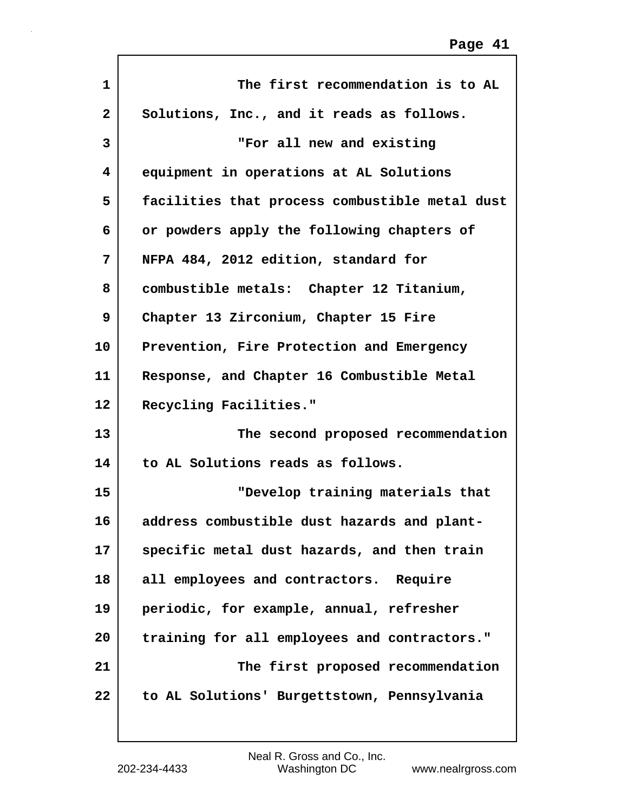| $\mathbf{1}$ | The first recommendation is to AL              |
|--------------|------------------------------------------------|
| $\mathbf{2}$ | Solutions, Inc., and it reads as follows.      |
| 3            | "For all new and existing                      |
| 4            | equipment in operations at AL Solutions        |
| 5            | facilities that process combustible metal dust |
| 6            | or powders apply the following chapters of     |
| 7            | NFPA 484, 2012 edition, standard for           |
| 8            | combustible metals: Chapter 12 Titanium,       |
| 9            | Chapter 13 Zirconium, Chapter 15 Fire          |
| 10           | Prevention, Fire Protection and Emergency      |
| 11           | Response, and Chapter 16 Combustible Metal     |
| 12           | Recycling Facilities."                         |
| 13           | The second proposed recommendation             |
| 14           | to AL Solutions reads as follows.              |
| 15           | "Develop training materials that               |
| 16           | address combustible dust hazards and plant-    |
| 17           | specific metal dust hazards, and then train    |
| 18           | all employees and contractors. Require         |
| 19           | periodic, for example, annual, refresher       |
| 20           | training for all employees and contractors."   |
| 21           | The first proposed recommendation              |
| 22           | to AL Solutions' Burgettstown, Pennsylvania    |
|              |                                                |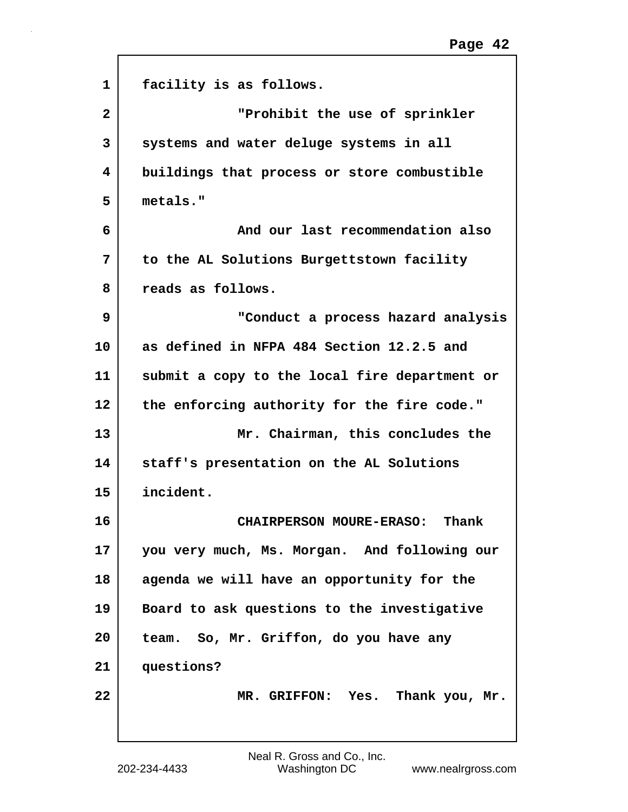| $\mathbf{1}$ | facility is as follows.                       |
|--------------|-----------------------------------------------|
| $\mathbf{2}$ | "Prohibit the use of sprinkler                |
| 3            | systems and water deluge systems in all       |
| 4            | buildings that process or store combustible   |
| 5            | metals."                                      |
| 6            | And our last recommendation also              |
| 7            | to the AL Solutions Burgettstown facility     |
| 8            | reads as follows.                             |
| 9            | "Conduct a process hazard analysis            |
| 10           | as defined in NFPA 484 Section 12.2.5 and     |
| 11           | submit a copy to the local fire department or |
| 12           | the enforcing authority for the fire code."   |
| 13           | Mr. Chairman, this concludes the              |
| 14           | staff's presentation on the AL Solutions      |
| 15           | incident.                                     |
| 16           | <b>CHAIRPERSON MOURE-ERASO:</b><br>Thank      |
| 17           | you very much, Ms. Morgan. And following our  |
| 18           | agenda we will have an opportunity for the    |
| 19           | Board to ask questions to the investigative   |
| 20           | team. So, Mr. Griffon, do you have any        |
| 21           | questions?                                    |
| 22           | MR. GRIFFON: Yes. Thank you, Mr.              |
|              |                                               |

ľ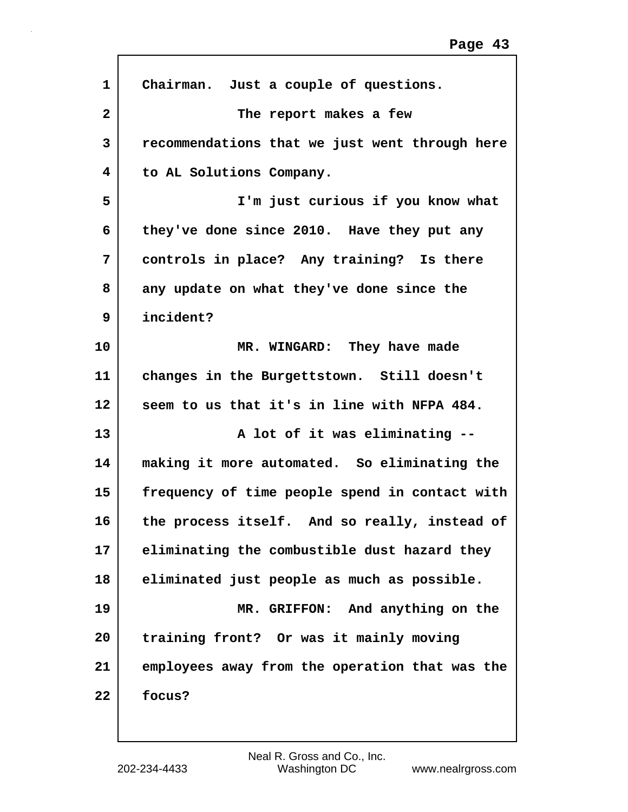| $\mathbf{1}$ | Chairman. Just a couple of questions.          |
|--------------|------------------------------------------------|
| $\mathbf{2}$ | The report makes a few                         |
| 3            | recommendations that we just went through here |
| 4            | to AL Solutions Company.                       |
| 5            | I'm just curious if you know what              |
| 6            | they've done since 2010. Have they put any     |
| 7            | controls in place? Any training? Is there      |
| 8            | any update on what they've done since the      |
| 9            | incident?                                      |
| 10           | MR. WINGARD: They have made                    |
| 11           | changes in the Burgettstown. Still doesn't     |
| 12           | seem to us that it's in line with NFPA 484.    |
| 13           | A lot of it was eliminating --                 |
| 14           | making it more automated. So eliminating the   |
| 15           | frequency of time people spend in contact with |
| 16           | the process itself. And so really, instead of  |
| 17           | eliminating the combustible dust hazard they   |
| 18           | eliminated just people as much as possible.    |
| 19           | MR. GRIFFON: And anything on the               |
| 20           | training front? Or was it mainly moving        |
| 21           | employees away from the operation that was the |
| 22           | focus?                                         |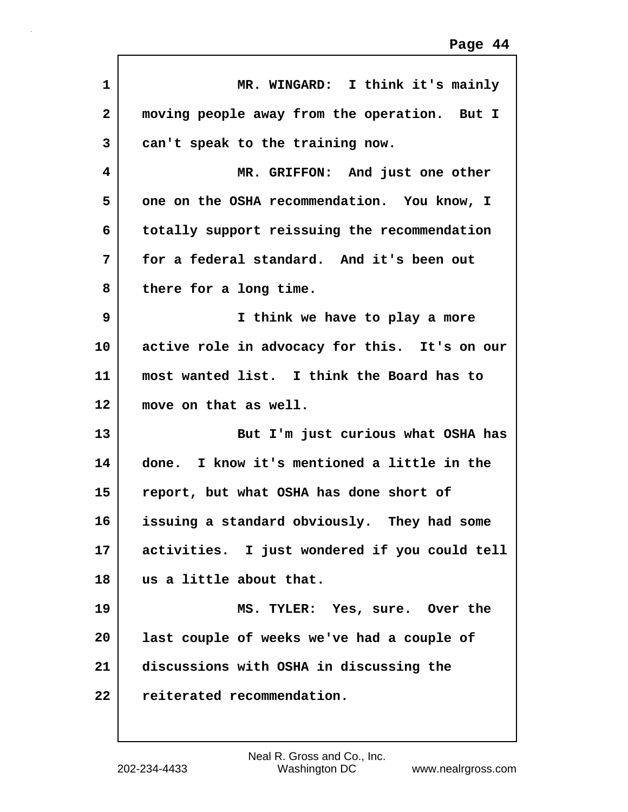| $\mathbf{1}$ | MR. WINGARD: I think it's mainly              |
|--------------|-----------------------------------------------|
| $\mathbf{2}$ | moving people away from the operation. But I  |
| 3            | can't speak to the training now.              |
| 4            | MR. GRIFFON: And just one other               |
| 5            | one on the OSHA recommendation. You know, I   |
| 6            | totally support reissuing the recommendation  |
| 7            | for a federal standard. And it's been out     |
| 8            | there for a long time.                        |
| 9            | I think we have to play a more                |
| 10           | active role in advocacy for this. It's on our |
| 11           | most wanted list. I think the Board has to    |
| 12           | move on that as well.                         |
| 13           | But I'm just curious what OSHA has            |
| 14           | done. I know it's mentioned a little in the   |
| 15           | report, but what OSHA has done short of       |
| 16           | issuing a standard obviously. They had some   |
| 17           | activities. I just wondered if you could tell |
| 18           | us a little about that.                       |
| 19           | MS. TYLER: Yes, sure. Over the                |
| 20           | last couple of weeks we've had a couple of    |
| 21           | discussions with OSHA in discussing the       |
| 22           | reiterated recommendation.                    |
|              |                                               |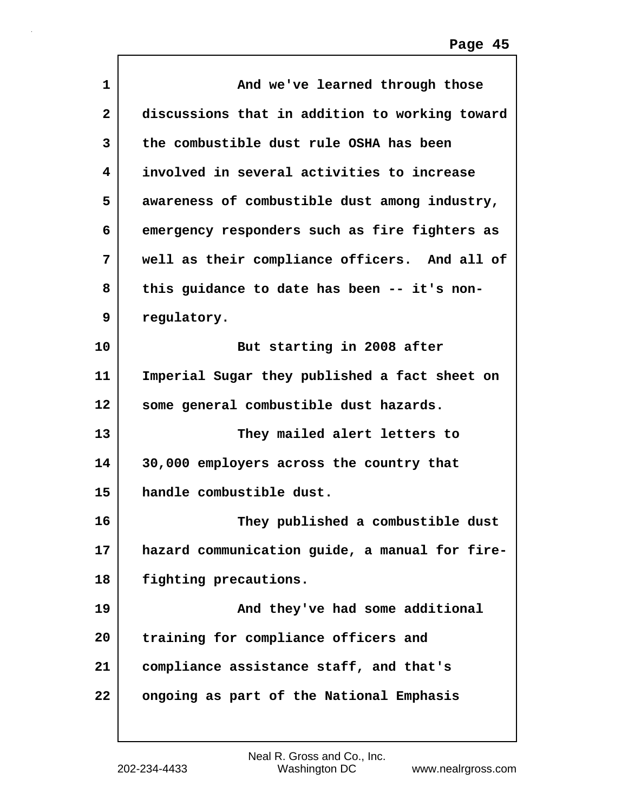| 1                       | And we've learned through those                |
|-------------------------|------------------------------------------------|
| $\overline{\mathbf{2}}$ | discussions that in addition to working toward |
| 3                       | the combustible dust rule OSHA has been        |
| 4                       | involved in several activities to increase     |
| 5                       | awareness of combustible dust among industry,  |
| 6                       | emergency responders such as fire fighters as  |
| 7                       | well as their compliance officers. And all of  |
| 8                       | this guidance to date has been -- it's non-    |
| 9                       | regulatory.                                    |
| 10                      | But starting in 2008 after                     |
| 11                      | Imperial Sugar they published a fact sheet on  |
| 12                      | some general combustible dust hazards.         |
| 13                      | They mailed alert letters to                   |
| 14                      | 30,000 employers across the country that       |
| 15                      | handle combustible dust.                       |
| 16                      | They published a combustible dust              |
| 17                      | hazard communication guide, a manual for fire- |
| 18                      | fighting precautions.                          |
| 19                      | And they've had some additional                |
| 20                      | training for compliance officers and           |
| 21                      | compliance assistance staff, and that's        |
| 22                      | ongoing as part of the National Emphasis       |

Г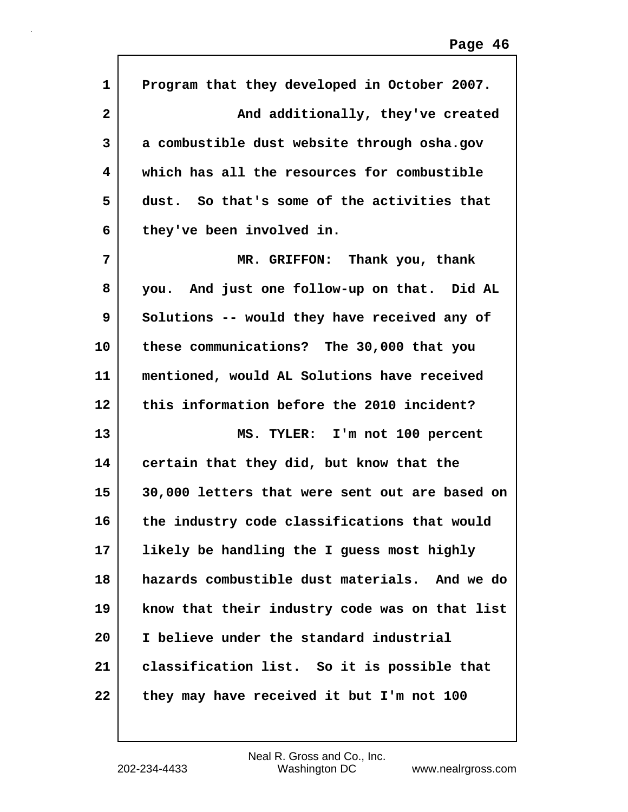| 1                       | Program that they developed in October 2007.   |
|-------------------------|------------------------------------------------|
| $\overline{\mathbf{2}}$ | And additionally, they've created              |
| 3                       | a combustible dust website through osha.gov    |
| 4                       | which has all the resources for combustible    |
| 5                       | dust. So that's some of the activities that    |
| 6                       | they've been involved in.                      |
| 7                       | MR. GRIFFON: Thank you, thank                  |
| 8                       | you. And just one follow-up on that. Did AL    |
| 9                       | Solutions -- would they have received any of   |
| 10                      | these communications? The 30,000 that you      |
| 11                      | mentioned, would AL Solutions have received    |
| 12                      | this information before the 2010 incident?     |
| 13                      | MS. TYLER: I'm not 100 percent                 |
| 14                      | certain that they did, but know that the       |
| 15                      | 30,000 letters that were sent out are based on |
| 16                      | the industry code classifications that would   |
| 17                      | likely be handling the I guess most highly     |
| 18                      | hazards combustible dust materials. And we do  |
| 19                      | know that their industry code was on that list |
| 20                      | I believe under the standard industrial        |
| 21                      | classification list. So it is possible that    |
| 22                      | they may have received it but I'm not 100      |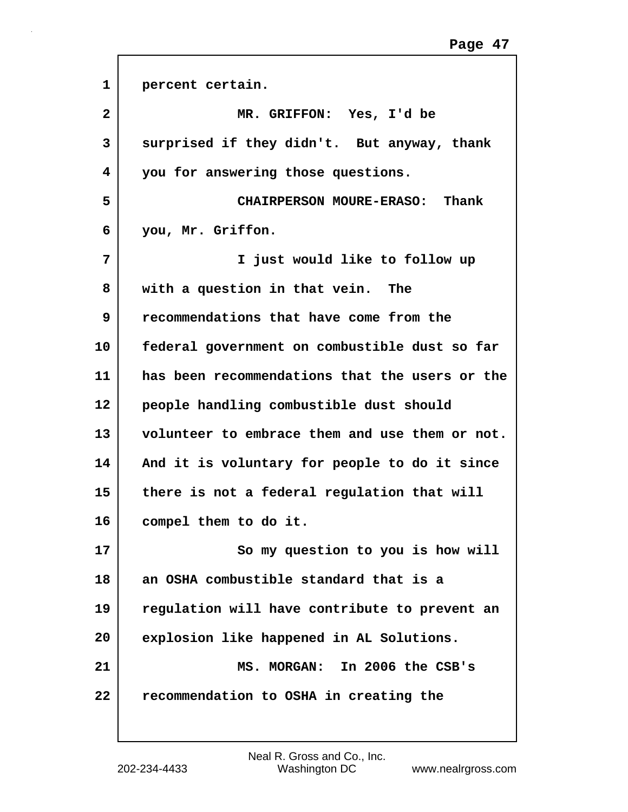| $\mathbf{1}$ | percent certain.                               |
|--------------|------------------------------------------------|
| $\mathbf{2}$ | MR. GRIFFON: Yes, I'd be                       |
| 3            | surprised if they didn't. But anyway, thank    |
| 4            | you for answering those questions.             |
| 5            | CHAIRPERSON MOURE-ERASO: Thank                 |
| 6            | you, Mr. Griffon.                              |
| 7            | I just would like to follow up                 |
| 8            | with a question in that vein. The              |
| 9            | recommendations that have come from the        |
| 10           | federal government on combustible dust so far  |
| 11           | has been recommendations that the users or the |
| 12           | people handling combustible dust should        |
| 13           | volunteer to embrace them and use them or not. |
| 14           | And it is voluntary for people to do it since  |
| 15           | there is not a federal regulation that will    |
| 16           | compel them to do it.                          |
| 17           | So my question to you is how will              |
| 18           | an OSHA combustible standard that is a         |
| 19           | regulation will have contribute to prevent an  |
| 20           | explosion like happened in AL Solutions.       |
| 21           | MS. MORGAN: In 2006 the CSB's                  |
| 22           | recommendation to OSHA in creating the         |
|              |                                                |

ľ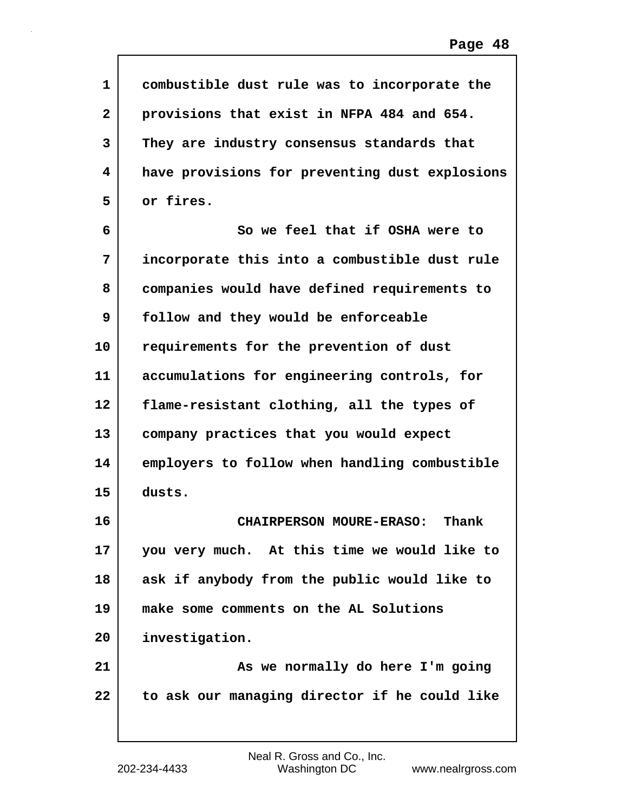| 1            | combustible dust rule was to incorporate the   |
|--------------|------------------------------------------------|
| $\mathbf{2}$ | provisions that exist in NFPA 484 and 654.     |
| 3            | They are industry consensus standards that     |
| 4            | have provisions for preventing dust explosions |
| 5            | or fires.                                      |
| 6            | So we feel that if OSHA were to                |
| 7            | incorporate this into a combustible dust rule  |
| 8            | companies would have defined requirements to   |
| 9            | follow and they would be enforceable           |
| 10           | requirements for the prevention of dust        |
| 11           | accumulations for engineering controls, for    |
| $12 \,$      | flame-resistant clothing, all the types of     |
| 13           | company practices that you would expect        |
| 14           | employers to follow when handling combustible  |
| 15           | dusts.                                         |
| 16           | Thank<br><b>CHAIRPERSON MOURE-ERASO:</b>       |
| 17           | you very much. At this time we would like to   |
| 18           | ask if anybody from the public would like to   |
| 19           | make some comments on the AL Solutions         |
| 20           | investigation.                                 |
| 21           | As we normally do here I'm going               |
| 22           | to ask our managing director if he could like  |
|              |                                                |

 $\mathsf{I}$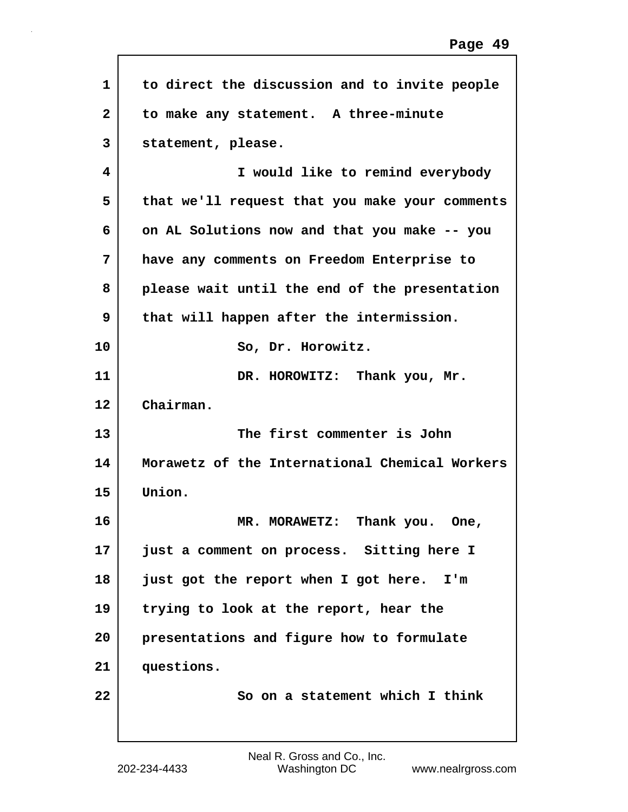| 1            | to direct the discussion and to invite people  |
|--------------|------------------------------------------------|
| $\mathbf{2}$ | to make any statement. A three-minute          |
| 3            | statement, please.                             |
| 4            | I would like to remind everybody               |
| 5            | that we'll request that you make your comments |
| 6            | on AL Solutions now and that you make -- you   |
| 7            | have any comments on Freedom Enterprise to     |
| 8            | please wait until the end of the presentation  |
| 9            | that will happen after the intermission.       |
| 10           | So, Dr. Horowitz.                              |
| 11           | DR. HOROWITZ: Thank you, Mr.                   |
| 12           | Chairman.                                      |
| 13           | The first commenter is John                    |
| 14           | Morawetz of the International Chemical Workers |
| 15           | Union.                                         |
| 16           | Thank you.<br>MR. MORAWETZ:<br>One,            |
| 17           | just a comment on process. Sitting here I      |
| 18           | just got the report when I got here. I'm       |
| 19           | trying to look at the report, hear the         |
| 20           | presentations and figure how to formulate      |
| 21           | questions.                                     |
| 22           | So on a statement which I think                |
|              |                                                |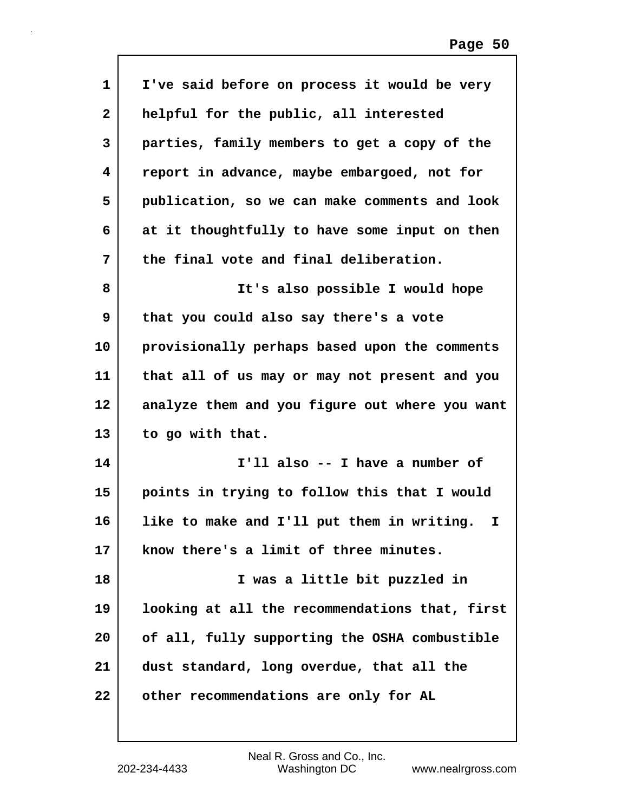| 1            | I've said before on process it would be very     |
|--------------|--------------------------------------------------|
| $\mathbf{2}$ | helpful for the public, all interested           |
| 3            | parties, family members to get a copy of the     |
| 4            | report in advance, maybe embargoed, not for      |
| 5            | publication, so we can make comments and look    |
| 6            | at it thoughtfully to have some input on then    |
| 7            | the final vote and final deliberation.           |
| 8            | It's also possible I would hope                  |
| 9            | that you could also say there's a vote           |
| 10           | provisionally perhaps based upon the comments    |
| 11           | that all of us may or may not present and you    |
| $12 \,$      | analyze them and you figure out where you want   |
| 13           | to go with that.                                 |
| 14           | I'll also -- I have a number of                  |
| 15           | points in trying to follow this that I would     |
| 16           | like to make and I'll put them in writing.<br>I. |
| 17           | know there's a limit of three minutes.           |
| 18           | I was a little bit puzzled in                    |
| 19           | looking at all the recommendations that, first   |
| 20           | of all, fully supporting the OSHA combustible    |
| 21           | dust standard, long overdue, that all the        |
| 22           | other recommendations are only for AL            |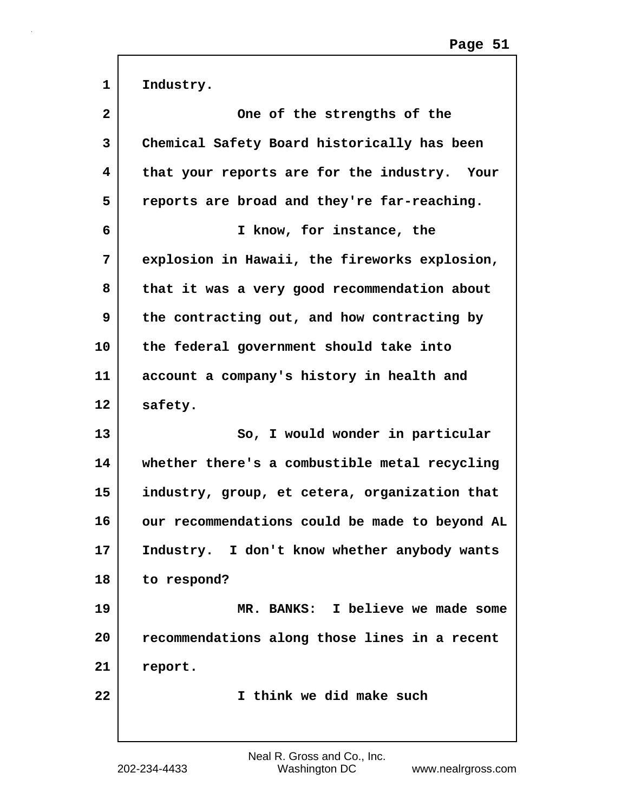| $\mathbf{1}$   | Industry.                                      |
|----------------|------------------------------------------------|
| $\overline{2}$ | One of the strengths of the                    |
| 3              | Chemical Safety Board historically has been    |
| 4              | that your reports are for the industry. Your   |
| 5              | reports are broad and they're far-reaching.    |
| 6              | I know, for instance, the                      |
| 7              | explosion in Hawaii, the fireworks explosion,  |
| 8              | that it was a very good recommendation about   |
| 9              | the contracting out, and how contracting by    |
| 10             | the federal government should take into        |
| 11             | account a company's history in health and      |
| 12             | safety.                                        |
| 13             | So, I would wonder in particular               |
| 14             | whether there's a combustible metal recycling  |
| 15             | industry, group, et cetera, organization that  |
| 16             | our recommendations could be made to beyond AL |
| 17             | Industry. I don't know whether anybody wants   |
| 18             | to respond?                                    |
| 19             | MR. BANKS: I believe we made some              |
| 20             | recommendations along those lines in a recent  |
| 21             | report.                                        |
| 22             | I think we did make such                       |
|                |                                                |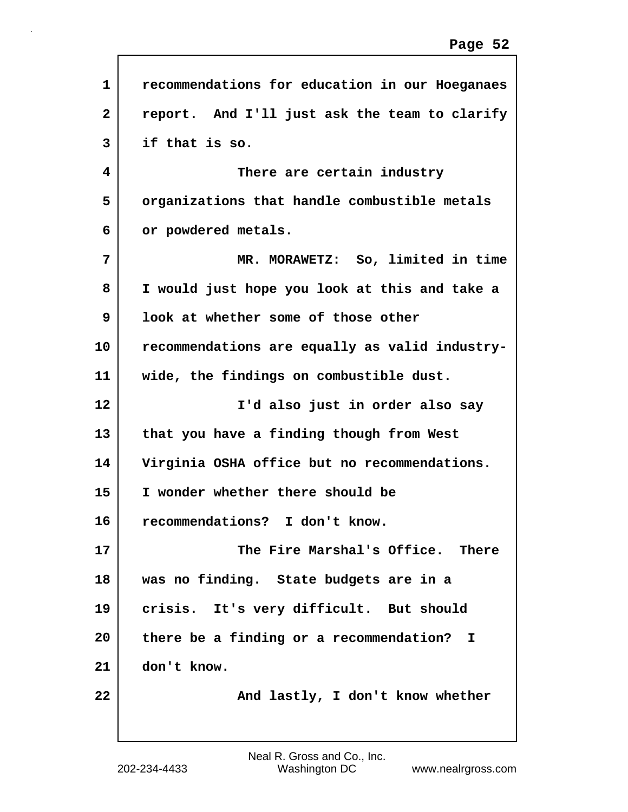| $\mathbf{1}$ | recommendations for education in our Hoeganaes |
|--------------|------------------------------------------------|
| $\mathbf{2}$ | report. And I'll just ask the team to clarify  |
| 3            | if that is so.                                 |
| 4            | There are certain industry                     |
| 5            | organizations that handle combustible metals   |
| 6            | or powdered metals.                            |
| 7            | MR. MORAWETZ: So, limited in time              |
| 8            | I would just hope you look at this and take a  |
| 9            | look at whether some of those other            |
| 10           | recommendations are equally as valid industry- |
| 11           | wide, the findings on combustible dust.        |
| 12           | I'd also just in order also say                |
| 13           | that you have a finding though from West       |
| 14           | Virginia OSHA office but no recommendations.   |
| 15           | I wonder whether there should be               |
| 16           | recommendations?<br>I don't know.              |
| 17           | The Fire Marshal's Office. There               |
| 18           | was no finding. State budgets are in a         |
| 19           | crisis. It's very difficult. But should        |
| 20           | there be a finding or a recommendation? I      |
| 21           | don't know.                                    |
| 22           | And lastly, I don't know whether               |
|              |                                                |

Г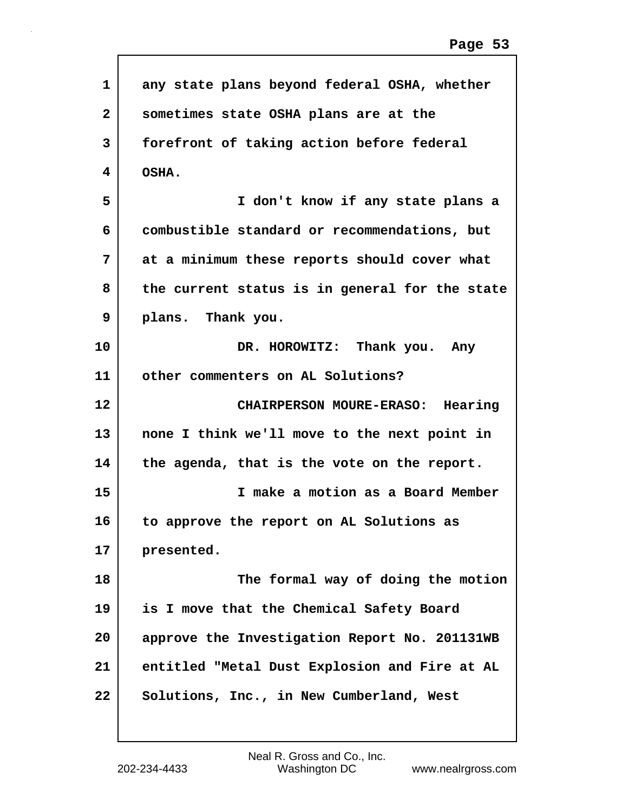| $\mathbf{1}$ | any state plans beyond federal OSHA, whether   |
|--------------|------------------------------------------------|
| $\mathbf{2}$ | sometimes state OSHA plans are at the          |
| 3            | forefront of taking action before federal      |
| 4            | OSHA.                                          |
| 5            | I don't know if any state plans a              |
| 6            | combustible standard or recommendations, but   |
| 7            | at a minimum these reports should cover what   |
| 8            | the current status is in general for the state |
| 9            | plans. Thank you.                              |
| 10           | DR. HOROWITZ: Thank you. Any                   |
| 11           | other commenters on AL Solutions?              |
| 12           | CHAIRPERSON MOURE-ERASO: Hearing               |
| 13           | none I think we'll move to the next point in   |
| 14           | the agenda, that is the vote on the report.    |
| 15           |                                                |
|              | I make a motion as a Board Member              |
| 16           | to approve the report on AL Solutions as       |
| 17           | presented.                                     |
| 18           | The formal way of doing the motion             |
| 19           | is I move that the Chemical Safety Board       |
| 20           | approve the Investigation Report No. 201131WB  |
| 21           | entitled "Metal Dust Explosion and Fire at AL  |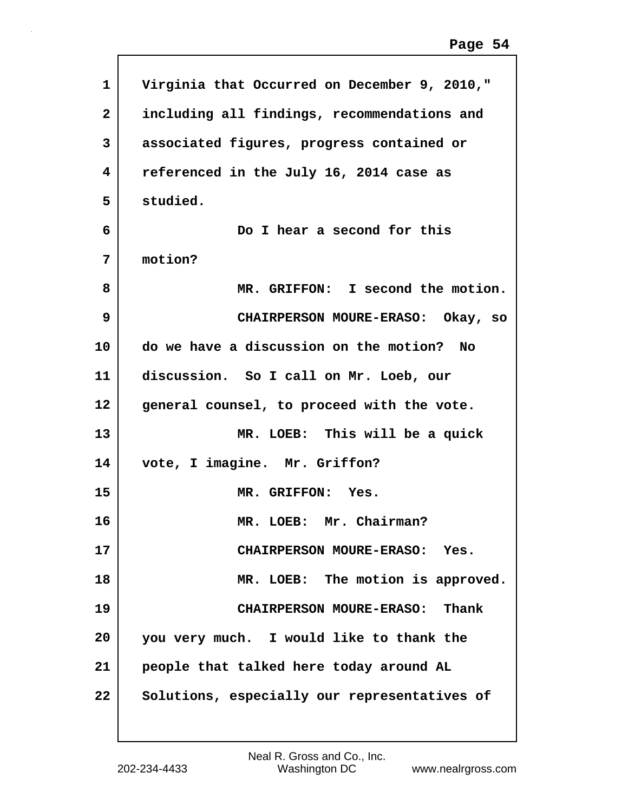| Virginia that Occurred on December 9, 2010,"<br>including all findings, recommendations and<br>associated figures, progress contained or |
|------------------------------------------------------------------------------------------------------------------------------------------|
|                                                                                                                                          |
|                                                                                                                                          |
|                                                                                                                                          |
| referenced in the July 16, 2014 case as                                                                                                  |
| studied.                                                                                                                                 |
| Do I hear a second for this                                                                                                              |
| motion?                                                                                                                                  |
| MR. GRIFFON: I second the motion.                                                                                                        |
| CHAIRPERSON MOURE-ERASO: Okay, so                                                                                                        |
| do we have a discussion on the motion? No                                                                                                |
| discussion. So I call on Mr. Loeb, our                                                                                                   |
| general counsel, to proceed with the vote.                                                                                               |
| MR. LOEB: This will be a quick                                                                                                           |
| vote, I imagine. Mr. Griffon?                                                                                                            |
| MR. GRIFFON: Yes.                                                                                                                        |
| MR. LOEB: Mr. Chairman?                                                                                                                  |
| CHAIRPERSON MOURE-ERASO: Yes.                                                                                                            |
| MR. LOEB: The motion is approved.                                                                                                        |
| CHAIRPERSON MOURE-ERASO: Thank                                                                                                           |
| you very much. I would like to thank the                                                                                                 |
|                                                                                                                                          |
| people that talked here today around AL                                                                                                  |
|                                                                                                                                          |

Г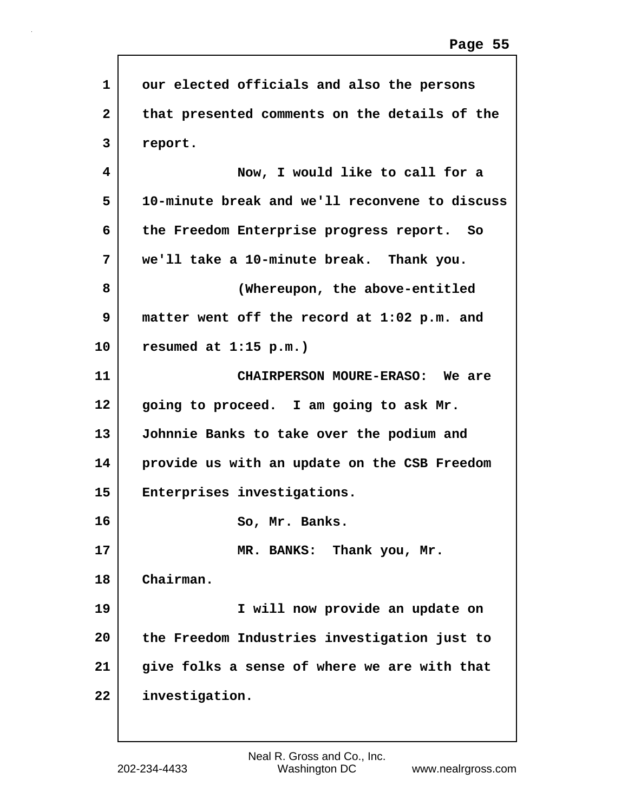| 1            | our elected officials and also the persons     |
|--------------|------------------------------------------------|
| $\mathbf{2}$ | that presented comments on the details of the  |
| 3            | report.                                        |
| 4            | Now, I would like to call for a                |
| 5            | 10-minute break and we'll reconvene to discuss |
| 6            | the Freedom Enterprise progress report. So     |
| 7            | we'll take a 10-minute break. Thank you.       |
| 8            | (Whereupon, the above-entitled                 |
| 9            | matter went off the record at 1:02 p.m. and    |
| 10           | resumed at $1:15$ p.m.)                        |
| 11           | CHAIRPERSON MOURE-ERASO: We are                |
| 12           | going to proceed. I am going to ask Mr.        |
| 13           | Johnnie Banks to take over the podium and      |
| 14           | provide us with an update on the CSB Freedom   |
| 15           | Enterprises investigations.                    |
| 16           | So, Mr. Banks.                                 |
| 17           | MR. BANKS: Thank you, Mr.                      |
| 18           | Chairman.                                      |
| 19           | I will now provide an update on                |
| 20           | the Freedom Industries investigation just to   |
| 21           | give folks a sense of where we are with that   |
| 22           | investigation.                                 |
|              |                                                |

 $\sqrt{ }$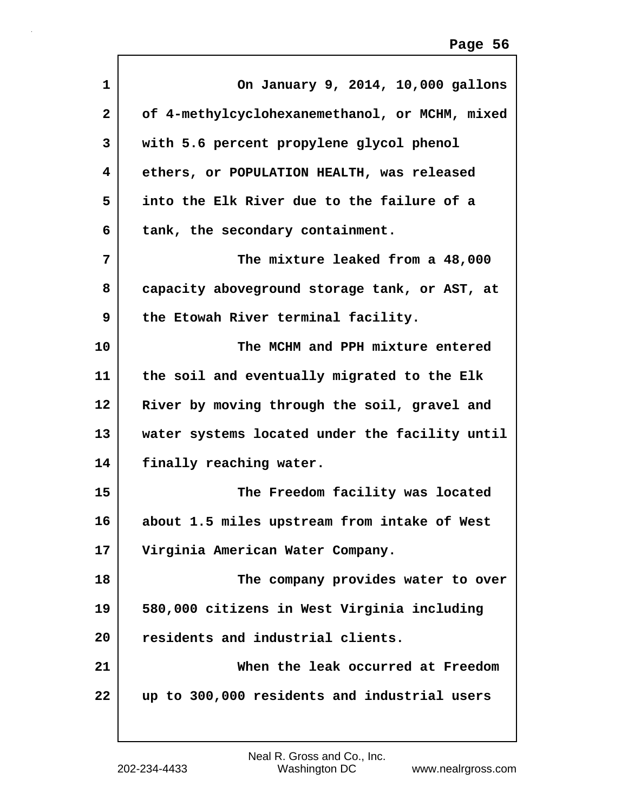| 1              | On January 9, 2014, 10,000 gallons             |
|----------------|------------------------------------------------|
| $\overline{2}$ | of 4-methylcyclohexanemethanol, or MCHM, mixed |
| 3              | with 5.6 percent propylene glycol phenol       |
| 4              | ethers, or POPULATION HEALTH, was released     |
| 5              | into the Elk River due to the failure of a     |
| 6              | tank, the secondary containment.               |
| 7              | The mixture leaked from a 48,000               |
| 8              | capacity aboveground storage tank, or AST, at  |
| 9              | the Etowah River terminal facility.            |
| 10             | The MCHM and PPH mixture entered               |
| 11             | the soil and eventually migrated to the Elk    |
| 12             | River by moving through the soil, gravel and   |
| 13             | water systems located under the facility until |
| 14             | finally reaching water.                        |
| 15             | The Freedom facility was located               |
| 16             | about 1.5 miles upstream from intake of West   |
| 17             | Virginia American Water Company.               |
| 18             | The company provides water to over             |
| 19             | 580,000 citizens in West Virginia including    |
| 20             | residents and industrial clients.              |
| 21             | When the leak occurred at Freedom              |
| 22             | up to 300,000 residents and industrial users   |
|                |                                                |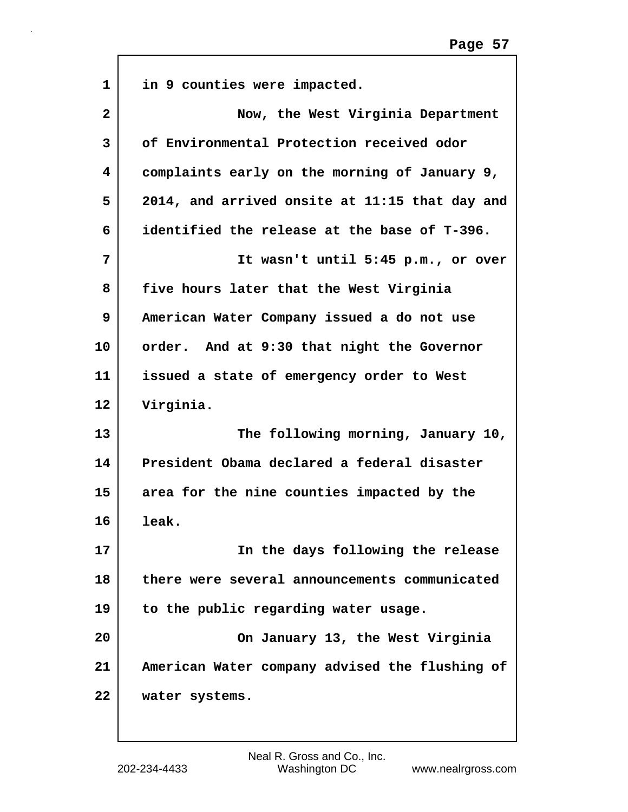| $\mathbf{1}$ | in 9 counties were impacted.                   |
|--------------|------------------------------------------------|
| $\mathbf{2}$ | Now, the West Virginia Department              |
| 3            | of Environmental Protection received odor      |
| 4            | complaints early on the morning of January 9,  |
| 5            | 2014, and arrived onsite at 11:15 that day and |
| 6            | identified the release at the base of T-396.   |
| 7            | It wasn't until 5:45 p.m., or over             |
| 8            | five hours later that the West Virginia        |
| 9            | American Water Company issued a do not use     |
| 10           | order. And at 9:30 that night the Governor     |
| 11           | issued a state of emergency order to West      |
| 12           | Virginia.                                      |
| 13           | The following morning, January 10,             |
| 14           | President Obama declared a federal disaster    |
| 15           | area for the nine counties impacted by the     |
| 16           | leak.                                          |
| 17           | In the days following the release              |
| 18           | there were several announcements communicated  |
| 19           | to the public regarding water usage.           |
| 20           | On January 13, the West Virginia               |
| 21           | American Water company advised the flushing of |
| 22           | water systems.                                 |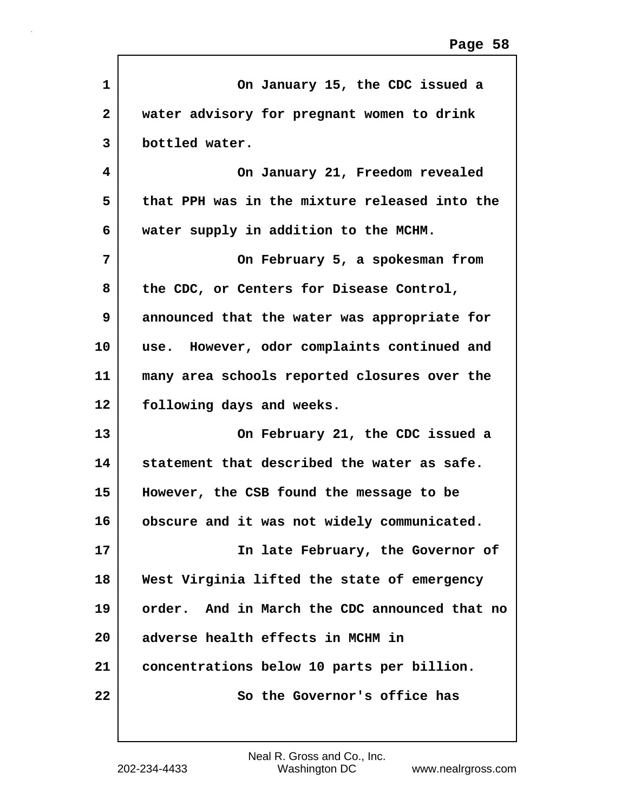| $\mathbf{1}$ | On January 15, the CDC issued a               |
|--------------|-----------------------------------------------|
| $\mathbf{2}$ | water advisory for pregnant women to drink    |
| 3            | bottled water.                                |
| 4            | On January 21, Freedom revealed               |
| 5            | that PPH was in the mixture released into the |
| 6            | water supply in addition to the MCHM.         |
| 7            | On February 5, a spokesman from               |
| 8            | the CDC, or Centers for Disease Control,      |
| 9            | announced that the water was appropriate for  |
| 10           | use. However, odor complaints continued and   |
| 11           | many area schools reported closures over the  |
| 12           | following days and weeks.                     |
| 13           | On February 21, the CDC issued a              |
| 14           | statement that described the water as safe.   |
| 15           | However, the CSB found the message to be      |
| 16           | obscure and it was not widely communicated.   |
| 17           | In late February, the Governor of             |
| 18           | West Virginia lifted the state of emergency   |
| 19           | order. And in March the CDC announced that no |
| 20           | adverse health effects in MCHM in             |
| 21           | concentrations below 10 parts per billion.    |
| 22           | So the Governor's office has                  |
|              |                                               |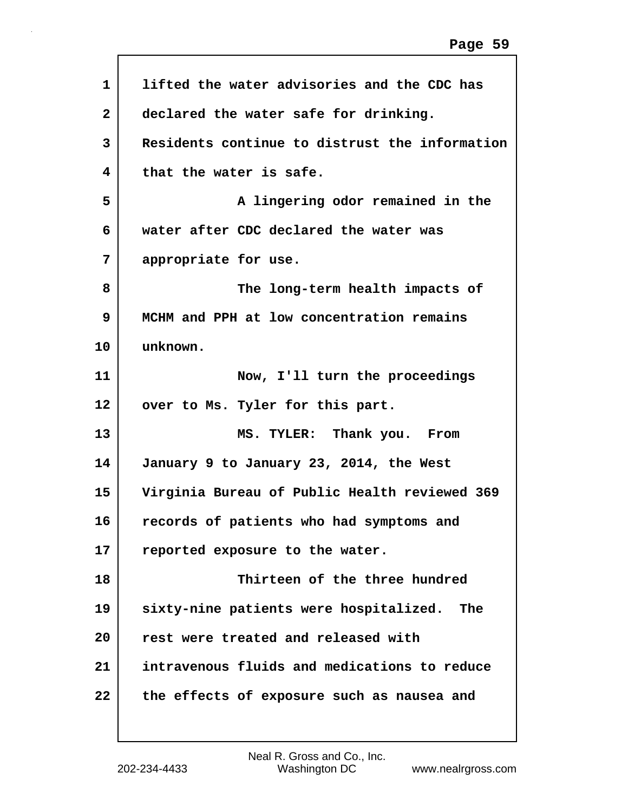| 1            | lifted the water advisories and the CDC has    |
|--------------|------------------------------------------------|
| $\mathbf{2}$ | declared the water safe for drinking.          |
| 3            | Residents continue to distrust the information |
| 4            | that the water is safe.                        |
| 5            | A lingering odor remained in the               |
| 6            | water after CDC declared the water was         |
| 7            | appropriate for use.                           |
| 8            | The long-term health impacts of                |
| 9            | MCHM and PPH at low concentration remains      |
| 10           | unknown.                                       |
| 11           | Now, I'll turn the proceedings                 |
| 12           | over to Ms. Tyler for this part.               |
| 13           | MS. TYLER: Thank you.<br>From                  |
| 14           | January 9 to January 23, 2014, the West        |
| 15           | Virginia Bureau of Public Health reviewed 369  |
| 16           | records of patients who had symptoms and       |
| 17           | reported exposure to the water.                |
| 18           | Thirteen of the three hundred                  |
| 19           | sixty-nine patients were hospitalized.<br>The  |
| 20           | rest were treated and released with            |
| 21           | intravenous fluids and medications to reduce   |
| 22           | the effects of exposure such as nausea and     |
|              |                                                |

 $\sqrt{ }$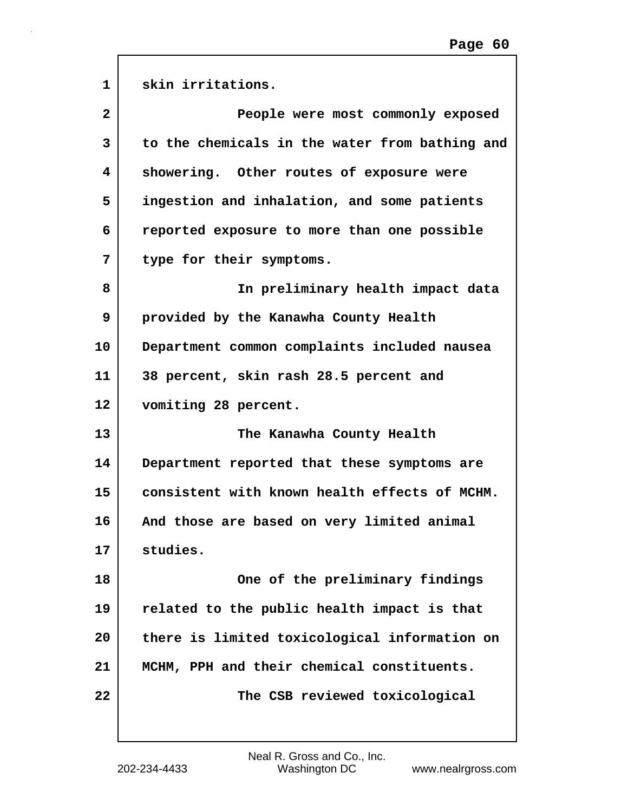| $\mathbf{1}$   | skin irritations.                              |
|----------------|------------------------------------------------|
| $\overline{2}$ | People were most commonly exposed              |
| 3              | to the chemicals in the water from bathing and |
| 4              | showering. Other routes of exposure were       |
| 5              | ingestion and inhalation, and some patients    |
| 6              | reported exposure to more than one possible    |
| 7              | type for their symptoms.                       |
| 8              | In preliminary health impact data              |
| 9              | provided by the Kanawha County Health          |
| 10             | Department common complaints included nausea   |
| 11             | 38 percent, skin rash 28.5 percent and         |
| 12             | vomiting 28 percent.                           |
| 13             | The Kanawha County Health                      |
| 14             | Department reported that these symptoms are    |
| 15             | consistent with known health effects of MCHM.  |
| 16             | And those are based on very limited animal     |
| 17             | studies.                                       |
| 18             | One of the preliminary findings                |
| 19             | related to the public health impact is that    |
| 20             | there is limited toxicological information on  |
| 21             | MCHM, PPH and their chemical constituents.     |
| 22             | The CSB reviewed toxicological                 |
|                |                                                |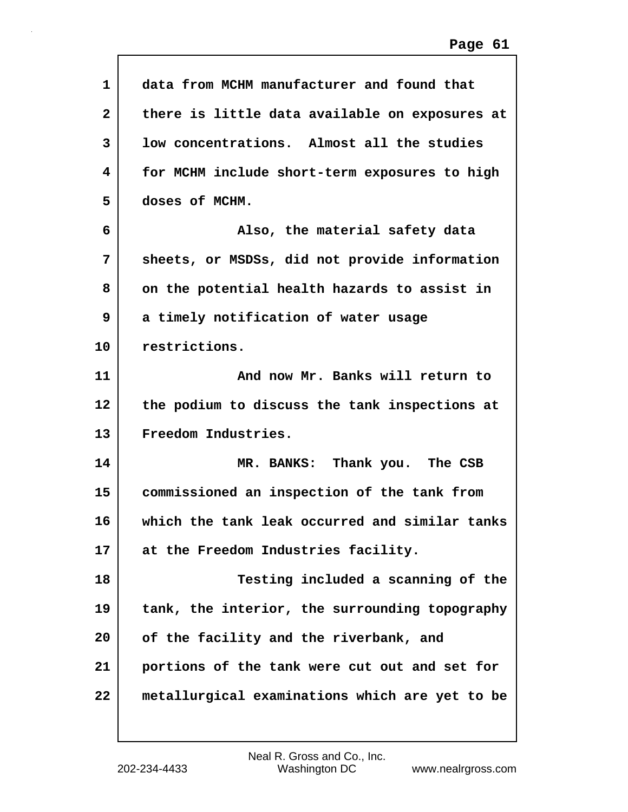| $\mathbf{1}$   | data from MCHM manufacturer and found that     |
|----------------|------------------------------------------------|
| $\overline{2}$ | there is little data available on exposures at |
| 3              | low concentrations. Almost all the studies     |
| 4              | for MCHM include short-term exposures to high  |
| 5              | doses of MCHM.                                 |
| 6              | Also, the material safety data                 |
| 7              | sheets, or MSDSs, did not provide information  |
| 8              | on the potential health hazards to assist in   |
| 9              | a timely notification of water usage           |
| 10             | restrictions.                                  |
| 11             | And now Mr. Banks will return to               |
| 12             | the podium to discuss the tank inspections at  |
| 13             | Freedom Industries.                            |
| 14             | MR. BANKS: Thank you. The CSB                  |
| 15             | commissioned an inspection of the tank from    |
| 16             | which the tank leak occurred and similar tanks |
| 17             | at the Freedom Industries facility.            |
| 18             | Testing included a scanning of the             |
| 19             | tank, the interior, the surrounding topography |
| 20             | of the facility and the riverbank, and         |
| 21             | portions of the tank were cut out and set for  |
| 22             | metallurgical examinations which are yet to be |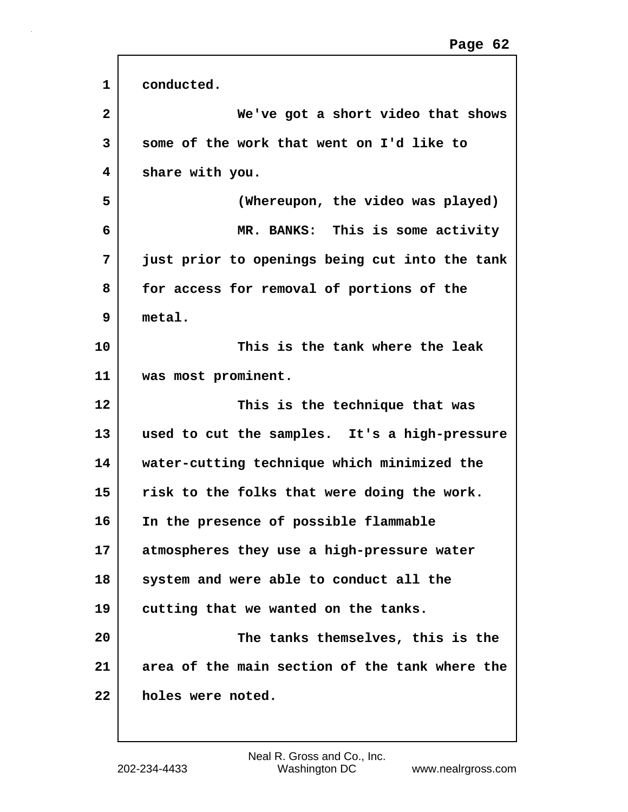| 1              | conducted.                                     |
|----------------|------------------------------------------------|
| $\overline{2}$ | We've got a short video that shows             |
| 3              | some of the work that went on I'd like to      |
| 4              | share with you.                                |
| 5              | (Whereupon, the video was played)              |
| 6              | MR. BANKS: This is some activity               |
| 7              | just prior to openings being cut into the tank |
| 8              | for access for removal of portions of the      |
| 9              | metal.                                         |
| 10             | This is the tank where the leak                |
| 11             | was most prominent.                            |
| 12             | This is the technique that was                 |
| 13             | used to cut the samples. It's a high-pressure  |
| 14             | water-cutting technique which minimized the    |
| 15             | risk to the folks that were doing the work.    |
| 16             | In the presence of possible flammable          |
| 17             | atmospheres they use a high-pressure water     |
| 18             | system and were able to conduct all the        |
| 19             | cutting that we wanted on the tanks.           |
| 20             | The tanks themselves, this is the              |
| 21             | area of the main section of the tank where the |
| 22             | holes were noted.                              |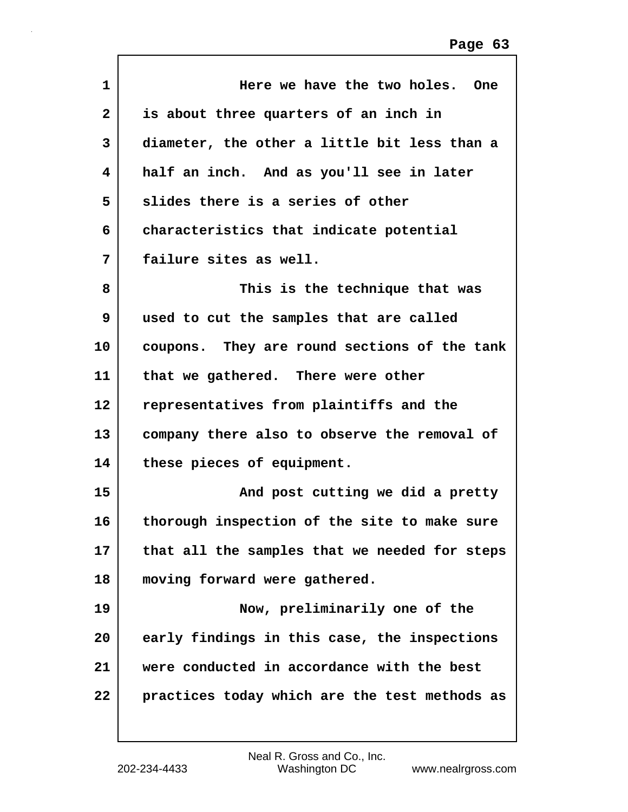| 1                 | Here we have the two holes. One               |
|-------------------|-----------------------------------------------|
| $\mathbf{2}$      | is about three quarters of an inch in         |
| 3                 | diameter, the other a little bit less than a  |
| 4                 | half an inch. And as you'll see in later      |
| 5                 | slides there is a series of other             |
| 6                 | characteristics that indicate potential       |
| 7                 | failure sites as well.                        |
| 8                 | This is the technique that was                |
| 9                 | used to cut the samples that are called       |
| 10                | coupons. They are round sections of the tank  |
| 11                | that we gathered. There were other            |
| $12 \overline{ }$ | representatives from plaintiffs and the       |
| 13                | company there also to observe the removal of  |
| 14                | these pieces of equipment.                    |
| 15                | And post cutting we did a pretty              |
| 16                | thorough inspection of the site to make sure  |
| 17                | that all the samples that we needed for steps |
| 18                | moving forward were gathered.                 |
| 19                | Now, preliminarily one of the                 |
| 20                | early findings in this case, the inspections  |
| 21                | were conducted in accordance with the best    |
| 22                | practices today which are the test methods as |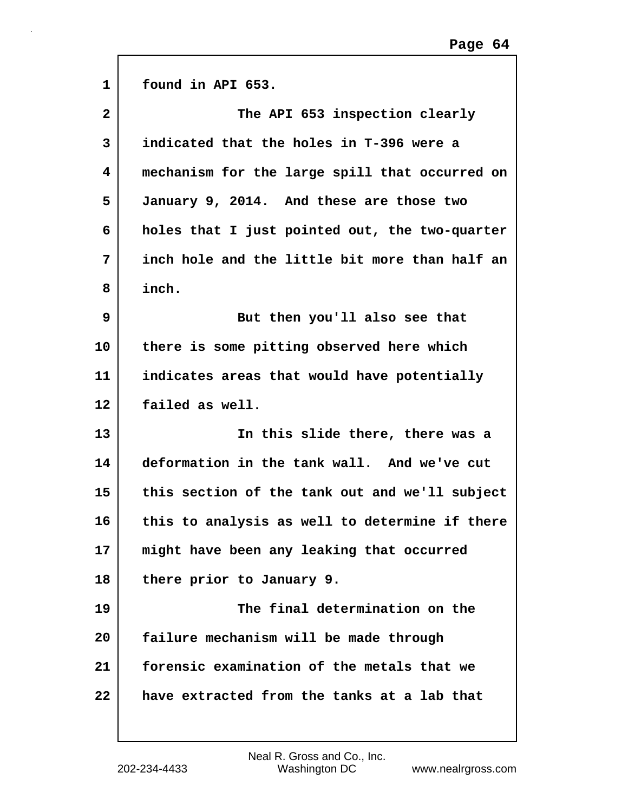| $\mathbf{1}$            | found in API 653.                              |
|-------------------------|------------------------------------------------|
|                         |                                                |
| $\overline{\mathbf{2}}$ | The API 653 inspection clearly                 |
| 3                       | indicated that the holes in T-396 were a       |
| 4                       | mechanism for the large spill that occurred on |
| 5                       | January 9, 2014. And these are those two       |
| 6                       | holes that I just pointed out, the two-quarter |
| 7                       | inch hole and the little bit more than half an |
| 8                       | inch.                                          |
| 9                       | But then you'll also see that                  |
| 10                      | there is some pitting observed here which      |
| 11                      | indicates areas that would have potentially    |
| 12                      | failed as well.                                |
| 13                      | In this slide there, there was a               |
| 14                      | deformation in the tank wall. And we've cut    |
| 15                      | this section of the tank out and we'll subject |
| 16                      | this to analysis as well to determine if there |
| 17                      | might have been any leaking that occurred      |
| 18                      | there prior to January 9.                      |
| 19                      | The final determination on the                 |
| 20                      | failure mechanism will be made through         |
| 21                      | forensic examination of the metals that we     |
| 22                      | have extracted from the tanks at a lab that    |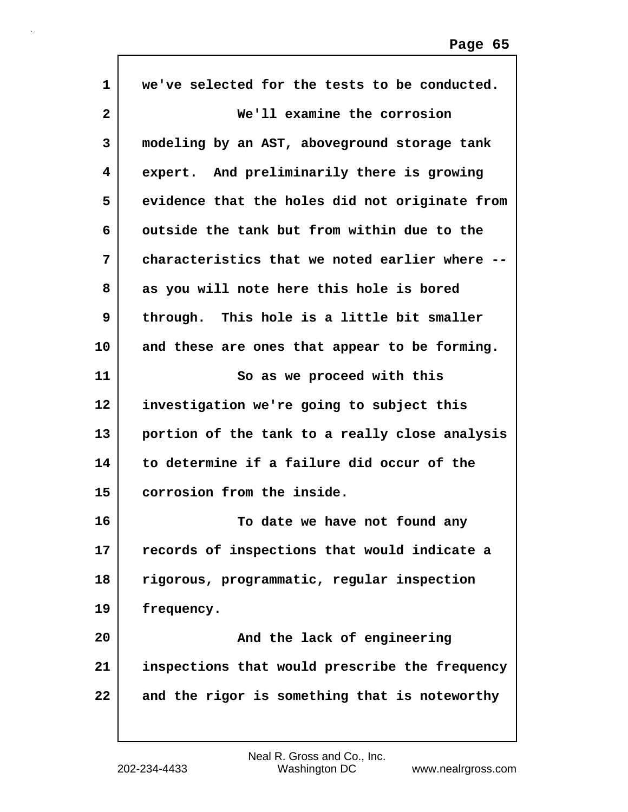| $\mathbf{1}$   | we've selected for the tests to be conducted.  |
|----------------|------------------------------------------------|
| $\overline{a}$ | We'll examine the corrosion                    |
| 3              | modeling by an AST, aboveground storage tank   |
| 4              | expert. And preliminarily there is growing     |
| 5              | evidence that the holes did not originate from |
| 6              | outside the tank but from within due to the    |
| 7              | characteristics that we noted earlier where -  |
| 8              | as you will note here this hole is bored       |
| 9              | through. This hole is a little bit smaller     |
| 10             | and these are ones that appear to be forming.  |
| 11             | So as we proceed with this                     |
| 12             | investigation we're going to subject this      |
| 13             | portion of the tank to a really close analysis |
| 14             | to determine if a failure did occur of the     |
| 15             | corrosion from the inside.                     |
| 16             | To date we have not found any                  |
| 17             | records of inspections that would indicate a   |
| 18             | rigorous, programmatic, regular inspection     |
| 19             | frequency.                                     |
| 20             | And the lack of engineering                    |
| 21             | inspections that would prescribe the frequency |
| 22             | and the rigor is something that is noteworthy  |
|                |                                                |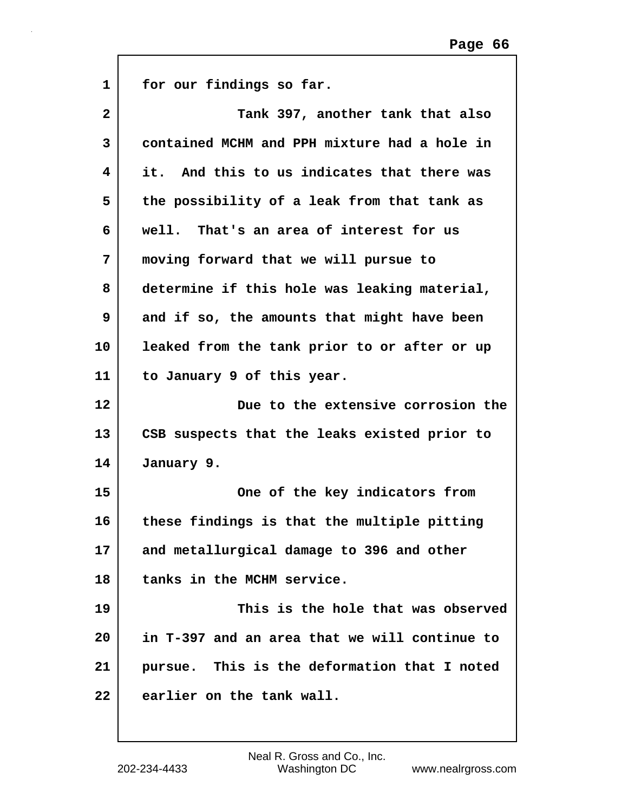| $\mathbf{1}$ | for our findings so far.                      |
|--------------|-----------------------------------------------|
| $\mathbf{2}$ | Tank 397, another tank that also              |
| 3            | contained MCHM and PPH mixture had a hole in  |
| 4            | it. And this to us indicates that there was   |
| 5            | the possibility of a leak from that tank as   |
| 6            | well. That's an area of interest for us       |
| 7            | moving forward that we will pursue to         |
| 8            | determine if this hole was leaking material,  |
| 9            | and if so, the amounts that might have been   |
| 10           | leaked from the tank prior to or after or up  |
| 11           | to January 9 of this year.                    |
| 12           | Due to the extensive corrosion the            |
| 13           | CSB suspects that the leaks existed prior to  |
| 14           | January 9.                                    |
| 15           | One of the key indicators from                |
| 16           | these findings is that the multiple pitting   |
| 17           | and metallurgical damage to 396 and other     |
| 18           | tanks in the MCHM service.                    |
| 19           | This is the hole that was observed            |
| 20           | in T-397 and an area that we will continue to |
| 21           | pursue. This is the deformation that I noted  |
| 22           | earlier on the tank wall.                     |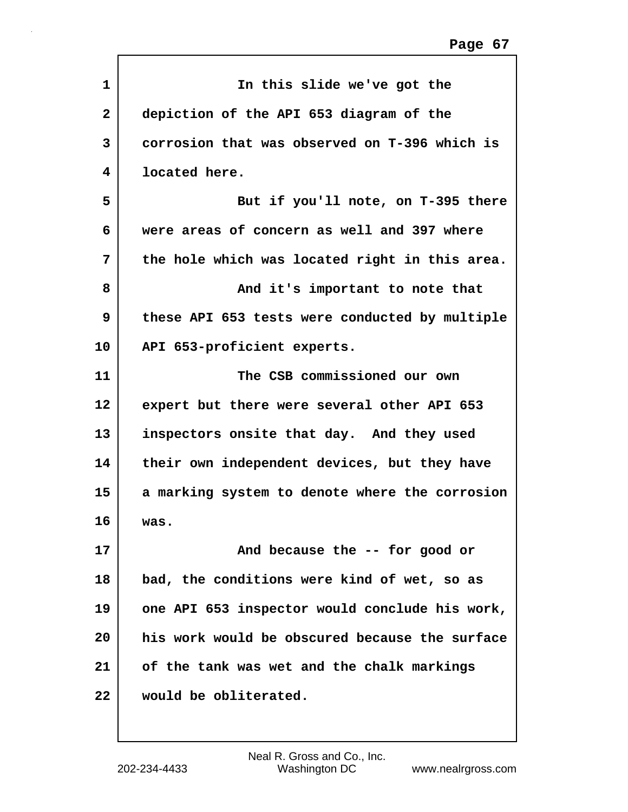| $\mathbf{1}$ | In this slide we've got the                    |
|--------------|------------------------------------------------|
| $\mathbf{2}$ | depiction of the API 653 diagram of the        |
| 3            | corrosion that was observed on T-396 which is  |
| 4            | located here.                                  |
| 5            | But if you'll note, on T-395 there             |
| 6            | were areas of concern as well and 397 where    |
| 7            | the hole which was located right in this area. |
| 8            | And it's important to note that                |
| 9            | these API 653 tests were conducted by multiple |
| 10           | API 653-proficient experts.                    |
| 11           | The CSB commissioned our own                   |
| 12           | expert but there were several other API 653    |
| 13           | inspectors onsite that day. And they used      |
| 14           | their own independent devices, but they have   |
| 15           | a marking system to denote where the corrosion |
| 16           | was.                                           |
| 17           | And because the -- for good or                 |
| 18           | bad, the conditions were kind of wet, so as    |
| 19           | one API 653 inspector would conclude his work, |
| 20           | his work would be obscured because the surface |
| 21           | of the tank was wet and the chalk markings     |
| 22           | would be obliterated.                          |
|              |                                                |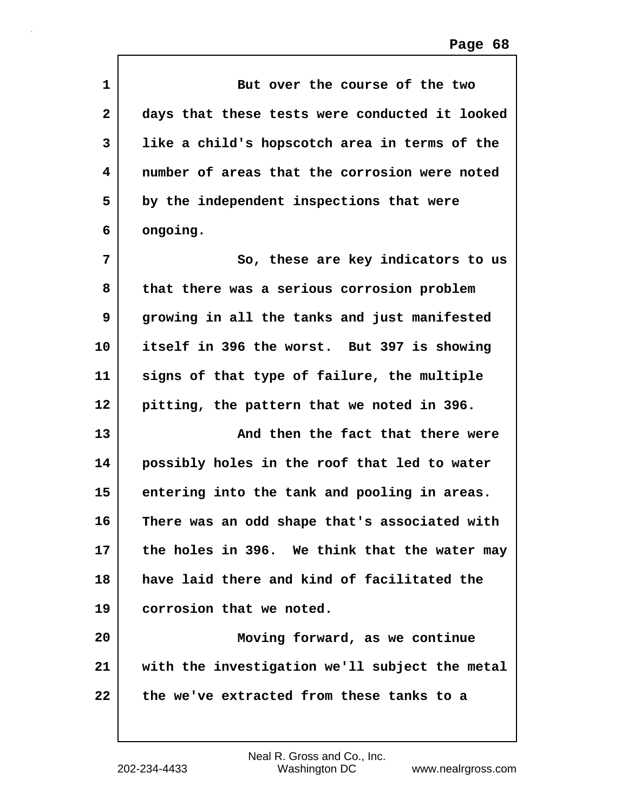| 1            | But over the course of the two                 |
|--------------|------------------------------------------------|
| $\mathbf{2}$ | days that these tests were conducted it looked |
| 3            | like a child's hopscotch area in terms of the  |
| 4            | number of areas that the corrosion were noted  |
| 5            | by the independent inspections that were       |
| 6            | ongoing.                                       |
| 7            | So, these are key indicators to us             |
| 8            | that there was a serious corrosion problem     |
| 9            | growing in all the tanks and just manifested   |
| 10           | itself in 396 the worst. But 397 is showing    |
| 11           | signs of that type of failure, the multiple    |
| 12           | pitting, the pattern that we noted in 396.     |
| 13           | And then the fact that there were              |
| 14           | possibly holes in the roof that led to water   |
| 15           | entering into the tank and pooling in areas.   |
| 16           | There was an odd shape that's associated with  |
| 17           | the holes in 396. We think that the water may  |
| 18           | have laid there and kind of facilitated the    |
| 19           | corrosion that we noted.                       |
| 20           | Moving forward, as we continue                 |
| 21           | with the investigation we'll subject the metal |
| 22           | the we've extracted from these tanks to a      |
|              |                                                |

 $\sqrt{ }$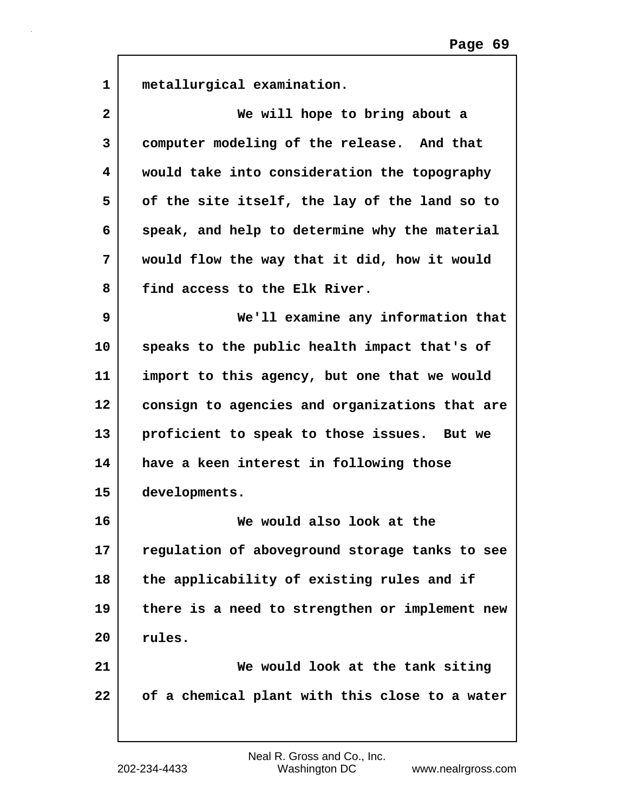| $\mathbf{1}$ | metallurgical examination.                     |
|--------------|------------------------------------------------|
| $\mathbf{2}$ | We will hope to bring about a                  |
| 3            | computer modeling of the release. And that     |
| 4            | would take into consideration the topography   |
| 5            | of the site itself, the lay of the land so to  |
| 6            | speak, and help to determine why the material  |
| 7            | would flow the way that it did, how it would   |
| 8            | find access to the Elk River.                  |
| 9            | We'll examine any information that             |
| 10           | speaks to the public health impact that's of   |
| 11           | import to this agency, but one that we would   |
| 12           | consign to agencies and organizations that are |
| 13           | proficient to speak to those issues. But we    |
| 14           | have a keen interest in following those        |
| 15           | developments.                                  |
| 16           | We would also look at the                      |
| 17           | regulation of aboveground storage tanks to see |
| 18           | the applicability of existing rules and if     |
| 19           | there is a need to strengthen or implement new |
| 20           | rules.                                         |
| 21           | We would look at the tank siting               |
| 22           | of a chemical plant with this close to a water |
|              |                                                |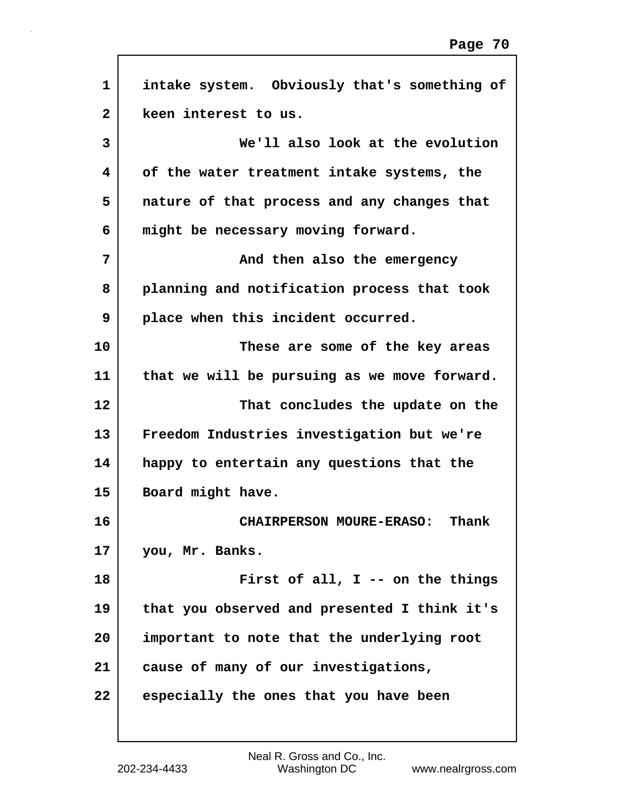| $\mathbf{1}$   | intake system. Obviously that's something of |
|----------------|----------------------------------------------|
| $\overline{2}$ | keen interest to us.                         |
| 3              | We'll also look at the evolution             |
| 4              | of the water treatment intake systems, the   |
| 5              | nature of that process and any changes that  |
| 6              | might be necessary moving forward.           |
| 7              | And then also the emergency                  |
| 8              | planning and notification process that took  |
| 9              | place when this incident occurred.           |
| 10             | These are some of the key areas              |
| 11             | that we will be pursuing as we move forward. |
| 12             | That concludes the update on the             |
| 13             | Freedom Industries investigation but we're   |
| 14             | happy to entertain any questions that the    |
| 15             | Board might have.                            |
| 16             | CHAIRPERSON MOURE-ERASO:<br>Thank            |
| 17             | you, Mr. Banks.                              |
| 18             | First of all, I -- on the things             |
| 19             | that you observed and presented I think it's |
| 20             | important to note that the underlying root   |
| 21             | cause of many of our investigations,         |
| 22             | especially the ones that you have been       |
|                |                                              |

Г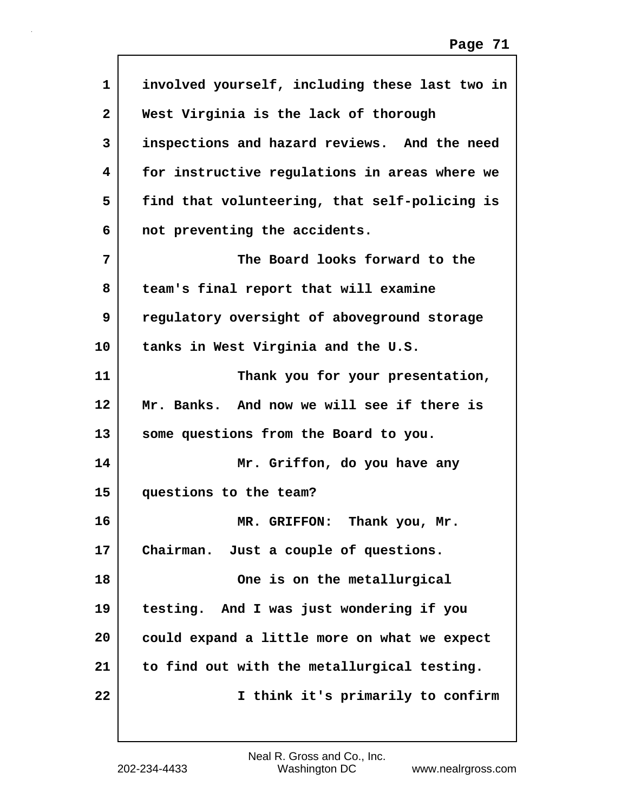| 1            | involved yourself, including these last two in |
|--------------|------------------------------------------------|
| $\mathbf{2}$ | West Virginia is the lack of thorough          |
| 3            | inspections and hazard reviews. And the need   |
| 4            | for instructive regulations in areas where we  |
| 5            | find that volunteering, that self-policing is  |
| 6            | not preventing the accidents.                  |
| 7            | The Board looks forward to the                 |
| 8            | team's final report that will examine          |
| 9            | regulatory oversight of aboveground storage    |
| 10           | tanks in West Virginia and the U.S.            |
| 11           | Thank you for your presentation,               |
| 12           | Mr. Banks. And now we will see if there is     |
| 13           | some questions from the Board to you.          |
| 14           | Mr. Griffon, do you have any                   |
| 15           | questions to the team?                         |
| 16           | Thank you, Mr.<br>MR. GRIFFON:                 |
| 17           | Chairman. Just a couple of questions.          |
| 18           | One is on the metallurgical                    |
| 19           | testing. And I was just wondering if you       |
| 20           | could expand a little more on what we expect   |
| 21           | to find out with the metallurgical testing.    |
| 22           | I think it's primarily to confirm              |
|              |                                                |

 $\sqrt{ }$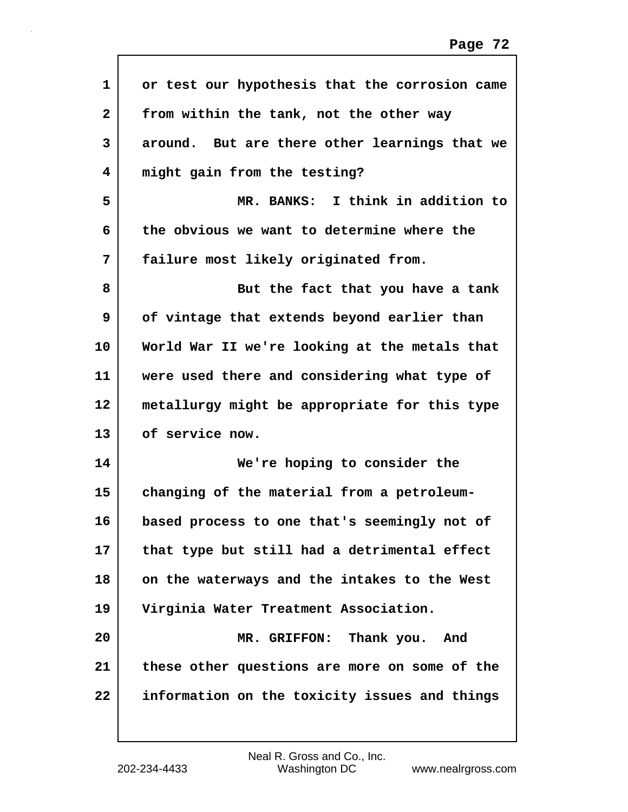| 1            | or test our hypothesis that the corrosion came |
|--------------|------------------------------------------------|
| $\mathbf{2}$ | from within the tank, not the other way        |
| 3            | around. But are there other learnings that we  |
| 4            | might gain from the testing?                   |
| 5            | MR. BANKS: I think in addition to              |
| 6            | the obvious we want to determine where the     |
| 7            | failure most likely originated from.           |
| 8            | But the fact that you have a tank              |
| 9            | of vintage that extends beyond earlier than    |
| 10           | World War II we're looking at the metals that  |
| 11           | were used there and considering what type of   |
| 12           | metallurgy might be appropriate for this type  |
| 13           | of service now.                                |
| 14           | We're hoping to consider the                   |
| 15           | changing of the material from a petroleum-     |
| 16           | based process to one that's seemingly not of   |
| 17           | that type but still had a detrimental effect   |
| 18           | on the waterways and the intakes to the West   |
| 19           | Virginia Water Treatment Association.          |
| 20           | MR. GRIFFON: Thank you. And                    |
| 21           | these other questions are more on some of the  |
| 22           | information on the toxicity issues and things  |
|              |                                                |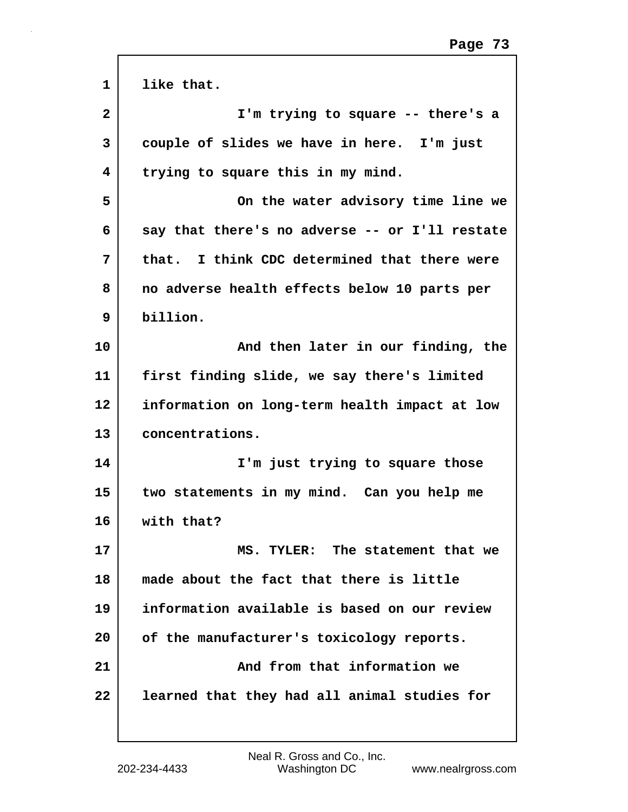| $\mathbf{1}$ | like that.                                     |
|--------------|------------------------------------------------|
| $\mathbf{2}$ | I'm trying to square -- there's a              |
| 3            | couple of slides we have in here. I'm just     |
| 4            | trying to square this in my mind.              |
| 5            | On the water advisory time line we             |
| 6            | say that there's no adverse -- or I'll restate |
| 7            | that. I think CDC determined that there were   |
| 8            | no adverse health effects below 10 parts per   |
| 9            | billion.                                       |
| 10           | And then later in our finding, the             |
| 11           | first finding slide, we say there's limited    |
| 12           | information on long-term health impact at low  |
| 13           | concentrations.                                |
| 14           | I'm just trying to square those                |
| 15           | two statements in my mind. Can you help me     |
| 16           | with that?                                     |
| 17           | MS. TYLER: The statement that we               |
| 18           | made about the fact that there is little       |
| 19           | information available is based on our review   |
| 20           | of the manufacturer's toxicology reports.      |
| 21           | And from that information we                   |
| 22           | learned that they had all animal studies for   |
|              |                                                |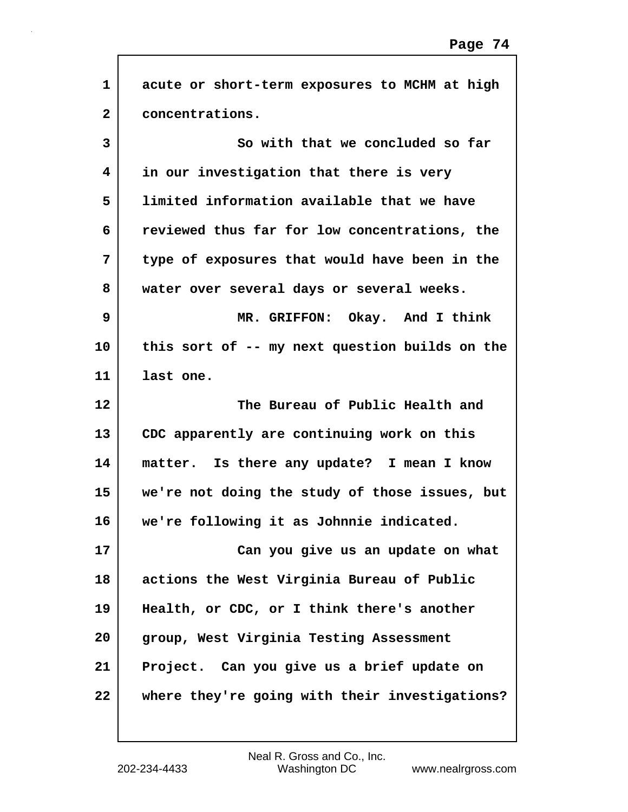| $\mathbf{1}$ | acute or short-term exposures to MCHM at high  |
|--------------|------------------------------------------------|
| $\mathbf{2}$ | concentrations.                                |
| 3            | So with that we concluded so far               |
| 4            | in our investigation that there is very        |
| 5            | limited information available that we have     |
| 6            | reviewed thus far for low concentrations, the  |
| 7            | type of exposures that would have been in the  |
| 8            | water over several days or several weeks.      |
| 9            | MR. GRIFFON: Okay. And I think                 |
| 10           | this sort of -- my next question builds on the |
| 11           | last one.                                      |
| 12           | The Bureau of Public Health and                |
| 13           | CDC apparently are continuing work on this     |
| 14           | matter. Is there any update? I mean I know     |
| 15           | we're not doing the study of those issues, but |
| 16           | we're following it as Johnnie indicated.       |
| 17           | Can you give us an update on what              |
| 18           | actions the West Virginia Bureau of Public     |
| 19           | Health, or CDC, or I think there's another     |
| 20           |                                                |
|              | group, West Virginia Testing Assessment        |
| 21           | Project. Can you give us a brief update on     |
| 22           | where they're going with their investigations? |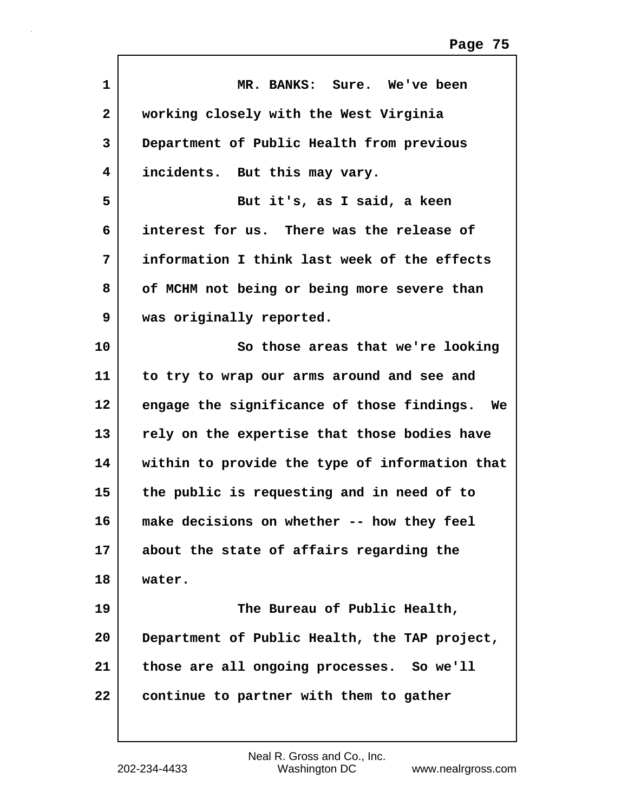| $\mathbf{1}$ | MR. BANKS: Sure. We've been                    |
|--------------|------------------------------------------------|
| $\mathbf{2}$ | working closely with the West Virginia         |
| 3            | Department of Public Health from previous      |
| 4            | incidents. But this may vary.                  |
| 5            | But it's, as I said, a keen                    |
| 6            | interest for us. There was the release of      |
| 7            | information I think last week of the effects   |
| 8            | of MCHM not being or being more severe than    |
| 9            | was originally reported.                       |
| 10           | So those areas that we're looking              |
| 11           | to try to wrap our arms around and see and     |
| 12           | engage the significance of those findings. We  |
| 13           | rely on the expertise that those bodies have   |
| 14           | within to provide the type of information that |
| 15           | the public is requesting and in need of to     |
| 16           | make decisions on whether -- how they feel     |
| 17           | about the state of affairs regarding the       |
| 18           | water.                                         |
| 19           | The Bureau of Public Health,                   |
| 20           | Department of Public Health, the TAP project,  |
| 21           | those are all ongoing processes. So we'll      |
| 22           | continue to partner with them to gather        |
|              |                                                |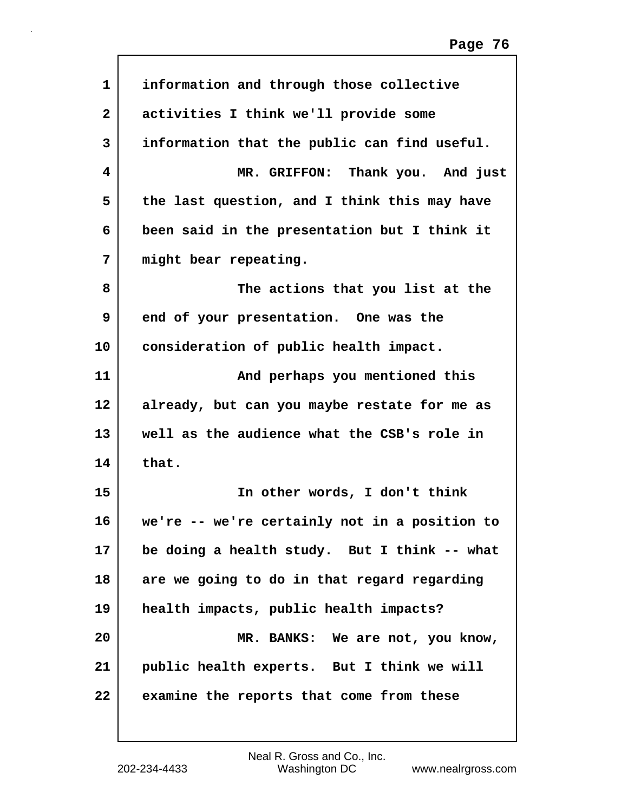| 1  | information and through those collective      |
|----|-----------------------------------------------|
| 2  | activities I think we'll provide some         |
| 3  | information that the public can find useful.  |
| 4  | MR. GRIFFON: Thank you. And just              |
| 5  | the last question, and I think this may have  |
| 6  | been said in the presentation but I think it  |
| 7  | might bear repeating.                         |
| 8  | The actions that you list at the              |
| 9  | end of your presentation. One was the         |
| 10 | consideration of public health impact.        |
| 11 | And perhaps you mentioned this                |
| 12 | already, but can you maybe restate for me as  |
| 13 | well as the audience what the CSB's role in   |
| 14 | that.                                         |
| 15 | In other words, I don't think                 |
| 16 | we're -- we're certainly not in a position to |
| 17 | be doing a health study. But I think -- what  |
| 18 | are we going to do in that regard regarding   |
| 19 | health impacts, public health impacts?        |
| 20 | MR. BANKS: We are not, you know,              |
| 21 | public health experts. But I think we will    |
| 22 | examine the reports that come from these      |
|    |                                               |

 $\mathsf{l}$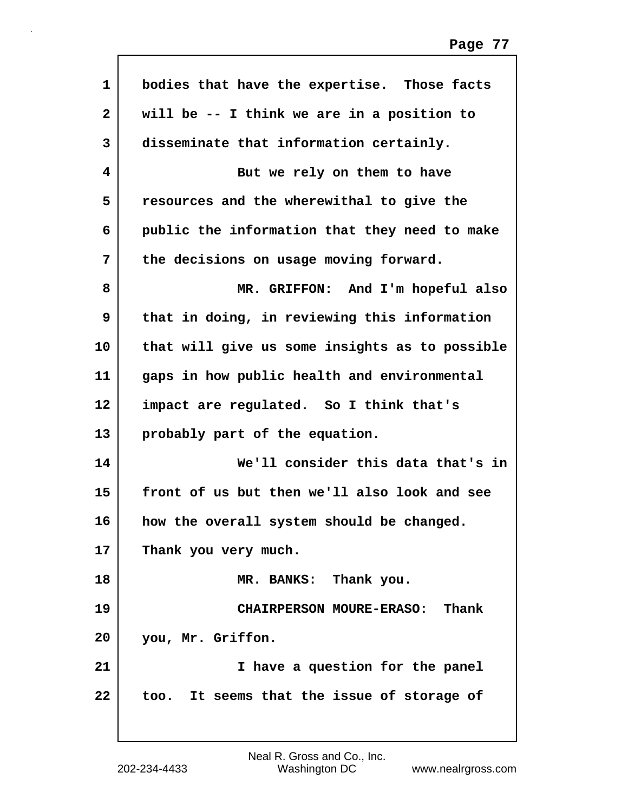| $\mathbf{1}$ | bodies that have the expertise. Those facts    |
|--------------|------------------------------------------------|
| $\mathbf{2}$ | will be -- I think we are in a position to     |
| 3            | disseminate that information certainly.        |
| 4            | But we rely on them to have                    |
| 5            | resources and the wherewithal to give the      |
| 6            | public the information that they need to make  |
| 7            | the decisions on usage moving forward.         |
| 8            | MR. GRIFFON: And I'm hopeful also              |
| 9            | that in doing, in reviewing this information   |
| 10           | that will give us some insights as to possible |
| 11           | gaps in how public health and environmental    |
| 12           | impact are regulated. So I think that's        |
| 13           | probably part of the equation.                 |
| 14           | We'll consider this data that's in             |
| 15           | front of us but then we'll also look and see   |
| 16           | how the overall system should be changed.      |
| 17           | Thank you very much.                           |
| 18           | MR. BANKS: Thank you.                          |
| 19           | CHAIRPERSON MOURE-ERASO: Thank                 |
| 20           | you, Mr. Griffon.                              |
| 21           | I have a question for the panel                |
| 22           | too. It seems that the issue of storage of     |
|              |                                                |

Г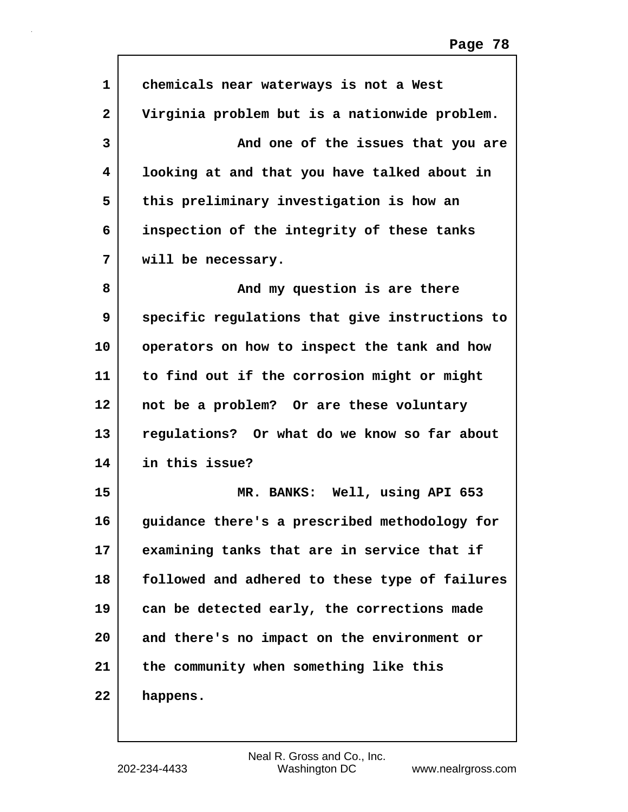| $\mathbf{1}$ | chemicals near waterways is not a West         |
|--------------|------------------------------------------------|
| $\mathbf{2}$ | Virginia problem but is a nationwide problem.  |
| 3            | And one of the issues that you are             |
| 4            | looking at and that you have talked about in   |
| 5            | this preliminary investigation is how an       |
| 6            | inspection of the integrity of these tanks     |
| 7            | will be necessary.                             |
| 8            | And my question is are there                   |
| 9            | specific regulations that give instructions to |
| 10           | operators on how to inspect the tank and how   |
| 11           | to find out if the corrosion might or might    |
| 12           | not be a problem? Or are these voluntary       |
| 13           | regulations? Or what do we know so far about   |
| 14           | in this issue?                                 |
| 15           | MR. BANKS: Well, using API 653                 |
| 16           | guidance there's a prescribed methodology for  |
| 17           | examining tanks that are in service that if    |
| 18           | followed and adhered to these type of failures |
| 19           | can be detected early, the corrections made    |
| 20           | and there's no impact on the environment or    |
| 21           | the community when something like this         |
| 22           | happens.                                       |
|              |                                                |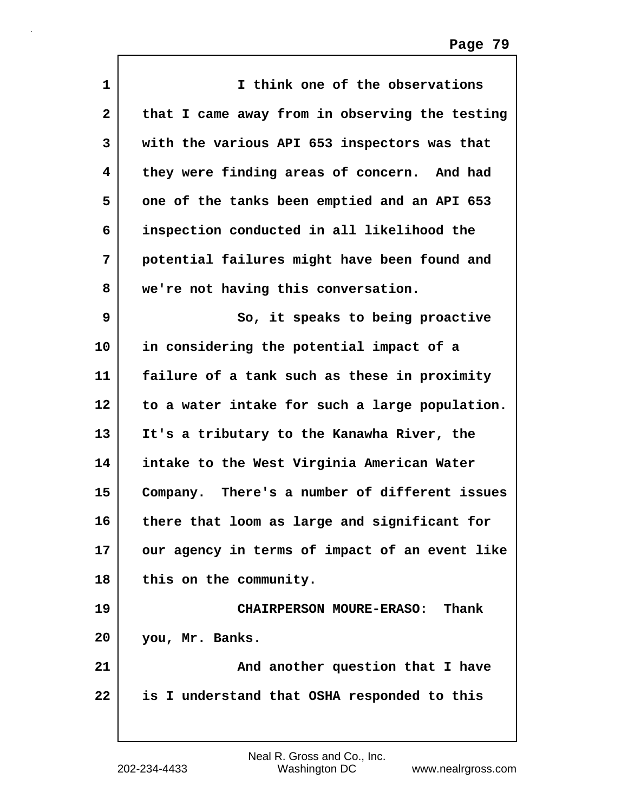| $\mathbf{1}$ | I think one of the observations                |
|--------------|------------------------------------------------|
| $\mathbf{2}$ | that I came away from in observing the testing |
| 3            | with the various API 653 inspectors was that   |
| 4            | they were finding areas of concern. And had    |
| 5            | one of the tanks been emptied and an API 653   |
| 6            | inspection conducted in all likelihood the     |
| 7            | potential failures might have been found and   |
| 8            | we're not having this conversation.            |
| 9            | So, it speaks to being proactive               |
| 10           | in considering the potential impact of a       |
| 11           | failure of a tank such as these in proximity   |
| 12           | to a water intake for such a large population. |
| 13           | It's a tributary to the Kanawha River, the     |
| 14           | intake to the West Virginia American Water     |
| 15           | Company. There's a number of different issues  |
| 16           | there that loom as large and significant for   |
| 17           | our agency in terms of impact of an event like |
| 18           | this on the community.                         |
| 19           | <b>CHAIRPERSON MOURE-ERASO:</b><br>Thank       |
| 20           | you, Mr. Banks.                                |
| 21           | And another question that I have               |
| 22           | is I understand that OSHA responded to this    |
|              |                                                |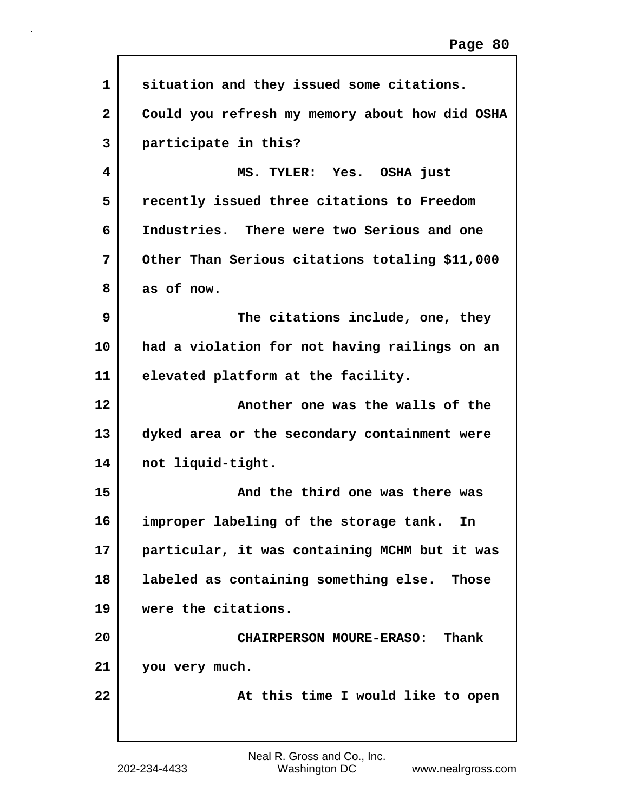| $\mathbf 1$  | situation and they issued some citations.      |
|--------------|------------------------------------------------|
| $\mathbf{2}$ | Could you refresh my memory about how did OSHA |
| 3            | participate in this?                           |
| 4            | MS. TYLER: Yes. OSHA just                      |
| 5            | recently issued three citations to Freedom     |
| 6            | Industries. There were two Serious and one     |
| 7            | Other Than Serious citations totaling \$11,000 |
| 8            | as of now.                                     |
| 9            | The citations include, one, they               |
| 10           | had a violation for not having railings on an  |
| 11           | elevated platform at the facility.             |
| 12           | Another one was the walls of the               |
| 13           | dyked area or the secondary containment were   |
| 14           | not liquid-tight.                              |
| 15           | And the third one was there was                |
| 16           | improper labeling of the storage tank.<br>In   |
| 17           | particular, it was containing MCHM but it was  |
| 18           | labeled as containing something else. Those    |
| 19           | were the citations.                            |
| 20           | <b>CHAIRPERSON MOURE-ERASO:</b><br>Thank       |
| 21           | you very much.                                 |
| 22           | At this time I would like to open              |
|              |                                                |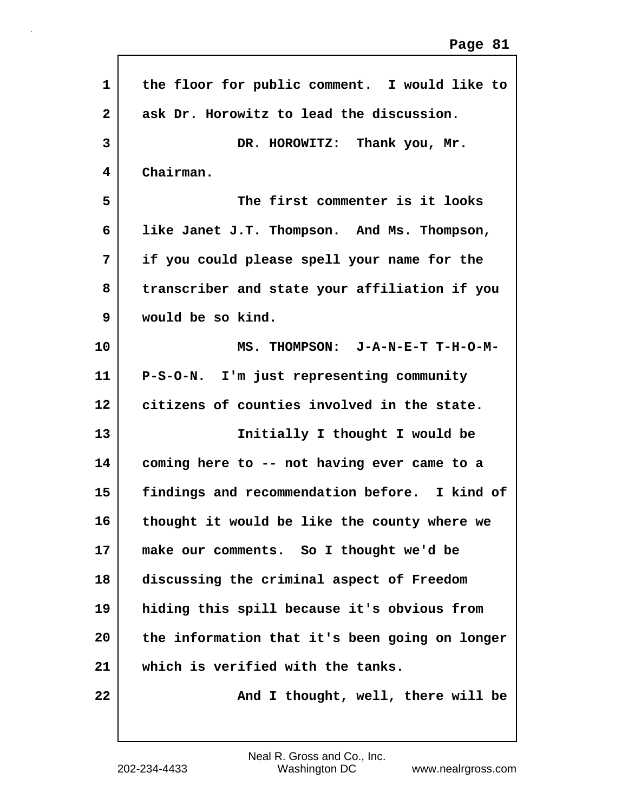| $\mathbf{1}$      | the floor for public comment. I would like to  |
|-------------------|------------------------------------------------|
| $\mathbf{2}$      | ask Dr. Horowitz to lead the discussion.       |
| 3                 | DR. HOROWITZ: Thank you, Mr.                   |
| 4                 | Chairman.                                      |
| 5                 | The first commenter is it looks                |
| 6                 | like Janet J.T. Thompson. And Ms. Thompson,    |
| 7                 | if you could please spell your name for the    |
| 8                 | transcriber and state your affiliation if you  |
| 9                 | would be so kind.                              |
| 10                | MS. THOMPSON: J-A-N-E-T T-H-O-M-               |
| 11                | P-S-O-N. I'm just representing community       |
| $12 \overline{ }$ | citizens of counties involved in the state.    |
| 13                | Initially I thought I would be                 |
| 14                | coming here to -- not having ever came to a    |
| 15                | findings and recommendation before. I kind of  |
| 16                | thought it would be like the county where we   |
| 17                | make our comments. So I thought we'd be        |
| 18                | discussing the criminal aspect of Freedom      |
| 19                | hiding this spill because it's obvious from    |
| 20                | the information that it's been going on longer |
| 21                | which is verified with the tanks.              |
| 22                | And I thought, well, there will be             |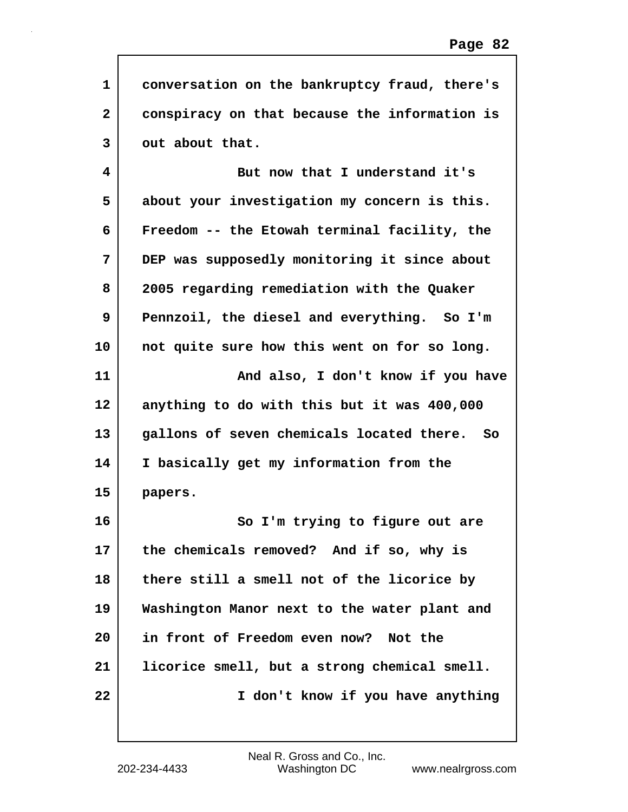| $\mathbf{1}$ | conversation on the bankruptcy fraud, there's |
|--------------|-----------------------------------------------|
| $\mathbf{2}$ | conspiracy on that because the information is |
| 3            | out about that.                               |
| 4            | But now that I understand it's                |
| 5            | about your investigation my concern is this.  |
| 6            | Freedom -- the Etowah terminal facility, the  |
| 7            | DEP was supposedly monitoring it since about  |
| 8            | 2005 regarding remediation with the Quaker    |
| 9            | Pennzoil, the diesel and everything. So I'm   |
| 10           | not quite sure how this went on for so long.  |
| 11           | And also, I don't know if you have            |
| 12           | anything to do with this but it was 400,000   |
| 13           | gallons of seven chemicals located there. So  |
| 14           | I basically get my information from the       |
| 15           | papers.                                       |
| 16           | So I'm trying to figure out are               |
| 17           | the chemicals removed? And if so, why is      |
| 18           | there still a smell not of the licorice by    |
| 19           | Washington Manor next to the water plant and  |
| 20           | in front of Freedom even now? Not the         |
| 21           | licorice smell, but a strong chemical smell.  |
| 22           | I don't know if you have anything             |
|              |                                               |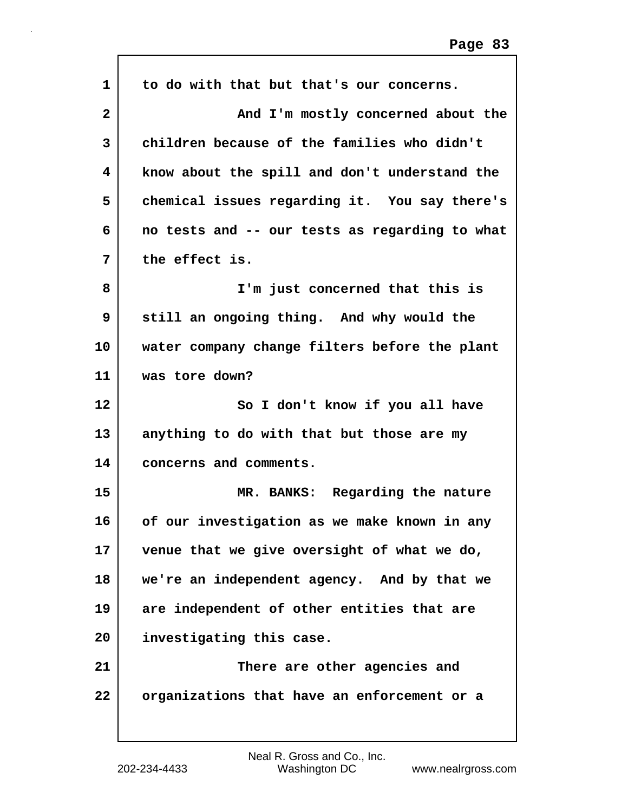| 1               | to do with that but that's our concerns.       |
|-----------------|------------------------------------------------|
| $\overline{2}$  | And I'm mostly concerned about the             |
| 3               | children because of the families who didn't    |
| 4               | know about the spill and don't understand the  |
| 5               | chemical issues regarding it. You say there's  |
| 6               | no tests and -- our tests as regarding to what |
| 7               | the effect is.                                 |
| 8               | I'm just concerned that this is                |
| 9               | still an ongoing thing. And why would the      |
| 10              | water company change filters before the plant  |
| 11              | was tore down?                                 |
| 12 <sub>2</sub> | So I don't know if you all have                |
| 13              | anything to do with that but those are my      |
| 14              | concerns and comments.                         |
| 15              | MR. BANKS: Regarding the nature                |
| 16              | of our investigation as we make known in any   |
| 17              | venue that we give oversight of what we do,    |
| 18              | we're an independent agency. And by that we    |
| 19              | are independent of other entities that are     |
| 20              | investigating this case.                       |
| 21              | There are other agencies and                   |
| 22              | organizations that have an enforcement or a    |
|                 |                                                |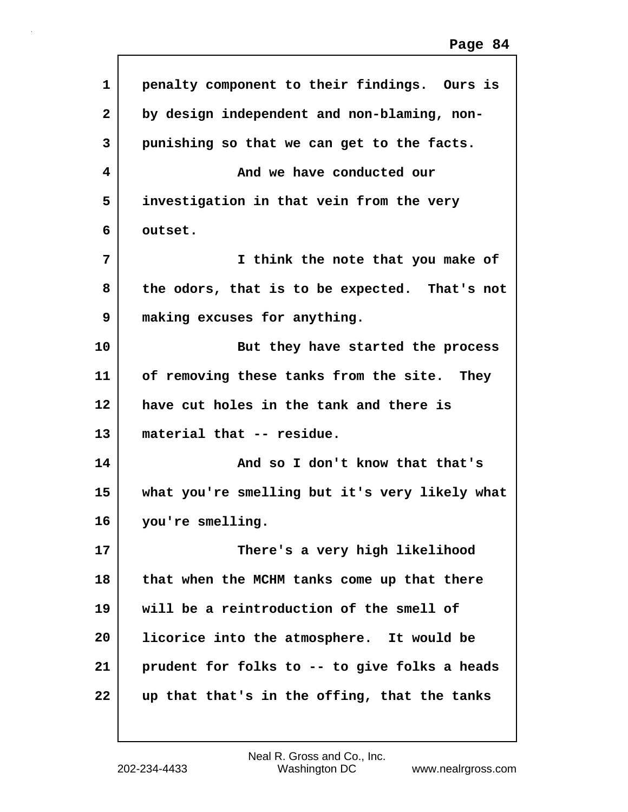| $\mathbf{1}$ | penalty component to their findings. Ours is   |
|--------------|------------------------------------------------|
| $\mathbf{2}$ | by design independent and non-blaming, non-    |
| 3            | punishing so that we can get to the facts.     |
| 4            | And we have conducted our                      |
| 5            | investigation in that vein from the very       |
| 6            | outset.                                        |
| 7            | I think the note that you make of              |
| 8            | the odors, that is to be expected. That's not  |
| 9            | making excuses for anything.                   |
| 10           | But they have started the process              |
| 11           | of removing these tanks from the site. They    |
| 12           | have cut holes in the tank and there is        |
| 13           | material that -- residue.                      |
| 14           | And so I don't know that that's                |
| 15           | what you're smelling but it's very likely what |
| 16           | you're smelling.                               |
| 17           | There's a very high likelihood                 |
| 18           | that when the MCHM tanks come up that there    |
| 19           | will be a reintroduction of the smell of       |
| 20           | licorice into the atmosphere. It would be      |
| 21           | prudent for folks to -- to give folks a heads  |
| 22           | up that that's in the offing, that the tanks   |
|              |                                                |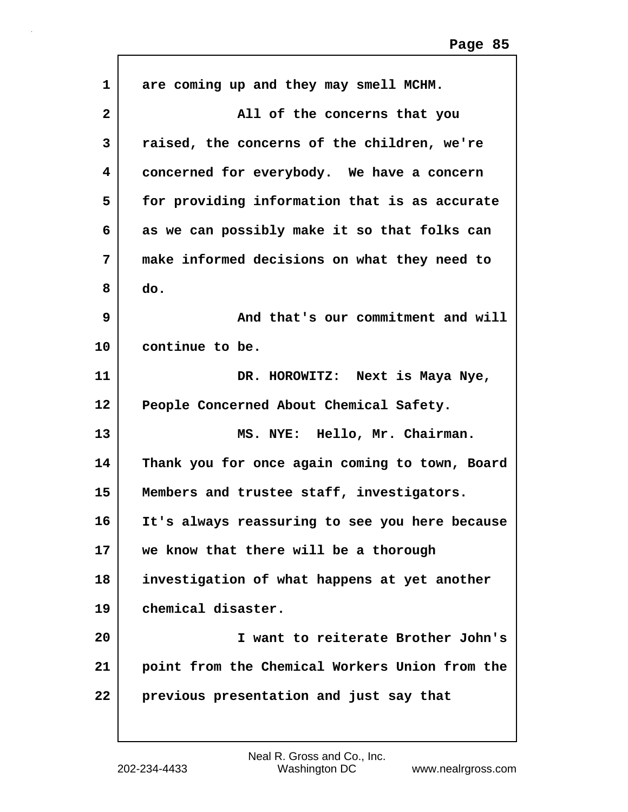| 1               | are coming up and they may smell MCHM.         |
|-----------------|------------------------------------------------|
| 2               | All of the concerns that you                   |
| 3               | raised, the concerns of the children, we're    |
| 4               | concerned for everybody. We have a concern     |
| 5               | for providing information that is as accurate  |
| 6               | as we can possibly make it so that folks can   |
| 7               | make informed decisions on what they need to   |
| 8               | do.                                            |
| 9               | And that's our commitment and will             |
| 10              | continue to be.                                |
| 11              | DR. HOROWITZ: Next is Maya Nye,                |
| 12              | People Concerned About Chemical Safety.        |
| 13              | MS. NYE: Hello, Mr. Chairman.                  |
| 14              | Thank you for once again coming to town, Board |
| 15              | Members and trustee staff, investigators.      |
| 16              | It's always reassuring to see you here because |
| 17 <sub>2</sub> | we know that there will be a thorough          |
| 18              | investigation of what happens at yet another   |
| 19              | chemical disaster.                             |
| 20              | I want to reiterate Brother John's             |
| 21              | point from the Chemical Workers Union from the |
| 22              | previous presentation and just say that        |
|                 |                                                |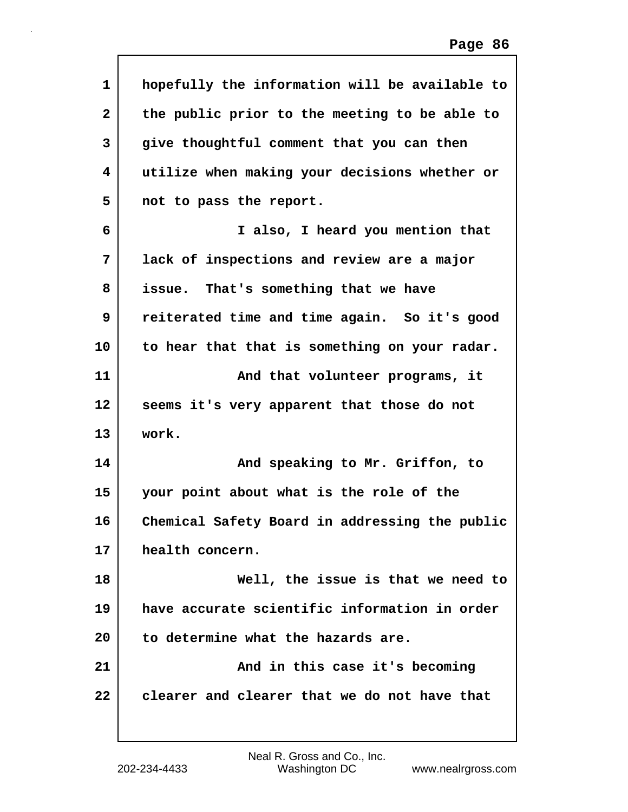| $\mathbf{1}$ | hopefully the information will be available to |
|--------------|------------------------------------------------|
| $\mathbf{2}$ | the public prior to the meeting to be able to  |
| 3            | give thoughtful comment that you can then      |
| 4            | utilize when making your decisions whether or  |
| 5            | not to pass the report.                        |
| 6            | I also, I heard you mention that               |
| 7            | lack of inspections and review are a major     |
| 8            | That's something that we have<br>issue.        |
| 9            | reiterated time and time again. So it's good   |
| 10           | to hear that that is something on your radar.  |
| 11           | And that volunteer programs, it                |
| 12           | seems it's very apparent that those do not     |
| 13           | work.                                          |
| 14           | And speaking to Mr. Griffon, to                |
| 15           | your point about what is the role of the       |
| 16           | Chemical Safety Board in addressing the public |
| 17           | health concern.                                |
| 18           | Well, the issue is that we need to             |
| 19           | have accurate scientific information in order  |
| 20           | to determine what the hazards are.             |
| 21           | And in this case it's becoming                 |
| 22           | clearer and clearer that we do not have that   |

 $\mathsf{l}$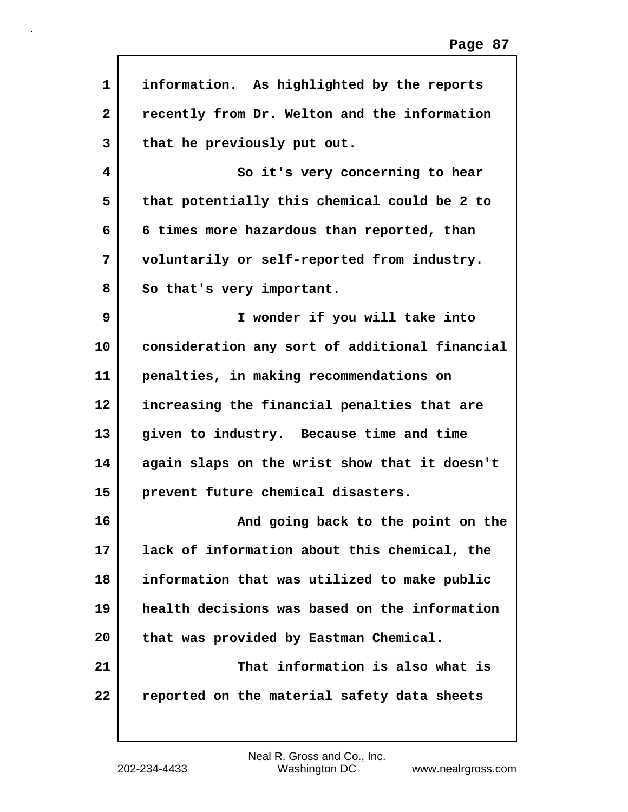| $\mathbf{1}$ | information. As highlighted by the reports     |
|--------------|------------------------------------------------|
| $\mathbf{2}$ | recently from Dr. Welton and the information   |
| 3            | that he previously put out.                    |
| 4            | So it's very concerning to hear                |
| 5            | that potentially this chemical could be 2 to   |
| 6            | 6 times more hazardous than reported, than     |
| 7            | voluntarily or self-reported from industry.    |
| 8            | So that's very important.                      |
| 9            | I wonder if you will take into                 |
| 10           | consideration any sort of additional financial |
| 11           | penalties, in making recommendations on        |
| 12           | increasing the financial penalties that are    |
| 13           | given to industry. Because time and time       |
| 14           | again slaps on the wrist show that it doesn't  |
| 15           | prevent future chemical disasters.             |
| 16           | And going back to the point on the             |
| 17           | lack of information about this chemical, the   |
| 18           | information that was utilized to make public   |
| 19           | health decisions was based on the information  |
| 20           | that was provided by Eastman Chemical.         |
| 21           | That information is also what is               |
| 22           | reported on the material safety data sheets    |
|              |                                                |

Г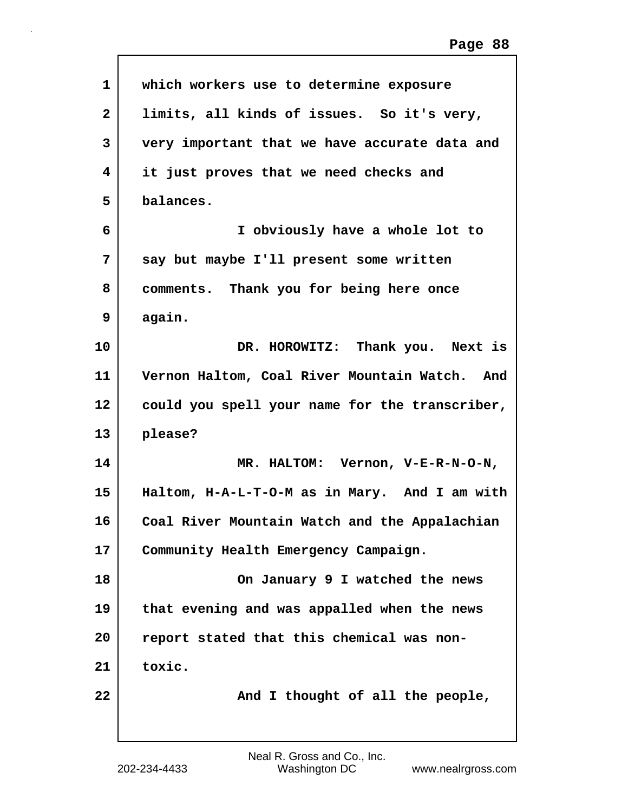| 1            | which workers use to determine exposure        |
|--------------|------------------------------------------------|
| $\mathbf{2}$ | limits, all kinds of issues. So it's very,     |
| 3            | very important that we have accurate data and  |
| 4            | it just proves that we need checks and         |
| 5            | balances.                                      |
| 6            | I obviously have a whole lot to                |
| 7            | say but maybe I'll present some written        |
| 8            | comments. Thank you for being here once        |
| 9            | again.                                         |
| 10           | DR. HOROWITZ: Thank you. Next is               |
| 11           | Vernon Haltom, Coal River Mountain Watch. And  |
| 12           | could you spell your name for the transcriber, |
| 13           | please?                                        |
| 14           | MR. HALTOM: Vernon, V-E-R-N-O-N,               |
| 15           | Haltom, H-A-L-T-O-M as in Mary. And I am with  |
| 16           | Coal River Mountain Watch and the Appalachian  |
| 17           | Community Health Emergency Campaign.           |
| 18           | On January 9 I watched the news                |
| 19           | that evening and was appalled when the news    |
| 20           | report stated that this chemical was non-      |
| 21           | toxic.                                         |
| 22           | And I thought of all the people,               |
|              |                                                |

Г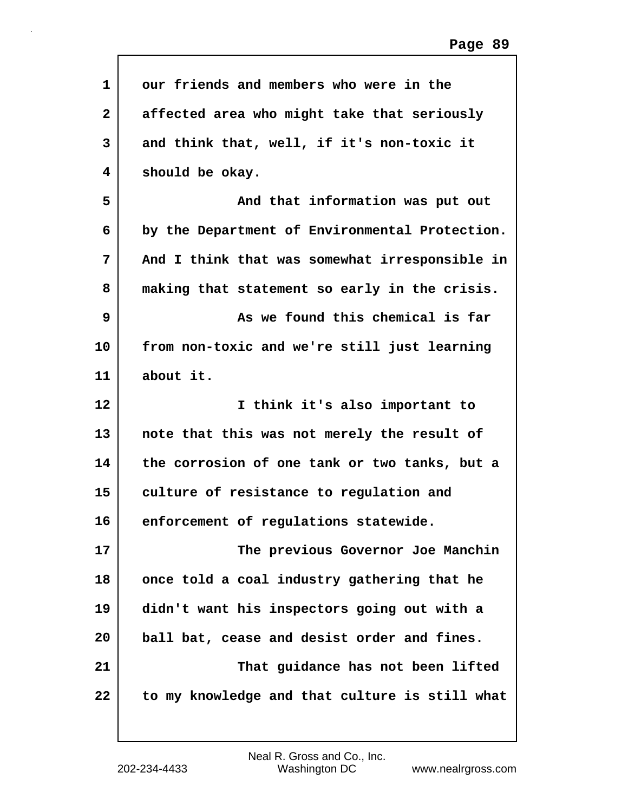| $\mathbf 1$  | our friends and members who were in the        |
|--------------|------------------------------------------------|
| $\mathbf{2}$ | affected area who might take that seriously    |
| 3            | and think that, well, if it's non-toxic it     |
| 4            | should be okay.                                |
| 5            | And that information was put out               |
| 6            | by the Department of Environmental Protection. |
| 7            | And I think that was somewhat irresponsible in |
| 8            | making that statement so early in the crisis.  |
| 9            | As we found this chemical is far               |
| 10           | from non-toxic and we're still just learning   |
| 11           | about it.                                      |
| 12           | I think it's also important to                 |
| 13           | note that this was not merely the result of    |
| 14           | the corrosion of one tank or two tanks, but a  |
| 15           | culture of resistance to regulation and        |
| 16           | enforcement of regulations statewide.          |
| 17           | The previous Governor Joe Manchin              |
| 18           | once told a coal industry gathering that he    |
| 19           | didn't want his inspectors going out with a    |
| 20           | ball bat, cease and desist order and fines.    |
| 21           | That guidance has not been lifted              |
| 22           | to my knowledge and that culture is still what |

 $\mathbf l$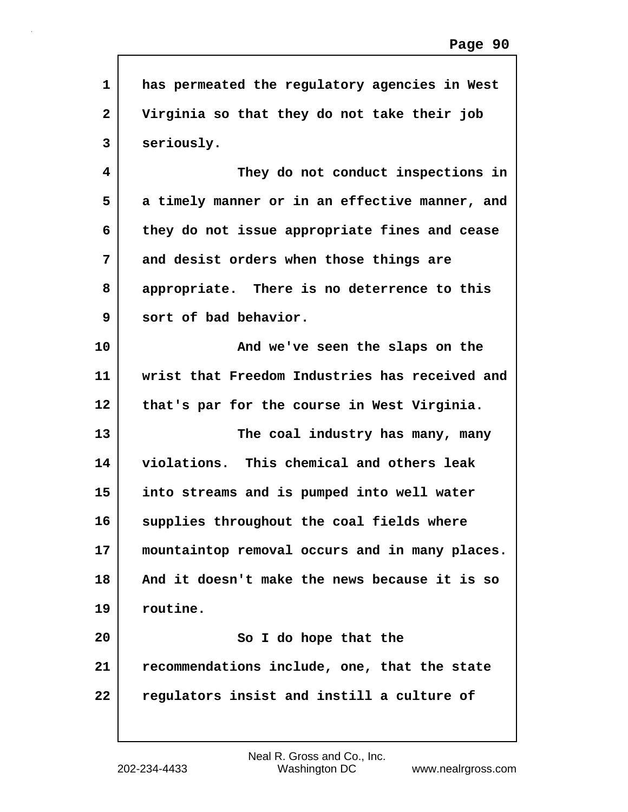| $\mathbf{1}$            | has permeated the regulatory agencies in West  |
|-------------------------|------------------------------------------------|
| $\overline{\mathbf{2}}$ | Virginia so that they do not take their job    |
|                         |                                                |
| 3                       | seriously.                                     |
| 4                       | They do not conduct inspections in             |
| 5                       | a timely manner or in an effective manner, and |
| 6                       | they do not issue appropriate fines and cease  |
| 7                       | and desist orders when those things are        |
| 8                       | appropriate. There is no deterrence to this    |
| 9                       | sort of bad behavior.                          |
| 10                      | And we've seen the slaps on the                |
| 11                      | wrist that Freedom Industries has received and |
| 12                      | that's par for the course in West Virginia.    |
| 13                      | The coal industry has many, many               |
| 14                      | violations. This chemical and others leak      |
| 15                      | into streams and is pumped into well water     |
| 16                      | supplies throughout the coal fields where      |
| 17                      | mountaintop removal occurs and in many places. |
| 18                      | And it doesn't make the news because it is so  |
| 19                      | routine.                                       |
| 20                      | So I do hope that the                          |
| 21                      | recommendations include, one, that the state   |
| 22                      | regulators insist and instill a culture of     |
|                         |                                                |

 $\mathsf{l}$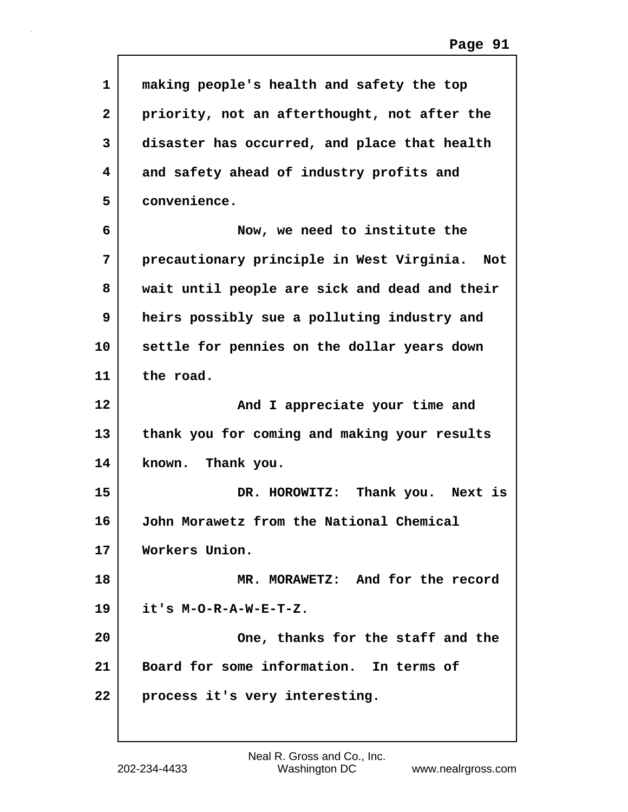| 1                       | making people's health and safety the top        |
|-------------------------|--------------------------------------------------|
| $\overline{\mathbf{2}}$ | priority, not an afterthought, not after the     |
| 3                       | disaster has occurred, and place that health     |
| 4                       | and safety ahead of industry profits and         |
| 5                       | convenience.                                     |
| 6                       | Now, we need to institute the                    |
| 7                       | precautionary principle in West Virginia.<br>Not |
| 8                       | wait until people are sick and dead and their    |
| 9                       | heirs possibly sue a polluting industry and      |
| 10                      | settle for pennies on the dollar years down      |
| 11                      | the road.                                        |
|                         |                                                  |
| $12 \overline{ }$       | And I appreciate your time and                   |
| 13                      | thank you for coming and making your results     |
| 14                      | known. Thank you.                                |
| 15                      | DR. HOROWITZ: Thank you. Next is                 |
| 16                      | John Morawetz from the National Chemical         |
| 17                      | Workers Union.                                   |
| 18                      | MR. MORAWETZ: And for the record                 |
| 19                      | it's M-O-R-A-W-E-T-Z.                            |
| 20                      | One, thanks for the staff and the                |
| 21                      | Board for some information. In terms of          |

 $\mathsf{l}$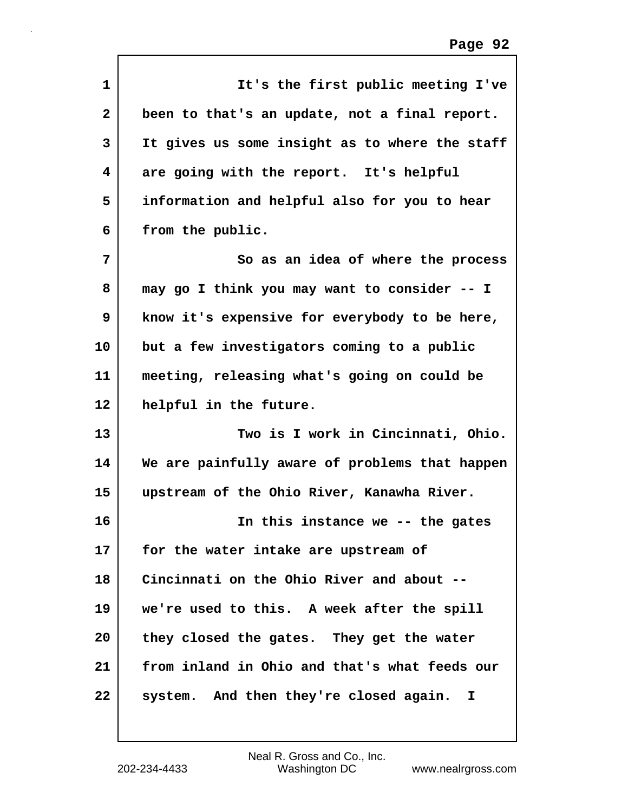| $\mathbf 1$  | It's the first public meeting I've             |
|--------------|------------------------------------------------|
| $\mathbf{2}$ | been to that's an update, not a final report.  |
| 3            | It gives us some insight as to where the staff |
| 4            | are going with the report. It's helpful        |
| 5            | information and helpful also for you to hear   |
| 6            | from the public.                               |
| 7            | So as an idea of where the process             |
| 8            | may go I think you may want to consider -- I   |
| 9            | know it's expensive for everybody to be here,  |
| 10           | but a few investigators coming to a public     |
| 11           | meeting, releasing what's going on could be    |
| 12           | helpful in the future.                         |
| 13           | Two is I work in Cincinnati, Ohio.             |
| 14           | We are painfully aware of problems that happen |
| 15           | upstream of the Ohio River, Kanawha River.     |
| 16           | In this instance we -- the gates               |
| 17           | for the water intake are upstream of           |
| 18           | Cincinnati on the Ohio River and about --      |
| 19           | we're used to this. A week after the spill     |
| 20           | they closed the gates. They get the water      |
| 21           | from inland in Ohio and that's what feeds our  |
| 22           | system. And then they're closed again. I       |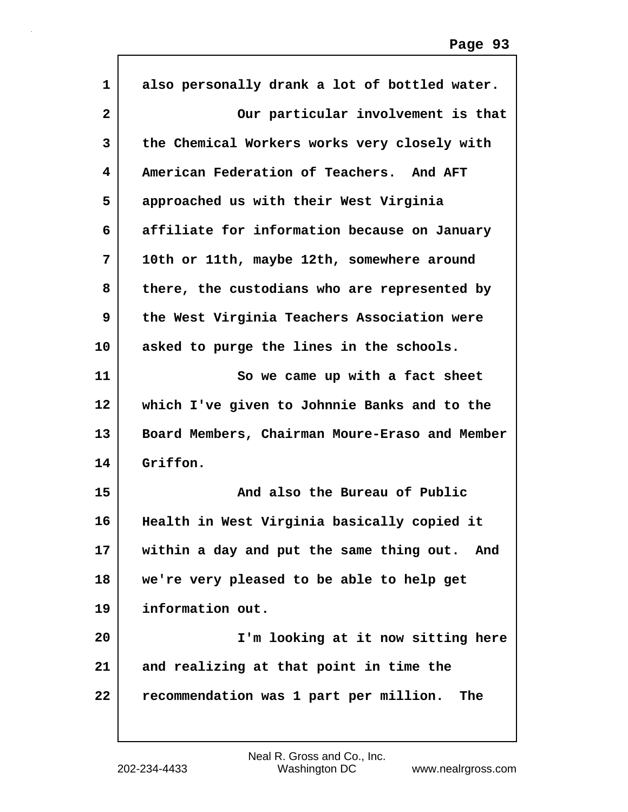| $\mathbf{1}$   | also personally drank a lot of bottled water.  |
|----------------|------------------------------------------------|
| $\overline{2}$ | Our particular involvement is that             |
| 3              | the Chemical Workers works very closely with   |
| 4              | American Federation of Teachers. And AFT       |
| 5              | approached us with their West Virginia         |
| 6              | affiliate for information because on January   |
| 7              | 10th or 11th, maybe 12th, somewhere around     |
| 8              | there, the custodians who are represented by   |
| 9              | the West Virginia Teachers Association were    |
| 10             | asked to purge the lines in the schools.       |
| 11             | So we came up with a fact sheet                |
| 12             | which I've given to Johnnie Banks and to the   |
| 13             | Board Members, Chairman Moure-Eraso and Member |
| 14             | Griffon.                                       |
| 15             | And also the Bureau of Public                  |
| 16             | Health in West Virginia basically copied it    |
| 17             | within a day and put the same thing out. And   |
| 18             | we're very pleased to be able to help get      |
| 19             | information out.                               |
| 20             | I'm looking at it now sitting here             |
| 21             | and realizing at that point in time the        |
| 22             | recommendation was 1 part per million.<br>The  |
|                |                                                |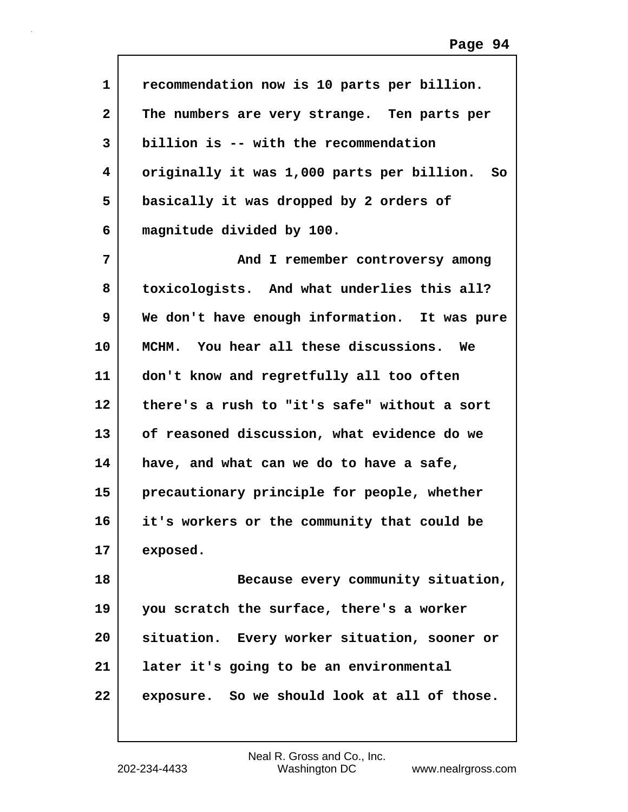| $\mathbf{1}$ | recommendation now is 10 parts per billion.      |
|--------------|--------------------------------------------------|
| $\mathbf{2}$ | The numbers are very strange. Ten parts per      |
| 3            | billion is -- with the recommendation            |
| 4            | originally it was 1,000 parts per billion.<br>So |
| 5            | basically it was dropped by 2 orders of          |
| 6            | magnitude divided by 100.                        |
| 7            | And I remember controversy among                 |
| 8            | toxicologists. And what underlies this all?      |
| 9            | We don't have enough information. It was pure    |
| 10           | MCHM. You hear all these discussions.<br>We      |
| 11           | don't know and regretfully all too often         |
| 12           | there's a rush to "it's safe" without a sort     |
| 13           | of reasoned discussion, what evidence do we      |
| 14           | have, and what can we do to have a safe,         |
| 15           | precautionary principle for people, whether      |
| 16           | it's workers or the community that could be      |
| 17           | exposed.                                         |
| 18           | Because every community situation,               |
| 19           | you scratch the surface, there's a worker        |
| 20           | situation. Every worker situation, sooner or     |
| 21           | later it's going to be an environmental          |
| 22           | exposure. So we should look at all of those.     |
|              |                                                  |

 $\mathsf{I}$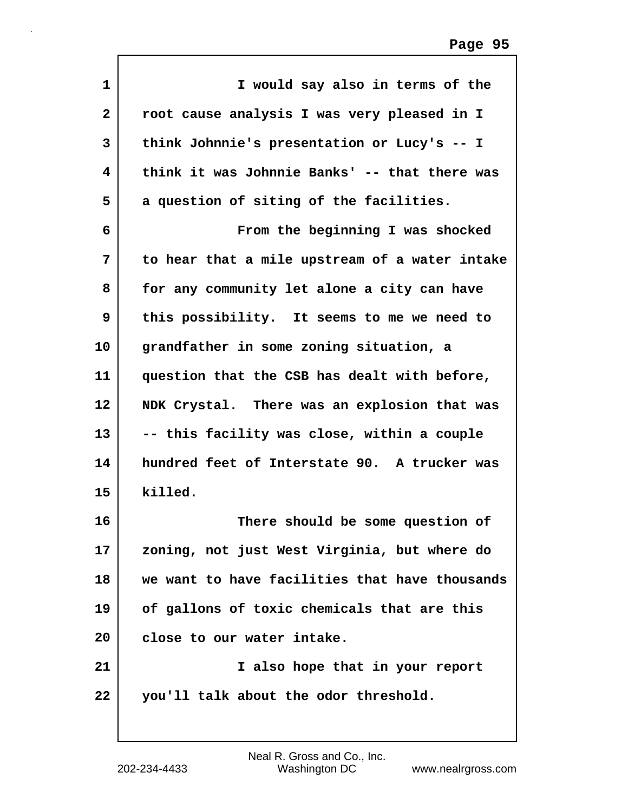| $\mathbf{1}$      | I would say also in terms of the               |
|-------------------|------------------------------------------------|
| $\mathbf{2}$      | root cause analysis I was very pleased in I    |
| 3                 | think Johnnie's presentation or Lucy's -- I    |
| 4                 | think it was Johnnie Banks' -- that there was  |
| 5                 | a question of siting of the facilities.        |
| 6                 | From the beginning I was shocked               |
| 7                 | to hear that a mile upstream of a water intake |
| 8                 | for any community let alone a city can have    |
| 9                 | this possibility. It seems to me we need to    |
| 10                | grandfather in some zoning situation, a        |
| 11                | question that the CSB has dealt with before,   |
| $12 \overline{ }$ | NDK Crystal. There was an explosion that was   |
| 13                | -- this facility was close, within a couple    |
| 14                | hundred feet of Interstate 90. A trucker was   |
| 15                | killed.                                        |
| 16                | There should be some question of               |
| 17                | zoning, not just West Virginia, but where do   |
| 18                | we want to have facilities that have thousands |
| 19                | of gallons of toxic chemicals that are this    |
| 20                | close to our water intake.                     |
| 21                | I also hope that in your report                |
| 22                | you'll talk about the odor threshold.          |

Г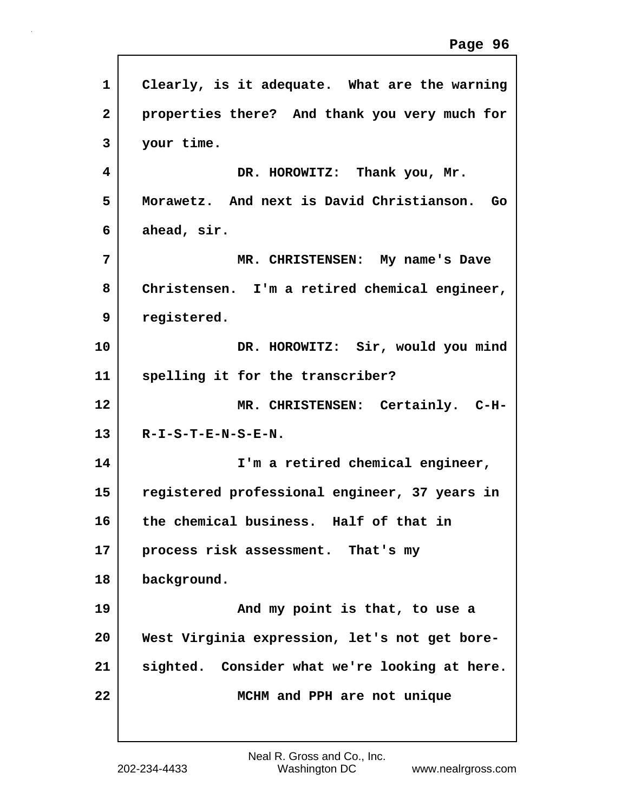| 1            | Clearly, is it adequate. What are the warning |
|--------------|-----------------------------------------------|
| $\mathbf{2}$ | properties there? And thank you very much for |
| 3            | your time.                                    |
| 4            | DR. HOROWITZ: Thank you, Mr.                  |
| 5            | Morawetz. And next is David Christianson. Go  |
| 6            | ahead, sir.                                   |
| 7            | MR. CHRISTENSEN: My name's Dave               |
| 8            | Christensen. I'm a retired chemical engineer, |
| 9            | registered.                                   |
| 10           | DR. HOROWITZ: Sir, would you mind             |
| 11           | spelling it for the transcriber?              |
| 12           | MR. CHRISTENSEN: Certainly. C-H-              |
| 13           | $R-I-S-T-E-N-S-E-N.$                          |
| 14           | I'm a retired chemical engineer,              |
| 15           | registered professional engineer, 37 years in |
| 16           | the chemical business. Half of that in        |
| 17           | process risk assessment. That's my            |
| 18           | background.                                   |
| 19           | And my point is that, to use a                |
| 20           | West Virginia expression, let's not get bore- |
| 21           | sighted. Consider what we're looking at here. |
| 22           | MCHM and PPH are not unique                   |
|              |                                               |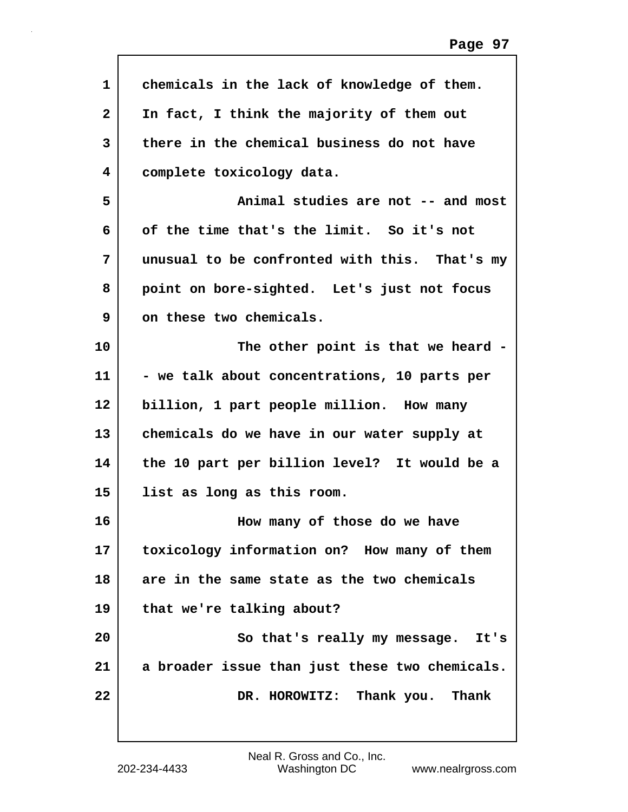| 1            | chemicals in the lack of knowledge of them.    |
|--------------|------------------------------------------------|
| $\mathbf{2}$ | In fact, I think the majority of them out      |
| 3            | there in the chemical business do not have     |
| 4            | complete toxicology data.                      |
| 5            | Animal studies are not -- and most             |
| 6            | of the time that's the limit. So it's not      |
| 7            | unusual to be confronted with this. That's my  |
| 8            | point on bore-sighted. Let's just not focus    |
| 9            | on these two chemicals.                        |
| 10           | The other point is that we heard -             |
| 11           | - we talk about concentrations, 10 parts per   |
| 12           | billion, 1 part people million. How many       |
| 13           | chemicals do we have in our water supply at    |
| 14           | the 10 part per billion level? It would be a   |
| 15           | list as long as this room.                     |
| 16           | How many of those do we have                   |
| 17           | toxicology information on? How many of them    |
| 18           | are in the same state as the two chemicals     |
| 19           | that we're talking about?                      |
| 20           | So that's really my message. It's              |
| 21           | a broader issue than just these two chemicals. |
| 22           | DR. HOROWITZ: Thank you. Thank                 |
|              |                                                |

Г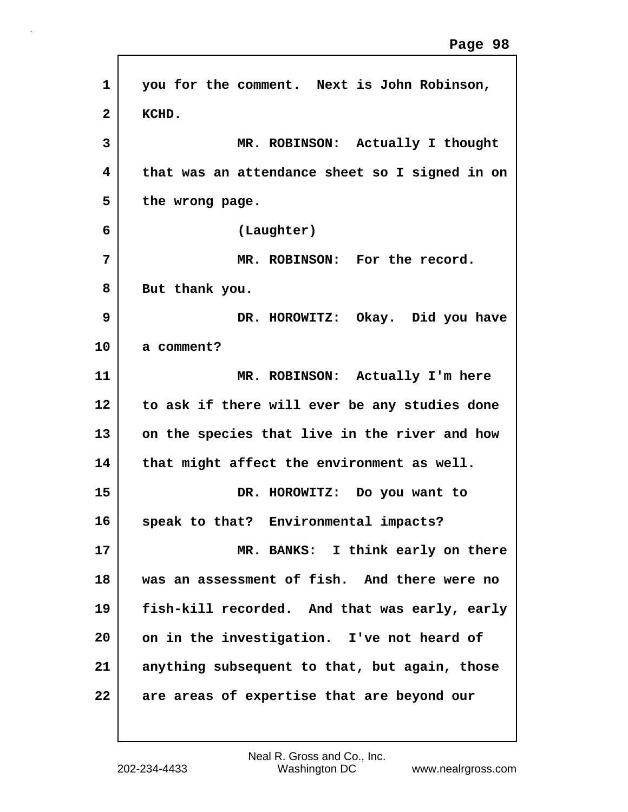| 1            | you for the comment. Next is John Robinson,    |
|--------------|------------------------------------------------|
| $\mathbf{2}$ | KCHD.                                          |
| 3            | MR. ROBINSON: Actually I thought               |
| 4            | that was an attendance sheet so I signed in on |
| 5            | the wrong page.                                |
| 6            | (Laughter)                                     |
| 7            | MR. ROBINSON: For the record.                  |
| 8            | But thank you.                                 |
| 9            | DR. HOROWITZ: Okay. Did you have               |
| 10           | a comment?                                     |
| 11           | MR. ROBINSON: Actually I'm here                |
| 12           | to ask if there will ever be any studies done  |
| 13           | on the species that live in the river and how  |
| 14           | that might affect the environment as well.     |
| 15           | DR. HOROWITZ: Do you want to                   |
| 16           | speak to that? Environmental impacts?          |
| 17           | MR. BANKS: I think early on there              |
| 18           | was an assessment of fish. And there were no   |
| 19           | fish-kill recorded. And that was early, early  |
| 20           | on in the investigation. I've not heard of     |
| 21           | anything subsequent to that, but again, those  |
| 22           | are areas of expertise that are beyond our     |

Г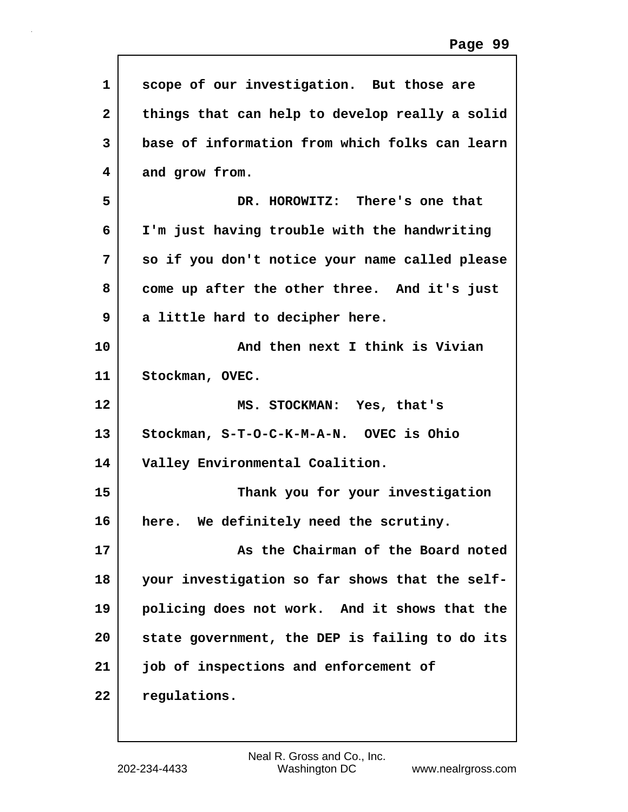| $\mathbf{1}$ | scope of our investigation. But those are      |
|--------------|------------------------------------------------|
| $\mathbf{2}$ | things that can help to develop really a solid |
| 3            | base of information from which folks can learn |
| 4            | and grow from.                                 |
| 5            | DR. HOROWITZ: There's one that                 |
| 6            | I'm just having trouble with the handwriting   |
| 7            | so if you don't notice your name called please |
| 8            | come up after the other three. And it's just   |
| 9            | a little hard to decipher here.                |
| 10           | And then next I think is Vivian                |
| 11           | Stockman, OVEC.                                |
| 12           | MS. STOCKMAN: Yes, that's                      |
|              |                                                |
| 13           | Stockman, S-T-O-C-K-M-A-N. OVEC is Ohio        |
| 14           | Valley Environmental Coalition.                |
| 15           | Thank you for your investigation               |
| 16           | We definitely need the scrutiny.<br>here.      |
| 17           | As the Chairman of the Board noted             |
| 18           | your investigation so far shows that the self- |
| 19           | policing does not work. And it shows that the  |
| 20           | state government, the DEP is failing to do its |
| 21           | job of inspections and enforcement of          |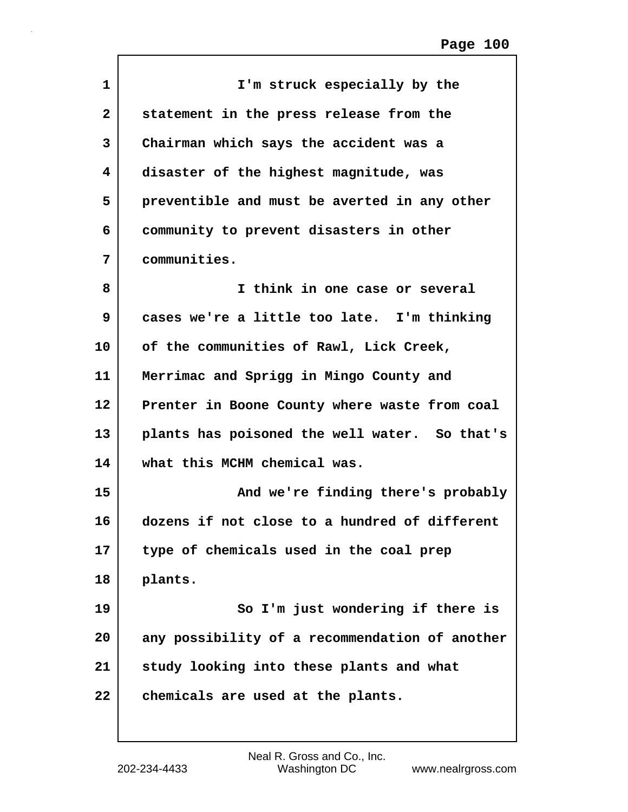| I'm struck especially by the                   |
|------------------------------------------------|
| statement in the press release from the        |
| Chairman which says the accident was a         |
| disaster of the highest magnitude, was         |
| preventible and must be averted in any other   |
| community to prevent disasters in other        |
| communities.                                   |
| I think in one case or several                 |
| cases we're a little too late. I'm thinking    |
| of the communities of Rawl, Lick Creek,        |
| Merrimac and Sprigg in Mingo County and        |
| Prenter in Boone County where waste from coal  |
| plants has poisoned the well water. So that's  |
| what this MCHM chemical was.                   |
| And we're finding there's probably             |
| dozens if not close to a hundred of different  |
| type of chemicals used in the coal prep        |
| plants.                                        |
| So I'm just wondering if there is              |
| any possibility of a recommendation of another |
| study looking into these plants and what       |
| chemicals are used at the plants.              |
|                                                |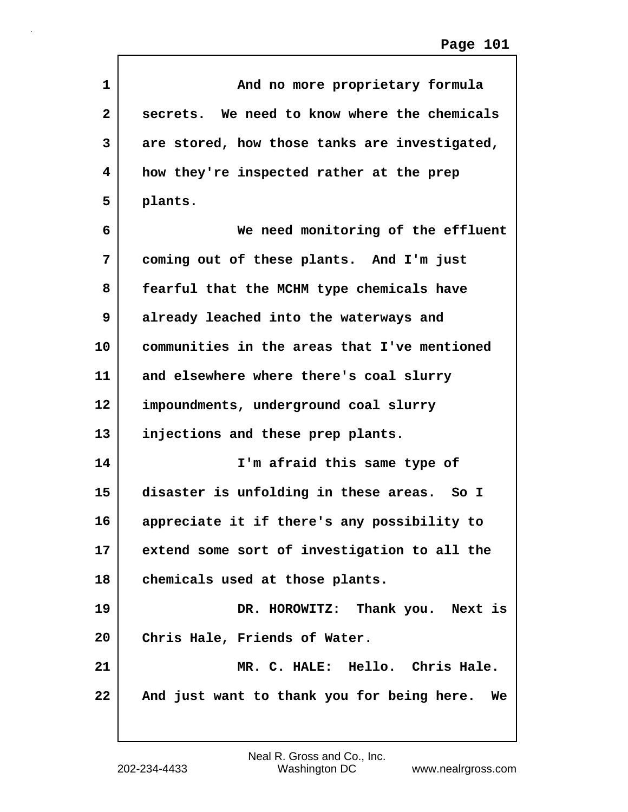| 1            | And no more proprietary formula                  |
|--------------|--------------------------------------------------|
| $\mathbf{2}$ | secrets. We need to know where the chemicals     |
| 3            | are stored, how those tanks are investigated,    |
| 4            | how they're inspected rather at the prep         |
| 5            | plants.                                          |
| 6            | We need monitoring of the effluent               |
| 7            | coming out of these plants. And I'm just         |
| 8            | fearful that the MCHM type chemicals have        |
| 9            | already leached into the waterways and           |
| 10           | communities in the areas that I've mentioned     |
| 11           | and elsewhere where there's coal slurry          |
| 12           | impoundments, underground coal slurry            |
| 13           | injections and these prep plants.                |
| 14           | I'm afraid this same type of                     |
| 15           | disaster is unfolding in these areas. So I       |
| 16           | appreciate it if there's any possibility to      |
| 17           | extend some sort of investigation to all the     |
| 18           | chemicals used at those plants.                  |
| 19           | DR. HOROWITZ: Thank you. Next is                 |
| 20           | Chris Hale, Friends of Water.                    |
| 21           | MR. C. HALE: Hello. Chris Hale.                  |
| 22           | And just want to thank you for being here.<br>We |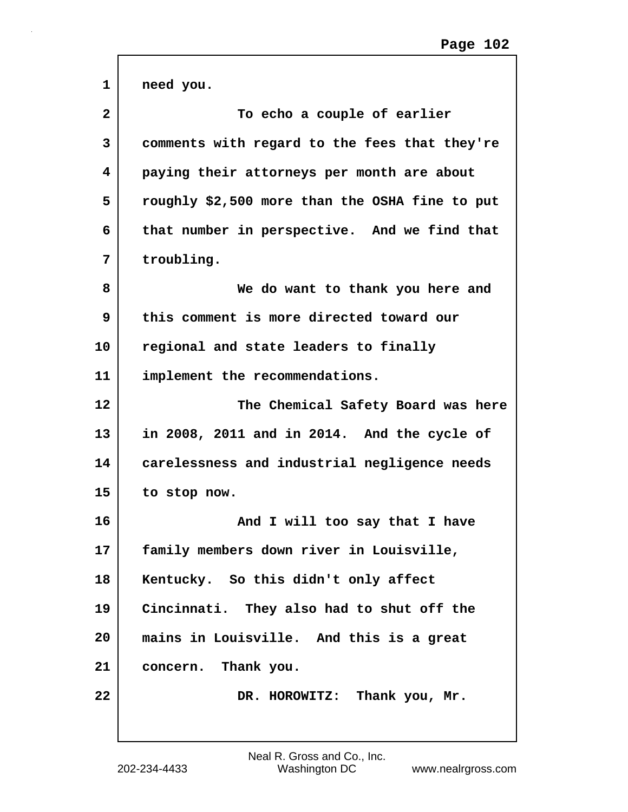| 1              | need you.                                      |
|----------------|------------------------------------------------|
| $\overline{2}$ | To echo a couple of earlier                    |
| 3              | comments with regard to the fees that they're  |
| 4              | paying their attorneys per month are about     |
| 5              | roughly \$2,500 more than the OSHA fine to put |
| 6              | that number in perspective. And we find that   |
| 7              | troubling.                                     |
| 8              | We do want to thank you here and               |
| 9              | this comment is more directed toward our       |
| 10             | regional and state leaders to finally          |
| 11             | implement the recommendations.                 |
| 12             | The Chemical Safety Board was here             |
| 13             | in 2008, 2011 and in 2014. And the cycle of    |
| 14             | carelessness and industrial negligence needs   |
| 15             | to stop now.                                   |
| 16             | And I will too say that I have                 |
| $17 \,$        | family members down river in Louisville,       |
| 18             | Kentucky. So this didn't only affect           |
| 19             | Cincinnati. They also had to shut off the      |
| 20             | mains in Louisville. And this is a great       |
| 21             | concern. Thank you.                            |
| 22             | DR. HOROWITZ: Thank you, Mr.                   |
|                |                                                |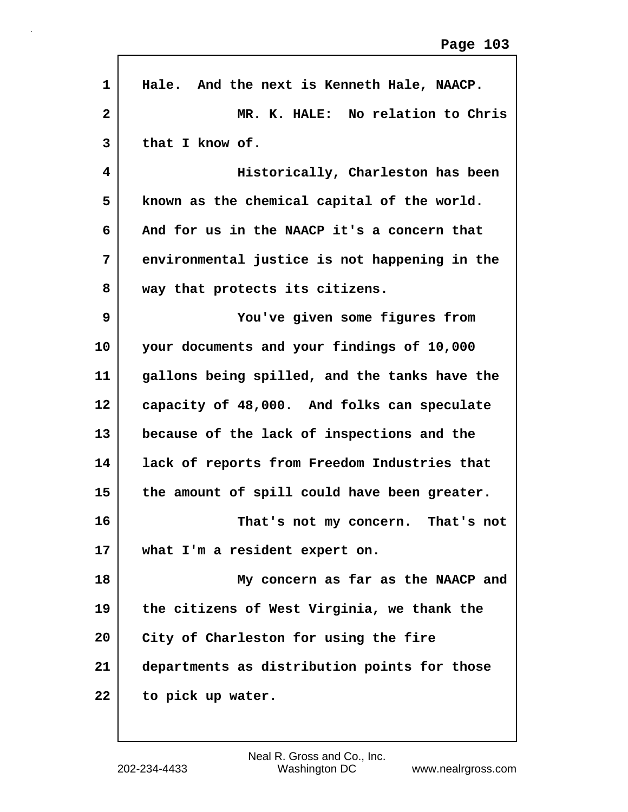| $\mathbf 1$     | Hale. And the next is Kenneth Hale, NAACP.    |
|-----------------|-----------------------------------------------|
| $\mathbf{2}$    | MR. K. HALE: No relation to Chris             |
| 3               | that I know of.                               |
| 4               | Historically, Charleston has been             |
| 5               | known as the chemical capital of the world.   |
| 6               | And for us in the NAACP it's a concern that   |
| 7               | environmental justice is not happening in the |
| 8               | way that protects its citizens.               |
| 9               | You've given some figures from                |
| 10              | your documents and your findings of 10,000    |
| 11              | gallons being spilled, and the tanks have the |
| 12              | capacity of 48,000. And folks can speculate   |
| 13              | because of the lack of inspections and the    |
| 14              | lack of reports from Freedom Industries that  |
| 15              | the amount of spill could have been greater.  |
| 16              | That's not my concern.<br>That's not          |
| 17 <sub>2</sub> | what I'm a resident expert on.                |
| 18              | My concern as far as the NAACP and            |
| 19              | the citizens of West Virginia, we thank the   |
| 20              | City of Charleston for using the fire         |
| 21              | departments as distribution points for those  |
| 22              | to pick up water.                             |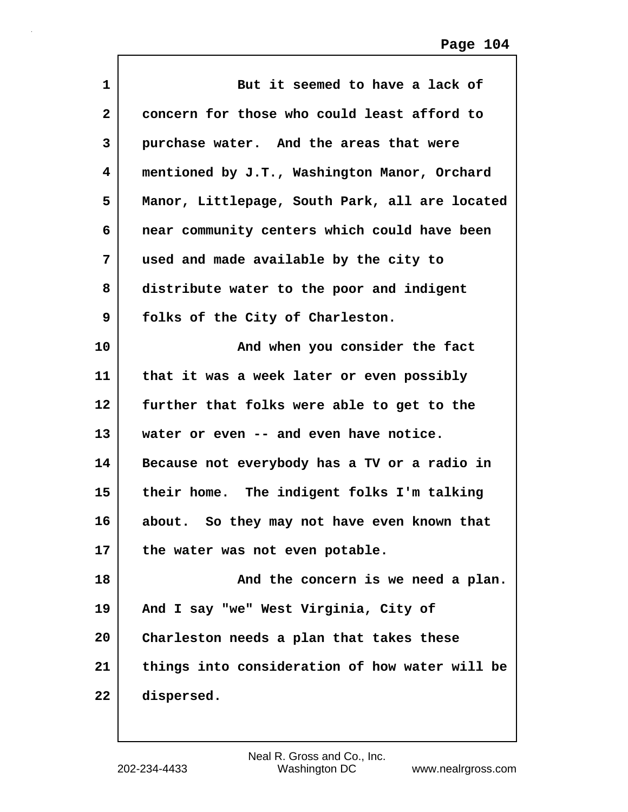| 1                 | But it seemed to have a lack of                |
|-------------------|------------------------------------------------|
| $\mathbf{2}$      | concern for those who could least afford to    |
| 3                 | purchase water. And the areas that were        |
| 4                 | mentioned by J.T., Washington Manor, Orchard   |
| 5                 | Manor, Littlepage, South Park, all are located |
| 6                 | near community centers which could have been   |
| 7                 | used and made available by the city to         |
| 8                 | distribute water to the poor and indigent      |
| 9                 | folks of the City of Charleston.               |
| 10                | And when you consider the fact                 |
| 11                | that it was a week later or even possibly      |
| $12 \overline{ }$ | further that folks were able to get to the     |
| 13                | water or even -- and even have notice.         |
| 14                | Because not everybody has a TV or a radio in   |
| 15                | their home. The indigent folks I'm talking     |
| 16                | about. So they may not have even known that    |
| 17                | the water was not even potable.                |
| 18                | And the concern is we need a plan.             |
| 19                | And I say "we" West Virginia, City of          |
| 20                | Charleston needs a plan that takes these       |
| 21                | things into consideration of how water will be |
| 22                | dispersed.                                     |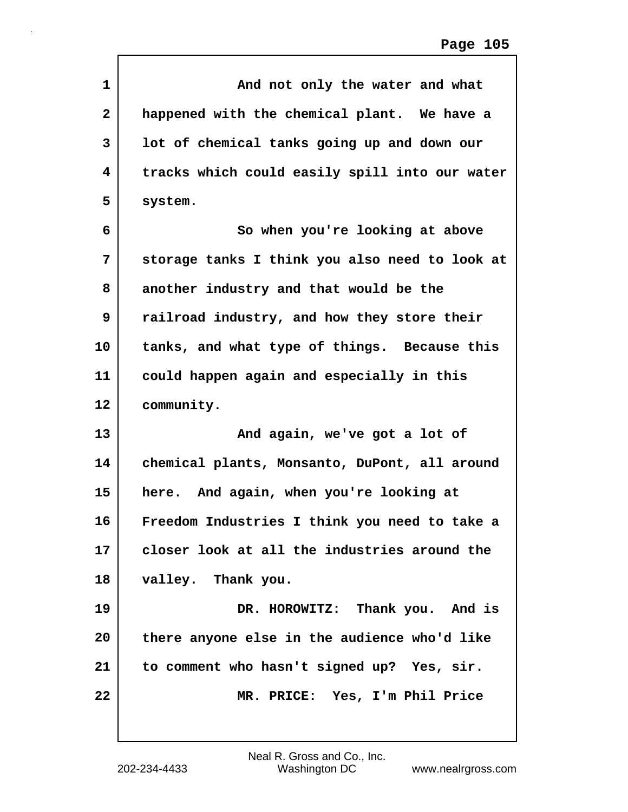| 1            | And not only the water and what                |
|--------------|------------------------------------------------|
| $\mathbf{2}$ | happened with the chemical plant. We have a    |
| 3            | lot of chemical tanks going up and down our    |
| 4            | tracks which could easily spill into our water |
| 5            | system.                                        |
| 6            | So when you're looking at above                |
| 7            | storage tanks I think you also need to look at |
| 8            | another industry and that would be the         |
| 9            | railroad industry, and how they store their    |
| 10           | tanks, and what type of things. Because this   |
| 11           | could happen again and especially in this      |
| 12           | community.                                     |
| 13           | And again, we've got a lot of                  |
| 14           | chemical plants, Monsanto, DuPont, all around  |
| 15           | here. And again, when you're looking at        |
| 16           | Freedom Industries I think you need to take a  |
| 17           | closer look at all the industries around the   |
| 18           | valley. Thank you.                             |
| 19           | DR. HOROWITZ: Thank you. And is                |
| 20           | there anyone else in the audience who'd like   |
| 21           | to comment who hasn't signed up? Yes, sir.     |
| 22           | MR. PRICE: Yes, I'm Phil Price                 |
|              |                                                |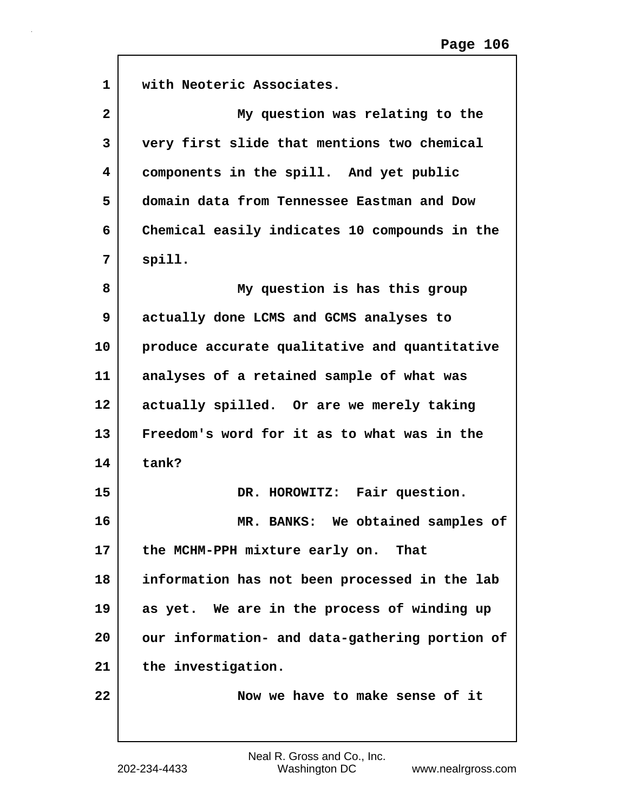| 1              | with Neoteric Associates.                      |
|----------------|------------------------------------------------|
| $\overline{2}$ | My question was relating to the                |
| 3              | very first slide that mentions two chemical    |
| 4              | components in the spill. And yet public        |
| 5              | domain data from Tennessee Eastman and Dow     |
| 6              | Chemical easily indicates 10 compounds in the  |
| 7              | spill.                                         |
| 8              | My question is has this group                  |
| 9              | actually done LCMS and GCMS analyses to        |
| 10             | produce accurate qualitative and quantitative  |
| 11             | analyses of a retained sample of what was      |
| 12             | actually spilled. Or are we merely taking      |
| 13             | Freedom's word for it as to what was in the    |
| 14             | tank?                                          |
| 15             | DR. HOROWITZ: Fair question.                   |
| 16             | MR. BANKS: We obtained samples of              |
| 17             | the MCHM-PPH mixture early on.<br>That         |
| 18             | information has not been processed in the lab  |
| 19             | as yet. We are in the process of winding up    |
| 20             | our information- and data-gathering portion of |
| 21             | the investigation.                             |
| 22             | Now we have to make sense of it                |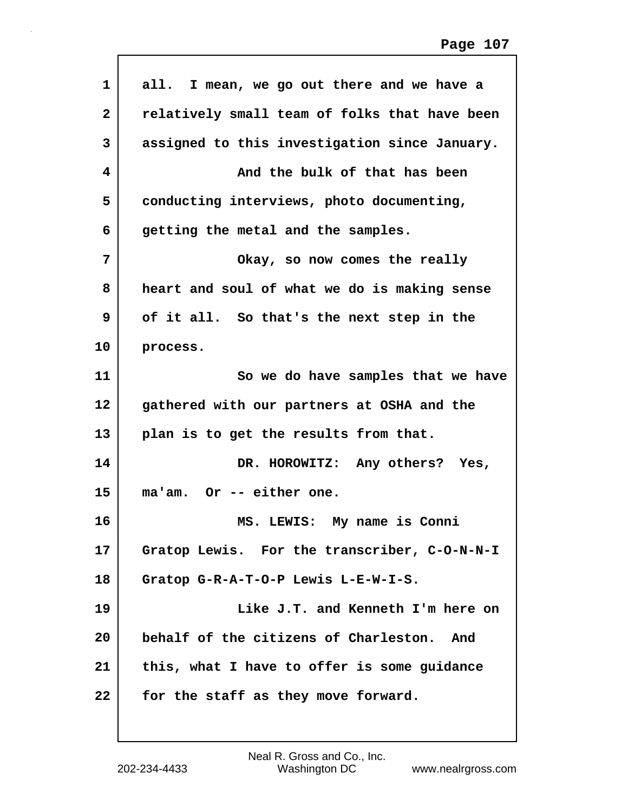| $\mathbf{1}$            | all. I mean, we go out there and we have a    |
|-------------------------|-----------------------------------------------|
| $\mathbf{2}$            | relatively small team of folks that have been |
| 3                       | assigned to this investigation since January. |
| $\overline{\mathbf{4}}$ | And the bulk of that has been                 |
| 5                       | conducting interviews, photo documenting,     |
| 6                       | getting the metal and the samples.            |
| 7                       | Okay, so now comes the really                 |
| 8                       | heart and soul of what we do is making sense  |
| 9                       | of it all. So that's the next step in the     |
| 10                      | process.                                      |
| 11                      | So we do have samples that we have            |
| $12 \,$                 | gathered with our partners at OSHA and the    |
| 13                      | plan is to get the results from that.         |
| 14                      | DR. HOROWITZ: Any others? Yes,                |
| 15                      | ma'am. Or -- either one.                      |
| 16                      | MS. LEWIS: My name is Conni                   |
| 17                      | Gratop Lewis. For the transcriber, C-O-N-N-I  |
| 18                      | Gratop G-R-A-T-O-P Lewis L-E-W-I-S.           |
| 19                      | Like J.T. and Kenneth I'm here on             |
| 20                      | behalf of the citizens of Charleston.<br>And  |
| 21                      | this, what I have to offer is some guidance   |
| 22                      | for the staff as they move forward.           |
|                         |                                               |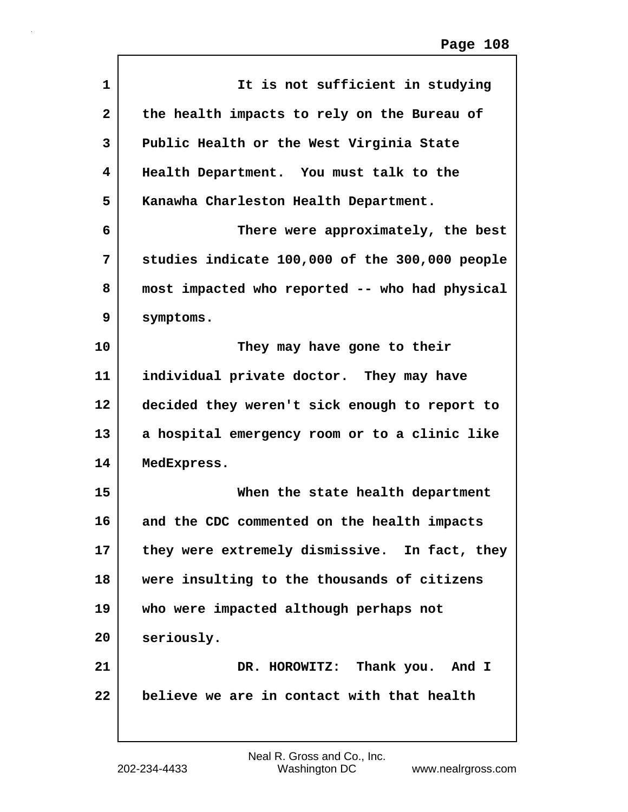| 1              | It is not sufficient in studying               |
|----------------|------------------------------------------------|
| $\overline{2}$ | the health impacts to rely on the Bureau of    |
| 3              | Public Health or the West Virginia State       |
| 4              | Health Department. You must talk to the        |
| 5              | Kanawha Charleston Health Department.          |
| 6              | There were approximately, the best             |
| 7              | studies indicate 100,000 of the 300,000 people |
| 8              | most impacted who reported -- who had physical |
| 9              | symptoms.                                      |
| 10             | They may have gone to their                    |
| 11             | individual private doctor. They may have       |
| 12             | decided they weren't sick enough to report to  |
| 13             | a hospital emergency room or to a clinic like  |
| 14             | MedExpress.                                    |
| 15             | When the state health department               |
| 16             | and the CDC commented on the health impacts    |
| 17             | they were extremely dismissive. In fact, they  |
| 18             | were insulting to the thousands of citizens    |
| 19             | who were impacted although perhaps not         |
| 20             | seriously.                                     |
| 21             | DR. HOROWITZ: Thank you. And I                 |
| 22             | believe we are in contact with that health     |
|                |                                                |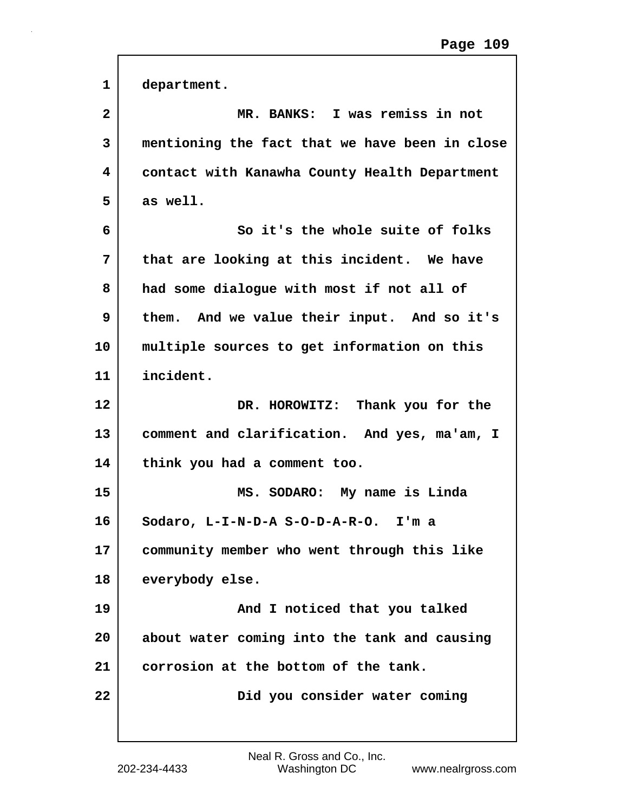| 1            | department.                                    |
|--------------|------------------------------------------------|
| $\mathbf{2}$ | MR. BANKS: I was remiss in not                 |
| 3            | mentioning the fact that we have been in close |
| 4            | contact with Kanawha County Health Department  |
| 5            | as well.                                       |
| 6            | So it's the whole suite of folks               |
| 7            | that are looking at this incident. We have     |
| 8            | had some dialogue with most if not all of      |
| 9            | them. And we value their input. And so it's    |
| 10           | multiple sources to get information on this    |
| 11           | incident.                                      |
| 12           | DR. HOROWITZ: Thank you for the                |
| 13           | comment and clarification. And yes, ma'am, I   |
| 14           | think you had a comment too.                   |
| 15           | MS. SODARO: My name is Linda                   |
| 16           | Sodaro, L-I-N-D-A S-O-D-A-R-O.<br>I'm a        |
| 17           | community member who went through this like    |
| 18           | everybody else.                                |
| 19           | And I noticed that you talked                  |
| 20           | about water coming into the tank and causing   |
| 21           | corrosion at the bottom of the tank.           |
| 22           | Did you consider water coming                  |
|              |                                                |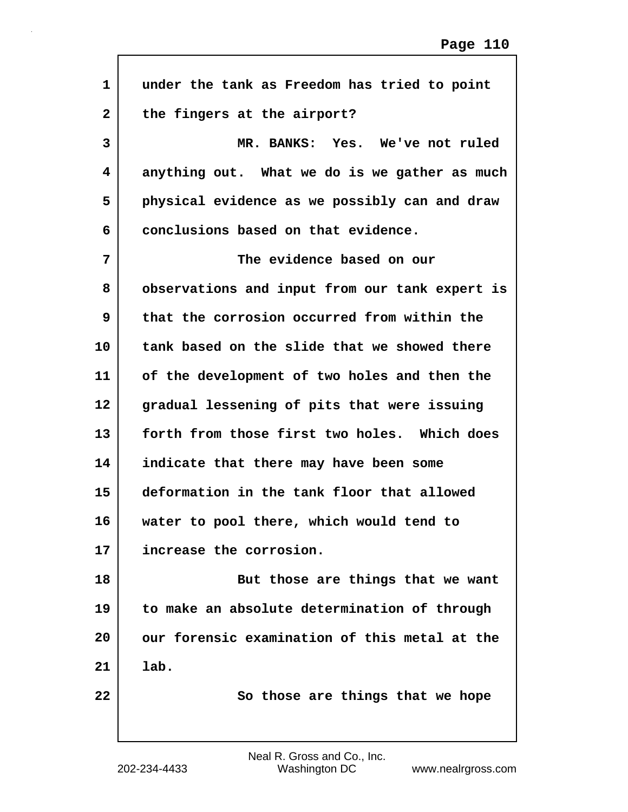| $\mathbf{1}$ | under the tank as Freedom has tried to point   |
|--------------|------------------------------------------------|
| $\mathbf{2}$ | the fingers at the airport?                    |
| 3            | MR. BANKS: Yes. We've not ruled                |
| 4            | anything out. What we do is we gather as much  |
| 5            | physical evidence as we possibly can and draw  |
| 6            | conclusions based on that evidence.            |
| 7            | The evidence based on our                      |
| 8            | observations and input from our tank expert is |
| 9            | that the corrosion occurred from within the    |
| 10           | tank based on the slide that we showed there   |
| 11           | of the development of two holes and then the   |
| 12           | gradual lessening of pits that were issuing    |
| 13           | forth from those first two holes. Which does   |
| 14           | indicate that there may have been some         |
| 15           | deformation in the tank floor that allowed     |
| 16           | water to pool there, which would tend to       |
| 17           | increase the corrosion.                        |
| 18           | But those are things that we want              |
| 19           | to make an absolute determination of through   |
| 20           | our forensic examination of this metal at the  |
| 21           | lab.                                           |
| 22           | So those are things that we hope               |
|              |                                                |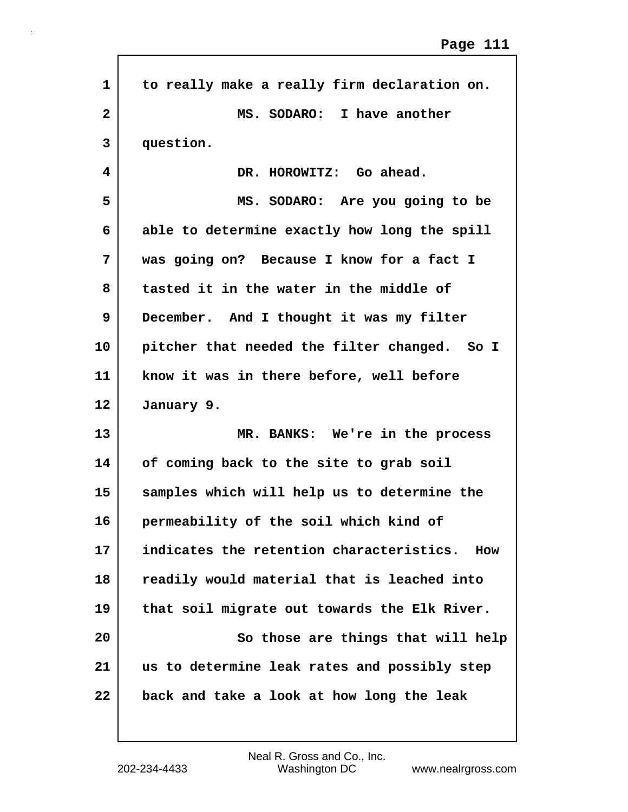| to really make a really firm declaration on.    |
|-------------------------------------------------|
| MS. SODARO:<br>I have another                   |
| question.                                       |
| DR. HOROWITZ: Go ahead.                         |
| MS. SODARO: Are you going to be                 |
| able to determine exactly how long the spill    |
| was going on? Because I know for a fact I       |
| tasted it in the water in the middle of         |
| December. And I thought it was my filter        |
| pitcher that needed the filter changed. So I    |
| know it was in there before, well before        |
| January 9.                                      |
| MR. BANKS: We're in the process                 |
| of coming back to the site to grab soil         |
| samples which will help us to determine the     |
| permeability of the soil which kind of          |
| indicates the retention characteristics.<br>How |
| readily would material that is leached into     |
| that soil migrate out towards the Elk River.    |
|                                                 |
| So those are things that will help              |
| us to determine leak rates and possibly step    |
|                                                 |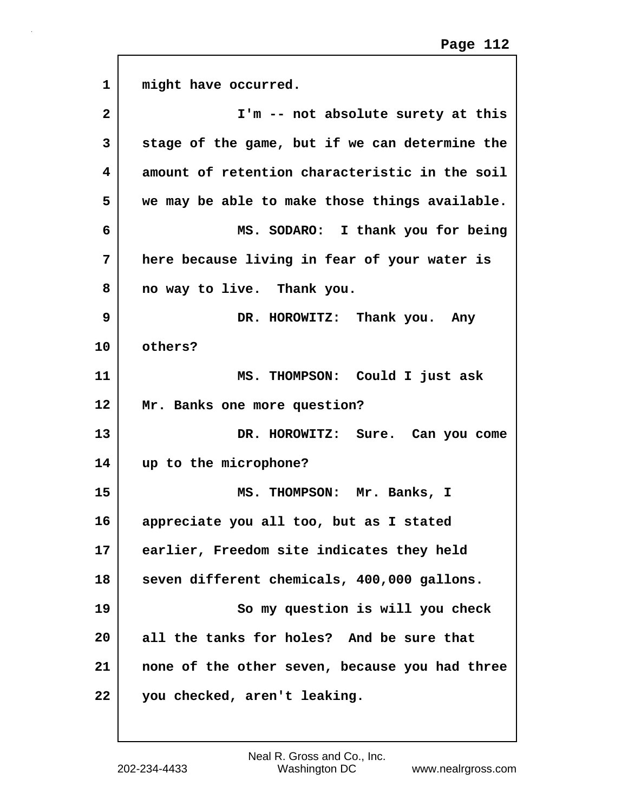| $\mathbf 1$  | might have occurred.                           |
|--------------|------------------------------------------------|
| $\mathbf{2}$ | I'm -- not absolute surety at this             |
| 3            | stage of the game, but if we can determine the |
| 4            | amount of retention characteristic in the soil |
| 5            | we may be able to make those things available. |
| 6            | MS. SODARO: I thank you for being              |
| 7            | here because living in fear of your water is   |
| 8            | no way to live. Thank you.                     |
| 9            | DR. HOROWITZ: Thank you. Any                   |
| 10           | others?                                        |
| 11           | MS. THOMPSON: Could I just ask                 |
| 12           | Mr. Banks one more question?                   |
| 13           | DR. HOROWITZ: Sure. Can you come               |
| 14           | up to the microphone?                          |
| 15           | MS. THOMPSON: Mr. Banks, I                     |
| 16           | appreciate you all too, but as I stated        |
| 17           | earlier, Freedom site indicates they held      |
| 18           | seven different chemicals, 400,000 gallons.    |
| 19           | So my question is will you check               |
| 20           | all the tanks for holes? And be sure that      |
| 21           | none of the other seven, because you had three |
| 22           | you checked, aren't leaking.                   |

 $\sqrt{ }$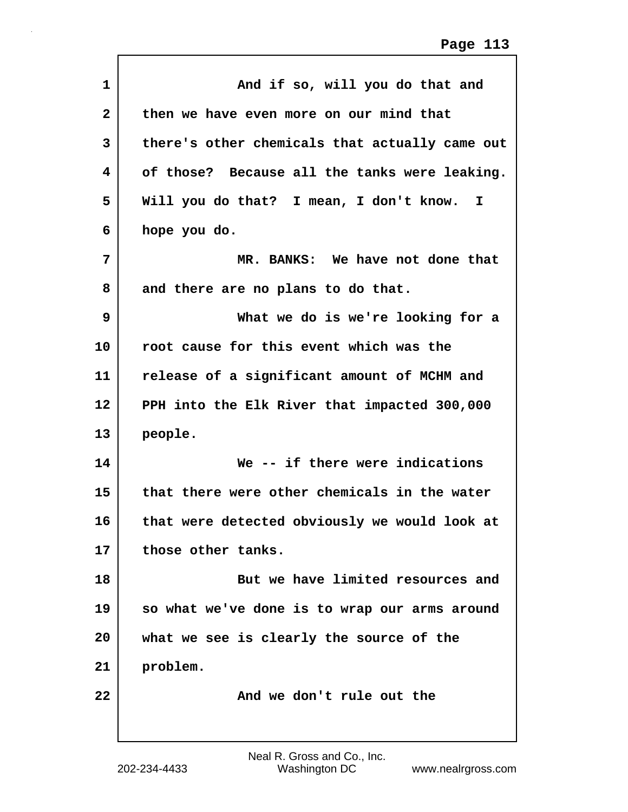| $\mathbf{1}$ | And if so, will you do that and                |
|--------------|------------------------------------------------|
| $\mathbf{2}$ | then we have even more on our mind that        |
| 3            | there's other chemicals that actually came out |
| 4            | of those? Because all the tanks were leaking.  |
| 5            | Will you do that? I mean, I don't know.<br>I.  |
| 6            | hope you do.                                   |
| 7            | MR. BANKS: We have not done that               |
| 8            | and there are no plans to do that.             |
| 9            | What we do is we're looking for a              |
| 10           | root cause for this event which was the        |
| 11           | release of a significant amount of MCHM and    |
| 12           | PPH into the Elk River that impacted 300,000   |
| 13           | people.                                        |
| 14           | We -- if there were indications                |
| 15           | that there were other chemicals in the water   |
| 16           | that were detected obviously we would look at  |
| 17           | those other tanks.                             |
| 18           | But we have limited resources and              |
| 19           | so what we've done is to wrap our arms around  |
| 20           | what we see is clearly the source of the       |
| 21           | problem.                                       |
| 22           | And we don't rule out the                      |
|              |                                                |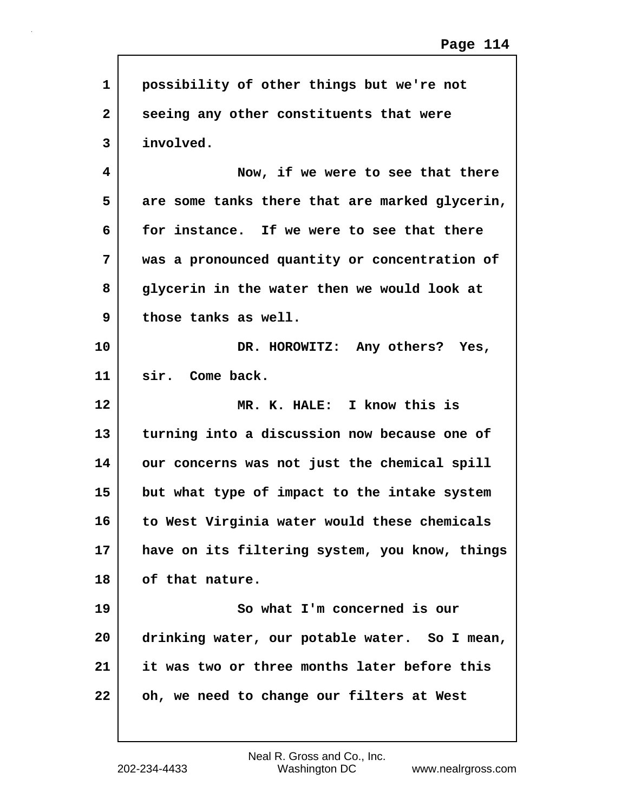| $\mathbf{1}$ | possibility of other things but we're not      |
|--------------|------------------------------------------------|
| $\mathbf{2}$ | seeing any other constituents that were        |
| 3            | involved.                                      |
| 4            | Now, if we were to see that there              |
| 5            | are some tanks there that are marked glycerin, |
| 6            | for instance. If we were to see that there     |
| 7            | was a pronounced quantity or concentration of  |
| 8            | glycerin in the water then we would look at    |
| 9            | those tanks as well.                           |
| 10           | DR. HOROWITZ: Any others? Yes,                 |
| 11           | sir. Come back.                                |
|              |                                                |
| $12 \,$      | MR. K. HALE: I know this is                    |
| 13           | turning into a discussion now because one of   |
| 14           | our concerns was not just the chemical spill   |
| 15           | but what type of impact to the intake system   |
| 16           | to West Virginia water would these chemicals   |
| 17           | have on its filtering system, you know, things |
| 18           | of that nature.                                |
| 19           | So what I'm concerned is our                   |
| 20           | drinking water, our potable water. So I mean,  |
| 21           | it was two or three months later before this   |

 $\sqrt{ }$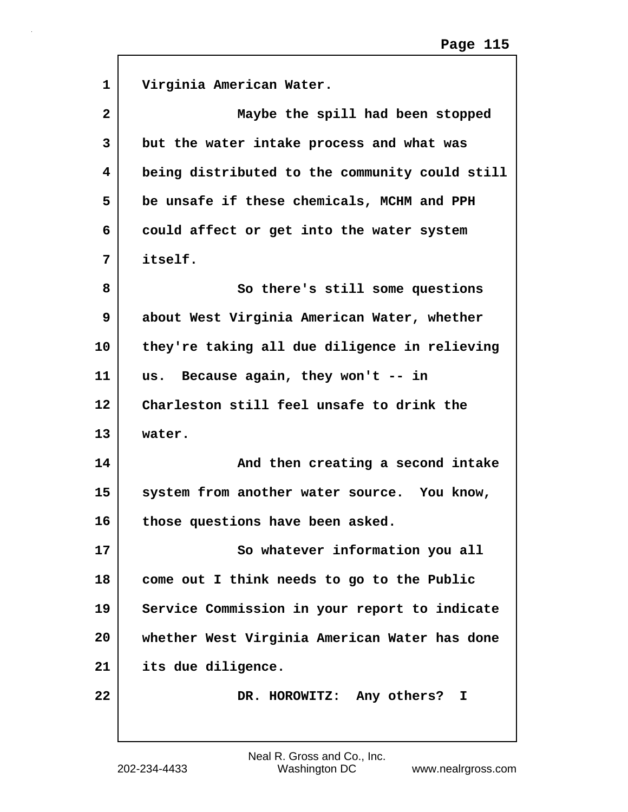| 1  | Virginia American Water.                       |
|----|------------------------------------------------|
| 2  | Maybe the spill had been stopped               |
| 3  | but the water intake process and what was      |
| 4  | being distributed to the community could still |
| 5  | be unsafe if these chemicals, MCHM and PPH     |
| 6  | could affect or get into the water system      |
| 7  | itself.                                        |
| 8  | So there's still some questions                |
| 9  | about West Virginia American Water, whether    |
| 10 | they're taking all due diligence in relieving  |
| 11 | us. Because again, they won't -- in            |
| 12 | Charleston still feel unsafe to drink the      |
| 13 | water.                                         |
| 14 | And then creating a second intake              |
| 15 | system from another water source. You know,    |
| 16 | those questions have been asked                |
| 17 | So whatever information you all                |
| 18 | come out I think needs to go to the Public     |
| 19 | Service Commission in your report to indicate  |
| 20 | whether West Virginia American Water has done  |
| 21 | its due diligence.                             |
| 22 | DR. HOROWITZ: Any others?<br>I                 |
|    |                                                |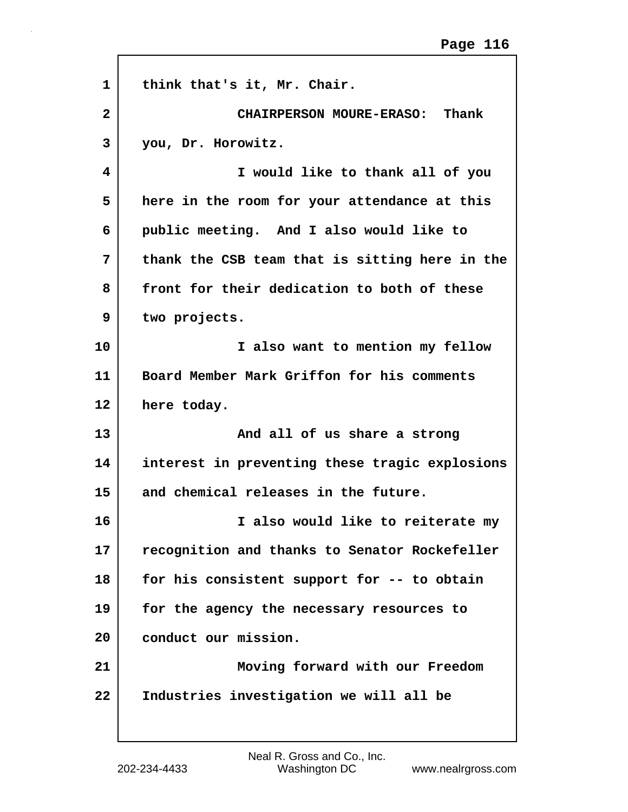| 1            | think that's it, Mr. Chair.                    |
|--------------|------------------------------------------------|
| $\mathbf{2}$ | CHAIRPERSON MOURE-ERASO: Thank                 |
| 3            | you, Dr. Horowitz.                             |
| 4            | I would like to thank all of you               |
| 5            | here in the room for your attendance at this   |
| 6            | public meeting. And I also would like to       |
| 7            | thank the CSB team that is sitting here in the |
| 8            | front for their dedication to both of these    |
| 9            | two projects.                                  |
| 10           | I also want to mention my fellow               |
| 11           | Board Member Mark Griffon for his comments     |
| 12           | here today.                                    |
| 13           | And all of us share a strong                   |
| 14           | interest in preventing these tragic explosions |
| 15           | and chemical releases in the future.           |
| 16           | I also would like to reiterate my              |
| 17           | recognition and thanks to Senator Rockefeller  |
| 18           | for his consistent support for -- to obtain    |
| 19           | for the agency the necessary resources to      |
| 20           | conduct our mission.                           |
| 21           | Moving forward with our Freedom                |
| 22           | Industries investigation we will all be        |
|              |                                                |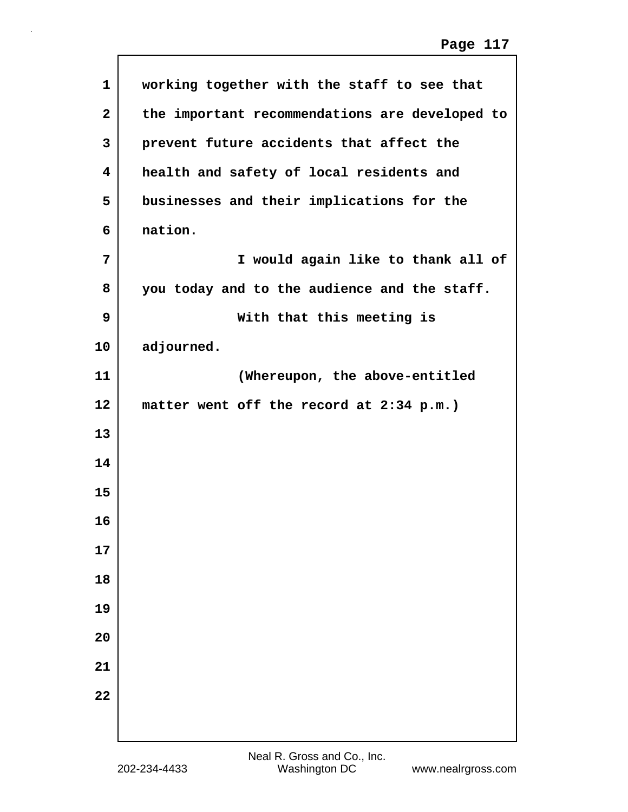| 1            | working together with the staff to see that    |
|--------------|------------------------------------------------|
| $\mathbf{2}$ | the important recommendations are developed to |
| 3            | prevent future accidents that affect the       |
| 4            | health and safety of local residents and       |
| 5            | businesses and their implications for the      |
| 6            | nation.                                        |
| 7            | I would again like to thank all of             |
| 8            | you today and to the audience and the staff.   |
| 9            | With that this meeting is                      |
| 10           | adjourned.                                     |
| 11           | (Whereupon, the above-entitled                 |
| 12           | matter went off the record at 2:34 p.m.)       |
| 13           |                                                |
| 14           |                                                |
| 15           |                                                |
| 16           |                                                |
| 17           |                                                |
| 18           |                                                |
| 19           |                                                |
| 20           |                                                |
| 21           |                                                |
| 22           |                                                |
|              |                                                |
|              |                                                |

 $\sqrt{ }$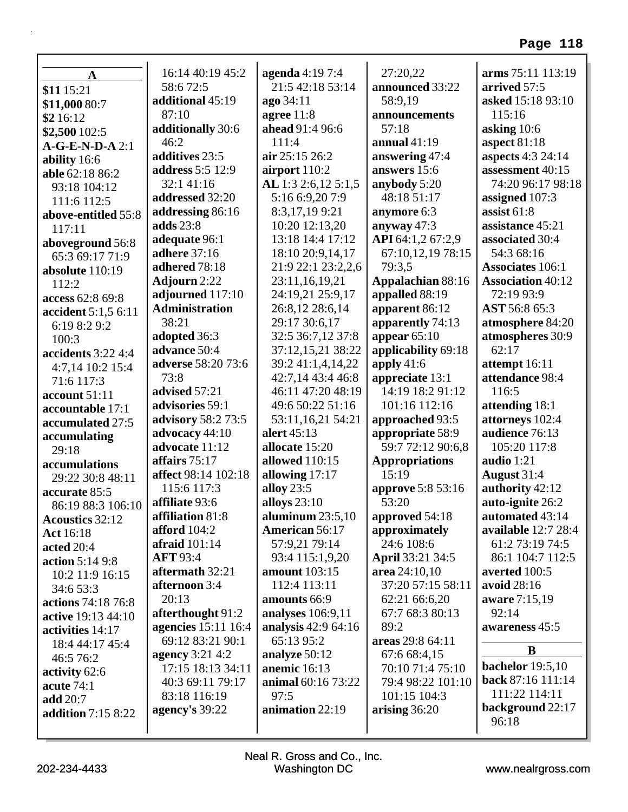| $\mathbf A$               | 16:14 40:19 45:2                     | agenda 4:19 7:4<br>21:5 42:18 53:14 | 27:20,22                 | arms 75:11 113:19                          |
|---------------------------|--------------------------------------|-------------------------------------|--------------------------|--------------------------------------------|
| \$11 15:21                | 58:672:5<br>additional 45:19         |                                     | announced 33:22          | arrived 57:5<br>asked 15:18 93:10          |
| \$11,000 80:7             | 87:10                                | ago 34:11                           | 58:9,19<br>announcements | 115:16                                     |
| \$2 16:12                 |                                      | agree $11:8$<br>ahead 91:4 96:6     | 57:18                    |                                            |
| \$2,500 102:5             | additionally 30:6<br>46:2            | 111:4                               | annual $41:19$           | asking $10:6$                              |
| $A-G-E-N-D-A2:1$          | additives 23:5                       | air 25:15 26:2                      | answering 47:4           | aspect $81:18$<br><b>aspects</b> 4:3 24:14 |
| ability 16:6              | <b>address</b> 5:5 12:9              | airport 110:2                       | answers 15:6             | assessment 40:15                           |
| able 62:18 86:2           | 32:1 41:16                           | AL 1:3 2:6,12 5:1,5                 | anybody 5:20             | 74:20 96:17 98:18                          |
| 93:18 104:12              | addressed 32:20                      | 5:16 6:9,20 7:9                     | 48:18 51:17              |                                            |
| 111:6 112:5               |                                      | 8:3,17,199:21                       | anymore 6:3              | assigned 107:3<br>assist $61:8$            |
| above-entitled 55:8       | addressing 86:16<br><b>adds</b> 23:8 |                                     |                          | assistance 45:21                           |
| 117:11                    |                                      | 10:20 12:13,20                      | anyway 47:3              |                                            |
| aboveground 56:8          | adequate 96:1                        | 13:18 14:4 17:12                    | API 64:1,2 67:2,9        | associated 30:4                            |
| 65:3 69:17 71:9           | <b>adhere</b> 37:16                  | 18:10 20:9,14,17                    | 67:10,12,19 78:15        | 54:3 68:16                                 |
| absolute 110:19           | adhered 78:18                        | 21:9 22:1 23:2,2,6                  | 79:3,5                   | <b>Associates 106:1</b>                    |
| 112:2                     | <b>Adjourn</b> 2:22                  | 23:11,16,19,21                      | Appalachian 88:16        | <b>Association 40:12</b>                   |
| access 62:8 69:8          | adjourned 117:10                     | 24:19,21 25:9,17                    | appalled 88:19           | 72:19 93:9                                 |
| accident 5:1,5 6:11       | <b>Administration</b>                | 26:8,12 28:6,14                     | apparent 86:12           | AST 56:8 65:3                              |
| 6:19 8:2 9:2              | 38:21                                | 29:17 30:6,17                       | apparently 74:13         | atmosphere 84:20                           |
| 100:3                     | adopted 36:3                         | 32:5 36:7,12 37:8                   | appear $65:10$           | atmospheres 30:9                           |
| accidents $3:224:4$       | advance 50:4                         | 37:12,15,21 38:22                   | applicability 69:18      | 62:17                                      |
| 4:7,14 10:2 15:4          | adverse 58:20 73:6                   | 39:2 41:1,4,14,22                   | apply $41:6$             | attempt 16:11                              |
| 71:6 117:3                | 73:8                                 | 42:7,14 43:4 46:8                   | appreciate 13:1          | attendance 98:4                            |
| account 51:11             | advised 57:21                        | 46:11 47:20 48:19                   | 14:19 18:2 91:12         | 116:5                                      |
| accountable 17:1          | advisories 59:1                      | 49:6 50:22 51:16                    | 101:16 112:16            | attending 18:1                             |
| accumulated 27:5          | advisory 58:2 73:5                   | 53:11,16,21 54:21                   | approached 93:5          | attorneys 102:4                            |
| accumulating              | advocacy 44:10                       | alert 45:13                         | appropriate 58:9         | audience 76:13                             |
| 29:18                     | advocate 11:12                       | allocate 15:20                      | 59:7 72:12 90:6,8        | 105:20 117:8                               |
| accumulations             | affairs 75:17                        | allowed 110:15                      | <b>Appropriations</b>    | audio 1:21                                 |
| 29:22 30:8 48:11          | affect 98:14 102:18                  | allowing 17:17                      | 15:19                    | August 31:4                                |
| accurate 85:5             | 115:6 117:3                          | alloy 23:5                          | approve 5:8 53:16        | authority 42:12                            |
| 86:19 88:3 106:10         | affiliate 93:6                       | alloys 23:10                        | 53:20                    | auto-ignite 26:2                           |
| <b>Acoustics 32:12</b>    | affiliation 81:8                     | aluminum $23:5,10$                  | approved 54:18           | automated 43:14                            |
| <b>Act</b> 16:18          | afford 104:2                         | <b>American 56:17</b>               | approximately            | available 12:7 28:4                        |
| acted 20:4                | afraid $101:14$                      | 57:9,21 79:14                       | 24:6 108:6               | 61:2 73:19 74:5                            |
| action $5:149:8$          | <b>AFT 93:4</b>                      | 93:4 115:1,9,20                     | April 33:21 34:5         | 86:1 104:7 112:5                           |
| 10:2 11:9 16:15           | aftermath 32:21                      | <b>amount</b> 103:15                | area 24:10,10            | averted 100:5                              |
| 34:6 53:3                 | afternoon 3:4                        | 112:4 113:11                        | 37:20 57:15 58:11        | avoid 28:16                                |
| actions 74:18 76:8        | 20:13                                | amounts 66:9                        | 62:21 66:6,20            | aware 7:15,19                              |
| active 19:13 44:10        | afterthought 91:2                    | analyses 106:9,11                   | 67:7 68:3 80:13          | 92:14                                      |
| activities 14:17          | <b>agencies</b> 15:11 16:4           | analysis 42:9 64:16                 | 89:2                     | awareness 45:5                             |
| 18:4 44:17 45:4           | 69:12 83:21 90:1                     | 65:13 95:2                          | areas 29:8 64:11         |                                            |
| 46:5 76:2                 | <b>agency</b> 3:21 4:2               | analyze 50:12                       | 67:6 68:4,15             | B                                          |
| activity 62:6             | 17:15 18:13 34:11                    | anemic 16:13                        | 70:10 71:4 75:10         | <b>bachelor</b> 19:5,10                    |
| acute $74:1$              | 40:3 69:11 79:17                     | animal 60:16 73:22                  | 79:4 98:22 101:10        | back 87:16 111:14                          |
| add 20:7                  | 83:18 116:19                         | 97:5                                | 101:15 104:3             | 111:22 114:11                              |
| <b>addition</b> 7:15 8:22 | agency's 39:22                       | animation 22:19                     | arising 36:20            | background 22:17                           |
|                           |                                      |                                     |                          | 96:18                                      |
|                           |                                      |                                     |                          |                                            |

Г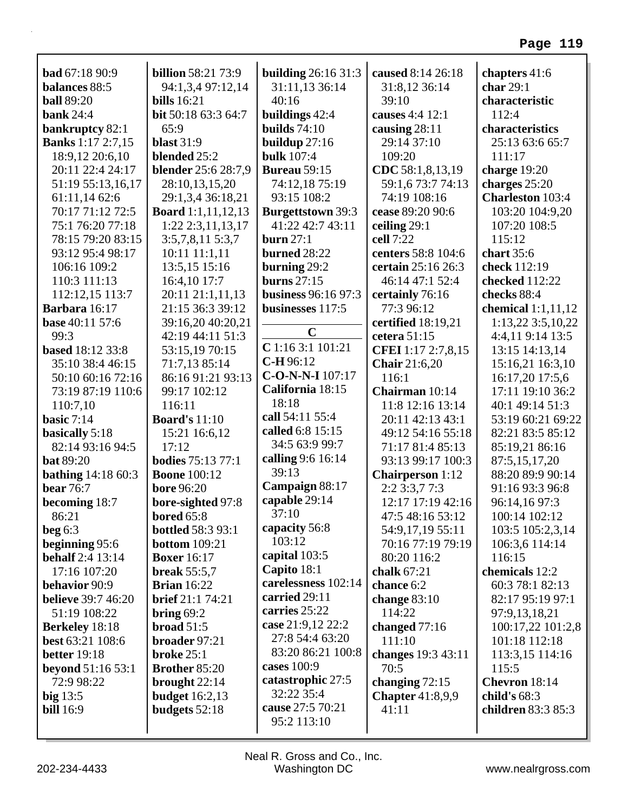| <b>bad</b> 67:18 90:9<br>balances 88:5<br><b>ball</b> 89:20 | <b>billion</b> 58:21 73:9<br>94:1,3,4 97:12,14<br><b>bills</b> 16:21 | <b>building 26:16 31:3</b><br>31:11,13 36:14<br>40:16 | caused 8:14 26:18<br>31:8,12 36:14<br>39:10 | chapters 41:6<br>char $29:1$<br>characteristic |
|-------------------------------------------------------------|----------------------------------------------------------------------|-------------------------------------------------------|---------------------------------------------|------------------------------------------------|
| <b>bank</b> 24:4                                            | bit 50:18 63:3 64:7                                                  | buildings 42:4                                        | causes 4:4 12:1                             | 112:4                                          |
| bankruptcy 82:1                                             | 65:9                                                                 | builds $74:10$                                        | causing 28:11                               | characteristics                                |
| <b>Banks</b> 1:17 2:7,15                                    | <b>blast</b> 31:9                                                    | buildup $27:16$                                       | 29:14 37:10                                 | 25:13 63:6 65:7                                |
| 18:9,12 20:6,10                                             | blended 25:2                                                         | <b>bulk</b> 107:4                                     | 109:20                                      | 111:17                                         |
| 20:11 22:4 24:17                                            | blender 25:6 28:7,9                                                  | <b>Bureau</b> 59:15                                   | CDC 58:1,8,13,19                            | charge 19:20                                   |
| 51:19 55:13,16,17                                           | 28:10,13,15,20                                                       | 74:12,18 75:19                                        | 59:1,6 73:7 74:13                           | charges 25:20                                  |
| 61:11,14 62:6                                               | 29:1,3,4 36:18,21                                                    | 93:15 108:2                                           | 74:19 108:16                                | <b>Charleston</b> 103:4                        |
| 70:17 71:12 72:5                                            | <b>Board</b> 1:1,11,12,13                                            | <b>Burgettstown</b> 39:3                              | cease 89:20 90:6                            | 103:20 104:9,20                                |
| 75:1 76:20 77:18                                            | 1:22 2:3,11,13,17                                                    | 41:22 42:7 43:11                                      | ceiling 29:1                                | 107:20 108:5                                   |
| 78:15 79:20 83:15                                           | $3:5,7,8,11\ 5:3,7$                                                  | burn $27:1$                                           | cell 7:22                                   | 115:12                                         |
| 93:12 95:4 98:17                                            | $10:11$ $11:1,11$                                                    | burned 28:22                                          | centers 58:8 104:6                          | chart $35:6$                                   |
| 106:16 109:2                                                | 13:5,15 15:16                                                        | burning $29:2$                                        | certain 25:16 26:3                          | check 112:19                                   |
| 110:3 111:13                                                | 16:4,10 17:7                                                         | burns $27:15$                                         | 46:14 47:1 52:4                             | checked 112:22                                 |
| 112:12,15 113:7                                             | 20:11 21:1,11,13                                                     | <b>business</b> 96:16 97:3                            | certainly 76:16                             | checks 88:4                                    |
| Barbara 16:17                                               | 21:15 36:3 39:12                                                     | businesses 117:5                                      | 77:3 96:12                                  | chemical $1:1,11,12$                           |
| <b>base</b> 40:11 57:6                                      | 39:16,20 40:20,21                                                    |                                                       | certified 18:19,21                          | 1:13,22 3:5,10,22                              |
| 99:3                                                        | 42:19 44:11 51:3                                                     | $\mathbf C$                                           | cetera 51:15                                | 4:4,11 9:14 13:5                               |
| <b>based</b> 18:12 33:8                                     | 53:15,19 70:15                                                       | $C$ 1:16 3:1 101:21                                   | CFEI 1:17 2:7,8,15                          | 13:15 14:13,14                                 |
| 35:10 38:4 46:15                                            | 71:7,13 85:14                                                        | C-H 96:12                                             | <b>Chair</b> 21:6,20                        | 15:16,21 16:3,10                               |
| 50:10 60:16 72:16                                           | 86:16 91:21 93:13                                                    | C-O-N-N-I 107:17                                      | 116:1                                       | 16:17,20 17:5,6                                |
| 73:19 87:19 110:6                                           | 99:17 102:12                                                         | California 18:15                                      | Chairman 10:14                              | 17:11 19:10 36:2                               |
| 110:7,10                                                    | 116:11                                                               | 18:18                                                 | 11:8 12:16 13:14                            | 40:1 49:14 51:3                                |
| basic $7:14$                                                | <b>Board's 11:10</b>                                                 | call 54:11 55:4                                       | 20:11 42:13 43:1                            | 53:19 60:21 69:22                              |
| basically 5:18                                              | 15:21 16:6,12                                                        | called 6:8 15:15                                      | 49:12 54:16 55:18                           | 82:21 83:5 85:12                               |
| 82:14 93:16 94:5                                            | 17:12                                                                | 34:5 63:9 99:7                                        | 71:17 81:4 85:13                            | 85:19,21 86:16                                 |
| <b>bat 89:20</b>                                            | <b>bodies</b> 75:13 77:1                                             | calling 9:6 16:14                                     | 93:13 99:17 100:3                           | 87:5,15,17,20                                  |
| <b>bathing</b> $14:1860:3$                                  | <b>Boone</b> 100:12                                                  | 39:13                                                 | <b>Chairperson</b> 1:12                     | 88:20 89:9 90:14                               |
| <b>bear</b> 76:7                                            | <b>bore 96:20</b>                                                    | Campaign 88:17                                        | 2:2 3:3,7 7:3                               | 91:16 93:3 96:8                                |
| becoming 18:7                                               | bore-sighted 97:8                                                    | capable 29:14                                         | 12:17 17:19 42:16                           | 96:14,16 97:3                                  |
| 86:21                                                       | <b>bored</b> 65:8                                                    | 37:10                                                 | 47:5 48:16 53:12                            | 100:14 102:12                                  |
| beg $6:3$                                                   | <b>bottled</b> 58:3 93:1                                             | capacity 56:8                                         | 54:9,17,19 55:11                            | 103:5 105:2,3,14                               |
| beginning 95:6                                              | <b>bottom</b> 109:21                                                 | 103:12                                                | 70:16 77:19 79:19                           | 106:3,6 114:14                                 |
| <b>behalf</b> 2:4 13:14                                     | <b>Boxer</b> 16:17                                                   | capital 103:5                                         | 80:20 116:2                                 | 116:15                                         |
| 17:16 107:20                                                | break $55:5,7$                                                       | Capito 18:1                                           | chalk 67:21                                 | chemicals 12:2                                 |
| behavior 90:9                                               | <b>Brian</b> 16:22                                                   | carelessness 102:14                                   | chance 6:2                                  | 60:3 78:1 82:13                                |
| <b>believe</b> 39:7 46:20                                   | brief 21:1 74:21                                                     | carried 29:11                                         | change $83:10$                              | 82:17 95:19 97:1                               |
| 51:19 108:22                                                | bring $69:2$                                                         | carries 25:22                                         | 114:22                                      | 97:9,13,18,21                                  |
| <b>Berkeley</b> 18:18                                       | broad $51:5$                                                         | case 21:9,12 22:2                                     | changed $77:16$                             | 100:17,22 101:2,8                              |
| best 63:21 108:6                                            | broader 97:21                                                        | 27:8 54:4 63:20                                       | 111:10                                      | 101:18 112:18                                  |
| <b>better</b> 19:18                                         | broke 25:1                                                           | 83:20 86:21 100:8                                     | changes 19:3 43:11                          | 113:3,15 114:16                                |
| <b>beyond</b> 51:16 53:1                                    | Brother 85:20                                                        | cases 100:9                                           | 70:5                                        | 115:5                                          |
| 72:9 98:22                                                  | brought $22:14$                                                      | catastrophic 27:5                                     | changing $72:15$                            | Chevron 18:14                                  |
| big $13:5$                                                  | <b>budget</b> 16:2,13                                                | 32:22 35:4                                            | Chapter $41:8,9,9$                          | child's $68:3$                                 |
| <b>bill</b> 16:9                                            | budgets 52:18                                                        | cause 27:5 70:21                                      | 41:11                                       | children 83:3 85:3                             |
|                                                             |                                                                      | 95:2 113:10                                           |                                             |                                                |
|                                                             |                                                                      |                                                       |                                             |                                                |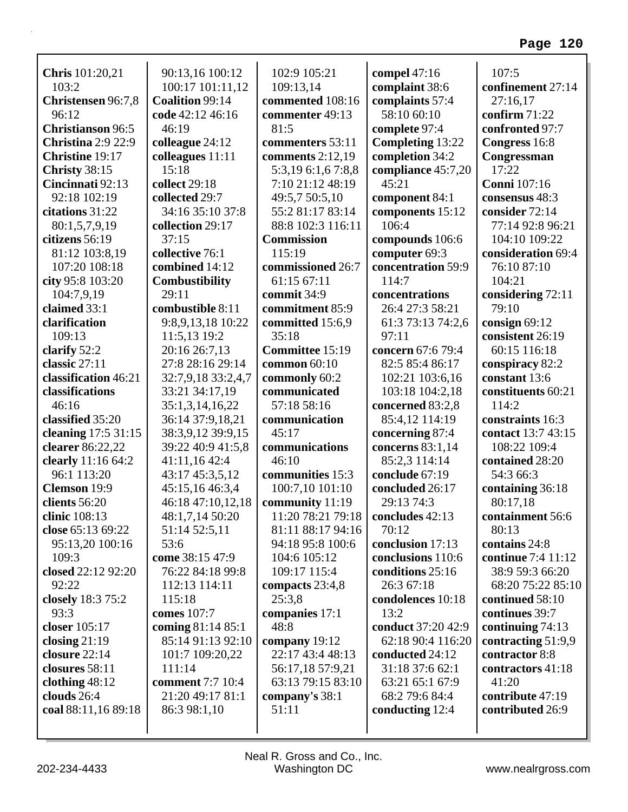| <b>Chris</b> 101:20,21        | 90:13,16 100:12                      | 102:9 105:21              | compel $47:16$                     | 107:5                            |
|-------------------------------|--------------------------------------|---------------------------|------------------------------------|----------------------------------|
| 103:2                         | 100:17 101:11,12                     | 109:13,14                 | complaint 38:6                     | confinement 27:14                |
| Christensen 96:7,8            | Coalition 99:14                      | commented 108:16          | complaints 57:4                    | 27:16,17                         |
| 96:12                         | code 42:12 46:16                     | commenter 49:13           | 58:10 60:10                        | confirm 71:22                    |
| <b>Christianson</b> 96:5      | 46:19                                | 81:5                      | complete 97:4                      | confronted 97:7                  |
| <b>Christina 2:9 22:9</b>     | colleague 24:12                      | commenters 53:11          | Completing 13:22                   | Congress 16:8                    |
| <b>Christine 19:17</b>        | colleagues 11:11                     | comments $2:12,19$        | completion 34:2                    | Congressman                      |
| Christy 38:15                 | 15:18                                | 5:3,19 6:1,6 7:8,8        | compliance 45:7,20                 | 17:22                            |
| Cincinnati 92:13              | collect 29:18                        | 7:10 21:12 48:19          | 45:21                              | <b>Conni</b> 107:16              |
| 92:18 102:19                  | collected 29:7                       | 49:5,7 50:5,10            | component 84:1                     | consensus 48:3                   |
| citations 31:22               | 34:16 35:10 37:8                     | 55:2 81:17 83:14          | components 15:12                   | consider 72:14                   |
| 80:1,5,7,9,19                 | collection 29:17                     | 88:8 102:3 116:11         | 106:4                              | 77:14 92:8 96:21                 |
| citizens 56:19                | 37:15                                | <b>Commission</b>         | compounds 106:6                    | 104:10 109:22                    |
| 81:12 103:8,19                | collective 76:1                      | 115:19                    | computer 69:3                      | consideration 69:4               |
| 107:20 108:18                 | combined 14:12                       | commissioned 26:7         | concentration 59:9                 | 76:10 87:10                      |
| city 95:8 103:20              | Combustibility                       | 61:15 67:11               | 114:7                              | 104:21                           |
| 104:7,9,19                    | 29:11                                | commit 34:9               | concentrations                     | considering 72:11                |
| claimed 33:1<br>clarification | combustible 8:11                     | commitment 85:9           | 26:4 27:3 58:21                    | 79:10                            |
|                               | 9:8,9,13,18 10:22                    | committed 15:6,9<br>35:18 | 61:3 73:13 74:2,6<br>97:11         | consign 69:12                    |
| 109:13                        | 11:5,13 19:2                         | Committee 15:19           | concern 67:6 79:4                  | consistent 26:19<br>60:15 116:18 |
| clarify 52:2<br>classic 27:11 | 20:16 26:7,13<br>27:8 28:16 29:14    | common $60:10$            | 82:5 85:4 86:17                    | conspiracy 82:2                  |
| classification 46:21          |                                      | commonly 60:2             |                                    | constant 13:6                    |
| classifications               | 32:7,9,18 33:2,4,7<br>33:21 34:17,19 | communicated              | 102:21 103:6,16<br>103:18 104:2,18 | constituents 60:21               |
| 46:16                         | 35:1,3,14,16,22                      | 57:18 58:16               | concerned 83:2,8                   | 114:2                            |
| classified 35:20              | 36:14 37:9,18,21                     | communication             | 85:4,12 114:19                     | constraints 16:3                 |
| cleaning 17:5 31:15           | 38:3,9,12 39:9,15                    | 45:17                     | concerning 87:4                    | contact 13:7 43:15               |
| clearer 86:22,22              | 39:22 40:9 41:5,8                    | communications            | concerns 83:1,14                   | 108:22 109:4                     |
| clearly 11:16 64:2            | 41:11,16 42:4                        | 46:10                     | 85:2,3 114:14                      | contained 28:20                  |
| 96:1 113:20                   | 43:17 45:3,5,12                      | communities 15:3          | conclude 67:19                     | 54:3 66:3                        |
| Clemson 19:9                  | 45:15,16 46:3,4                      | 100:7,10 101:10           | concluded 26:17                    | containing 36:18                 |
| clients 56:20                 | 46:18 47:10,12,18                    | community 11:19           | 29:13 74:3                         | 80:17,18                         |
| clinic 108:13                 | 48:1,7,14 50:20                      | 11:20 78:21 79:18         | concludes 42:13                    | containment 56:6                 |
| close 65:13 69:22             | 51:14 52:5,11                        | 81:11 88:17 94:16         | 70:12                              | 80:13                            |
| 95:13,20 100:16               | 53:6                                 | 94:18 95:8 100:6          | conclusion 17:13                   | contains 24:8                    |
| 109:3                         | come 38:15 47:9                      | 104:6 105:12              | conclusions 110:6                  | continue 7:4 11:12               |
| closed 22:12 92:20            | 76:22 84:18 99:8                     | 109:17 115:4              | conditions 25:16                   | 38:9 59:3 66:20                  |
| 92:22                         | 112:13 114:11                        | compacts 23:4,8           | 26:3 67:18                         | 68:20 75:22 85:10                |
| closely 18:3 75:2             | 115:18                               | 25:3,8                    | condolences 10:18                  | continued 58:10                  |
| 93:3                          | comes 107:7                          | companies 17:1            | 13:2                               | continues 39:7                   |
| closer 105:17                 | coming 81:14 85:1                    | 48:8                      | conduct 37:20 42:9                 | continuing 74:13                 |
| closing $21:19$               | 85:14 91:13 92:10                    | company 19:12             | 62:18 90:4 116:20                  | contracting 51:9,9               |
| closure 22:14                 | 101:7 109:20,22                      | 22:17 43:4 48:13          | conducted 24:12                    | contractor 8:8                   |
| closures 58:11                | 111:14                               | 56:17,18 57:9,21          | 31:18 37:6 62:1                    | contractors 41:18                |
| clothing $48:12$              | <b>comment</b> 7:7 10:4              | 63:13 79:15 83:10         | 63:21 65:1 67:9                    | 41:20                            |
| clouds $26:4$                 | 21:20 49:17 81:1                     | company's 38:1            | 68:2 79:6 84:4                     | contribute 47:19                 |
| coal 88:11,16 89:18           | 86:3 98:1,10                         | 51:11                     | conducting 12:4                    | contributed 26:9                 |
|                               |                                      |                           |                                    |                                  |
|                               |                                      |                           |                                    |                                  |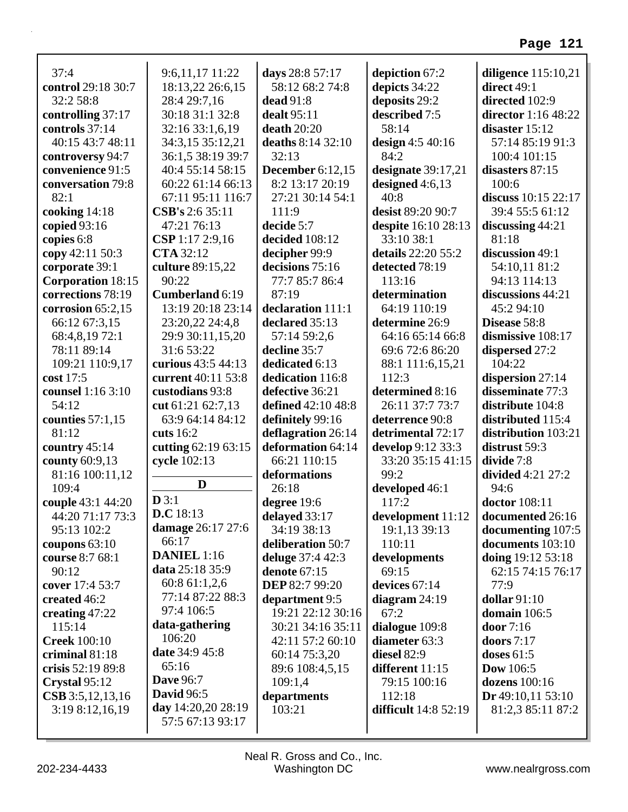| 37:4                         | 9:6,11,17 11:22                      | days 28:8 57:17                     | depiction 67:2                    | diligence 115:10,21          |
|------------------------------|--------------------------------------|-------------------------------------|-----------------------------------|------------------------------|
| control 29:18 30:7           | 18:13,22 26:6,15                     | 58:12 68:2 74:8                     | depicts 34:22                     | direct 49:1                  |
| 32:2 58:8                    | 28:4 29:7,16                         | dead 91:8                           | deposits 29:2                     | directed 102:9               |
| controlling 37:17            | 30:18 31:1 32:8                      | dealt $95:11$                       | described 7:5                     | director 1:16 48:22          |
| controls 37:14               | 32:16 33:1,6,19                      | death $20:20$                       | 58:14                             | disaster 15:12               |
| 40:15 43:7 48:11             | 34:3,15 35:12,21                     | deaths 8:14 32:10                   | design $4:540:16$                 | 57:14 85:19 91:3             |
| controversy 94:7             | 36:1,5 38:19 39:7                    | 32:13                               | 84:2                              | 100:4 101:15                 |
| convenience 91:5             | 40:4 55:14 58:15                     | December $6:12,15$                  | designate $39:17,21$              | disasters 87:15              |
| conversation 79:8<br>82:1    | 60:22 61:14 66:13                    | 8:2 13:17 20:19<br>27:21 30:14 54:1 | designed $4:6,13$<br>40:8         | 100:6<br>discuss 10:15 22:17 |
|                              | 67:11 95:11 116:7<br>CSB's 2:6 35:11 | 111:9                               | desist 89:20 90:7                 | 39:4 55:5 61:12              |
| cooking 14:18                | 47:21 76:13                          | decide 5:7                          |                                   |                              |
| copied $93:16$<br>copies 6:8 | CSP 1:17 2:9,16                      | decided 108:12                      | despite 16:10 28:13<br>33:10 38:1 | discussing 44:21<br>81:18    |
| copy 42:11 50:3              | <b>CTA</b> 32:12                     | decipher 99:9                       | details 22:20 55:2                | discussion 49:1              |
| corporate 39:1               | culture 89:15,22                     | decisions 75:16                     | detected 78:19                    | 54:10,11 81:2                |
| <b>Corporation 18:15</b>     | 90:22                                | 77:7 85:7 86:4                      | 113:16                            | 94:13 114:13                 |
| corrections 78:19            | Cumberland 6:19                      | 87:19                               | determination                     | discussions 44:21            |
| corrosion $65:2,15$          | 13:19 20:18 23:14                    | declaration 111:1                   | 64:19 110:19                      | 45:2 94:10                   |
| 66:12 67:3,15                | 23:20,22 24:4,8                      | declared 35:13                      | determine 26:9                    | Disease 58:8                 |
| 68:4,8,19 72:1               | 29:9 30:11,15,20                     | 57:14 59:2,6                        | 64:16 65:14 66:8                  | dismissive 108:17            |
| 78:11 89:14                  | 31:6 53:22                           | decline 35:7                        | 69:6 72:6 86:20                   | dispersed 27:2               |
| 109:21 110:9,17              | curious 43:5 44:13                   | dedicated 6:13                      | 88:1 111:6,15,21                  | 104:22                       |
| cost 17:5                    | current 40:11 53:8                   | dedication 116:8                    | 112:3                             | dispersion 27:14             |
| counsel 1:16 3:10            | custodians 93:8                      | defective 36:21                     | determined 8:16                   | disseminate 77:3             |
| 54:12                        | cut 61:21 62:7,13                    | defined 42:10 48:8                  | 26:11 37:7 73:7                   | distribute 104:8             |
| counties $57:1,15$           | 63:9 64:14 84:12                     | definitely 99:16                    | deterrence 90:8                   | distributed 115:4            |
| 81:12                        | cuts 16:2                            | deflagration 26:14                  | detrimental 72:17                 | distribution 103:21          |
| country 45:14                | cutting 62:19 63:15                  | deformation 64:14                   | develop 9:12 33:3                 | distrust 59:3                |
| county 60:9,13               | cycle 102:13                         | 66:21 110:15                        | 33:20 35:15 41:15                 | divide 7:8                   |
| 81:16 100:11,12              |                                      | deformations                        | 99:2                              | divided 4:21 27:2            |
| 109:4                        | D                                    | 26:18                               | developed 46:1                    | 94:6                         |
| couple 43:1 44:20            | D3:1                                 | degree 19:6                         | 117:2                             | doctor 108:11                |
| 44:20 71:17 73:3             | D.C.18:13                            | delayed 33:17                       | development $11:12$               | documented 26:16             |
| 95:13 102:2                  | damage 26:17 27:6                    | 34:19 38:13                         | 19:1,13 39:13                     | documenting 107:5            |
| coupons $63:10$              | 66:17                                | deliberation 50:7                   | 110:11                            | documents 103:10             |
| course 8:7 68:1              | <b>DANIEL</b> 1:16                   | deluge 37:4 42:3                    | developments                      | doing 19:12 53:18            |
| 90:12                        | data 25:18 35:9                      | <b>denote</b> 67:15                 | 69:15                             | 62:15 74:15 76:17            |
| cover 17:4 53:7              | 60:8 61:1,2,6                        | <b>DEP 82:7 99:20</b>               | devices 67:14                     | 77:9                         |
| created 46:2                 | 77:14 87:22 88:3                     | department 9:5                      | diagram $24:19$                   | dollar $91:10$               |
| creating 47:22               | 97:4 106:5                           | 19:21 22:12 30:16                   | 67:2                              | domain 106:5                 |
| 115:14                       | data-gathering                       | 30:21 34:16 35:11                   | dialogue 109:8                    | door 7:16                    |
| <b>Creek</b> 100:10          | 106:20                               | 42:11 57:2 60:10                    | diameter 63:3                     | doors $7:17$                 |
| criminal 81:18               | date 34:9 45:8                       | 60:14 75:3,20                       | diesel 82:9                       | doses $61:5$                 |
| crisis 52:19 89:8            | 65:16                                | 89:6 108:4,5,15                     | different 11:15                   | <b>Dow</b> 106:5             |
| Crystal 95:12                | <b>Dave 96:7</b>                     | 109:1,4                             | 79:15 100:16                      | dozens 100:16                |
| $CSB$ 3:5,12,13,16           | <b>David</b> 96:5                    | departments                         | 112:18                            | Dr 49:10,11 53:10            |
| 3:198:12,16,19               | day 14:20,20 28:19                   | 103:21                              | difficult 14:8 52:19              | 81:2,3 85:11 87:2            |
|                              | 57:5 67:13 93:17                     |                                     |                                   |                              |
|                              |                                      |                                     |                                   |                              |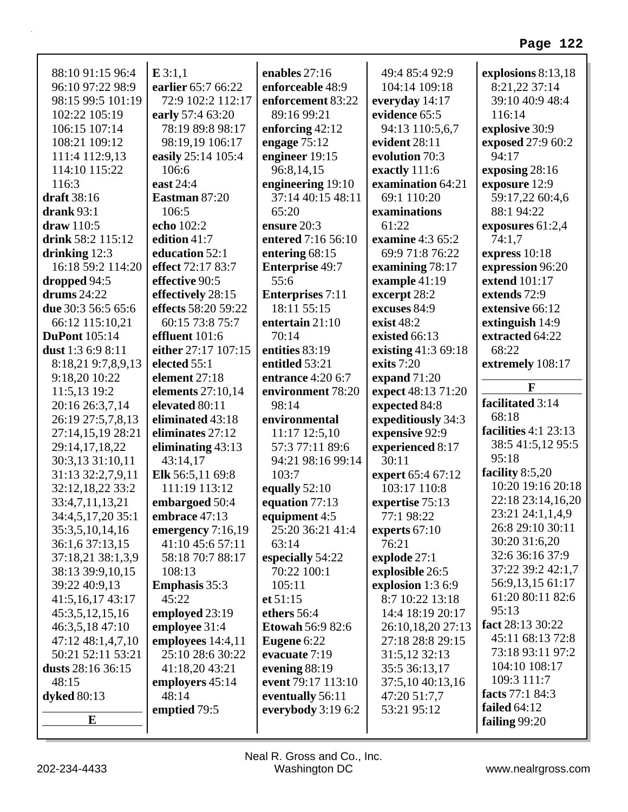| 114:10 115:22                       | 106:6                        | 96:8,14,15                        | exactly 111:6                     | exposing 28:16         |
|-------------------------------------|------------------------------|-----------------------------------|-----------------------------------|------------------------|
| 111:4 112:9,13                      | easily 25:14 105:4           | engineer 19:15                    | evolution 70:3                    | 94:17                  |
| 116:3                               | east 24:4                    | engineering 19:10                 | examination 64:21                 | exposure 12:9          |
| draft 38:16                         | Eastman 87:20                | 37:14 40:15 48:11                 | 69:1 110:20                       | 59:17,22 60:4,6        |
| drank $93:1$                        | 106:5                        | 65:20                             | examinations                      | 88:1 94:22             |
| draw 110:5                          | echo 102:2                   | ensure $20:3$                     | 61:22                             | exposures $61:2,4$     |
| drink 58:2 115:12                   | edition 41:7                 | entered 7:16 56:10                | examine 4:3 65:2                  | 74:1,7                 |
| drinking 12:3                       | education 52:1               | entering 68:15                    | 69:9 71:8 76:22                   | express 10:18          |
| 16:18 59:2 114:20                   | effect 72:17 83:7            | <b>Enterprise 49:7</b>            | examining 78:17                   | expression 96:20       |
| dropped 94:5                        | effective 90:5               | 55:6                              | example 41:19                     | extend 101:17          |
| drums $24:22$                       | effectively 28:15            | <b>Enterprises</b> 7:11           | excerpt 28:2                      | extends 72:9           |
| due 30:3 56:5 65:6                  | effects 58:20 59:22          | 18:11 55:15                       | excuses 84:9                      | extensive 66:12        |
| 66:12 115:10,21                     | 60:15 73:8 75:7              | entertain 21:10                   | exist $48:2$                      | extinguish 14:9        |
| <b>DuPont</b> 105:14                | effluent 101:6               | 70:14                             | existed 66:13                     | extracted 64:22        |
| dust 1:3 6:9 8:11                   | either 27:17 107:15          | entities 83:19                    | existing 41:3 69:18               | 68:22                  |
| 8:18,21 9:7,8,9,13                  | elected 55:1                 | entitled 53:21                    | exits $7:20$                      | extremely 108:17       |
| 9:18,20 10:22                       | element 27:18                | <b>entrance</b> 4:20 6:7          | expand $71:20$                    |                        |
| 11:5,13 19:2                        | elements $27:10,14$          | environment 78:20                 | expect 48:13 71:20                | $\mathbf{F}$           |
| 20:16 26:3,7,14                     | elevated 80:11               | 98:14                             | expected 84:8                     | facilitated 3:14       |
| 26:19 27:5,7,8,13                   | eliminated 43:18             | environmental                     | expeditiously 34:3                | 68:18                  |
|                                     |                              |                                   |                                   |                        |
|                                     |                              |                                   |                                   | facilities $4:1$ 23:13 |
| 27:14,15,19 28:21                   | eliminates 27:12             | 11:17 12:5,10<br>57:3 77:11 89:6  | expensive 92:9                    | 38:5 41:5,12 95:5      |
| 29:14,17,18,22                      | eliminating 43:13            |                                   | experienced 8:17<br>30:11         | 95:18                  |
| 30:3,13 31:10,11                    | 43:14,17<br>Elk 56:5,11 69:8 | 94:21 98:16 99:14<br>103:7        |                                   | facility 8:5,20        |
| 31:13 32:2,7,9,11                   | 111:19 113:12                | equally $52:10$                   | expert 65:4 67:12<br>103:17 110:8 | 10:20 19:16 20:18      |
| 32:12,18,22 33:2<br>33:4,7,11,13,21 | embargoed 50:4               | equation 77:13                    | expertise 75:13                   | 22:18 23:14,16,20      |
| 34:4,5,17,20 35:1                   | embrace $47:13$              |                                   | 77:1 98:22                        | 23:21 24:1,1,4,9       |
| 35:3,5,10,14,16                     | emergency $7:16,19$          | equipment 4:5<br>25:20 36:21 41:4 | experts 67:10                     | 26:8 29:10 30:11       |
| 36:1,6 37:13,15                     | 41:10 45:6 57:11             | 63:14                             | 76:21                             | 30:20 31:6,20          |
| 37:18,21 38:1,3,9                   | 58:18 70:7 88:17             | especially 54:22                  | explode 27:1                      | 32:6 36:16 37:9        |
| 38:13 39:9,10,15                    | 108:13                       | 70:22 100:1                       | explosible 26:5                   | 37:22 39:2 42:1,7      |
| 39:22 40:9,13                       | <b>Emphasis</b> 35:3         | 105:11                            | explosion 1:3 6:9                 | 56:9,13,15 61:17       |
| 41:5,16,17 43:17                    | 45:22                        | et 51:15                          | 8:7 10:22 13:18                   | 61:20 80:11 82:6       |
| 45:3,5,12,15,16                     | employed 23:19               | ethers 56:4                       | 14:4 18:19 20:17                  | 95:13                  |
| 46:3,5,18 47:10                     | employee 31:4                | <b>Etowah 56:9 82:6</b>           | 26:10,18,20 27:13                 | fact 28:13 30:22       |
| 47:12 48:1,4,7,10                   | employees 14:4,11            | Eugene 6:22                       | 27:18 28:8 29:15                  | 45:11 68:13 72:8       |
| 50:21 52:11 53:21                   | 25:10 28:6 30:22             | evacuate 7:19                     | 31:5,12 32:13                     | 73:18 93:11 97:2       |
| dusts 28:16 36:15                   | 41:18,20 43:21               | evening 88:19                     | 35:5 36:13,17                     | 104:10 108:17          |
| 48:15                               | employers 45:14              | event 79:17 113:10                | 37:5,10 40:13,16                  | 109:3 111:7            |
| <b>dyked</b> 80:13                  | 48:14                        | eventually 56:11                  | 47:20 51:7,7                      | facts 77:1 84:3        |
|                                     | emptied 79:5                 | everybody $3:196:2$               | 53:21 95:12                       | failed $64:12$         |
| E                                   |                              |                                   |                                   | failing 99:20          |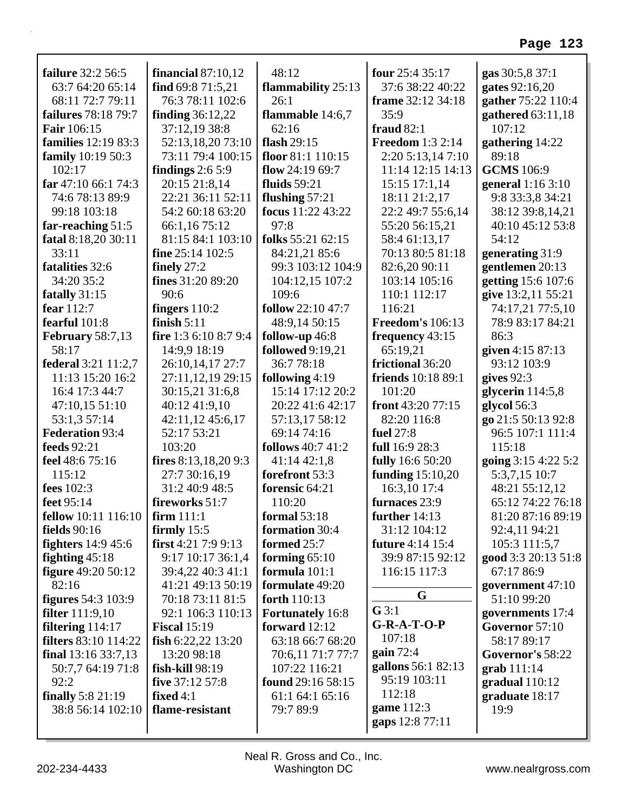| failure 32:2 56:5           | financial $87:10,12$  | 48:12                    | four $25:435:17$          | gas 30:5,8 37:1     |
|-----------------------------|-----------------------|--------------------------|---------------------------|---------------------|
| 63:7 64:20 65:14            | find $69:871:5,21$    | flammability 25:13       | 37:6 38:22 40:22          | gates 92:16,20      |
| 68:11 72:7 79:11            | 76:3 78:11 102:6      | 26:1                     | frame 32:12 34:18         | gather 75:22 110:4  |
| failures 78:18 79:7         | finding $36:12,22$    | flammable $14:6,7$       | 35:9                      | gathered 63:11,18   |
| <b>Fair</b> 106:15          | 37:12,19 38:8         | 62:16                    | fraud $82:1$              | 107:12              |
| <b>families</b> 12:19 83:3  | 52:13,18,20 73:10     | flash $29:15$            | <b>Freedom</b> 1:3 2:14   | gathering 14:22     |
| <b>family</b> 10:19 50:3    | 73:11 79:4 100:15     | floor 81:1 110:15        | 2:20 5:13,14 7:10         | 89:18               |
| 102:17                      | findings $2:65:9$     | flow $24:1969:7$         | 11:14 12:15 14:13         | <b>GCMS</b> 106:9   |
| far $47:1066:174:3$         | 20:15 21:8,14         | fluids $59:21$           | $15:15$ 17:1,14           | general 1:16 3:10   |
| 74:6 78:13 89:9             | 22:21 36:11 52:11     | flushing $57:21$         | 18:11 21:2,17             | 9:8 33:3,8 34:21    |
| 99:18 103:18                | 54:2 60:18 63:20      | focus 11:22 43:22        | 22:2 49:7 55:6,14         | 38:12 39:8,14,21    |
| far-reaching 51:5           | 66:1,16 75:12         | 97:8                     | 55:20 56:15,21            | 40:10 45:12 53:8    |
| fatal 8:18,20 30:11         | 81:15 84:1 103:10     | folks 55:21 62:15        | 58:4 61:13,17             | 54:12               |
| 33:11                       | fine $25:14$ 102:5    | 84:21,21 85:6            | 70:13 80:5 81:18          | generating 31:9     |
| fatalities 32:6             | finely $27:2$         | 99:3 103:12 104:9        | 82:6,20 90:11             | gentlemen 20:13     |
| 34:20 35:2                  | fines 31:20 89:20     | 104:12,15 107:2          | 103:14 105:16             | getting 15:6 107:6  |
| fatally 31:15               | 90:6                  | 109:6                    | 110:1 112:17              | give 13:2,11 55:21  |
| fear 112:7                  | fingers $110:2$       | <b>follow</b> 22:10 47:7 | 116:21                    | 74:17,21 77:5,10    |
| fearful 101:8               | finish $5:11$         | 48:9,14 50:15            | <b>Freedom's 106:13</b>   | 78:9 83:17 84:21    |
| <b>February 58:7,13</b>     | fire 1:3 6:10 8:7 9:4 | follow-up 46:8           | frequency 43:15           | 86:3                |
| 58:17                       | 14:9,9 18:19          | <b>followed</b> 9:19,21  | 65:19,21                  | given 4:15 87:13    |
| <b>federal</b> 3:21 11:2,7  | 26:10,14,17 27:7      | 36:7 78:18               | frictional 36:20          | 93:12 103:9         |
| 11:13 15:20 16:2            | 27:11,12,19 29:15     | following $4:19$         | <b>friends</b> 10:18 89:1 | gives $92:3$        |
| 16:4 17:3 44:7              | 30:15,21 31:6,8       | 15:14 17:12 20:2         | 101:20                    | glycerin $114:5,8$  |
| 47:10,15 51:10              | 40:12 41:9,10         | 20:22 41:6 42:17         | front 43:20 77:15         | glycol 56:3         |
| 53:1,3 57:14                | 42:11,12 45:6,17      | 57:13,17 58:12           | 82:20 116:8               | go 21:5 50:13 92:8  |
| <b>Federation 93:4</b>      | 52:17 53:21           | 69:14 74:16              | fuel 27:8                 | 96:5 107:1 111:4    |
| <b>feeds</b> 92:21          | 103:20                | <b>follows</b> 40:7 41:2 | full 16:9 28:3            | 115:18              |
| feel 48:6 75:16             | fires 8:13,18,20 9:3  | 41:14 42:1,8             | <b>fully</b> 16:6 50:20   | going 3:15 4:22 5:2 |
| 115:12                      | 27:7 30:16,19         | forefront 53:3           | funding $15:10,20$        | 5:3,7,15 10:7       |
| fees 102:3                  | 31:2 40:9 48:5        | forensic 64:21           | 16:3,10 17:4              | 48:21 55:12,12      |
| feet 95:14                  | fireworks 51:7        | 110:20                   | furnaces 23:9             | 65:12 74:22 76:18   |
| <b>fellow</b> 10:11 116:10  | firm $111:1$          | formal $53:18$           | further $14:13$           | 81:20 87:16 89:19   |
| fields $90:16$              | firmly $15:5$         | formation 30:4           | 31:12 104:12              | 92:4,11 94:21       |
| fighters $14:945:6$         | first $4:217:99:13$   | formed 25:7              | future 4:14 15:4          | 105:3 111:5,7       |
| fighting $45:18$            | 9:17 10:17 36:1,4     | forming $65:10$          | 39:9 87:15 92:12          | good 3:3 20:13 51:8 |
| figure 49:20 50:12          | 39:4,22 40:3 41:1     | formula 101:1            | 116:15 117:3              | 67:17 86:9          |
| 82:16                       | 41:21 49:13 50:19     | formulate 49:20          |                           | government 47:10    |
| <b>figures</b> 54:3 103:9   | 70:18 73:11 81:5      | forth 110:13             | G                         | 51:10 99:20         |
| <b>filter</b> $111:9,10$    | 92:1 106:3 110:13     | <b>Fortunately</b> 16:8  | $G$ 3:1                   | governments 17:4    |
| filtering $114:17$          | <b>Fiscal</b> 15:19   | forward $12:12$          | $G-R-A-T-O-P$             | Governor 57:10      |
| <b>filters</b> 83:10 114:22 | fish $6:22,22$ 13:20  | 63:18 66:7 68:20         | 107:18                    | 58:17 89:17         |
| final $13:1633:7,13$        | 13:20 98:18           | 70:6,11 71:7 77:7        | gain 72:4                 | Governor's 58:22    |
| 50:7,7 64:19 71:8           | fish-kill 98:19       | 107:22 116:21            | gallons 56:1 82:13        | $grab 111:14$       |
| 92:2                        | five 37:12 57:8       | found 29:16 58:15        | 95:19 103:11              | gradual 110:12      |
| finally 5:8 21:19           | fixed $4:1$           | 61:1 64:1 65:16          | 112:18                    | graduate 18:17      |
| 38:8 56:14 102:10           | flame-resistant       | 79:7 89:9                | game 112:3                | 19:9                |
|                             |                       |                          | gaps 12:8 77:11           |                     |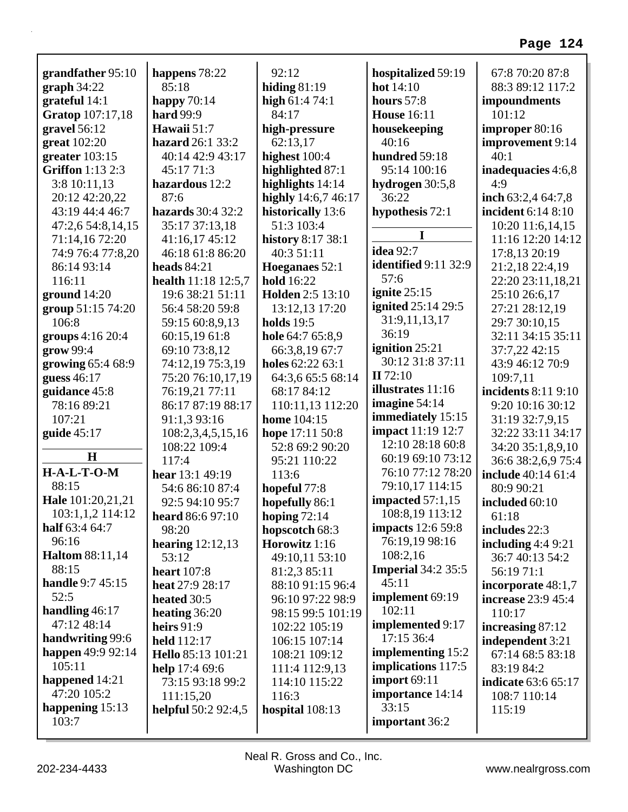| grandfather 95:10       | happens 78:22              | 92:12               | hospitalized 59:19          | 67:8 70:20 87:8            |
|-------------------------|----------------------------|---------------------|-----------------------------|----------------------------|
| graph 34:22             | 85:18                      | hiding $81:19$      | hot 14:10                   | 88:3 89:12 117:2           |
| grateful 14:1           | happy $70:14$              | high $61:474:1$     | hours $57:8$                | impoundments               |
| Gratop 107:17,18        | <b>hard</b> 99:9           | 84:17               | <b>House</b> 16:11          | 101:12                     |
| gravel $56:12$          | Hawaii 51:7                | high-pressure       | housekeeping                | improper 80:16             |
| great 102:20            | hazard 26:1 33:2           | 62:13,17            | 40:16                       | improvement 9:14           |
| greater $103:15$        | 40:14 42:9 43:17           | highest 100:4       | hundred 59:18               | 40:1                       |
| <b>Griffon</b> 1:13 2:3 | 45:17 71:3                 | highlighted 87:1    | 95:14 100:16                | inadequacies 4:6,8         |
| 3:8 10:11,13            | hazardous 12:2             | highlights 14:14    | hydrogen 30:5,8             | 4:9                        |
| 20:12 42:20,22          | 87:6                       | highly 14:6,7 46:17 | 36:22                       | inch $63:2,464:7,8$        |
| 43:19 44:4 46:7         | hazards 30:4 32:2          | historically 13:6   | hypothesis 72:1             | incident 6:14 8:10         |
| 47:2,6 54:8,14,15       | 35:17 37:13,18             | 51:3 103:4          |                             | 10:20 11:6,14,15           |
| 71:14,16 72:20          | 41:16,17 45:12             | history 8:17 38:1   | I                           | 11:16 12:20 14:12          |
| 74:9 76:4 77:8,20       | 46:18 61:8 86:20           | 40:3 51:11          | <b>idea</b> 92:7            | 17:8,13 20:19              |
| 86:14 93:14             | heads $84:21$              | Hoeganaes 52:1      | <b>identified</b> 9:11 32:9 | 21:2,18 22:4,19            |
| 116:11                  | health 11:18 12:5,7        | <b>hold</b> 16:22   | 57:6                        | 22:20 23:11,18,21          |
| ground $14:20$          | 19:6 38:21 51:11           | Holden 2:5 13:10    | ignite $25:15$              | 25:10 26:6,17              |
| group 51:15 74:20       | 56:4 58:20 59:8            | 13:12,13 17:20      | <b>ignited</b> 25:14 29:5   | 27:21 28:12,19             |
| 106:8                   | 59:15 60:8,9,13            | <b>holds</b> 19:5   | 31:9,11,13,17               | 29:7 30:10,15              |
| groups $4:16\,20:4$     | 60:15,19 61:8              | hole 64:7 65:8,9    | 36:19                       | 32:11 34:15 35:11          |
| grow 99:4               | 69:10 73:8,12              | 66:3,8,19 67:7      | ignition 25:21              | 37:7,22 42:15              |
| growing 65:4 68:9       | 74:12,19 75:3,19           | holes 62:22 63:1    | 30:12 31:8 37:11            | 43:9 46:12 70:9            |
| guess 46:17             | 75:20 76:10,17,19          | 64:3,6 65:5 68:14   | II 72:10                    | 109:7,11                   |
| guidance 45:8           | 76:19,21 77:11             | 68:17 84:12         | <b>illustrates</b> 11:16    | incidents 8:11 9:10        |
| 78:16 89:21             | 86:17 87:19 88:17          | 110:11,13 112:20    | imagine $54:14$             | 9:20 10:16 30:12           |
| 107:21                  | 91:1,3 93:16               | <b>home</b> 104:15  | immediately 15:15           | 31:19 32:7,9,15            |
| guide $45:17$           | 108:2,3,4,5,15,16          | hope 17:11 50:8     | <b>impact</b> 11:19 12:7    | 32:22 33:11 34:17          |
|                         | 108:22 109:4               | 52:8 69:2 90:20     | 12:10 28:18 60:8            | 34:20 35:1,8,9,10          |
| H                       | 117:4                      | 95:21 110:22        | 60:19 69:10 73:12           | 36:6 38:2,6,9 75:4         |
| $H-A-L-T-O-M$           | hear 13:1 49:19            | 113:6               | 76:10 77:12 78:20           | include 40:14 61:4         |
| 88:15                   | 54:6 86:10 87:4            | hopeful 77:8        | 79:10,17 114:15             | 80:9 90:21                 |
| Hale 101:20,21,21       | 92:5 94:10 95:7            | hopefully 86:1      | impacted $57:1,15$          | included 60:10             |
| 103:1,1,2 114:12        | heard 86:6 97:10           | hoping $72:14$      | 108:8,19 113:12             | 61:18                      |
| half 63:4 64:7          | 98:20                      | hopscotch 68:3      | <b>impacts</b> 12:6 59:8    | includes 22:3              |
| 96:16                   | hearing $12:12,13$         | Horowitz 1:16       | 76:19,19 98:16              | including $4:49:21$        |
| <b>Haltom 88:11,14</b>  | 53:12                      | 49:10,11 53:10      | 108:2,16                    | 36:7 40:13 54:2            |
| 88:15                   | <b>heart</b> 107:8         | 81:2,3 85:11        | <b>Imperial</b> 34:2 35:5   | 56:19 71:1                 |
| <b>handle</b> 9:7 45:15 | heat 27:9 28:17            | 88:10 91:15 96:4    | 45:11                       | incorporate 48:1,7         |
| 52:5                    | heated 30:5                | 96:10 97:22 98:9    | implement 69:19             | increase 23:9 45:4         |
| handling $46:17$        | heating $36:20$            | 98:15 99:5 101:19   | 102:11                      | 110:17                     |
| 47:12 48:14             | heirs $91:9$               | 102:22 105:19       | implemented 9:17            | increasing 87:12           |
| handwriting 99:6        | <b>held</b> 112:17         | 106:15 107:14       | 17:15 36:4                  | independent 3:21           |
| happen 49:9 92:14       | Hello 85:13 101:21         | 108:21 109:12       | implementing 15:2           | 67:14 68:5 83:18           |
| 105:11                  | help $17:469:6$            | 111:4 112:9,13      | <b>implications</b> 117:5   | 83:19 84:2                 |
| happened 14:21          | 73:15 93:18 99:2           | 114:10 115:22       | import $69:11$              | <b>indicate</b> 63:6 65:17 |
| 47:20 105:2             | 111:15,20                  | 116:3               | importance 14:14            | 108:7 110:14               |
| happening $15:13$       | <b>helpful</b> 50:2 92:4,5 | hospital 108:13     | 33:15                       | 115:19                     |
| 103:7                   |                            |                     | important 36:2              |                            |
|                         |                            |                     |                             |                            |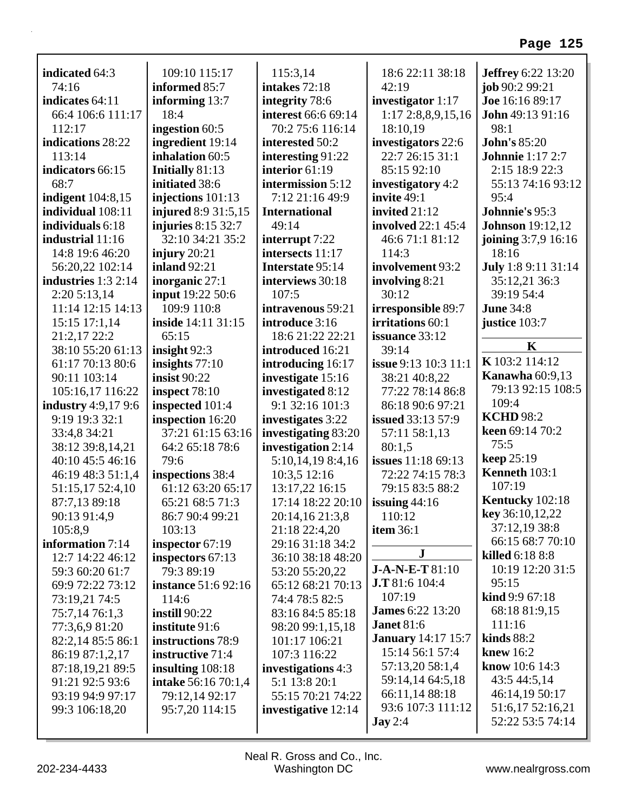| indicated 64:3                       | 109:10 115:17                         | 115:3,14                                | 18:6 22:11 38:18                    | <b>Jeffrey</b> 6:22 13:20 |
|--------------------------------------|---------------------------------------|-----------------------------------------|-------------------------------------|---------------------------|
| 74:16                                | informed 85:7                         | intakes 72:18                           | 42:19                               | job 90:2 99:21            |
| indicates 64:11                      | informing 13:7                        | integrity 78:6                          | investigator $1:17$                 | Joe 16:16 89:17           |
| 66:4 106:6 111:17                    | 18:4                                  | interest 66:6 69:14                     | 1:17 2:8,8,9,15,16                  | <b>John</b> 49:13 91:16   |
| 112:17                               | ingestion 60:5                        | 70:2 75:6 116:14                        | 18:10,19                            | 98:1                      |
| indications 28:22                    | ingredient 19:14                      | interested 50:2                         | investigators 22:6                  | <b>John's 85:20</b>       |
| 113:14                               | inhalation 60:5                       | interesting 91:22                       | 22:7 26:15 31:1                     | <b>Johnnie</b> 1:17 2:7   |
| indicators 66:15                     | Initially 81:13                       | interior 61:19                          | 85:15 92:10                         | 2:15 18:9 22:3            |
| 68:7                                 | initiated 38:6                        | intermission 5:12                       | investigatory 4:2                   | 55:13 74:16 93:12         |
| <b>indigent</b> 104:8,15             | injections $101:13$                   | 7:12 21:16 49:9                         | invite 49:1                         | 95:4                      |
| individual 108:11                    | <b>injured</b> 8:9 31:5,15            | <b>International</b>                    | invited 21:12                       | Johnnie's 95:3            |
| individuals 6:18                     | injuries $8:15\,32:7$                 | 49:14                                   | <b>involved</b> 22:1 45:4           | <b>Johnson</b> 19:12,12   |
| industrial 11:16                     | 32:10 34:21 35:2                      | interrupt 7:22                          | 46:6 71:1 81:12                     | joining 3:7,9 16:16       |
| 14:8 19:6 46:20                      | injury $20:21$                        | intersects 11:17                        | 114:3                               | 18:16                     |
| 56:20,22 102:14                      | <b>inland</b> 92:21                   | Interstate 95:14                        | involvement 93:2                    | July 1:8 9:11 31:14       |
| industries $1:3$ 2:14                | inorganic $27:1$                      | interviews 30:18                        | involving 8:21<br>30:12             | 35:12,21 36:3             |
| 2:205:13,14                          | <b>input</b> 19:22 50:6               | 107:5                                   |                                     | 39:19 54:4                |
| 11:14 12:15 14:13                    | 109:9 110:8                           | intravenous 59:21                       | irresponsible 89:7                  | <b>June 34:8</b>          |
| $15:15$ 17:1,14                      | <b>inside</b> 14:11 31:15             | introduce 3:16<br>18:6 21:22 22:21      | irritations 60:1                    | justice 103:7             |
| 21:2,17 22:2                         | 65:15                                 |                                         | issuance 33:12                      | $\mathbf K$               |
| 38:10 55:20 61:13                    | insight $92:3$                        | introduced 16:21                        | 39:14                               | K 103:2 114:12            |
| 61:17 70:13 80:6                     | insights $77:10$                      | introducing 16:17                       | <b>issue</b> 9:13 10:3 11:1         | Kanawha $60:9,13$         |
| 90:11 103:14                         | insist $90:22$                        | investigate 15:16                       | 38:21 40:8,22                       | 79:13 92:15 108:5         |
| 105:16,17 116:22                     | inspect $78:10$                       | investigated 8:12                       | 77:22 78:14 86:8                    | 109:4                     |
| <b>industry</b> 4:9,17 9:6           | inspected 101:4                       | 9:1 32:16 101:3                         | 86:18 90:6 97:21                    | <b>KCHD</b> 98:2          |
| 9:19 19:3 32:1                       | inspection 16:20<br>37:21 61:15 63:16 | investigates 3:22                       | <b>issued</b> $33:13\,57:9$         | keen 69:14 70:2           |
| 33:4,8 34:21                         |                                       | investigating 83:20                     | 57:11 58:1,13                       | 75:5                      |
| 38:12 39:8,14,21<br>40:10 45:5 46:16 | 64:2 65:18 78:6<br>79:6               | investigation 2:14<br>5:10,14,19 8:4,16 | 80:1,5<br><b>issues</b> 11:18 69:13 | keep 25:19                |
| 46:19 48:3 51:1,4                    |                                       |                                         | 72:22 74:15 78:3                    | Kenneth 103:1             |
|                                      | inspections 38:4<br>61:12 63:20 65:17 | 10:3,5 12:16                            | 79:15 83:5 88:2                     | 107:19                    |
| 51:15,17 52:4,10<br>87:7,13 89:18    | 65:21 68:5 71:3                       | 13:17,22 16:15<br>17:14 18:22 20:10     | issuing $44:16$                     | Kentucky 102:18           |
|                                      |                                       |                                         | 110:12                              | key 36:10,12,22           |
| 90:13 91:4,9<br>105:8,9              | 86:7 90:4 99:21<br>103:13             | 20:14,16 21:3,8<br>21:18 22:4,20        | <b>item 36:1</b>                    | 37:12,19 38:8             |
| information 7:14                     |                                       | 29:16 31:18 34:2                        |                                     | 66:15 68:7 70:10          |
| 12:7 14:22 46:12                     | inspector $67:19$                     | 36:10 38:18 48:20                       | ${\bf J}$                           | killed $6:188:8$          |
| 59:3 60:20 61:7                      | inspectors 67:13<br>79:3 89:19        | 53:20 55:20,22                          | J-A-N-E-T 81:10                     | 10:19 12:20 31:5          |
| 69:9 72:22 73:12                     | <b>instance</b> 51:6 92:16            | 65:12 68:21 70:13                       | <b>J.T</b> 81:6 104:4               | 95:15                     |
| 73:19,21 74:5                        | 114:6                                 | 74:4 78:5 82:5                          | 107:19                              | <b>kind</b> 9:9 67:18     |
| 75:7,14 76:1,3                       | instill $90:22$                       | 83:16 84:5 85:18                        | <b>James</b> 6:22 13:20             | 68:18 81:9,15             |
| 77:3,6,9 81:20                       | institute 91:6                        | 98:20 99:1,15,18                        | <b>Janet 81:6</b>                   | 111:16                    |
| 82:2,14 85:5 86:1                    | instructions 78:9                     | 101:17 106:21                           | <b>January</b> 14:17 15:7           | kinds $88:2$              |
| 86:19 87:1,2,17                      | instructive 71:4                      | 107:3 116:22                            | 15:14 56:1 57:4                     | knew $16:2$               |
| 87:18,19,21 89:5                     | insulting 108:18                      | investigations 4:3                      | 57:13,20 58:1,4                     | <b>know</b> $10:6$ 14:3   |
| 91:21 92:5 93:6                      | <b>intake</b> 56:16 70:1,4            | 5:1 13:8 20:1                           | 59:14,14 64:5,18                    | 43:5 44:5,14              |
| 93:19 94:9 97:17                     | 79:12,14 92:17                        | 55:15 70:21 74:22                       | 66:11,14 88:18                      | 46:14,19 50:17            |
| 99:3 106:18,20                       | 95:7,20 114:15                        | investigative 12:14                     | 93:6 107:3 111:12                   | 51:6,17 52:16,21          |
|                                      |                                       |                                         | $\text{Jay } 2:4$                   | 52:22 53:5 74:14          |
|                                      |                                       |                                         |                                     |                           |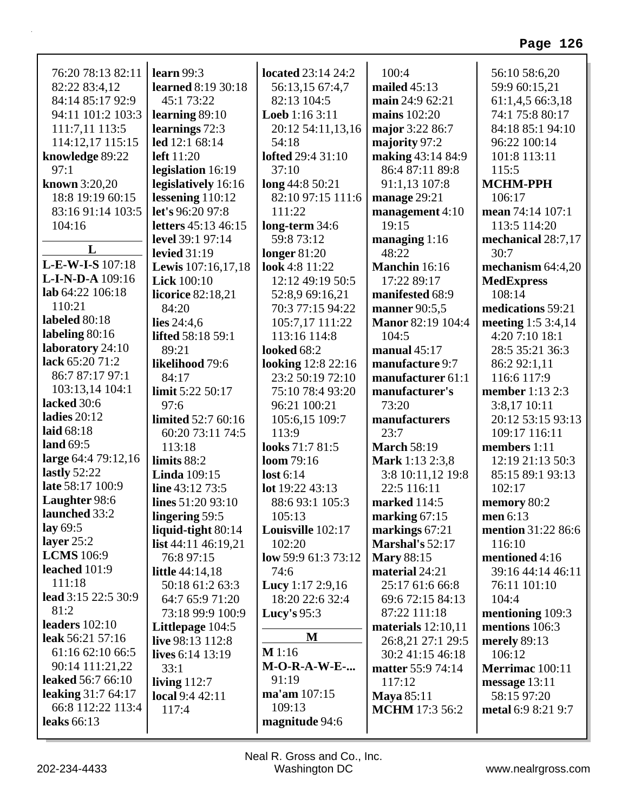| 76:20 78:13 82:11        | learn $99:3$               | located 23:14 24:2        | 100:4                    | 56:10 58:6,20      |
|--------------------------|----------------------------|---------------------------|--------------------------|--------------------|
| 82:22 83:4,12            | learned 8:19 30:18         | 56:13,15 67:4,7           | mailed $45:13$           | 59:9 60:15,21      |
| 84:14 85:17 92:9         | 45:1 73:22                 | 82:13 104:5               | main 24:9 62:21          | 61:1,4,5 66:3,18   |
| 94:11 101:2 103:3        | learning $89:10$           | <b>Loeb</b> $1:163:11$    | mains 102:20             | 74:1 75:8 80:17    |
| 111:7,11 113:5           | learnings 72:3             | 20:12 54:11,13,16         | major 3:22 86:7          | 84:18 85:1 94:10   |
| 114:12,17 115:15         | led 12:1 68:14             | 54:18                     | majority 97:2            | 96:22 100:14       |
| knowledge 89:22          | <b>left</b> 11:20          | <b>lofted</b> 29:4 31:10  | making 43:14 84:9        | 101:8 113:11       |
| 97:1                     | legislation 16:19          | 37:10                     | 86:4 87:11 89:8          | 115:5              |
| known 3:20,20            | legislatively 16:16        | long 44:8 50:21           | 91:1,13 107:8            | <b>MCHM-PPH</b>    |
| 18:8 19:19 60:15         | lessening $110:12$         | 82:10 97:15 111:6         | manage $29:21$           | 106:17             |
| 83:16 91:14 103:5        | let's 96:20 97:8           | 111:22                    | management $4:10$        | mean 74:14 107:1   |
| 104:16                   | letters 45:13 46:15        | long-term 34:6            | 19:15                    | 113:5 114:20       |
|                          | level 39:1 97:14           | 59:8 73:12                | managing $1:16$          | mechanical 28:7,17 |
| L                        | levied $31:19$             | longer $81:20$            | 48:22                    | 30:7               |
| L-E-W-I-S 107:18         | Lewis 107:16,17,18         | look 4:8 11:22            | Manchin 16:16            | mechanism 64:4,20  |
| L-I-N-D-A 109:16         | <b>Lick</b> 100:10         | 12:12 49:19 50:5          | 17:22 89:17              | <b>MedExpress</b>  |
| lab 64:22 106:18         | <b>licorice</b> 82:18,21   | 52:8,9 69:16,21           | manifested 68:9          | 108:14             |
| 110:21                   | 84:20                      | 70:3 77:15 94:22          | <b>manner</b> 90:5,5     | medications 59:21  |
| labeled 80:18            | lies $24:4,6$              | 105:7,17 111:22           | <b>Manor 82:19 104:4</b> | meeting 1:5 3:4,14 |
| labeling 80:16           | <b>lifted</b> 58:18 59:1   | 113:16 114:8              | 104:5                    | 4:20 7:10 18:1     |
| laboratory 24:10         | 89:21                      | looked 68:2               | manual $45:17$           | 28:5 35:21 36:3    |
| lack 65:20 71:2          | likelihood 79:6            | <b>looking</b> 12:8 22:16 | manufacture 9:7          | 86:2 92:1,11       |
| 86:7 87:17 97:1          | 84:17                      | 23:2 50:19 72:10          | manufacturer 61:1        | 116:6 117:9        |
| 103:13,14 104:1          | limit 5:22 50:17           | 75:10 78:4 93:20          | manufacturer's           | member 1:13 2:3    |
| lacked 30:6              | 97:6                       | 96:21 100:21              | 73:20                    | 3:8,17 10:11       |
| ladies $20:12$           | limited 52:7 60:16         | 105:6,15 109:7            | manufacturers            | 20:12 53:15 93:13  |
| laid 68:18               | 60:20 73:11 74:5           | 113:9                     | 23:7                     | 109:17 116:11      |
| land 69:5                | 113:18                     | looks 71:7 81:5           | <b>March 58:19</b>       | members 1:11       |
| large 64:4 79:12,16      | limits 88:2                | loom 79:16                | Mark 1:13 2:3,8          | 12:19 21:13 50:3   |
| lastly $52:22$           | <b>Linda</b> 109:15        | lost $6:14$               | 3:8 10:11,12 19:8        | 85:15 89:1 93:13   |
| late 58:17 100:9         | line 43:12 73:5            | lot 19:22 43:13           | 22:5 116:11              | 102:17             |
| Laughter 98:6            | lines $51:2093:10$         | 88:6 93:1 105:3           | marked 114:5             | memory 80:2        |
| launched 33:2            | lingering 59:5             | 105:13                    | marking $67:15$          | men $6:13$         |
| lay $69:5$               | liquid-tight 80:14         | Louisville 102:17         | markings 67:21           | mention 31:22 86:6 |
| layer $25:2$             | <b>list</b> 44:11 46:19,21 | 102:20                    | Marshal's 52:17          | 116:10             |
| <b>LCMS</b> 106:9        | 76:8 97:15                 | low 59:9 61:3 73:12       | <b>Mary 88:15</b>        | mentioned 4:16     |
| leached 101:9            | <b>little</b> 44:14,18     | 74:6                      | material 24:21           | 39:16 44:14 46:11  |
| 111:18                   | 50:18 61:2 63:3            | <b>Lucy</b> 1:17 2:9,16   | 25:17 61:6 66:8          | 76:11 101:10       |
| lead 3:15 22:5 30:9      | 64:7 65:9 71:20            | 18:20 22:6 32:4           | 69:6 72:15 84:13         | 104:4              |
| 81:2                     | 73:18 99:9 100:9           | Lucy's 95:3               | 87:22 111:18             | mentioning 109:3   |
| leaders $102:10$         | Littlepage 104:5           |                           | materials $12:10,11$     | mentions 106:3     |
| leak 56:21 57:16         | live 98:13 112:8           | M                         | 26:8,21 27:1 29:5        | merely 89:13       |
| 61:16 62:10 66:5         | lives 6:14 13:19           | M1:16                     | 30:2 41:15 46:18         | 106:12             |
| 90:14 111:21,22          | 33:1                       | $M-O-R-A-W-E-$            | <b>matter 55:9 74:14</b> | Merrimac 100:11    |
| <b>leaked</b> 56:7 66:10 | living $112:7$             | 91:19                     | 117:12                   | message 13:11      |
| leaking 31:7 64:17       | local 9:4 42:11            | ma'am 107:15              | <b>Maya</b> 85:11        | 58:15 97:20        |
| 66:8 112:22 113:4        | 117:4                      | 109:13                    | <b>MCHM</b> 17:3 56:2    | metal 6:9 8:21 9:7 |
| <b>leaks</b> 66:13       |                            | magnitude 94:6            |                          |                    |
|                          |                            |                           |                          |                    |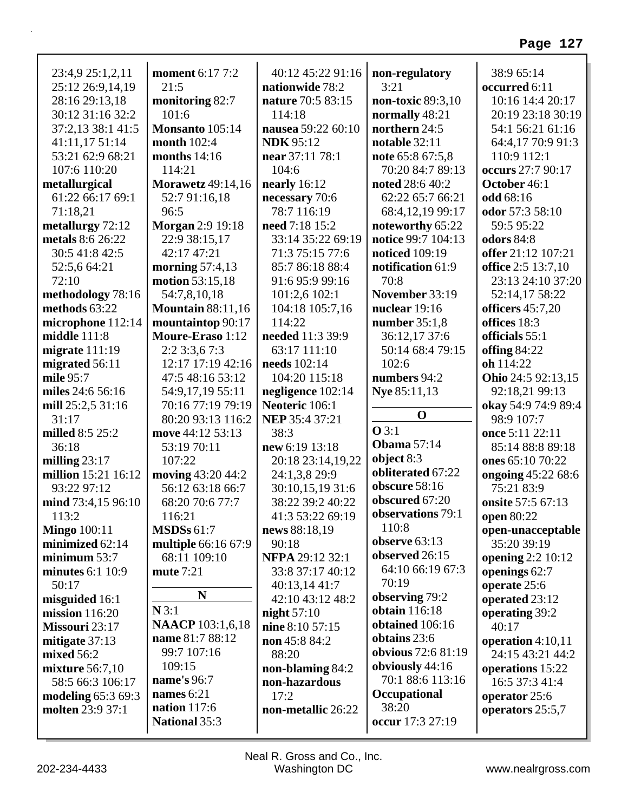| 23:4,9 25:1,2,11                              | <b>moment</b> 6:17 7:2   | 40:12 45:22 91:16      | non-regulatory                    | 38:9 65:14               |
|-----------------------------------------------|--------------------------|------------------------|-----------------------------------|--------------------------|
| 25:12 26:9,14,19                              | 21:5                     | nationwide 78:2        | 3:21                              | occurred 6:11            |
| 28:16 29:13,18                                | monitoring 82:7          | nature 70:5 83:15      | non-toxic $89:3,10$               | 10:16 14:4 20:17         |
| 30:12 31:16 32:2                              | 101:6                    | 114:18                 | normally 48:21                    | 20:19 23:18 30:19        |
| 37:2,13 38:1 41:5                             | Monsanto 105:14          | nausea 59:22 60:10     | northern 24:5                     | 54:1 56:21 61:16         |
| 41:11,17 51:14                                | month 102:4              | <b>NDK</b> 95:12       | notable 32:11                     | 64:4,17 70:9 91:3        |
| 53:21 62:9 68:21                              | months $14:16$           | near 37:11 78:1        | note 65:8 67:5,8                  | 110:9 112:1              |
| 107:6 110:20                                  | 114:21                   | 104:6                  | 70:20 84:7 89:13                  | occurs 27:7 90:17        |
| metallurgical                                 | <b>Morawetz</b> 49:14,16 | nearly $16:12$         | <b>noted</b> 28:6 40:2            | October 46:1             |
| 61:22 66:17 69:1                              | 52:7 91:16,18            | necessary 70:6         | 62:22 65:7 66:21                  | odd 68:16                |
| 71:18,21                                      | 96:5                     | 78:7 116:19            | 68:4,12,19 99:17                  | odor 57:3 58:10          |
| metallurgy 72:12                              | <b>Morgan 2:9 19:18</b>  | need 7:18 15:2         | noteworthy 65:22                  | 59:5 95:22               |
| metals 8:6 26:22                              | 22:9 38:15,17            | 33:14 35:22 69:19      | notice 99:7 104:13                | <b>odors</b> 84:8        |
| 30:5 41:8 42:5                                | 42:17 47:21              | 71:3 75:15 77:6        | <b>noticed</b> 109:19             | offer 21:12 107:21       |
| 52:5,6 64:21                                  | morning $57:4,13$        | 85:7 86:18 88:4        | notification 61:9                 | office 2:5 13:7,10       |
| 72:10                                         | <b>motion</b> 53:15,18   | 91:6 95:9 99:16        | 70:8                              | 23:13 24:10 37:20        |
| methodology 78:16                             | 54:7,8,10,18             | 101:2,6 102:1          | November 33:19                    | 52:14,17 58:22           |
| methods 63:22                                 | <b>Mountain 88:11,16</b> | 104:18 105:7,16        | nuclear 19:16                     | officers $45:7,20$       |
| microphone 112:14                             | mountaintop 90:17        | 114:22                 | number $35:1,8$                   | offices 18:3             |
| middle $111:8$                                | Moure-Eraso 1:12         | needed 11:3 39:9       | 36:12,17 37:6                     | officials 55:1           |
| migrate $111:19$                              | 2:23:3,67:3              | 63:17 111:10           | 50:14 68:4 79:15                  | offing 84:22             |
| migrated 56:11                                | 12:17 17:19 42:16        | needs 102:14           | 102:6                             | oh 114:22                |
| mile 95:7                                     | 47:5 48:16 53:12         | 104:20 115:18          | numbers 94:2                      | Ohio 24:5 92:13,15       |
| miles 24:6 56:16                              | 54:9,17,19 55:11         | negligence 102:14      | Nye 85:11,13                      | 92:18,21 99:13           |
| mill $25:2,5\,31:16$                          | 70:16 77:19 79:19        | Neoteric 106:1         |                                   | okay 54:9 74:9 89:4      |
| 31:17                                         | 80:20 93:13 116:2        | NEP 35:4 37:21         | $\mathbf 0$                       | 98:9 107:7               |
| milled 8:5 25:2                               | move 44:12 53:13         | 38:3                   | $O$ 3:1                           | once 5:11 22:11          |
| 36:18                                         | 53:19 70:11              | new 6:19 13:18         | <b>Obama</b> 57:14                | 85:14 88:8 89:18         |
| milling $23:17$                               | 107:22                   | 20:18 23:14,19,22      | object 8:3                        | ones 65:10 70:22         |
| million 15:21 16:12                           | moving 43:20 44:2        | 24:1,3,8 29:9          | obliterated 67:22                 | ongoing 45:22 68:6       |
| 93:22 97:12                                   | 56:12 63:18 66:7         | 30:10,15,19 31:6       | obscure 58:16                     | 75:21 83:9               |
| mind 73:4,15 96:10                            | 68:20 70:6 77:7          | 38:22 39:2 40:22       | obscured 67:20                    | onsite 57:5 67:13        |
| 113:2                                         | 116:21                   | 41:3 53:22 69:19       | observations 79:1                 | open 80:22               |
| <b>Mingo</b> 100:11                           | <b>MSDSs 61:7</b>        | news 88:18,19          | 110:8                             | open-unacceptable        |
| minimized 62:14                               | multiple 66:16 67:9      | 90:18                  | observe $63:13$<br>observed 26:15 | 35:20 39:19              |
| minimum $53:7$                                | 68:11 109:10             | <b>NFPA 29:12 32:1</b> | 64:10 66:19 67:3                  | <b>opening</b> 2:2 10:12 |
| minutes $6:1$ 10:9                            | mute 7:21                | 33:8 37:17 40:12       | 70:19                             | openings 62:7            |
| 50:17                                         | N                        | 40:13,14 41:7          | observing 79:2                    | operate 25:6             |
| misguided 16:1                                | N3:1                     | 42:10 43:12 48:2       | <b>obtain</b> 116:18              | operated 23:12           |
| mission $116:20$                              | <b>NAACP</b> 103:1,6,18  | night $57:10$          | obtained 106:16                   | operating 39:2           |
| Missouri 23:17                                | name 81:7 88:12          | nine 8:10 57:15        | obtains 23:6                      | 40:17                    |
| mitigate 37:13                                | 99:7 107:16              | non 45:8 84:2          | obvious 72:6 81:19                | operation $4:10,11$      |
| mixed $56:2$                                  | 109:15                   | 88:20                  | obviously 44:16                   | 24:15 43:21 44:2         |
| <b>mixture</b> 56:7,10                        | name's 96:7              | non-blaming 84:2       | 70:1 88:6 113:16                  | operations 15:22         |
| 58:5 66:3 106:17                              | names $6:21$             | non-hazardous<br>17:2  | Occupational                      | 16:5 37:3 41:4           |
| <b>modeling 65:3 69:3</b><br>molten 23:9 37:1 | <b>nation</b> 117:6      | non-metallic 26:22     | 38:20                             | operator 25:6            |
|                                               | National 35:3            |                        | occur 17:3 27:19                  | operators 25:5,7         |
|                                               |                          |                        |                                   |                          |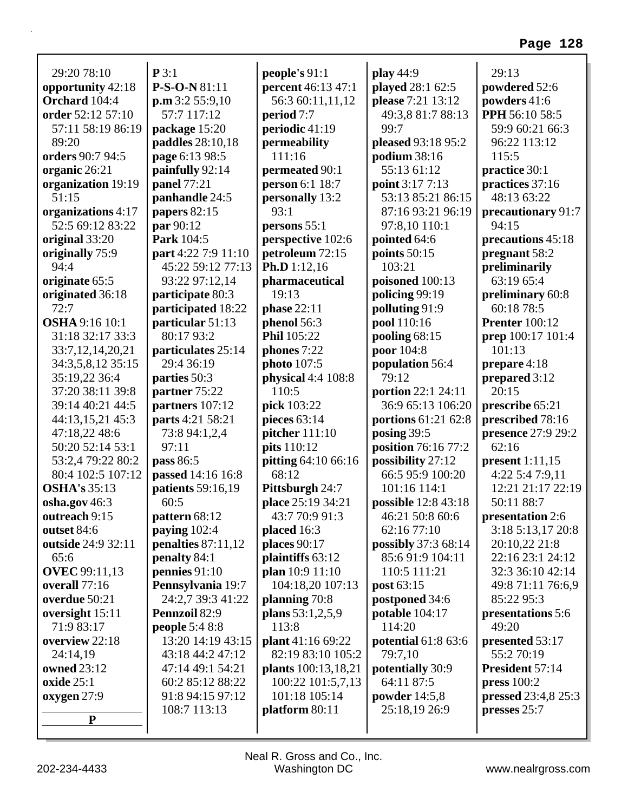| 29:20 78:10           | P3:1                                | people's 91:1       | play 44:9                  | 29:13                      |
|-----------------------|-------------------------------------|---------------------|----------------------------|----------------------------|
| opportunity 42:18     | P-S-O-N 81:11                       | percent 46:13 47:1  | played 28:1 62:5           | powdered 52:6              |
| Orchard 104:4         | $\mathbf{p}.\mathbf{m}$ 3:2 55:9,10 | 56:3 60:11,11,12    | please 7:21 13:12          | powders 41:6               |
| order 52:12 57:10     | 57:7 117:12                         | period 7:7          | 49:3,8 81:7 88:13          | PPH 56:10 58:5             |
| 57:11 58:19 86:19     | package 15:20                       | periodic 41:19      | 99:7                       | 59:9 60:21 66:3            |
| 89:20                 | paddles 28:10,18                    | permeability        | pleased 93:18 95:2         | 96:22 113:12               |
| orders 90:7 94:5      | page 6:13 98:5                      | 111:16              | podium 38:16               | 115:5                      |
| organic 26:21         | painfully 92:14                     | permeated 90:1      | 55:13 61:12                | practice 30:1              |
| organization 19:19    | panel 77:21                         | person 6:1 18:7     | point 3:17 7:13            | practices 37:16            |
| 51:15                 | panhandle 24:5                      | personally 13:2     | 53:13 85:21 86:15          | 48:13 63:22                |
| organizations 4:17    | papers 82:15                        | 93:1                | 87:16 93:21 96:19          | precautionary 91:7         |
| 52:5 69:12 83:22      | par 90:12                           | persons 55:1        | 97:8,10 110:1              | 94:15                      |
| original 33:20        | Park 104:5                          | perspective 102:6   | pointed 64:6               | precautions 45:18          |
| originally 75:9       | part 4:22 7:9 11:10                 | petroleum 72:15     | points 50:15               | pregnant 58:2              |
| 94:4                  | 45:22 59:12 77:13                   | Ph.D 1:12,16        | 103:21                     | preliminarily              |
| originate 65:5        | 93:22 97:12,14                      | pharmaceutical      | poisoned 100:13            | 63:19 65:4                 |
| originated 36:18      | participate 80:3                    | 19:13               | policing 99:19             | preliminary 60:8           |
| 72:7                  | participated 18:22                  | phase 22:11         | polluting 91:9             | 60:18 78:5                 |
| <b>OSHA</b> 9:16 10:1 | particular 51:13                    | phenol 56:3         | pool 110:16                | <b>Prenter</b> 100:12      |
| 31:18 32:17 33:3      | 80:17 93:2                          | Phil 105:22         | pooling 68:15              | prep 100:17 101:4          |
| 33:7,12,14,20,21      | particulates 25:14                  | phones 7:22         | poor 104:8                 | 101:13                     |
| 34:3,5,8,12 35:15     | 29:4 36:19                          | photo 107:5         | population 56:4            | prepare 4:18               |
| 35:19,22 36:4         | parties 50:3                        | physical 4:4 108:8  | 79:12                      | prepared 3:12              |
| 37:20 38:11 39:8      | partner 75:22                       | 110:5               | portion 22:1 24:11         | 20:15                      |
| 39:14 40:21 44:5      | partners 107:12                     | pick 103:22         | 36:9 65:13 106:20          | prescribe 65:21            |
| 44:13,15,21 45:3      | parts 4:21 58:21                    | pieces 63:14        | portions 61:21 62:8        | prescribed 78:16           |
| 47:18,22 48:6         | 73:8 94:1,2,4                       | pitcher 111:10      | posing 39:5                | presence 27:9 29:2         |
| 50:20 52:14 53:1      | 97:11                               | pits 110:12         | position 76:16 77:2        | 62:16                      |
| 53:2,4 79:22 80:2     | pass 86:5                           | pitting 64:10 66:16 | possibility 27:12          | present 1:11,15            |
| 80:4 102:5 107:12     | passed 14:16 16:8                   | 68:12               | 66:5 95:9 100:20           | 4:22 5:4 7:9,11            |
| <b>OSHA's 35:13</b>   | patients 59:16,19                   | Pittsburgh 24:7     | 101:16 114:1               | 12:21 21:17 22:19          |
| osha.gov 46:3         | 60:5                                | place 25:19 34:21   | possible 12:8 43:18        | 50:11 88:7                 |
| outreach 9:15         | pattern 68:12                       | 43:7 70:9 91:3      | 46:21 50:8 60:6            | presentation 2:6           |
| outset 84:6           | paying 102:4                        | placed $16:3$       | 62:16 77:10                | 3:18 5:13,17 20:8          |
| outside 24:9 32:11    | penalties $87:11,12$                | places 90:17        | possibly 37:3 68:14        | 20:10,22 21:8              |
| 65:6                  | penalty 84:1                        | plaintiffs 63:12    | 85:691:9104:11             | 22:16 23:1 24:12           |
| <b>OVEC</b> 99:11,13  | pennies $91:10$                     | plan 10:9 11:10     | 110:5 111:21               | 32:3 36:10 42:14           |
| overall 77:16         | Pennsylvania 19:7                   | 104:18,20 107:13    | post 63:15                 | 49:8 71:11 76:6,9          |
| overdue 50:21         | 24:2,7 39:3 41:22                   | planning 70:8       | postponed 34:6             | 85:22 95:3                 |
| oversight 15:11       | <b>Pennzoil 82:9</b>                | plans $53:1,2,5,9$  | potable 104:17             | presentations 5:6          |
| 71:9 83:17            | <b>people 5:4 8:8</b>               | 113:8               | 114:20                     | 49:20                      |
| overview 22:18        | 13:20 14:19 43:15                   | plant 41:16 69:22   | <b>potential 61:8 63:6</b> | presented 53:17            |
| 24:14,19              | 43:18 44:2 47:12                    | 82:19 83:10 105:2   | 79:7,10                    | 55:2 70:19                 |
| <b>owned</b> 23:12    | 47:14 49:1 54:21                    | plants 100:13,18,21 | potentially 30:9           | President 57:14            |
| oxide $25:1$          | 60:2 85:12 88:22                    | 100:22 101:5,7,13   | 64:11 87:5                 | press $100:2$              |
| oxygen 27:9           | 91:8 94:15 97:12                    | 101:18 105:14       | powder $14:5,8$            | <b>pressed</b> 23:4,8 25:3 |
|                       | 108:7 113:13                        | platform 80:11      | 25:18,19 26:9              | presses 25:7               |
| ${\bf P}$             |                                     |                     |                            |                            |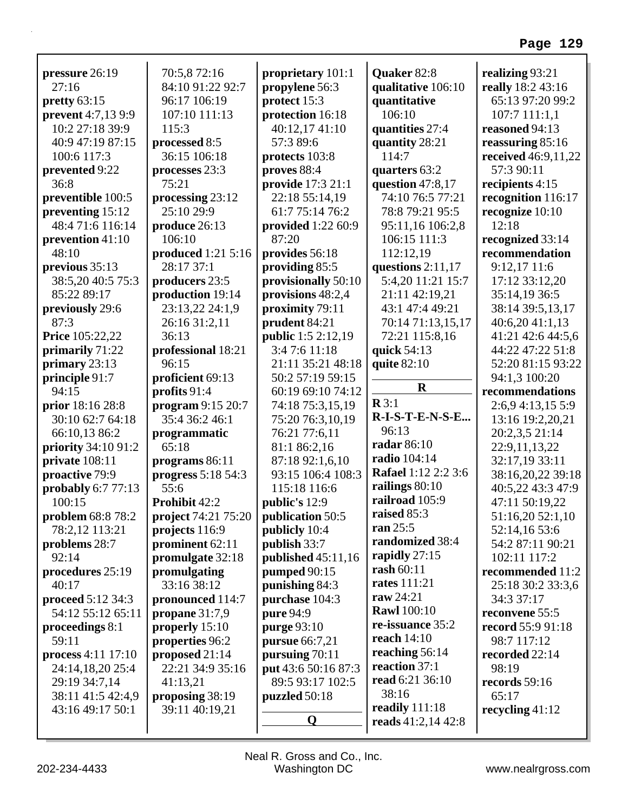| pressure 26:19            | 70:5,872:16         | proprietary 101:1         | Quaker 82:8                | realizing 93:21            |
|---------------------------|---------------------|---------------------------|----------------------------|----------------------------|
| 27:16                     | 84:10 91:22 92:7    | propylene 56:3            | qualitative 106:10         | really 18:2 43:16          |
| pretty 63:15              | 96:17 106:19        | protect 15:3              | quantitative               | 65:13 97:20 99:2           |
| <b>prevent</b> 4:7,13 9:9 | 107:10 111:13       | protection 16:18          | 106:10                     | 107:7 111:1,1              |
| 10:2 27:18 39:9           | 115:3               | 40:12,17 41:10            | quantities 27:4            | reasoned 94:13             |
| 40:9 47:19 87:15          | processed 8:5       | 57:3 89:6                 | quantity 28:21             | reassuring 85:16           |
| 100:6 117:3               | 36:15 106:18        | protects 103:8            | 114:7                      | <b>received</b> 46:9,11,22 |
| prevented 9:22            | processes 23:3      | proves 88:4               | quarters 63:2              | 57:3 90:11                 |
| 36:8                      | 75:21               | provide 17:3 21:1         | question $47:8,17$         | recipients 4:15            |
| preventible 100:5         | processing 23:12    | 22:18 55:14,19            | 74:10 76:5 77:21           | recognition 116:17         |
| preventing 15:12          | 25:10 29:9          | 61:7 75:14 76:2           | 78:8 79:21 95:5            | recognize 10:10            |
| 48:4 71:6 116:14          | produce 26:13       | provided 1:22 60:9        | 95:11,16 106:2,8           | 12:18                      |
| prevention 41:10          | 106:10              | 87:20                     | 106:15 111:3               | recognized 33:14           |
| 48:10                     | produced 1:21 5:16  | provides 56:18            | 112:12,19                  | recommendation             |
| previous 35:13            | 28:17 37:1          | providing 85:5            | questions $2:11,17$        | 9:12,17 11:6               |
| 38:5,20 40:5 75:3         | producers 23:5      | provisionally 50:10       | 5:4,20 11:21 15:7          | 17:12 33:12,20             |
| 85:22 89:17               | production 19:14    | provisions $48:2,4$       | 21:11 42:19,21             | 35:14,19 36:5              |
| previously 29:6           | 23:13,22 24:1,9     | proximity 79:11           | 43:1 47:4 49:21            | 38:14 39:5,13,17           |
| 87:3                      | 26:16 31:2,11       | prudent 84:21             | 70:14 71:13,15,17          | 40:6,20 41:1,13            |
| <b>Price 105:22,22</b>    | 36:13               | <b>public</b> 1:5 2:12,19 | 72:21 115:8,16             | 41:21 42:6 44:5,6          |
| primarily 71:22           | professional 18:21  | 3:4 7:6 11:18             | quick 54:13                | 44:22 47:22 51:8           |
| primary 23:13             | 96:15               | 21:11 35:21 48:18         | quite 82:10                | 52:20 81:15 93:22          |
| principle 91:7            | proficient 69:13    | 50:2 57:19 59:15          |                            | 94:1,3 100:20              |
| 94:15                     | profits 91:4        | 60:19 69:10 74:12         | $\mathbf R$                | recommendations            |
| prior 18:16 28:8          | program 9:15 20:7   | 74:18 75:3,15,19          | $\mathbf{R} 3:1$           | 2:6,9 4:13,15 5:9          |
| 30:10 62:7 64:18          | 35:4 36:2 46:1      | 75:20 76:3,10,19          | R-I-S-T-E-N-S-E            | 13:16 19:2,20,21           |
| 66:10,13 86:2             | programmatic        | 76:21 77:6,11             | 96:13                      | 20:2,3,5 21:14             |
| priority 34:10 91:2       | 65:18               | 81:1 86:2,16              | <b>radar</b> 86:10         | 22:9,11,13,22              |
| private 108:11            | programs 86:11      | 87:18 92:1,6,10           | radio 104:14               | 32:17,19 33:11             |
| proactive 79:9            | progress $5:1854:3$ | 93:15 106:4 108:3         | <b>Rafael 1:12 2:2 3:6</b> | 38:16,20,22 39:18          |
| probably 6:7 77:13        | 55:6                | 115:18 116:6              | railings 80:10             | 40:5,22 43:3 47:9          |
| 100:15                    | Prohibit 42:2       | public's 12:9             | railroad 105:9             | 47:11 50:19,22             |
|                           |                     |                           | raised 85:3                |                            |
| problem 68:8 78:2         | project 74:21 75:20 | publication 50:5          | ran $25:5$                 | 51:16,20 52:1,10           |
| 78:2,12 113:21            | projects 116:9      | publicly 10:4             | randomized 38:4            | 52:14,16 53:6              |
| problems 28:7             | prominent 62:11     | publish 33:7              | rapidly 27:15              | 54:2 87:11 90:21           |
| 92:14                     | promulgate 32:18    | published 45:11,16        | rash 60:11                 | 102:11 117:2               |
| procedures 25:19          | promulgating        | pumped 90:15              |                            | recommended 11:2           |
| 40:17                     | 33:16 38:12         | punishing 84:3            | <b>rates</b> 111:21        | 25:18 30:2 33:3,6          |
| proceed 5:12 34:3         | pronounced 114:7    | purchase 104:3            | raw $24:21$                | 34:3 37:17                 |
| 54:12 55:12 65:11         | propane $31:7,9$    | pure 94:9                 | <b>Rawl</b> 100:10         | reconvene 55:5             |
| proceedings 8:1           | properly 15:10      | purge 93:10               | re-issuance 35:2           | record 55:9 91:18          |
| 59:11                     | properties 96:2     | <b>pursue</b> 66:7,21     | reach $14:10$              | 98:7 117:12                |
| process 4:11 17:10        | proposed 21:14      | pursuing 70:11            | reaching 56:14             | recorded 22:14             |
| 24:14,18,20 25:4          | 22:21 34:9 35:16    | put 43:6 50:16 87:3       | reaction 37:1              | 98:19                      |
| 29:19 34:7,14             | 41:13,21            | 89:5 93:17 102:5          | read 6:21 36:10            | records 59:16              |
| 38:11 41:5 42:4,9         | proposing 38:19     | puzzled 50:18             | 38:16                      | 65:17                      |
| 43:16 49:17 50:1          | 39:11 40:19,21      |                           | readily 111:18             | recycling $41:12$          |
|                           |                     | Q                         | reads 41:2,14 42:8         |                            |
|                           |                     |                           |                            |                            |

Г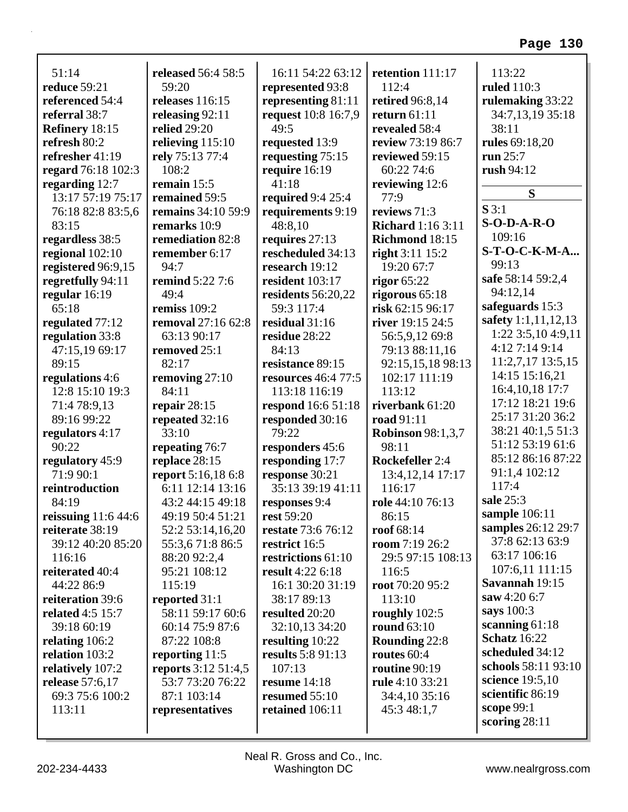| 51:14                   | <b>released</b> 56:4 58:5 | 16:11 54:22 63:12          | retention 111:17         | 113:22              |
|-------------------------|---------------------------|----------------------------|--------------------------|---------------------|
| reduce 59:21            | 59:20                     | represented 93:8           | 112:4                    | <b>ruled</b> 110:3  |
| referenced 54:4         | releases $116:15$         | representing 81:11         | retired 96:8,14          | rulemaking 33:22    |
| referral 38:7           | releasing 92:11           | request 10:8 16:7,9        | return $61:11$           | 34:7,13,19 35:18    |
| Refinery 18:15          | <b>relied</b> 29:20       | 49:5                       | revealed 58:4            | 38:11               |
| refresh 80:2            | relieving $115:10$        | requested 13:9             | review 73:19 86:7        | rules 69:18,20      |
| refresher 41:19         | rely 75:13 77:4           | requesting 75:15           | reviewed 59:15           | run 25:7            |
| regard 76:18 102:3      | 108:2                     | require 16:19              | 60:22 74:6               | rush 94:12          |
| regarding 12:7          | remain 15:5               | 41:18                      | reviewing 12:6           |                     |
| 13:17 57:19 75:17       | remained 59:5             | required 9:4 25:4          | 77:9                     | S                   |
| 76:18 82:8 83:5,6       | <b>remains</b> 34:10 59:9 | requirements 9:19          | reviews 71:3             | S3:1                |
| 83:15                   | remarks 10:9              | 48:8,10                    | <b>Richard</b> 1:16 3:11 | $S-O-D-A-R-O$       |
| regardless 38:5         | remediation 82:8          | requires 27:13             | Richmond 18:15           | 109:16              |
| regional 102:10         | remember 6:17             | rescheduled 34:13          | right $3:11$ $15:2$      | S-T-O-C-K-M-A       |
| registered 96:9,15      | 94:7                      | research 19:12             | 19:20 67:7               | 99:13               |
| regretfully 94:11       | <b>remind</b> 5:22 7:6    | resident 103:17            | rigor $65:22$            | safe 58:14 59:2,4   |
| regular 16:19           | 49:4                      | residents 56:20,22         | rigorous $65:18$         | 94:12,14            |
| 65:18                   | remiss 109:2              | 59:3 117:4                 | risk 62:15 96:17         | safeguards 15:3     |
| regulated 77:12         | removal 27:16 62:8        | residual 31:16             | river 19:15 24:5         | safety 1:1,11,12,13 |
| regulation 33:8         | 63:13 90:17               | residue 28:22              | 56:5,9,12 69:8           | 1:22 3:5,10 4:9,11  |
| 47:15,19 69:17          | removed 25:1              | 84:13                      | 79:13 88:11,16           | 4:12 7:14 9:14      |
| 89:15                   | 82:17                     | resistance 89:15           | 92:15,15,18 98:13        | $11:2,7,17$ 13:5,15 |
| regulations 4:6         | removing 27:10            | <b>resources</b> 46:4 77:5 | 102:17 111:19            | 14:15 15:16,21      |
| 12:8 15:10 19:3         | 84:11                     | 113:18 116:19              | 113:12                   | 16:4, 10, 18 17:7   |
| 71:4 78:9,13            | repair $28:15$            | respond 16:6 51:18         | riverbank 61:20          | 17:12 18:21 19:6    |
| 89:16 99:22             | repeated 32:16            | responded 30:16            | road 91:11               | 25:17 31:20 36:2    |
| regulators 4:17         | 33:10                     | 79:22                      | <b>Robinson</b> 98:1,3,7 | 38:21 40:1,5 51:3   |
| 90:22                   | repeating 76:7            | responders 45:6            | 98:11                    | 51:12 53:19 61:6    |
| regulatory 45:9         | replace 28:15             | responding 17:7            | Rockefeller 2:4          | 85:12 86:16 87:22   |
| 71:9 90:1               | report 5:16,18 6:8        | response 30:21             | 13:4, 12, 14 17: 17      | 91:1,4 102:12       |
| reintroduction          | 6:11 12:14 13:16          | 35:13 39:19 41:11          | 116:17                   | 117:4               |
| 84:19                   | 43:2 44:15 49:18          | responses 9:4              | role 44:10 76:13         | sale 25:3           |
| reissuing $11:644:6$    | 49:19 50:4 51:21          | rest 59:20                 | 86:15                    | sample 106:11       |
| reiterate 38:19         | 52:2 53:14,16,20          | restate 73:6 76:12         | roof $68:14$             | samples 26:12 29:7  |
| 39:12 40:20 85:20       | 55:3,671:886:5            | restrict 16:5              | room $7:1926:2$          | 37:8 62:13 63:9     |
| 116:16                  | 88:20 92:2,4              | restrictions 61:10         | 29:5 97:15 108:13        | 63:17 106:16        |
| reiterated 40:4         | 95:21 108:12              | result 4:22 6:18           | 116:5                    | 107:6,11 111:15     |
| 44:22 86:9              | 115:19                    | 16:1 30:20 31:19           | root 70:20 95:2          | Savannah 19:15      |
| reiteration 39:6        | reported 31:1             | 38:17 89:13                | 113:10                   | saw 4:20 6:7        |
| <b>related</b> 4:5 15:7 | 58:11 59:17 60:6          | resulted 20:20             | roughly $102:5$          | says 100:3          |
| 39:18 60:19             | 60:14 75:9 87:6           | 32:10,13 34:20             | <b>round</b> 63:10       | scanning 61:18      |
| relating 106:2          | 87:22 108:8               | resulting 10:22            | <b>Rounding 22:8</b>     | <b>Schatz</b> 16:22 |
| relation 103:2          | reporting 11:5            | <b>results</b> 5:8 91:13   | routes $60:4$            | scheduled 34:12     |
| relatively 107:2        | reports 3:12 51:4,5       | 107:13                     | routine 90:19            | schools 58:11 93:10 |
| <b>release</b> 57:6,17  | 53:7 73:20 76:22          | resume $14:18$             | <b>rule</b> 4:10 33:21   | science 19:5,10     |
| 69:3 75:6 100:2         | 87:1 103:14               | resumed 55:10              | 34:4,10 35:16            | scientific 86:19    |
| 113:11                  |                           | retained 106:11            | 45:3 48:1,7              | scope 99:1          |
|                         | representatives           |                            |                          |                     |

**scoring** 28:11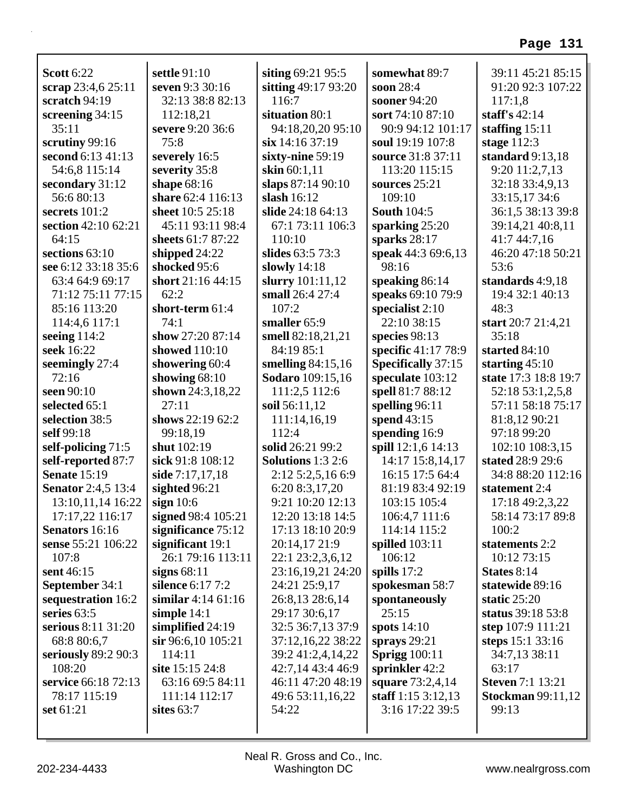| <b>Scott 6:22</b>         | settle 91:10         | siting 69:21 95:5        | somewhat 89:7        | 39:11 45:21 85:15        |
|---------------------------|----------------------|--------------------------|----------------------|--------------------------|
| scrap 23:4,6 25:11        | seven 9:3 30:16      | sitting 49:17 93:20      | soon 28:4            | 91:20 92:3 107:22        |
| scratch 94:19             | 32:13 38:8 82:13     | 116:7                    | sooner 94:20         | 117:1,8                  |
| screening 34:15           | 112:18,21            | situation 80:1           | sort 74:10 87:10     | staff's $42:14$          |
| 35:11                     | severe 9:20 36:6     | 94:18,20,20 95:10        | 90:9 94:12 101:17    | staffing $15:11$         |
| scrutiny 99:16            | 75:8                 | $\sin 14:1637:19$        | soul 19:19 107:8     | stage $112:3$            |
| second 6:13 41:13         | severely 16:5        | sixty-nine 59:19         | source 31:8 37:11    | standard $9:13,18$       |
| 54:6,8 115:14             | severity 35:8        | skin $60:1,11$           | 113:20 115:15        | 9:20 11:2,7,13           |
| secondary 31:12           | shape 68:16          | slaps 87:14 90:10        | sources 25:21        | 32:18 33:4,9,13          |
| 56:6 80:13                | share 62:4 116:13    | slash $16:12$            | 109:10               | 33:15,17 34:6            |
| secrets 101:2             | sheet 10:5 25:18     | slide 24:18 64:13        | <b>South 104:5</b>   | 36:1,5 38:13 39:8        |
| section 42:10 62:21       | 45:11 93:11 98:4     | 67:1 73:11 106:3         | sparking $25:20$     | 39:14,21 40:8,11         |
| 64:15                     | sheets 61:7 87:22    | 110:10                   | sparks $28:17$       | 41:7 44:7,16             |
| sections 63:10            | shipped 24:22        | slides 63:5 73:3         | speak 44:3 69:6,13   | 46:20 47:18 50:21        |
| see 6:12 33:18 35:6       | shocked 95:6         | slowly $14:18$           | 98:16                | 53:6                     |
| 63:4 64:9 69:17           | short 21:16 44:15    | slurry 101:11,12         | speaking 86:14       | standards 4:9,18         |
| 71:12 75:11 77:15         | 62:2                 | small 26:4 27:4          | speaks 69:10 79:9    | 19:4 32:1 40:13          |
| 85:16 113:20              | short-term 61:4      | 107:2                    | specialist 2:10      | 48:3                     |
| 114:4,6 117:1             | 74:1                 | smaller 65:9             | 22:10 38:15          | start 20:7 21:4,21       |
| seeing $114:2$            | show 27:20 87:14     | smell 82:18,21,21        | species 98:13        | 35:18                    |
| seek 16:22                | showed 110:10        | 84:19 85:1               | specific 41:17 78:9  | started 84:10            |
| seemingly 27:4            | showering 60:4       | smelling $84:15,16$      | Specifically 37:15   | starting $45:10$         |
| 72:16                     | showing $68:10$      | <b>Sodaro</b> 109:15,16  | speculate 103:12     | state 17:3 18:8 19:7     |
| seen 90:10                | shown 24:3,18,22     | 111:2,5 112:6            | spell 81:7 88:12     | 52:18 53:1,2,5,8         |
| selected 65:1             | 27:11                | soil 56:11,12            | spelling $96:11$     | 57:11 58:18 75:17        |
| selection 38:5            | shows 22:19 62:2     | 111:14,16,19             | spend 43:15          | 81:8,12 90:21            |
| self 99:18                | 99:18,19             | 112:4                    | spending 16:9        | 97:18 99:20              |
| self-policing 71:5        | shut 102:19          | solid 26:21 99:2         | spill 12:1,6 14:13   | 102:10 108:3,15          |
| self-reported 87:7        | sick 91:8 108:12     | <b>Solutions</b> 1:3 2:6 | 14:17 15:8,14,17     | stated 28:9 29:6         |
| <b>Senate 15:19</b>       | side 7:17,17,18      | 2:12 5:2,5,16 6:9        | 16:15 17:5 64:4      | 34:8 88:20 112:16        |
| <b>Senator</b> 2:4,5 13:4 | sighted 96:21        | 6:20 8:3,17,20           | 81:19 83:4 92:19     | statement 2:4            |
| 13:10,11,14 16:22         | sign $10:6$          | 9:21 10:20 12:13         | 103:15 105:4         | 17:18 49:2,3,22          |
| 17:17,22 116:17           | signed 98:4 105:21   | 12:20 13:18 14:5         | 106:4,7 111:6        | 58:14 73:17 89:8         |
| Senators 16:16            | significance 75:12   | 17:13 18:10 20:9         | 114:14 115:2         | 100:2                    |
| sense 55:21 106:22        | significant 19:1     | 20:14,17 21:9            | spilled $103:11$     | statements 2:2           |
| 107:8                     | 26:1 79:16 113:11    | 22:1 23:2,3,6,12         | 106:12               | 10:12 73:15              |
| sent 46:15                | signs $68:11$        | 23:16,19,21 24:20        | spills $17:2$        | States 8:14              |
| September 34:1            | silence 6:17 7:2     | 24:21 25:9,17            | spokesman 58:7       | statewide 89:16          |
| sequestration 16:2        | similar 4:14 $61:16$ | 26:8,13 28:6,14          | spontaneously        | static $25:20$           |
| series 63:5               | simple $14:1$        | 29:17 30:6,17            | 25:15                | status 39:18 53:8        |
| serious 8:11 31:20        | simplified 24:19     | 32:5 36:7,13 37:9        | spots 14:10          | step 107:9 111:21        |
| 68:8 80:6,7               | $\sin 96:6,10105:21$ | 37:12,16,22 38:22        | sprays $29:21$       | steps $15:133:16$        |
| seriously 89:2 90:3       | 114:11               | 39:2 41:2,4,14,22        | <b>Sprigg</b> 100:11 | 34:7,13 38:11            |
| 108:20                    | site 15:15 24:8      | 42:7,14 43:4 46:9        | sprinkler 42:2       | 63:17                    |
| service 66:18 72:13       | 63:16 69:5 84:11     | 46:11 47:20 48:19        | square 73:2,4,14     | <b>Steven 7:1 13:21</b>  |
| 78:17 115:19              | 111:14 112:17        | 49:6 53:11,16,22         | staff 1:15 3:12,13   | <b>Stockman 99:11,12</b> |
| set 61:21                 | sites $63:7$         | 54:22                    | 3:16 17:22 39:5      | 99:13                    |
|                           |                      |                          |                      |                          |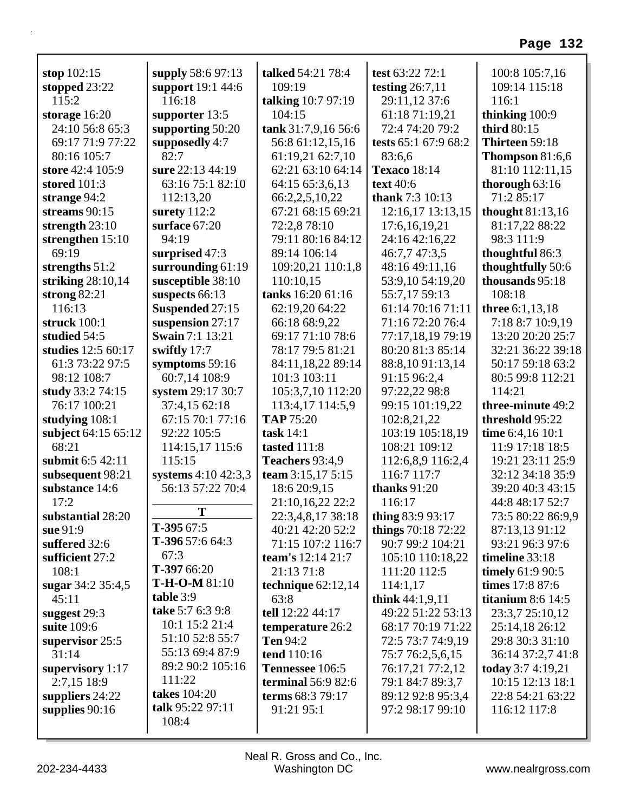| stop $102:15$                      | supply 58:6 97:13           | talked 54:21 78:4    | test 63:22 72:1                    | 100:8 105:7,16           |
|------------------------------------|-----------------------------|----------------------|------------------------------------|--------------------------|
| stopped $23:22$<br>115:2           | support 19:1 44:6<br>116:18 | 109:19               | testing $26:7,11$<br>29:11,12 37:6 | 109:14 115:18<br>116:1   |
|                                    |                             | talking 10:7 97:19   |                                    |                          |
| storage $16:20$<br>24:10 56:8 65:3 | supporter 13:5              | 104:15               | 61:18 71:19,21                     | thinking 100:9           |
|                                    | supporting 50:20            | tank 31:7,9,16 56:6  | 72:4 74:20 79:2                    | third 80:15              |
| 69:17 71:9 77:22                   | supposedly 4:7<br>82:7      | 56:8 61:12,15,16     | tests 65:1 67:9 68:2               | Thirteen 59:18           |
| 80:16 105:7                        |                             | 61:19,21 62:7,10     | 83:6,6                             | <b>Thompson</b> $81:6,6$ |
| store 42:4 105:9                   | sure 22:13 44:19            | 62:21 63:10 64:14    | <b>Texaco</b> 18:14                | 81:10 112:11,15          |
| stored $101:3$                     | 63:16 75:1 82:10            | 64:15 65:3,6,13      | text 40:6                          | thorough $63:16$         |
| strange $94:2$                     | 112:13,20                   | 66:2,2,5,10,22       | <b>thank</b> 7:3 10:13             | 71:2 85:17               |
| streams 90:15                      | surety $112:2$              | 67:21 68:15 69:21    | 12:16,17 13:13,15                  | thought $81:13,16$       |
| strength $23:10$                   | surface 67:20               | 72:2,8 78:10         | 17:6,16,19,21                      | 81:17,22 88:22           |
| strengthen 15:10                   | 94:19                       | 79:11 80:16 84:12    | 24:16 42:16,22                     | 98:3 111:9               |
| 69:19                              | surprised 47:3              | 89:14 106:14         | 46:7,7 47:3,5                      | thoughtful 86:3          |
| strengths $51:2$                   | surrounding 61:19           | 109:20,21 110:1,8    | 48:16 49:11,16                     | thoughtfully 50:6        |
| striking $28:10,14$                | susceptible 38:10           | 110:10,15            | 53:9,10 54:19,20                   | thousands 95:18          |
| strong $82:21$                     | suspects 66:13              | tanks 16:20 61:16    | 55:7,17 59:13                      | 108:18                   |
| 116:13                             | Suspended 27:15             | 62:19,20 64:22       | 61:14 70:16 71:11                  | three 6:1,13,18          |
| struck 100:1                       | suspension 27:17            | 66:18 68:9,22        | 71:16 72:20 76:4                   | 7:18 8:7 10:9,19         |
| studied 54:5                       | <b>Swain</b> 7:1 13:21      | 69:17 71:10 78:6     | 77:17,18,19 79:19                  | 13:20 20:20 25:7         |
| studies 12:5 60:17                 | swiftly 17:7                | 78:17 79:5 81:21     | 80:20 81:3 85:14                   | 32:21 36:22 39:18        |
| 61:3 73:22 97:5                    | symptoms $59:16$            | 84:11,18,22 89:14    | 88:8,1091:13,14                    | 50:17 59:18 63:2         |
| 98:12 108:7                        | 60:7,14 108:9               | 101:3 103:11         | 91:15 96:2,4                       | 80:5 99:8 112:21         |
| study 33:2 74:15                   | system 29:17 30:7           | 105:3,7,10 112:20    | 97:22,22 98:8                      | 114:21                   |
| 76:17 100:21                       | 37:4,15 62:18               | 113:4,17 114:5,9     | 99:15 101:19,22                    | three-minute 49:2        |
| studying 108:1                     | 67:15 70:1 77:16            | <b>TAP 75:20</b>     | 102:8,21,22                        | threshold 95:22          |
| subject 64:15 65:12                | 92:22 105:5                 | task $14:1$          | 103:19 105:18,19                   | time 6:4,16 10:1         |
| 68:21                              | 114:15,17 115:6             | tasted 111:8         | 108:21 109:12                      | 11:9 17:18 18:5          |
| submit 6:5 42:11                   | 115:15                      | Teachers 93:4,9      | 112:6,8,9 116:2,4                  | 19:21 23:11 25:9         |
| subsequent 98:21                   | systems 4:10 42:3,3         | team 3:15,17 5:15    | 116:7 117:7                        | 32:12 34:18 35:9         |
| substance 14:6                     | 56:13 57:22 70:4            | 18:6 20:9,15         | thanks $91:20$                     | 39:20 40:3 43:15         |
| 17:2                               |                             | 21:10,16,22 22:2     | 116:17                             | 44:8 48:17 52:7          |
| substantial 28:20                  | T                           | 22:3,4,8,17 38:18    | thing 83:9 93:17                   | 73:5 80:22 86:9,9        |
| sue 91:9                           | $T-39567:5$                 | 40:21 42:20 52:2     | things 70:18 72:22                 | 87:13,13 91:12           |
| suffered 32:6                      | T-396 57:6 64:3             | 71:15 107:2 116:7    | 90:7 99:2 104:21                   | 93:21 96:3 97:6          |
| sufficient 27:2                    | 67:3                        | team's 12:14 21:7    | 105:10 110:18,22                   | timeline $33:18$         |
| 108:1                              | $T-39766:20$                | 21:13 71:8           | 111:20 112:5                       | timely $61:990:5$        |
| sugar 34:2 35:4,5                  | $T-H-O-M 81:10$             | technique $62:12,14$ | 114:1,17                           | times 17:8 87:6          |
| 45:11                              | table 3:9                   | 63:8                 | think $44:1,9,11$                  | titanium $8:6$ 14:5      |
| suggest 29:3                       | take 5:7 6:3 9:8            | tell 12:22 44:17     | 49:22 51:22 53:13                  | 23:3,7 25:10,12          |
| suite 109:6                        | 10:1 15:2 21:4              | temperature 26:2     | 68:17 70:19 71:22                  | 25:14,18 26:12           |
| supervisor 25:5                    | 51:10 52:8 55:7             | <b>Ten 94:2</b>      | 72:5 73:7 74:9,19                  | 29:8 30:3 31:10          |
| 31:14                              | 55:13 69:4 87:9             | tend 110:16          | 75:7 76:2,5,6,15                   | 36:14 37:2,7 41:8        |
| supervisory 1:17                   | 89:2 90:2 105:16            | Tennessee 106:5      | 76:17,21 77:2,12                   | today $3:74:19,21$       |
| 2:7,15 18:9                        | 111:22                      | terminal $56:982:6$  | 79:1 84:7 89:3,7                   | 10:15 12:13 18:1         |
| suppliers $24:22$                  | takes 104:20                | terms 68:3 79:17     | 89:12 92:8 95:3,4                  | 22:8 54:21 63:22         |
| supplies $90:16$                   | talk 95:22 97:11            | 91:21 95:1           | 97:2 98:17 99:10                   | 116:12 117:8             |
|                                    | 108:4                       |                      |                                    |                          |
|                                    |                             |                      |                                    |                          |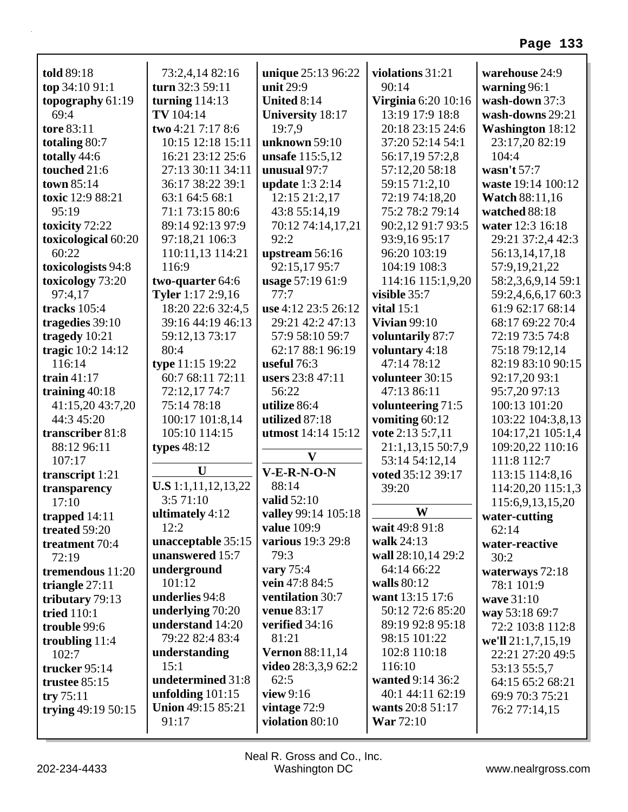| told 89:18          | 73:2,4,14 82:16          | unique 25:13 96:22     | violations 31:21    | warehouse 24:9                |
|---------------------|--------------------------|------------------------|---------------------|-------------------------------|
| top 34:10 91:1      | turn 32:3 59:11          | unit 29:9              | 90:14               | warning 96:1                  |
| topography 61:19    | turning $114:13$         | United 8:14            | Virginia 6:20 10:16 | wash-down 37:3                |
| 69:4                | TV 104:14                | University 18:17       | 13:19 17:9 18:8     | wash-downs 29:21              |
| tore 83:11          | two 4:21 7:17 8:6        | 19:7,9                 | 20:18 23:15 24:6    | <b>Washington 18:12</b>       |
| totaling 80:7       | 10:15 12:18 15:11        | unknown 59:10          | 37:20 52:14 54:1    | 23:17,20 82:19                |
| totally 44:6        | 16:21 23:12 25:6         | unsafe 115:5,12        | 56:17,19 57:2,8     | 104:4                         |
| touched 21:6        | 27:13 30:11 34:11        | unusual 97:7           | 57:12,20 58:18      | wasn't $57:7$                 |
| town 85:14          | 36:17 38:22 39:1         | update 1:3 2:14        | 59:15 71:2,10       | waste 19:14 100:12            |
| toxic 12:9 88:21    | 63:1 64:5 68:1           | 12:15 21:2,17          | 72:19 74:18,20      | <b>Watch 88:11,16</b>         |
| 95:19               | 71:1 73:15 80:6          | 43:8 55:14,19          | 75:2 78:2 79:14     | watched 88:18                 |
| toxicity 72:22      | 89:14 92:13 97:9         | 70:12 74:14,17,21      | 90:2,12 91:7 93:5   | water 12:3 16:18              |
| toxicological 60:20 | 97:18,21 106:3           | 92:2                   | 93:9,16 95:17       | 29:21 37:2,4 42:3             |
| 60:22               | 110:11,13 114:21         | upstream 56:16         | 96:20 103:19        | 56:13,14,17,18                |
| toxicologists 94:8  | 116:9                    | 92:15,17 95:7          | 104:19 108:3        | 57:9,19,21,22                 |
| toxicology 73:20    | two-quarter 64:6         | usage 57:19 61:9       | 114:16 115:1,9,20   | 58:2,3,6,9,14 59:1            |
| 97:4,17             | Tyler 1:17 2:9,16        | 77:7                   | visible 35:7        | 59:2,4,6,6,17 60:3            |
| tracks 105:4        | 18:20 22:6 32:4,5        | use 4:12 23:5 26:12    | vital $15:1$        | 61:9 62:17 68:14              |
| tragedies 39:10     | 39:16 44:19 46:13        | 29:21 42:2 47:13       | <b>Vivian 99:10</b> | 68:17 69:22 70:4              |
| tragedy 10:21       | 59:12,13 73:17           | 57:9 58:10 59:7        | voluntarily 87:7    | 72:19 73:5 74:8               |
| tragic 10:2 14:12   | 80:4                     | 62:17 88:1 96:19       | voluntary 4:18      | 75:18 79:12,14                |
| 116:14              | type 11:15 19:22         | useful $76:3$          | 47:14 78:12         | 82:19 83:10 90:15             |
| train $41:17$       | 60:7 68:11 72:11         | users 23:8 47:11       | volunteer 30:15     | 92:17,20 93:1                 |
| training $40:18$    | 72:12,17 74:7            | 56:22                  | 47:13 86:11         | 95:7,20 97:13                 |
| 41:15,20 43:7,20    | 75:14 78:18              | utilize 86:4           | volunteering 71:5   | 100:13 101:20                 |
| 44:3 45:20          | 100:17 101:8,14          | utilized 87:18         | vomiting 60:12      | 103:22 104:3,8,13             |
| transcriber 81:8    | 105:10 114:15            | utmost 14:14 15:12     | vote 2:13 5:7,11    | 104:17,21 105:1,4             |
| 88:12 96:11         | types $48:12$            |                        | 21:1,13,15 50:7,9   | 109:20,22 110:16              |
| 107:17              |                          | $\mathbf{V}$           | 53:14 54:12,14      | 111:8 112:7                   |
| transcript 1:21     | U                        | $V-E-R-N-O-N$          | voted 35:12 39:17   | 113:15 114:8,16               |
| transparency        | U.S 1:1,11,12,13,22      | 88:14                  | 39:20               | 114:20,20 115:1,3             |
| 17:10               | 3:571:10                 | valid 52:10            |                     | 115:6,9,13,15,20              |
| trapped 14:11       | ultimately 4:12          | valley 99:14 105:18    | W                   | water-cutting                 |
| treated 59:20       | 12:2                     | <b>value</b> 109:9     | wait 49:8 91:8      | 62:14                         |
| treatment 70:4      | unacceptable 35:15       | various 19:3 29:8      | walk 24:13          | water-reactive                |
| 72:19               | unanswered 15:7          | 79:3                   | wall 28:10,14 29:2  | 30:2                          |
| tremendous 11:20    | underground              | vary $75:4$            | 64:14 66:22         |                               |
|                     | 101:12                   | vein 47:8 84:5         | walls 80:12         | waterways 72:18<br>78:1 101:9 |
| triangle $27:11$    | underlies 94:8           | ventilation 30:7       | want 13:15 17:6     | wave 31:10                    |
| tributary 79:13     | underlying 70:20         | venue 83:17            | 50:12 72:6 85:20    |                               |
| tried $110:1$       | understand 14:20         | verified 34:16         | 89:19 92:8 95:18    | way 53:18 69:7                |
| trouble 99:6        | 79:22 82:4 83:4          | 81:21                  | 98:15 101:22        | 72:2 103:8 112:8              |
| troubling $11:4$    | understanding            | <b>Vernon 88:11,14</b> | 102:8 110:18        | we'll 21:1,7,15,19            |
| 102:7               | 15:1                     | video $28:3,3,9$ 62:2  | 116:10              | 22:21 27:20 49:5              |
| trucker 95:14       | undetermined 31:8        | 62:5                   | wanted 9:14 36:2    | 53:13 55:5,7                  |
| trustee 85:15       | unfolding $101:15$       | view 9:16              | 40:1 44:11 62:19    | 64:15 65:2 68:21              |
| try $75:11$         | <b>Union 49:15 85:21</b> | vintage 72:9           | wants 20:8 51:17    | 69:9 70:3 75:21               |
| trying 49:19 50:15  |                          |                        |                     | 76:2 77:14,15                 |
|                     | 91:17                    | violation 80:10        | War $72:10$         |                               |